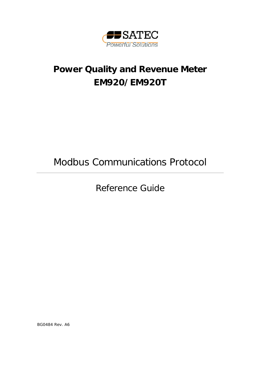

# **Power Quality and Revenue Meter EM920/EM920T**

Modbus Communications Protocol

Reference Guide

BG0484 Rev. A6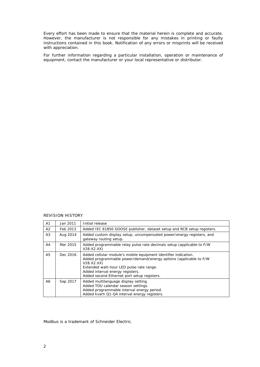Every effort has been made to ensure that the material herein is complete and accurate. However, the manufacturer is not responsible for any mistakes in printing or faulty instructions contained in this book. Notification of any errors or misprints will be received with appreciation.

For further information regarding a particular installation, operation or maintenance of equipment, contact the manufacturer or your local representative or distributor.

#### REVISION HISTORY

| A1 | Jan 2011 | Initial release                                                                                                                                                                                                                                                                   |  |  |  |
|----|----------|-----------------------------------------------------------------------------------------------------------------------------------------------------------------------------------------------------------------------------------------------------------------------------------|--|--|--|
| A2 | Feb 2013 | Added IEC 61850 GOOSE publisher, dataset setup and RCB setup registers.                                                                                                                                                                                                           |  |  |  |
| А3 | Aug 2014 | Added custom display setup, uncompensated power/energy registers, and<br>gateway routing setup.                                                                                                                                                                                   |  |  |  |
| A4 | Mar 2015 | Added programmable relay pulse rate decimals setup (applicable to F/W<br>V28.X2.XX)                                                                                                                                                                                               |  |  |  |
| A5 | Dec 2016 | Added cellular module's mobile equipment identifier indication.<br>Added programmable power/demand/energy options (applicable to F/W<br>V28.X2.XX)<br>Extended watt-hour LED pulse rate range.<br>Added interval energy registers.<br>Added second Ethernet port setup registers. |  |  |  |
| A6 | Sep 2017 | Added multilanguage display setting.<br>Added TOU calendar season settings.<br>Added programmable interval energy period.<br>Added kvarh Q1-Q4 interval energy registers.                                                                                                         |  |  |  |

Modbus is a trademark of Schneider Electric.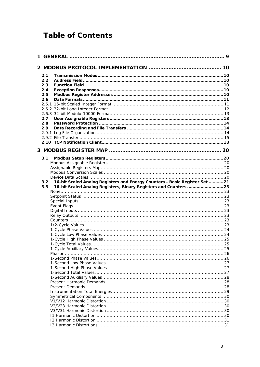## **Table of Contents**

| 2.1              |                                                                            |  |
|------------------|----------------------------------------------------------------------------|--|
| 2.2              |                                                                            |  |
| 2.3              |                                                                            |  |
| 2.4              |                                                                            |  |
| 2.5              |                                                                            |  |
| 2.6              |                                                                            |  |
|                  |                                                                            |  |
|                  |                                                                            |  |
|                  |                                                                            |  |
| 2.7              |                                                                            |  |
| 2.8              |                                                                            |  |
| 2.9              |                                                                            |  |
|                  |                                                                            |  |
|                  |                                                                            |  |
|                  |                                                                            |  |
|                  |                                                                            |  |
| 3.1              |                                                                            |  |
|                  |                                                                            |  |
|                  |                                                                            |  |
|                  |                                                                            |  |
|                  |                                                                            |  |
| 3.2 <sub>2</sub> | 16-bit Scaled Analog Registers and Energy Counters - Basic Register Set 21 |  |
| 3.3 <sub>1</sub> | 16-bit Scaled Analog Registers, Binary Registers and Counters  23          |  |
|                  |                                                                            |  |
|                  |                                                                            |  |
|                  |                                                                            |  |
|                  |                                                                            |  |
|                  |                                                                            |  |
|                  |                                                                            |  |
|                  |                                                                            |  |
|                  |                                                                            |  |
|                  |                                                                            |  |
|                  |                                                                            |  |
|                  |                                                                            |  |
|                  |                                                                            |  |
|                  | 1-Cycle Auxiliary Values                                                   |  |
|                  |                                                                            |  |
|                  |                                                                            |  |
|                  |                                                                            |  |
|                  |                                                                            |  |
|                  |                                                                            |  |
|                  |                                                                            |  |
|                  |                                                                            |  |
|                  |                                                                            |  |
|                  |                                                                            |  |
|                  |                                                                            |  |
|                  |                                                                            |  |
|                  |                                                                            |  |
|                  |                                                                            |  |
|                  |                                                                            |  |
|                  |                                                                            |  |
|                  |                                                                            |  |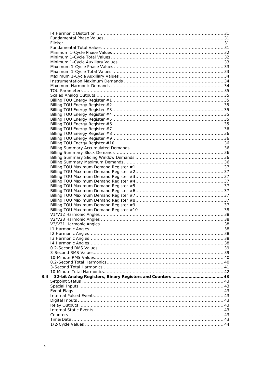| 3.4 |  |
|-----|--|
|     |  |
|     |  |
|     |  |
|     |  |
|     |  |
|     |  |
|     |  |
|     |  |
|     |  |
|     |  |
|     |  |
|     |  |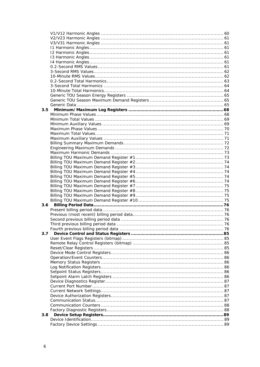| 3.5 |  |
|-----|--|
|     |  |
|     |  |
|     |  |
|     |  |
|     |  |
|     |  |
|     |  |
|     |  |
|     |  |
|     |  |
|     |  |
|     |  |
|     |  |
|     |  |
|     |  |
|     |  |
|     |  |
|     |  |
|     |  |
|     |  |
|     |  |
|     |  |
|     |  |
|     |  |
|     |  |
|     |  |
| 3.7 |  |
|     |  |
|     |  |
|     |  |
|     |  |
|     |  |
|     |  |
|     |  |
|     |  |
|     |  |
|     |  |
|     |  |
|     |  |
|     |  |
|     |  |
|     |  |
|     |  |
| 3.8 |  |
|     |  |
|     |  |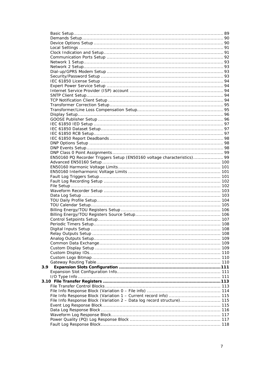|     | EN50160 PQ Recorder Triggers Setup (EN50160 voltage characteristics) 99 |  |
|-----|-------------------------------------------------------------------------|--|
|     |                                                                         |  |
|     |                                                                         |  |
|     |                                                                         |  |
|     |                                                                         |  |
|     |                                                                         |  |
|     |                                                                         |  |
|     |                                                                         |  |
|     |                                                                         |  |
|     |                                                                         |  |
|     |                                                                         |  |
|     |                                                                         |  |
|     |                                                                         |  |
|     |                                                                         |  |
|     |                                                                         |  |
|     |                                                                         |  |
|     |                                                                         |  |
|     |                                                                         |  |
|     |                                                                         |  |
|     |                                                                         |  |
|     |                                                                         |  |
|     |                                                                         |  |
|     |                                                                         |  |
| 3.9 |                                                                         |  |
|     |                                                                         |  |
|     |                                                                         |  |
|     |                                                                         |  |
|     |                                                                         |  |
|     |                                                                         |  |
|     |                                                                         |  |
|     | File Info Response Block (Variation 2 - Data log record structure) 115  |  |
|     |                                                                         |  |
|     |                                                                         |  |
|     |                                                                         |  |
|     |                                                                         |  |
|     |                                                                         |  |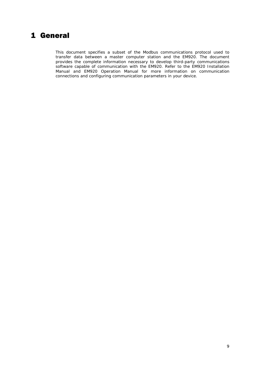### <span id="page-8-0"></span>1 General

This document specifies a subset of the Modbus communications protocol used to transfer data between a master computer station and the EM920. The document provides the complete information necessary to develop third-party communications software capable of communication with the EM920. Refer to the EM920 Installation Manual and EM920 Operation Manual for more information on communication connections and configuring communication parameters in your device.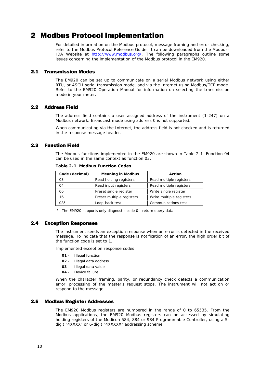## <span id="page-9-0"></span>2 Modbus Protocol Implementation

For detailed information on the Modbus protocol, message framing and error checking, refer to the Modbus Protocol Reference Guide. It can be downloaded from the ModbusIDA Website at [http://www.modbus.org/.](http://www.modbus.org/) The following paragraphs outline some issues concerning the implementation of the Modbus protocol in the EM920.

#### 2.1 Transmission Modes

<span id="page-9-1"></span>The EM920 can be set up to communicate on a serial Modbus network using either RTU, or ASCII serial transmission mode, and via the Internet using Modbus/TCP mode. Refer to the EM920 Operation Manual for information on selecting the transmission mode in your meter.

#### 2.2 Address Field

<span id="page-9-2"></span>The address field contains a user assigned address of the instrument (1-247) on a Modbus network. Broadcast mode using address 0 is not supported.

When communicating via the Internet, the address field is not checked and is returned in the response message header.

#### 2.3 Function Field

<span id="page-9-3"></span>The Modbus functions implemented in the EM920 are shown in Table 2-1. Function 04 can be used in the same context as function 03.

| Code (decimal) | <b>Meaning in Modbus</b>  | Action                   |  |  |
|----------------|---------------------------|--------------------------|--|--|
| 03             | Read holding registers    | Read multiple registers  |  |  |
| 04             | Read input registers      | Read multiple registers  |  |  |
| 06             | Preset single register    | Write single register    |  |  |
| 16             | Preset multiple registers | Write multiple registers |  |  |
| 081            | Loop-back test            | Communications test      |  |  |

**Table 2-1 Modbus Function Codes** 

<sup>1</sup> The EM920 supports only diagnostic code  $0$  - return query data.

#### 2.4 Exception Responses

<span id="page-9-4"></span>The instrument sends an exception response when an error is detected in the received message. To indicate that the response is notification of an error, the high order bit of the function code is set to 1.

Implemented exception response codes:

- **01**  Illegal function
- **02**  Illegal data address
- **03**  Illegal data value
- **04**  Device failure

When the character framing, parity, or redundancy check detects a communication error, processing of the master's request stops. The instrument will not act on or respond to the message.

#### 2.5 Modbus Register Addresses

<span id="page-9-5"></span>The EM920 Modbus registers are numbered in the range of 0 to 65535. From the Modbus applications, the EM920 Modbus registers can be accessed by simulating holding registers of the Modicon 584, 884 or 984 Programmable Controller, using a 5digit "4XXXX" or 6-digit "4XXXXX" addressing scheme.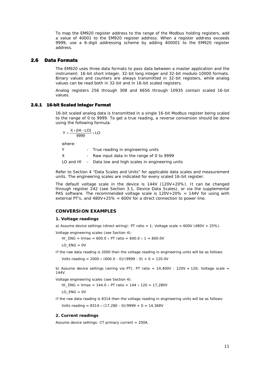To map the EM920 register address to the range of the Modbus holding registers, add a value of 40001 to the EM920 register address. When a register address exceeds 9999, use a 6-digit addressing scheme by adding 400001 to the EM920 register address.

#### <span id="page-10-0"></span>2.6 Data Formats

The EM920 uses three data formats to pass data between a master application and the instrument: 16-bit short integer, 32-bit long integer and 32-bit modulo-10000 formats. Binary values and counters are always transmitted in 32-bit registers, while analog values can be read both in 32-bit and in 16-bit scaled registers.

Analog registers 256 through 308 and 6656 through 10935 contain scaled 16-bit values.

#### 2.6.1 16-bit Scaled Integer Format

<span id="page-10-1"></span>16-bit scaled analog data is transmitted in a single 16-bit Modbus register being scaled to the range of 0 to 9999. To get a true reading, a reverse conversion should be done using the following formula:

$$
Y = \frac{X \times (HI - LO)}{9999} + LO
$$

where:

Y - True reading in engineering units X - Raw input data in the range of 0 to 9999 LO and HI - Data low and high scales in engineering units

Refer to Section 4 "Data Scales and Units" for applicable data scales and measurement units. The engineering scales are indicated for every scaled 16-bit register.

The default voltage scale in the device is 144V (120V+20%). It can be changed through register 242 (see Section 3.1, Device Data Scales), or via the supplemental PAS software. The recommended voltage scale is  $120V+20% = 144V$  for using with external PT's, and  $480V+25\% = 600V$  for a direct connection to power line.

#### **CONVERSION EXAMPLES**

#### **1. Voltage readings**

a) Assume device settings (direct wiring): PT ratio = 1; Voltage scale =  $600V$  (480V + 25%).

Voltage engineering scales (see Section 4):

HI\_ENG = Vmax =  $600.0 \times PT$  ratio =  $600.0 \times 1 = 600.0V$ 

LO  $ENG = OV$ 

If the raw data reading is 2000 then the voltage reading in engineering units will be as follows:

Volts reading =  $2000 \times (600.0 - 0)/(9999 - 0) + 0 = 120.0V$ 

b) Assume device settings (wiring via PT): PT ratio =  $14,400V$  :  $120V$  =  $120$ ; Voltage scale = 144V.

Voltage engineering scales (see Section 4):

HI\_ENG = Vmax =  $144.0 \times PT$  ratio =  $144 \times 120 = 17,280V$ 

 $LO$   $ENG = OV$ 

If the raw data reading is 8314 then the voltage reading in engineering units will be as follows:

Volts reading =  $8314 \times (17,280 - 0)/9999 + 0 = 14,368V$ 

#### **2. Current readings**

Assume device settings: CT primary current = 200A.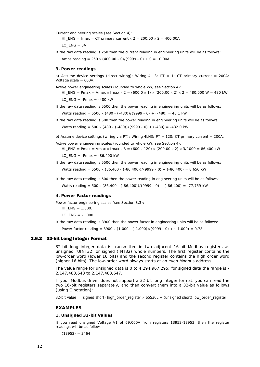Current engineering scales (see Section 4):

HI\_ENG = Imax = CT primary current  $\times$  2 = 200.00  $\times$  2 = 400.00A

 $LO$   $ENG = OA$ 

If the raw data reading is 250 then the current reading in engineering units will be as follows:

Amps reading =  $250 \times (400.00 - 0)/(9999 - 0) + 0 = 10.00A$ 

#### **3. Power readings**

a) Assume device settings (direct wiring): Wiring 4LL3; PT = 1; CT primary current = 200A; Voltage scale = 600V.

Active power engineering scales (rounded to whole kW, see Section 4):

HI\_ENG = Pmax = Vmax × Imax × 2 = (600.0 × 1) × (200.00 × 2) × 2 = 480,000 W = 480 kW  $10$  FNG = -Pmax = -480 kW

- If the raw data reading is 5500 then the power reading in engineering units will be as follows: Watts reading =  $5500 \times (480 - (-480))/(9999 - 0) + (-480) = 48.1$  kW
- If the raw data reading is 500 then the power reading in engineering units will be as follows: Watts reading =  $500 \times (480 - (-480)) / (9999 - 0) + (-480) = -432.0 \text{ kW}$
- b) Assume device settings (wiring via PT): Wiring 4LN3; PT = 120; CT primary current = 200A.

Active power engineering scales (rounded to whole kW, see Section 4):

HI\_ENG = Pmax = Vmax × Imax × 3 = (600 × 120) × (200.00 × 2) × 3/1000 = 86,400 kW  $LO$  ENG = -Pmax = -86,400 kW

If the raw data reading is 5500 then the power reading in engineering units will be as follows:

Watts reading =  $5500 \times (86,400 - (-86,400)) / (9999 - 0) + (-86,400) = 8,650$  kW

If the raw data reading is 500 then the power reading in engineering units will be as follows: Watts reading =  $500 \times (86,400 - (-86,400)) / (9999 - 0) + (-86,400) = -77,759$  kW

#### **4. Power Factor readings**

Power factor engineering scales (see Section 3.3):

 $HI$  ENG = 1.000.

LO  $ENG = -1.000$ .

If the raw data reading is 8900 then the power factor in engineering units will be as follows:

Power factor reading =  $8900 \times (1.000 - (-1.000))/(9999 - 0) + (-1.000) = 0.78$ 

#### 2.6.2 32-bit Long Integer Format

<span id="page-11-0"></span>32-bit long integer data is transmitted in two adjacent 16-bit Modbus registers as unsigned (UINT32) or signed (INT32) whole numbers. The first register contains the low-order word (lower 16 bits) and the second register contains the high order word (higher 16 bits). The low-order word always starts at an even Modbus address.

The value range for unsigned data is 0 to 4,294,967,295; for signed data the range is - 2,147,483,648 to 2,147,483,647.

If your Modbus driver does not support a 32-bit long integer format, you can read the two 16-bit registers separately, and then convert them into a 32-bit value as follows (using C notation):

32-bit value = (signed short) high\_order\_register  $\times$  65536L + (unsigned short) low\_order\_register

#### **EXAMPLES**

#### **1. Unsigned 32-bit Values**

If you read unsigned Voltage V1 of 69,000V from registers 13952-13953, then the register readings will be as follows:

 $(13952) = 3464$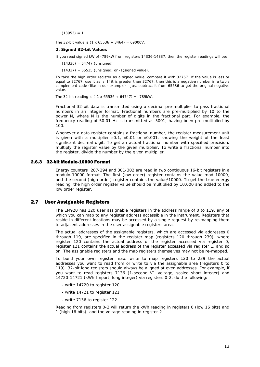$(13953) = 1$ 

The 32-bit value is  $(1 \times 65536 + 3464) = 69000V$ .

#### **2. Signed 32-bit Values**

If you read signed kW of -789kW from registers 14336-14337, then the register readings will be:

 $(14336) = 64747$  (unsigned)

 $(14337) = 65535$  (unsigned) or  $-1$  (signed value).

To take the high order register as a signed value, compare it with 32767. If the value is less or equal to 32767, use it as is. If it is greater than 32767, then this is a negative number in a two's complement code (like in our example) - just subtract it from 65536 to get the original negative value.

The 32-bit reading is  $(-1 \times 65536 + 64747) = -789$ kW.

Fractional 32-bit data is transmitted using a decimal pre-multiplier to pass fractional numbers in an integer format. Fractional numbers are pre-multiplied by 10 to the power N, where N is the number of digits in the fractional part. For example, the frequency reading of 50.01 Hz is transmitted as 5001, having been pre-multiplied by 100.

Whenever a data register contains a fractional number, the register measurement unit is given with a multiplier  $\times$ 0.1,  $\times$ 0.01 or  $\times$ 0.001, showing the weight of the least significant decimal digit. To get an actual fractional number with specified precision, multiply the register value by the given multiplier. To write a fractional number into the register, divide the number by the given multiplier.

#### 2.6.3 32-bit Modulo-10000 Format

<span id="page-12-0"></span>Energy counters 287-294 and 301-302 are read in two contiguous 16-bit registers in a modulo-10000 format. The first (low order) register contains the value mod 10000, and the second (high order) register contains the value/10000. To get the true energy reading, the high order register value should be multiplied by 10,000 and added to the low order register.

#### 2.7 User Assignable Registers

<span id="page-12-1"></span>The EM920 has 120 user assignable registers in the address range of 0 to 119, any of which you can map to any register address accessible in the instrument. Registers that reside in different locations may be accessed by a single request by re-mapping them to adjacent addresses in the user assignable registers area.

The actual addresses of the assignable registers, which are accessed via addresses 0 through 119, are specified in the register map (registers 120 through 239), where register 120 contains the actual address of the register accessed via register 0, register 121 contains the actual address of the register accessed via register 1, and so on. The assignable registers and the map registers themselves may not be re-mapped.

To build your own register map, write to map registers 120 to 239 the actual addresses you want to read from or write to via the assignable area (registers 0 to 119). 32-bit long registers should always be aligned at even addresses*.* For example, if you want to read registers 7136 (1-second V1 voltage, scaled short integer) and 14720-14721 (kWh Import, long integer) via registers 0-2, do the following:

- write 14720 to register 120
- write 14721 to register 121
- write 7136 to register 122

Reading from registers 0-2 will return the kWh reading in registers 0 (low 16 bits) and 1 (high 16 bits), and the voltage reading in register 2.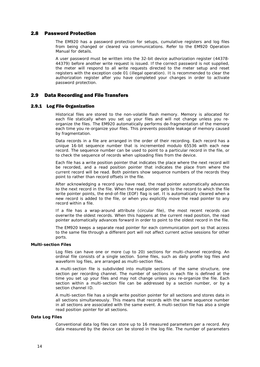#### 2.8 Password Protection

<span id="page-13-0"></span>The EM920 has a password protection for setups, cumulative registers and log files from being changed or cleared via communications. Refer to the EM920 Operation Manual for details.

A user password must be written into the 32-bit device authorization register (44378- 44379) before another write request is issued. If the correct password is not supplied, the meter will respond to all write requests directed to the meter setup and reset registers with the exception code 01 (illegal operation). It is recommended to clear the authorization register after you have completed your changes in order to activate password protection.

#### <span id="page-13-1"></span>2.9 Data Recording and File Transfers

#### 2.9.1 Log File Organization

<span id="page-13-2"></span>Historical files are stored to the non-volatile flash memory. Memory is allocated for each file statically when you set up your files and will not change unless you reorganize the files. The EM920 automatically performs de-fragmentation of the memory each time you re-organize your files. This prevents possible leakage of memory caused by fragmentation.

Data records in a file are arranged in the order of their recording. Each record has a unique 16-bit sequence number that is incremented modulo 65536 with each new record. The sequence number can be used to point to a particular record in the file, or to check the sequence of records when uploading files from the device.

Each file has a write position pointer that indicates the place where the next record will be recorded, and a read position pointer that indicates the place from where the current record will be read. Both pointers show sequence numbers of the records they point to rather than record offsets in the file.

After acknowledging a record you have read, the read pointer automatically advances to the next record in the file. When the read pointer gets to the record to which the file write pointer points, the end-of-file (EOF) flag is set. It is automatically cleared when a new record is added to the file, or when you explicitly move the read pointer to any record within a file.

If a file has a wrap-around attribute (circular file), the most recent records can overwrite the oldest records. When this happens at the current read position, the read pointer automatically advances forward in order to point to the oldest record in the file.

The EM920 keeps a separate read pointer for each communication port so that access to the same file through a different port will not affect current active sessions for other ports.

#### **Multi-section Files**

Log files can have one or more (up to 20) sections for multi-channel recording. An ordinal file consists of a single section. Some files, such as daily profile log files and waveform log files, are arranged as multi-section files.

A multi-section file is subdivided into multiple sections of the same structure, one section per recording channel. The number of sections in each file is defined at the time you set up your files and may not change unless you re-organize the file. Each section within a multi-section file can be addressed by a section number, or by a section channel ID.

A multi-section file has a single write position pointer for all sections and stores data in all sections simultaneously. This means that records with the same sequence number in all sections are associated with the same event. A multi-section file has also a single read position pointer for all sections.

#### **Data Log Files**

Conventional data log files can store up to 16 measured parameters per a record. Any data measured by the device can be stored in the log file. The number of parameters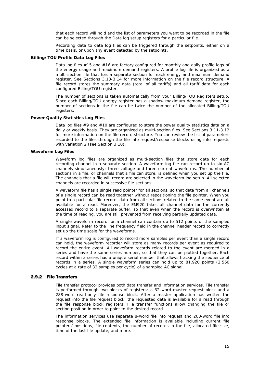that each record will hold and the list of parameters you want to be recorded in the file can be selected through the Data log setup registers for a particular file.

Recording data to data log files can be triggered through the setpoints, either on a time basis, or upon any event detected by the setpoints.

#### **Billing/TOU Profile Data Log Files**

Data log files #15 and #16 are factory configured for monthly and daily profile logs of the energy usage and maximum demand registers. A profile log file is organized as a multi-section file that has a separate section for each energy and maximum demand register. See Sections 3.13-3.14 for more information on the file record structure. A file record stores the summary data (total of all tariffs) and all tariff data for each configured Billing/TOU register.

The number of sections is taken automatically from your Billing/TOU Registers setup. Since each Billing/TOU energy register has a shadow maximum demand register, the number of sections in the file can be twice the number of the allocated Billing/TOU registers.

#### **Power Quality Statistics Log Files**

Data log files #9 and #10 are configured to store the power quality statistics data on a daily or weekly basis. They are organized as multi-section files. See Sections 3.11-3.12 for more information on the file record structure. You can review the list of parameters recorded to the files through the file info request/response blocks using info requests with variation 2 (see Section 3.10).

#### **Waveform Log Files**

Waveform log files are organized as multi-section files that store data for each recording channel in a separate section. A waveform log file can record up to six AC channels simultaneously: three voltage and three current waveforms. The number of sections in a file, or channels that a file can store, is defined when you set up the file. The channels that a file will record are selected in the waveform log setup. All selected channels are recorded in successive file sections.

A waveform file has a single read pointer for all sections, so that data from all channels of a single record can be read together without repositioning the file pointer. When you point to a particular file record, data from all sections related to the same event are all available for a read. Moreover, the EM920 takes all channel data for the currently accessed record to a separate buffer, so that even when the record is overwritten at the time of reading, you are still prevented from receiving partially updated data.

A single waveform record for a channel can contain up to 512 points of the sampled input signal. Refer to the line frequency field in the channel header record to correctly set up the time scale for the waveforms.

If a waveform log is configured to record more samples per event than a single record can hold, the waveform recorder will store as many records per event as required to record the entire event. All waveform records related to the event are merged in a series and have the same series number, so that they can be plotted together. Each record within a series has a unique serial number that allows tracking the sequence of records in a series. A single waveform series can hold up to 81,920 points (2,560 cycles at a rate of 32 samples per cycle) of a sampled AC signal.

#### 2.9.2 File Transfers

<span id="page-14-0"></span>File transfer protocol provides both data transfer and information services. File transfer is performed through two blocks of registers: a 32-word master request block and a 288-word read-only file response block. After a master application has written the request into the file request block, the requested data is available for a read through the file response block registers. File transfer functions allow changing the file or section position in order to point to the desired record.

The information services use separate 8-word file info request and 200-word file info response blocks. The extended file information is available including current file pointers' positions, file contents, the number of records in the file, allocated file size, time of the last file update, and more.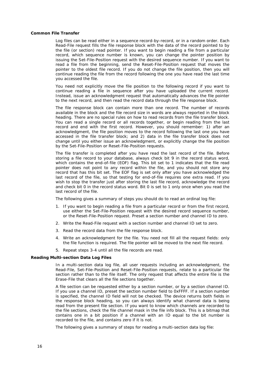#### **Common File Transfer**

Log files can be read either in a sequence record-by-record, or in a random order. Each Read-File request fills the file response block with the data of the record pointed to by the file (or section) read pointer. If you want to begin reading a file from a particular record, which sequence number is known, you can change the pointer position by issuing the Set-File-Position request with the desired sequence number. If you want to read a file from the beginning, send the Reset-File-Position request that moves the pointer to the oldest file record. If you do not change the file position, then you will continue reading the file from the record following the one you have read the last time you accessed the file.

You need not explicitly move the file position to the following record if you want to continue reading a file in sequence after you have uploaded the current record. Instead, issue an acknowledgment request that automatically advances the file pointer to the next record, and then read the record data through the file response block.

The file response block can contain more than one record. The number of records available in the block and the file record size in words are always reported in the block heading. There are no special rules on how to read records from the file transfer block. You can read a single record or all records together, or begin reading from the last record and end with the first record. However, you should remember: 1) after an acknowledgment, the file position moves to the record following the last one you have accessed in the file transfer block; and 2) data in the file transfer block does not change until you either issue an acknowledgment, or explicitly change the file position by the Set-File-Position or Reset-File-Position requests.

The file transfer is completed after you have read the last record of the file. Before storing a file record to your database, always check bit 9 in the record status word, which contains the end-of-file (EOF) flag. This bit set to 1 indicates that the file read pointer does not point to any record within the file, and you should not store any record that has this bit set. The EOF flag is set only after you have acknowledged the last record of the file, so that testing for end-of-file requires one extra read. If you wish to stop the transfer just after storing the last file record, acknowledge the record and check bit 0 in the record status word. Bit 0 is set to 1 only once when you read the last record of the file.

The following gives a summary of steps you should do to read an ordinal log file:

- 1. If you want to begin reading a file from a particular record or from the first record, use either the Set-File-Position request with the desired record sequence number, or the Reset-File-Position request. Preset a section number and channel ID to zero.
- 2. Write the Read-File request with a section number and channel ID set to zero.
- 3. Read the record data from the file response block.
- 4. Write an acknowledgment for the file. You need not fill all the request fields: only the file function is required. The file pointer will be moved to the next file record.
- 5. Repeat steps 3-4 until all the file records are read.

#### **Reading Multi-section Data Log Files**

In a multi-section data log file, all user requests including an acknowledgment, the Read-File, Set-File-Position and Reset-File-Position requests, relate to a particular file section rather than to the file itself. The only request that affects the entire file is the Erase-File that clears all the file sections together.

A file section can be requested either by a section number, or by a section channel ID. If you use a channel ID, preset the section number field to 0xFFFF. If a section number is specified, the channel ID field will not be checked. The device returns both fields in the response block heading, so you can always identify what channel data is being read from the present file section. If you want to know which channels are recorded to the file sections, check the file channel mask in the file info block. This is a bitmap that contains one in a bit position if a channel with an ID equal to the bit number is recorded to the file, and contains zero if it is not.

The following gives a summary of steps for reading a multi-section data log file: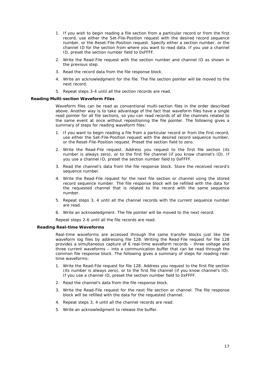- 1. If you wish to begin reading a file section from a particular record or from the first record, use either the Set-File-Position request with the desired record sequence number, or the Reset-File-Position request. Specify either a section number, or the channel ID for the section from where you want to read data. If you use a channel ID, preset the section number field to 0xFFFF.
- 2. Write the Read-File request with the section number and channel ID as shown in the previous step.
- 3. Read the record data from the file response block.
- 4. Write an acknowledgment for the file. The file section pointer will be moved to the next record.
- 5. Repeat steps 3-4 until all the section records are read.

#### **Reading Multi-section Waveform Files**

Waveform files can be read as conventional multi-section files in the order described above. Another way is to take advantage of the fact that waveform files have a single read pointer for all file sections, so you can read records of all the channels related to the same event at once without repositioning the file pointer. The following gives a summary of steps for reading waveform files:

- 1. If you want to begin reading a file from a particular record or from the first record, use either the Set-File-Position request with the desired record sequence number, or the Reset-File-Position request. Preset the section field to zero.
- 2. Write the Read-File request. Address you request to the first file section (its number is always zero), or to the first file channel (if you know channel's ID). If you use a channel ID, preset the section number field to 0xFFFF.
- 3. Read the channel's data from the file response block. Store the received record's sequence number.
- 4. Write the Read-File request for the next file section or channel using the stored record sequence number. The file response block will be refilled with the data for the requested channel that is related to the record with the same sequence number.
- 5. Repeat steps 3, 4 until all the channel records with the current sequence number are read.
- 6. Write an acknowledgment. The file pointer will be moved to the next record.

Repeat steps 2-6 until all the file records are read.

#### **Reading Real-time Waveforms**

Real-time waveforms are accessed through the same transfer blocks just like the waveform log files by addressing file 128. Writing the Read-File request for file 128 provides a simultaneous capture of 6 real-time waveform records – three voltage and three current waveforms – into a communication buffer that can be read through the common file response block. The following gives a summary of steps for reading realtime waveforms:

- 1. Write the Read-File request for file 128. Address you request to the first file section (its number is always zero), or to the first file channel (if you know channel's ID). If you use a channel ID, preset the section number field to 0xFFFF.
- 2. Read the channel's data from the file response block.
- 3. Write the Read-File request for the next file section or channel. The file response block will be refilled with the data for the requested channel.
- 4. Repeat steps 3, 4 until all the channel records are read.
- 5. Write an acknowledgment to release the buffer.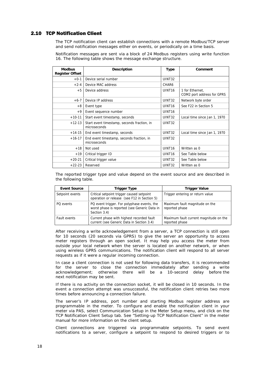#### 2.10 TCP Notification Client

<span id="page-17-0"></span>The TCP notification client can establish connections with a remote Modbus/TCP server and send notification messages either on events, or periodically on a time basis.

Notification messages are sent via a block of 24 Modbus registers using write function 16. The following table shows the message exchange structure.

| <b>Modbus</b><br><b>Register Offset</b>    | <b>Description</b>                                          | <b>Type</b>        | Comment                                       |
|--------------------------------------------|-------------------------------------------------------------|--------------------|-----------------------------------------------|
| $+0-1$                                     | Device serial number                                        | UINT32             |                                               |
| $+2-4$                                     | Device MAC address                                          | CHAR6              |                                               |
| $+5$<br>Device address                     |                                                             | UINT <sub>16</sub> | 1 for Ethernet,<br>COM2 port address for GPRS |
| $+6-7$                                     | Device IP address                                           | UINT32             | Network byte order                            |
| $+8$                                       | Event type                                                  | UINT <sub>16</sub> | See F22 in Section 5                          |
| $+9$<br>Event sequence number              |                                                             | UINT <sub>16</sub> |                                               |
| $+10-11$<br>Start event timestamp, seconds |                                                             | UINT32             | Local time since Jan 1, 1970                  |
| $+12-13$                                   | Start event timestamp, seconds fraction, in<br>microseconds | UINT32             |                                               |
| $+14-15$                                   | End event timestamp, seconds                                | UINT32             | Local time since Jan 1, 1970                  |
| $+16-17$                                   | End event timestamp, seconds fraction, in<br>microseconds   | UINT32             |                                               |
| $+18$                                      | Not used                                                    | UINT <sub>16</sub> | Written as 0                                  |
| $+19$                                      | Critical trigger ID                                         |                    | See Table below                               |
| $+20-21$                                   | Critical trigger value                                      | UINT32             | See Table below                               |
| Reserved<br>$+22-23$                       |                                                             | UINT32             | Written as 0                                  |

The reported trigger type and value depend on the event source and are described in the following table.

| <b>Event Source</b> | Trigger Type                                                                                                | <b>Trigger Value</b>                                     |
|---------------------|-------------------------------------------------------------------------------------------------------------|----------------------------------------------------------|
| Setpoint events     | Critical setpoint trigger caused setpoint<br>operation or release (see F12 in Section 5)                    | Trigger entering or return value                         |
| PO events           | PQ event trigger. For polyphase events, the<br>worst phase is reported (see Generic Data in<br>Section 3.4) | Maximum fault magnitude on the<br>reported phase         |
| Fault events        | Current phase with highest recorded fault<br>current (see Generic Data in Section 3.4)                      | Maximum fault current magnitude on the<br>reported phase |

After receiving a write acknowledgement from a server, a TCP connection is still open for 10 seconds (20 seconds via GPRS) to give the server an opportunity to access meter registers through an open socket. It may help you access the meter from outside your local network when the server is located on another network, or when using wireless GPRS communications. The notification client will respond to all server requests as if it were a regular incoming connection.

In case a client connection is not used for following data transfers, it is recommended for the server to close the connection immediately after sending a write acknowledgement; otherwise there will be a 10-second delay before the next notification may be sent.

If there is no activity on the connection socket, it will be closed in 10 seconds. In the event a connection attempt was unsuccessful, the notification client retries two more times before announcing a connection failure.

The server's IP address, port number and starting Modbus register address are programmable in the meter. To configure and enable the notification client in your meter via PAS, select Communication Setup in the Meter Setup menu, and click on the TCP Notification Client Setup tab. See "Setting-up TCP Notification Client" in the meter manual for more information on the client setup.

Client connections are triggered via programmable setpoints. To send event notifications to a server, configure a setpoint to respond to desired triggers or to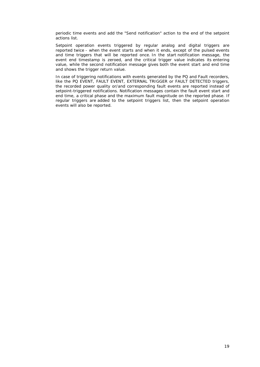periodic time events and add the "Send notification" action to the end of the setpoint actions list.

Setpoint operation events triggered by regular analog and digital triggers are reported twice - when the event starts and when it ends, except of the pulsed events and time triggers that will be reported once. In the start notification message, the event end timestamp is zeroed, and the critical trigger value indicates its entering value, while the second notification message gives both the event start and end time and shows the trigger return value.

In case of triggering notifications with events generated by the PQ and Fault recorders, like the PQ EVENT, FAULT EVENT, EXTERNAL TRIGGER or FAULT DETECTED triggers, the recorded power quality or/and corresponding fault events are reported instead of setpoint-triggered notifications. Notification messages contain the fault event start and end time, a critical phase and the maximum fault magnitude on the reported phase. If regular triggers are added to the setpoint triggers list, then the setpoint operation events will also be reported.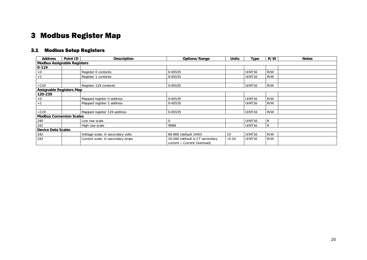## 3 Modbus Register Map

### 3.1 Modbus Setup Registers

<span id="page-19-5"></span><span id="page-19-4"></span><span id="page-19-3"></span><span id="page-19-2"></span><span id="page-19-1"></span><span id="page-19-0"></span>

| <b>Address</b>                     | Point ID | <b>Description</b>                | Options/Range                                                  | <b>Units</b>   | Type               | R/W | <b>Notes</b> |
|------------------------------------|----------|-----------------------------------|----------------------------------------------------------------|----------------|--------------------|-----|--------------|
| <b>Modbus Assignable Registers</b> |          |                                   |                                                                |                |                    |     |              |
| $0 - 119$                          |          |                                   |                                                                |                |                    |     |              |
| $+0$                               |          | Register 0 contents               | 0-65535                                                        |                | UINT <sub>16</sub> | R/W |              |
| $+1$                               |          | Register 1 contents               | 0-65535                                                        |                | UINT <sub>16</sub> | R/W |              |
|                                    |          |                                   |                                                                |                |                    |     |              |
| $+119$                             |          | Register 119 contents             | 0-65535                                                        |                | UINT <sub>16</sub> | R/W |              |
| <b>Assignable Registers Map</b>    |          |                                   |                                                                |                |                    |     |              |
| 120-239                            |          |                                   |                                                                |                |                    |     |              |
| $+0$                               |          | Mapped register 0 address         | 0-65535                                                        |                | UINT16             | R/W |              |
| $+1$                               |          | Mapped register 1 address         | 0-65535                                                        |                | UINT <sub>16</sub> | R/W |              |
|                                    |          |                                   |                                                                |                |                    |     |              |
| $+119$                             |          | Mapped register 119 address       | 0-65535                                                        |                | UINT <sub>16</sub> | R/W |              |
| <b>Modbus Conversion Scales</b>    |          |                                   |                                                                |                |                    |     |              |
| 240                                |          | Low raw scale                     | $\Omega$                                                       |                | UINT <sub>16</sub> | R   |              |
| 241                                |          | High raw scale                    | 9999                                                           |                | UINT <sub>16</sub> | R   |              |
| <b>Device Data Scales</b>          |          |                                   |                                                                |                |                    |     |              |
| 242                                |          | Voltage scale, in secondary volts | 60-600 (default 144V)                                          | 1 <sub>V</sub> | UINT <sub>16</sub> | R/W |              |
| 243                                |          | Current scale, in secondary amps  | 10-500 (default is CT secondary<br>current × Current Overload) | $\times 0.1A$  | UINT <sub>16</sub> | R/W |              |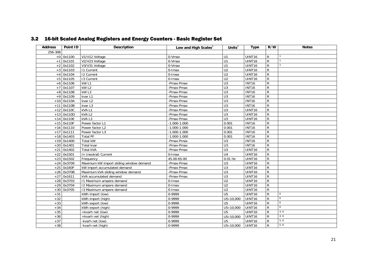|  |  |  | 3.2 16-bit Scaled Analog Registers and Energy Counters - Basic Register Set |
|--|--|--|-----------------------------------------------------------------------------|
|--|--|--|-----------------------------------------------------------------------------|

<span id="page-20-0"></span>

| <b>Address</b> | Point ID     | <b>Description</b>                      | Low and High Scales <sup>2</sup> | Units $^2$       | <b>Type</b>   | R/W            | <b>Notes</b>    |
|----------------|--------------|-----------------------------------------|----------------------------------|------------------|---------------|----------------|-----------------|
| 256-308        |              |                                         |                                  |                  |               |                |                 |
|                | $+0$ 0x1100  | V1/V12 Voltage                          | 0-Vmax                           | $\overline{U}$   | UINT16        | ${\sf R}$      |                 |
|                | $+1$ 0x1101  | V2/V23 Voltage                          | 0-Vmax                           | U1               | UINT16        | $\mathsf{R}$   | $\overline{1}$  |
| $+2$           | 0x1102       | V3/V31 Voltage                          | 0-Vmax                           | U1               | UINT16        | $\overline{R}$ |                 |
|                | $+3$ 0x1103  | <b>11 Current</b>                       | $0$ -Imax                        | U <sub>2</sub>   | UINT16        | $\overline{R}$ |                 |
|                | $+4$ 0x1104  | <b>12 Current</b>                       | 0-Imax                           | $\overline{U2}$  | UINT16        | ${\sf R}$      |                 |
|                | $+5$ 0x1105  | 13 Current                              | 0-Imax                           | U <sub>2</sub>   | UINT16        | $\mathsf{R}$   |                 |
|                | $+6$ 0x1106  | kW <sub>L1</sub>                        | -Pmax-Pmax                       | U3               | <b>INT16</b>  | $\mathsf{R}$   |                 |
|                | $+7$ 0x1107  | kW <sub>L2</sub>                        | -Pmax-Pmax                       | U <sub>3</sub>   | <b>INT16</b>  | $\mathsf{R}$   |                 |
|                | $+8$ 0x1108  | kW <sub>L3</sub>                        | -Pmax-Pmax                       | $\overline{U}$ 3 | <b>INT16</b>  | $\overline{R}$ |                 |
|                | $+9$ 0x1109  | kvar L1                                 | -Pmax-Pmax                       | $\overline{U}$   | <b>INT16</b>  | ${\sf R}$      |                 |
|                | $+10$ 0x110A | kvar L2                                 | -Pmax-Pmax                       | $\overline{U}$   | <b>INT16</b>  | ${\sf R}$      |                 |
| $+11$          | 0x110B       | kvar L3                                 | -Pmax-Pmax                       | U3               | <b>INT16</b>  | $\mathsf R$    |                 |
|                | $+12$ 0x110C | kVAL1                                   | -Pmax-Pmax                       | $\overline{U}$   | UINT16        | $\overline{R}$ |                 |
|                | $+13$ 0x110D | kVA <sub>L2</sub>                       | -Pmax-Pmax                       | U <sub>3</sub>   | UINT16        | ${\sf R}$      |                 |
|                | $+14$ 0x110E | kVAL3                                   | -Pmax-Pmax                       | U3               | UINT16        | $\mathsf{R}$   |                 |
|                | $+15$ 0x110F | Power factor L1                         | $-1.000 - 1.000$                 | 0.001            | <b>INT16</b>  | ${\sf R}$      |                 |
|                | $+16$ 0x1110 | Power factor L2                         | $-1.000 - 1.000$                 | 0.001            | <b>INT16</b>  | ${\sf R}$      |                 |
|                | $+17$ 0x1111 | Power factor L3                         | $-1.000 - 1.000$                 | 0.001            | <b>INT16</b>  | $\mathsf{R}$   |                 |
|                | $+18$ 0x1403 | <b>Total PF</b>                         | $-1.000 - 1.000$                 | 0.001            | <b>INT16</b>  | ${\sf R}$      |                 |
|                | $+19$ 0x1400 | Total kW                                | -Pmax-Pmax                       | U <sub>3</sub>   | <b>INT16</b>  | ${\sf R}$      |                 |
|                | $+20$ 0x1401 | Total kvar                              | -Pmax-Pmax                       | $\overline{U}$ 3 | <b>INT16</b>  | $\overline{R}$ |                 |
| $+21$          | 0x1402       | <b>Total kVA</b>                        | -Pmax-Pmax                       | U3               | UINT16        | $\overline{R}$ |                 |
|                | $+22$ 0x1501 | In (neutral) Current                    | $0$ -Imax                        | U <sub>4</sub>   | UINT16        | $\mathsf{R}$   |                 |
| $+23$          | 0x1502       | Frequency                               | 45.00-65.00                      | $0.01$ Hz        | UINT16        | ${\sf R}$      |                 |
|                | $+24$ 0x3709 | Maximum kW import sliding window demand | -Pmax-Pmax                       | U <sub>3</sub>   | UINT16        | $\overline{R}$ |                 |
|                | $+25$ 0x160F | kW import accumulated demand            | -Pmax-Pmax                       | U <sub>3</sub>   | UINT16        | $\mathsf{R}$   |                 |
| $+26$          | 0x370B       | Maximum kVA sliding window demand       | -Pmax-Pmax                       | $\overline{U}$   | UINT16        | $\mathsf{R}$   |                 |
|                | $+27$ 0x1611 | kVA accumulated demand                  | -Pmax-Pmax                       | $\overline{U}$ 3 | UINT16        | $\overline{R}$ |                 |
|                | $+28$ 0x3703 | 11 Maximum ampere demand                | 0-Imax                           | $\overline{U2}$  | UINT16        | $\overline{R}$ |                 |
|                | $+29$ 0x3704 | 12 Maximum ampere demand                | 0-Imax                           | U <sub>2</sub>   | UINT16        | $\overline{R}$ |                 |
|                | $+30$ 0x3705 | 13 Maximum ampere demand                | $0$ -Imax                        | U <sub>2</sub>   | UINT16        | $\mathsf{R}$   |                 |
| $+31$          |              | kWh import (low)                        | 0-9999                           | U <sub>5</sub>   | UINT16        | $\mathsf{R}$   | 6               |
| $+32$          |              | kWh import (high)                       | 0-9999                           | U5×10,000        | <b>UINT16</b> | $\mathsf{R}$   | 6               |
| $+33$          |              | kWh export (low)                        | 0-9999                           | U <sub>5</sub>   | UINT16        | $\mathsf{R}$   | $6\overline{6}$ |
| $+34$          |              | kWh export (high)                       | 0-9999                           | U5×10,000        | UINT16        | $\mathsf{R}$   | 6               |
| $+35$          |              | +kvarh net (low)                        | 0-9999                           | U <sub>5</sub>   | UINT16        | $\mathsf{R}$   | 4, 6            |
| $+36$          |              | +kvarh net (high)                       | 0-9999                           | U5×10,000        | UINT16        | $\mathsf{R}$   | 4, 6            |
| $+37$          |              | -kvarh net (low)                        | 0-9999                           | U <sub>5</sub>   | UINT16        | $\mathsf{R}$   | 5, 6            |
| $+38$          |              | -kvarh net (high)                       | 0-9999                           | U5×10,000        | UINT16        | $\mathsf{R}$   | 5, 6            |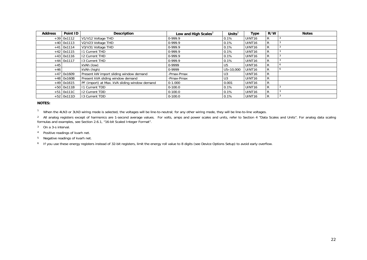| <b>Address</b> | Point ID     | <b>Description</b>                            | Low and High Scales <sup>2</sup> | Units $2$        | Type               | R/W | <b>Notes</b> |
|----------------|--------------|-----------------------------------------------|----------------------------------|------------------|--------------------|-----|--------------|
|                | $+39$ 0x1112 | V1/V12 Voltage THD                            | 0-999.9                          | 0.1%             | UINT16             | R   |              |
|                | $+40$ 0x1113 | V2/V23 Voltage THD                            | $0-999.9$                        | 0.1%             | UINT16             | R   |              |
|                | $+41$ 0x1114 | V3/V31 Voltage THD                            | 0-999.9                          | 0.1%             | UINT16             | R   |              |
|                | $+42$ 0x1115 | 11 Current THD                                | 0-999.9                          | 0.1%             | UINT <sub>16</sub> | R   |              |
|                | $+43$ 0x1116 | 12 Current THD                                | 0-999.9                          | 0.1%             | UINT16             | R   |              |
|                | $+44$ 0x1117 | 13 Current THD                                | 0-999.9                          | 0.1%             | UINT16             | R   |              |
| $+45$          |              | kVAh (low)                                    | 0-9999                           | U <sub>5</sub>   | UINT16             | R   |              |
| $+46$          |              | kVAh (high)                                   | 0-9999                           | $U5\times10,000$ | UINT16             | R   |              |
|                | $+47$ 0x1609 | Present kW import sliding window demand       | -Pmax-Pmax                       | U <sub>3</sub>   | UINT16             | R   |              |
|                | $+48$ 0x160B | Present kVA sliding window demand             | -Pmax-Pmax                       | U <sub>3</sub>   | UINT16             | R   |              |
|                | $+49$ 0x1615 | PF (import) at Max. kVA sliding window demand | $0 - 1.000$                      | 0.001            | UINT <sub>16</sub> | R   |              |
|                | $+50$ 0x111B | 11 Current TDD                                | $0-100.0$                        | 0.1%             | UINT16             | R   |              |
|                | $+51$ 0x111C | 12 Current TDD                                | $0 - 100.0$                      | 0.1%             | UINT16             | R   |              |
|                | $+52$ 0x111D | 13 Current TDD                                | $0 - 100.0$                      | 0.1%             | UINT <sub>16</sub> | R   |              |

#### **NOTES:**

<sup>1</sup> When the 4LN3 or 3LN3 wiring mode is selected, the voltages will be line-to-neutral; for any other wiring mode, they will be line-to-line voltages.

<sup>2</sup> All analog registers except of harmonics are 1-second average values. For volts, amps and power scales and units, refer to Section 4 "Data Scales and Units". For analog data scaling formulas and examples, see Section 2.6.1, "16-bit Scaled Integer Format".

- 3 On a 3-s interval.
- 4 Positive readings of kvarh net.
- 5 Negative readings of kvarh net.

6 If you use these energy registers instead of 32-bit registers, limit the energy roll value to 8 digits (see Device Options Setup) to avoid early overflow.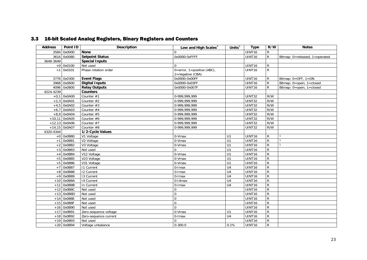|  |  |  | 3.3 16-bit Scaled Analog Registers, Binary Registers and Counters |  |
|--|--|--|-------------------------------------------------------------------|--|
|--|--|--|-------------------------------------------------------------------|--|

<span id="page-22-8"></span><span id="page-22-7"></span><span id="page-22-6"></span><span id="page-22-5"></span><span id="page-22-4"></span><span id="page-22-3"></span><span id="page-22-2"></span><span id="page-22-1"></span><span id="page-22-0"></span>

| <b>Address</b> | Point ID        | <b>Description</b>     | Low and High Scales <sup>3</sup> | Units $3$       | <b>Type</b>        | R/W            | <b>Notes</b>                            |
|----------------|-----------------|------------------------|----------------------------------|-----------------|--------------------|----------------|-----------------------------------------|
| 3584           | 0x0000          | <b>None</b>            | $\Omega$                         |                 | UINT16             | $\mathsf{R}$   |                                         |
|                | 3616 0x0080     | <b>Setpoint Status</b> | 0x0000-0xFFFF                    |                 | UINT <sub>16</sub> | $\mathsf{R}$   | Bitmap: 0=released, 1=operated          |
| 3648-3649      |                 | <b>Special Inputs</b>  |                                  |                 |                    |                |                                         |
|                | $+0$ 0x0100     | Not used               | $\Omega$                         |                 | UINT16             | R              |                                         |
|                | $+1$ 0x0101     | Phase rotation order   | $0=error, 1=positive (ABC),$     |                 | UINT16             | $\overline{R}$ |                                         |
|                |                 |                        | 2=negative (CBA)                 |                 |                    |                |                                         |
|                | 3776 0x0300     | <b>Event Flags</b>     | 0x0000-0x00FF                    |                 | UINT16             | R              | Bitmap: $0 = \overline{OFF}$ , $1 = ON$ |
|                | 3968 0x0600     | <b>Digital Inputs</b>  | 0x0000-0x03FF                    |                 | UINT16             | $\mathsf{R}$   | Bitmap: 0=open, 1=closed                |
|                | 4096 0x0800     | <b>Relay Outputs</b>   | 0x0000-0x007F                    |                 | UINT16             | $\mathsf{R}$   | Bitmap: 0=open, 1=closed                |
| 4224-4239      |                 | <b>Counters</b>        |                                  |                 |                    |                |                                         |
|                | $+0,1$ 0x0A00   | Counter #1             | 0-999,999,999                    |                 | UINT32             | R/W            |                                         |
|                | $+2,3$ 0x0A01   | Counter #2             | 0-999,999,999                    |                 | <b>UINT32</b>      | R/W            |                                         |
|                | $+4,5$ 0x0A02   | Counter #3             | 0-999.999.999                    |                 | <b>UINT32</b>      | R/W            |                                         |
| $+6,7$         | 0x0A03          | Counter #4             | 0-999,999,999                    |                 | UINT32             | R/W            |                                         |
|                | $+8,9$ 0x0A04   | Counter #5             | 0-999,999,999                    |                 | <b>UINT32</b>      | R/W            |                                         |
| $+10,11$       | 0x0A05          | Counter #6             | 0-999,999,999                    |                 | UINT32             | R/W            |                                         |
|                | $+12,13$ 0x0A06 | Counter #7             | 0-999,999,999                    |                 | <b>UINT32</b>      | R/W            |                                         |
|                | $+14,15$ 0x0A07 | Counter #8             | 0-999, 999, 999                  |                 | UINT32             | R/W            |                                         |
| 4320-4344      |                 | 1/2-Cycle Values       |                                  |                 |                    |                |                                         |
|                | $+0$ 0x0B80     | V1 Voltage             | $0-Vmax$                         | U1              | UINT16             | ${\sf R}$      |                                         |
|                | $+1$ 0x0B81     | V2 Voltage             | 0-Vmax                           | U1              | UINT16             | $\overline{R}$ |                                         |
|                | $+2$ 0x0B82     | V3 Voltage             | 0-Vmax                           | U1              | UINT16             | $\mathsf{R}$   |                                         |
| $+3$           | 0x0B83          | Not used               | 0                                | U1              | UINT16             | ${\sf R}$      |                                         |
|                | $+4$ 0x0B84     | V12 Voltage            | 0-Vmax                           | U1              | UINT16             | ${\sf R}$      |                                         |
|                | $+5$ 0x0B85     | V23 Voltage            | 0-Vmax                           | $\overline{U}$  | UINT16             | $\overline{R}$ |                                         |
|                | $+5$ 0x0B86     | V31 Voltage            | 0-Vmax                           | U1              | UINT16             | ${\sf R}$      |                                         |
| $+7$           | 0x0B87          | <b>11 Current</b>      | 0-Imax                           | U <sub>4</sub>  | UINT16             | ${\sf R}$      |                                         |
| $+8$           | 0x0B88          | 12 Current             | 0-Imax                           | $\overline{U4}$ | UINT16             | $\overline{R}$ |                                         |
|                | +9 0x0B89       | 13 Current             | $0$ - $l$ max                    | U <sub>4</sub>  | UINT16             | ${\sf R}$      |                                         |
|                | $+10$ 0x0B8A    | 14 Current             | $0-14$ max                       | U <sub>4</sub>  | UINT16             | $\overline{R}$ |                                         |
| $+11$          | 0x0B8B          | In Current             | $0$ -Imax                        | $\overline{U4}$ | UINT16             | $\overline{R}$ |                                         |
|                | $+12$ 0x0B8C    | Not used               | $\mathbf 0$                      |                 | UINT16             | $\mathsf{R}$   |                                         |
|                | $+13$ 0x0B8D    | Not used               | $\mathbf 0$                      |                 | UINT16             | $\mathsf{R}$   |                                         |
|                | $+14$ OxOB8E    | Not used               | $\mathbf 0$                      |                 | <b>UINT16</b>      | $\mathsf{R}$   |                                         |
|                | $+15$ 0x0B8F    | Not used               | $\overline{0}$                   |                 | UINT16             | $\overline{R}$ |                                         |
|                | $+16$ 0x0B90    | Not used               | $\Omega$                         |                 | UINT16             | ${\sf R}$      |                                         |
| $+17$          | 0x0B91          | Zero-sequence voltage  | 0-Vmax                           | U1              | UINT16             | ${\sf R}$      |                                         |
|                | $+18$ 0x0B92    | Zero-sequence current  | $0$ -Imax                        | U4              | UINT16             | $\mathsf{R}$   |                                         |
|                | $+19$ 0x0B93    | Not used               | $\Omega$                         |                 | UINT16             | $\overline{R}$ |                                         |
|                | $+20$ 0x0B94    | Voltage unbalance      | $0 - 300.0$                      | 0.1%            | UINT16             | $\overline{R}$ |                                         |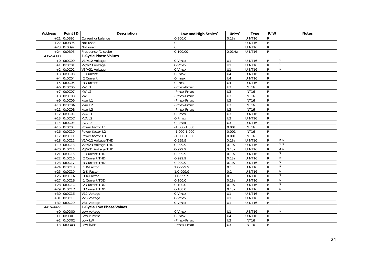<span id="page-23-1"></span><span id="page-23-0"></span>

| <b>Address</b> | Point ID     | <b>Description</b>       | Low and High Scales $3$ | Units $3$        | <b>Type</b>   | R/W            | <b>Notes</b>    |
|----------------|--------------|--------------------------|-------------------------|------------------|---------------|----------------|-----------------|
| $+21$          | 0x0B95       | Current unbalance        | $0 - 300.0$             | 0.1%             | <b>UINT16</b> | R              |                 |
| $+22$          | 0x0B96       | Not used                 | $\mathbf 0$             |                  | UINT16        | $\overline{R}$ |                 |
| $+23$          | 0x0B97       | Not used                 | $\Omega$                |                  | UINT16        | ${\sf R}$      |                 |
| $+24$          | 0x0B98       | Frequency (1-cycle)      | $0-100.00$              | $0.01$ Hz        | UINT16        | $\overline{R}$ |                 |
| 4352-4390      |              | 1-Cycle Phase Values     |                         |                  |               |                |                 |
|                | $+0$ 0x0C00  | V1/V12 Voltage           | 0-Vmax                  | U1               | UINT16        | $\mathsf{R}$   |                 |
| $+1$           | 0x0C01       | V2/V23 Voltage           | 0-Vmax                  | $\overline{U}$ 1 | UINT16        | R              |                 |
| $+2$           | 0x0C02       | V3/V31 Voltage           | 0-Vmax                  | U1               | UINT16        | R              |                 |
| $+3$           | 0x0C03       | <b>11 Current</b>        | $0$ -Imax               | U <sub>4</sub>   | UINT16        | ${\sf R}$      |                 |
| $+4$           | 0x0C04       | <b>12 Current</b>        | 0-Imax                  | U <sub>4</sub>   | UINT16        | ${\sf R}$      |                 |
| $+5$           | 0x0C05       | 13 Current               | $0$ -Imax               | U <sub>4</sub>   | UINT16        | $\overline{R}$ |                 |
|                | $+6$ 0x0C06  | kW <sub>L1</sub>         | -Pmax-Pmax              | $\overline{U}$ 3 | <b>INT16</b>  | R              |                 |
| $+7$           | 0x0C07       | kW L2                    | -Pmax-Pmax              | $\overline{U}$ 3 | <b>INT16</b>  | ${\sf R}$      |                 |
| $+8$           | 0x0C08       | kW <sub>L3</sub>         | -Pmax-Pmax              | $\overline{U}$   | <b>INT16</b>  | R              |                 |
| $+9$           | 0x0C09       | kvar L1                  | -Pmax-Pmax              | U3               | <b>INT16</b>  | $\overline{R}$ |                 |
|                | $+10$ 0x0C0A | kvar L2                  | -Pmax-Pmax              | $\overline{U}$   | <b>INT16</b>  | R              |                 |
| $+11$          | 0x0C0B       | kvar L3                  | -Pmax-Pmax              | $\overline{U}$   | <b>INT16</b>  | R              |                 |
| $+12$          | 0x0C0C       | kVAL1                    | 0-Pmax                  | $\overline{U}$ 3 | UINT16        | R              |                 |
| $+13$          | 0x0C0D       | kVAL2                    | 0-Pmax                  | U3               | UINT16        | ${\sf R}$      |                 |
| $+14$          | 0x0C0E       | kVAL3                    | 0-Pmax                  | $\overline{U}$ 3 | UINT16        | ${\sf R}$      |                 |
|                | $+15$ OxOCOF | Power factor L1          | $-1.000 - 1.000$        | 0.001            | <b>INT16</b>  | R              |                 |
|                | $+16$ 0x0C10 | Power factor L2          | $-1.000 - 1.000$        | 0.001            | <b>INT16</b>  | $\overline{R}$ |                 |
|                | $+17$ 0x0C11 | Power factor L3          | $-1.000 - 1.000$        | 0.001            | <b>INT16</b>  | R              |                 |
|                | $+18$ 0x0C12 | V1/V12 Voltage THD       | 0-999.9                 | 0.1%             | UINT16        | R              | 2, 5            |
|                | $+19$ 0x0C13 | V2/V23 Voltage THD       | $0-999.9$               | 0.1%             | UINT16        | R              | 2, 5            |
|                | $+20$ 0x0C14 | V3/V31 Voltage THD       | $0-999.9$               | 0.1%             | UINT16        | R              | 2, 5            |
| $+21$          | 0x0C15       | <b>11 Current THD</b>    | $0-999.9$               | 0.1%             | UINT16        | R              | 5               |
| $+22$          | 0x0C16       | <b>I2 Current THD</b>    | $0-999.9$               | 0.1%             | UINT16        | R              | $\overline{5}$  |
| $+23$          | 0x0C17       | <b>I3 Current THD</b>    | 0-999.9                 | 0.1%             | UINT16        | $\overline{R}$ | 5               |
| $+24$          | 0x0C18       | I1 K-Factor              | 1.0-999.9               | 0.1              | UINT16        | $\overline{R}$ | 5               |
| $+25$          | 0x0C19       | 12 K-Factor              | $1.0 - 999.9$           | 0.1              | UINT16        | R              | 5               |
| $+26$          | 0x0C1A       | 13 K-Factor              | $1.0 - 999.9$           | 0.1              | UINT16        | R              | 5               |
| $+27$          | 0x0C1B       | <b>11 Current TDD</b>    | $0 - 100.0$             | 0.1%             | UINT16        | $\mathsf{R}$   | $5\phantom{.0}$ |
| $+28$          | 0x0C1C       | 12 Current TDD           | $0-100.0$               | 0.1%             | UINT16        | R              | $\overline{5}$  |
|                | $+29$ 0x0C1D | 13 Current TDD           | $0-100.0$               | 0.1%             | UINT16        | $\mathsf{R}$   | 5               |
|                | $+30$ 0x0C1E | V12 Voltage              | 0-Vmax                  | U1               | UINT16        | R              |                 |
| $+31$          | 0x0C1F       | V23 Voltage              | 0-Vmax                  | U1               | UINT16        | ${\sf R}$      |                 |
| $+32$          | 0x0C20       | V31 Voltage              | 0-Vmax                  | U1               | UINT16        | R.             |                 |
| 4416-4427      |              | 1-Cycle Low Phase Values |                         |                  |               |                |                 |
|                | $+0$ 0x0D00  | Low voltage              | 0-Vmax                  | U1               | UINT16        | R              |                 |
| $+1$           | 0x0D01       | Low current              | 0-Imax                  | U <sub>4</sub>   | UINT16        | R              |                 |
| $+2$           | 0x0D02       | Low kW                   | -Pmax-Pmax              | $\overline{U}$   | <b>INT16</b>  | ${\sf R}$      |                 |
|                | $+3$ 0x0D03  | Low kvar                 | -Pmax-Pmax              | U <sub>3</sub>   | <b>INT16</b>  | $\mathsf{R}$   |                 |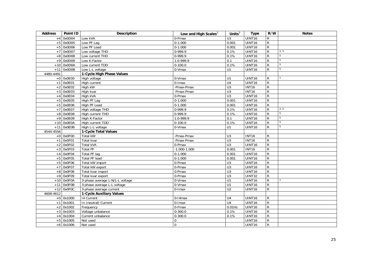<span id="page-24-2"></span><span id="page-24-1"></span><span id="page-24-0"></span>

| <b>Address</b> | Point ID     | Description                     | Low and High Scales $3$ | Units $3$        | <b>Type</b>  | R/W            | <b>Notes</b>    |
|----------------|--------------|---------------------------------|-------------------------|------------------|--------------|----------------|-----------------|
| $+4$           | 0x0D04       | Low kVA                         | 0-Pmax                  | U3               | UINT16       | $\mathsf R$    |                 |
|                | $+5$ 0x0D05  | Low PF Lag                      | $0-1.000$               | 0.001            | UINT16       | $\overline{R}$ |                 |
|                | $+5$ 0x0D06  | Low PF Lead                     | $0-1.000$               | 0.001            | UINT16       | $\overline{R}$ |                 |
| $+7$           | 0x0D07       | Low voltage THD                 | $0-999.9$               | 0.1%             | UINT16       | $\overline{R}$ | 2, 5            |
| $+8$           | 0x0D08       | Low current THD                 | $0-999.9$               | 0.1%             | UINT16       | $\mathsf{R}$   | $\overline{5}$  |
| $+9$           | 0x0D09       | Low K-Factor                    | $1.0 - 999.9$           | 0.1              | UINT16       | $\overline{R}$ | $5\phantom{.0}$ |
| $+10$          | 0x0D0A       | Low current TDD                 | $0-100.0$               | 0.1%             | UINT16       | $\overline{R}$ | 5               |
|                | $+11$ 0x0D0B | Low L-L voltage                 | 0-Vmax                  | U1               | UINT16       | $\mathsf{R}$   | 5               |
| 4480-4491      |              | 1-Cycle High Phase Values       |                         |                  |              |                |                 |
|                | $+0$ 0x0E00  | High voltage                    | 0-Vmax                  | U1               | UINT16       | R              |                 |
| $+1$           | 0x0E01       | High current                    | $0$ - $l$ max           | $\overline{U4}$  | UINT16       | $\overline{R}$ |                 |
|                | $+2$ 0x0E02  | High kW                         | -Pmax-Pmax              | $\overline{U}$ 3 | <b>INT16</b> | $\mathsf{R}$   |                 |
| $+3$           | 0x0E03       | High kvar                       | -Pmax-Pmax              | $\overline{U}$ 3 | <b>INT16</b> | $\mathsf{R}$   |                 |
| $+4$           | 0x0E04       | High kVA                        | 0-Pmax                  | $\overline{U}$   | UINT16       | ${\sf R}$      |                 |
| $+5$           | 0x0E05       | High PF Lag                     | $0-1.000$               | 0.001            | UINT16       | $\overline{R}$ |                 |
| $+5$           | 0x0E06       | High PF Lead                    | $0 - 1.000$             | 0.001            | UINT16       | ${\sf R}$      |                 |
| $+7$           | 0x0E07       | High voltage THD                | 0-999.9                 | 0.1%             | UINT16       | $\mathsf{R}$   | 2, 5            |
| $+8$           | 0x0E08       | High current THD                | 0-999.9                 | 0.1%             | UINT16       | ${\sf R}$      | 5               |
|                | $+9$ 0x0E09  | High K-Factor                   | 1.0-999.9               | 0.1              | UINT16       | $\mathsf{R}$   | 5               |
| $+10$          | 0x0E0A       | High current TDD                | $0 - 100.0$             | 0.1%             | UINT16       | $\mathsf{R}$   | 5               |
|                | $+11$ OxOEOB | High L-L voltage                | 0-Vmax                  | U1               | UINT16       | ${\sf R}$      | 5               |
| 4544-4556      |              | 1-Cycle Total Values            |                         |                  |              |                |                 |
|                | $+0$ 0x0F00  | Total kW                        | -Pmax-Pmax              | U <sub>3</sub>   | <b>INT16</b> | $\mathsf{R}$   |                 |
| $+1$           | 0x0F01       | Total kvar                      | -Pmax-Pmax              | U3               | <b>INT16</b> | $\overline{R}$ |                 |
| $+2$           | 0x0F02       | <b>Total kVA</b>                | 0-Pmax                  | U3               | UINT16       | $\overline{R}$ |                 |
| $+3$           | 0x0F03       | <b>Total PF</b>                 | $-1.000 - 1.000$        | 0.001            | <b>INT16</b> | $\overline{R}$ |                 |
| $+4$           | 0x0F04       | <b>Total PF lag</b>             | $0 - 1.000$             | 0.001            | UINT16       | $\overline{R}$ |                 |
| $+5$           | 0x0F05       | <b>Total PF lead</b>            | $0-1.000$               | 0.001            | UINT16       | $\overline{R}$ |                 |
| $+5$           | 0x0F06       | Total kW import                 | 0-Pmax                  | U3               | UINT16       | $\overline{R}$ |                 |
| $+7$           | 0x0F07       | Total kW export                 | 0-Pmax                  | $\overline{U}$   | UINT16       | $\overline{R}$ |                 |
| $+8$           | 0x0F08       | Total kvar import               | 0-Pmax                  | $\overline{U}$ 3 | UINT16       | $\overline{R}$ |                 |
| $+9$           | 0x0F09       | Total kvar export               | 0-Pmax                  | $\overline{U}$   | UINT32       | $\mathsf{R}$   |                 |
|                | $+10$ OxOFOA | 3-phase average L-N/L-L voltage | 0-Vmax                  | $\overline{U}$   | UINT16       | $\mathsf{R}$   |                 |
| $+11$          | 0x0F0B       | 3-phase average L-L voltage     | 0-Vmax                  | $\overline{U}$   | UINT16       | $\overline{R}$ |                 |
|                | $+12$ 0x0FOC | 3-phase average current         | 0-Imax                  | U <sub>2</sub>   | UINT16       | $\mathsf{R}$   |                 |
| 4608-4612      |              | 1-Cycle Auxiliary Values        |                         |                  |              |                |                 |
|                | $+0$ 0x1000  | 14 Current                      | $0-14$ max              | U <sub>4</sub>   | UINT16       | $\mathsf{R}$   |                 |
| $+1$           | 0x1001       | In (neutral) Current            | 0-Imax                  | U <sub>4</sub>   | UINT16       | $\overline{R}$ |                 |
| $+2$           | 0x1002       | Frequency                       | 0-Fmax                  | $0.01$ Hz        | UINT16       | ${\sf R}$      |                 |
|                | $+3$ 0x1003  | Voltage unbalance               | $0 - 300.0$             | 0.1%             | UINT16       | ${\sf R}$      |                 |
| $+4$           | 0x1004       | Current unbalance               | $0 - 300.0$             | 0.1%             | UINT16       | ${\sf R}$      |                 |
|                | $+5$ 0x1005  | Not used                        | $\mathbf 0$             |                  | UINT16       | ${\sf R}$      |                 |
|                | $+6$ 0x1006  | Not used                        | $\mathbf 0$             |                  | UINT16       | $\mathsf{R}$   |                 |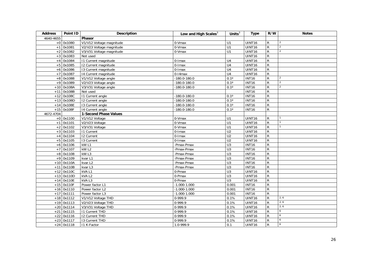<span id="page-25-1"></span><span id="page-25-0"></span>

| <b>Address</b> | Point ID     | <b>Description</b>       | Low and High Scales $3$ | Units $3$        | <b>Type</b>  | R/W            | <b>Notes</b>   |
|----------------|--------------|--------------------------|-------------------------|------------------|--------------|----------------|----------------|
| 4640-4655      |              | Phasor                   |                         |                  |              |                |                |
|                | $+0$ 0x1080  | V1/V12 Voltage magnitude | $0-Vmax$                | U1               | UINT16       | $\mathsf{R}$   | $\overline{2}$ |
| $+1$           | 0x1081       | V2/V23 Voltage magnitude | 0-Vmax                  | U1               | UINT16       | $\mathsf{R}$   | $\overline{2}$ |
| $+2$           | 0x1082       | V3/V31 Voltage magnitude | 0-Vmax                  | U1               | UINT16       | R              | $\overline{2}$ |
| $+3$           | 0x1083       | Not used                 |                         |                  | UINT16       | $\overline{R}$ |                |
| $+4$           | 0x1084       | 11 Current magnitude     | 0-Imax                  | U <sub>4</sub>   | UINT16       | ${\sf R}$      |                |
| $+5$           | 0x1085       | 12 Current magnitude     | $0$ -Imax               | U <sub>4</sub>   | UINT16       | $\overline{R}$ |                |
| $+6$           | 0x1086       | 13 Current magnitude     | 0-Imax                  | U <sub>4</sub>   | UINT16       | $\overline{R}$ |                |
| $+7$           | 0x1087       | 14 Current magnitude     | $0-14$ max              | U <sub>4</sub>   | UINT16       | ${\sf R}$      |                |
| $+8$           | 0x1088       | V1/V12 Voltage angle     | $-180.0 - 180.0$        | $0.1^\circ$      | <b>INT16</b> | R              | $\overline{2}$ |
|                | $+9$ 0x1089  | V2/V23 Voltage angle     | $-180.0 - 180.0$        | $0.1^\circ$      | <b>INT16</b> | R              | $\overline{2}$ |
|                | $+10$ 0x108A | V3/V31 Voltage angle     | $-180.0 - 180.0$        | $0.1^\circ$      | <b>INT16</b> | R              | $\overline{2}$ |
| $+11$          | 0x108B       | Not used                 |                         |                  | <b>INT16</b> | R              |                |
| $+12$          | 0x108C       | 11 Current angle         | $-180.0 - 180.0$        | $0.1^\circ$      | <b>INT16</b> | $\overline{R}$ |                |
| $+13$          | 0x108D       | 12 Current angle         | $-180.0 - 180.0$        | $0.1^\circ$      | <b>INT16</b> | R              |                |
|                | $+14$ 0x108E | 13 Current angle         | $-180.0 - 180.0$        | $0.1^\circ$      | <b>INT16</b> | R              |                |
|                | $+15$ 0x108F | 14 Current angle         | $-180.0 - 180.0$        | $0.1^\circ$      | <b>INT16</b> | R              |                |
| 4672-4704      |              | 1-Second Phase Values    |                         |                  |              |                |                |
|                | $+0$ 0x1100  | V1/V12 Voltage           | $0-Vmax$                | U1               | UINT16       | R              |                |
| $+1$           | 0x1101       | V2/V23 Voltage           | 0-Vmax                  | U1               | UINT16       | R              |                |
|                | $+2$ 0x1102  | V3/V31 Voltage           | 0-Vmax                  | U1               | UINT16       | R              |                |
|                | $+3$ 0x1103  | <b>11 Current</b>        | 0-Imax                  | U <sub>2</sub>   | UINT16       | ${\sf R}$      |                |
| $+4$           | 0x1104       | <b>12 Current</b>        | 0-Imax                  | $\overline{U2}$  | UINT16       | R              |                |
|                | $+5$ 0x1105  | 13 Current               | 0-Imax                  | $\overline{U2}$  | UINT16       | R              |                |
|                | $+6$ 0x1106  | kW <sub>L1</sub>         | -Pmax-Pmax              | $\overline{U}$ 3 | <b>INT16</b> | ${\sf R}$      |                |
|                | $+7$ 0x1107  | kW L2                    | -Pmax-Pmax              | U3               | <b>INT16</b> | R              |                |
| $+8$           | 0x1108       | kW <sub>L3</sub>         | -Pmax-Pmax              | U3               | <b>INT16</b> | $\overline{R}$ |                |
|                | +9 0x1109    | kvar L1                  | -Pmax-Pmax              | U3               | <b>INT16</b> | R              |                |
|                | $+10$ 0x110A | kvar L2                  | -Pmax-Pmax              | $\overline{U}$   | <b>INT16</b> | R              |                |
| $+11$          | 0x110B       | kvar L3                  | -Pmax-Pmax              | $\overline{U}$ 3 | <b>INT16</b> | R              |                |
|                | $+12$ 0x110C | kVAL1                    | 0-Pmax                  | $\overline{U}$ 3 | UINT16       | R              |                |
| $+13$          | 0x110D       | kVAL2                    | 0-Pmax                  | U3               | UINT16       | ${\sf R}$      |                |
|                | $+14$ Ox110E | kVAL3                    | 0-Pmax                  | $\overline{U}$   | UINT16       | R              |                |
|                | $+15$ 0x110F | Power factor L1          | $-1.000 - 1.000$        | 0.001            | <b>INT16</b> | R              |                |
|                | $+16$ 0x1110 | Power factor L2          | $-1.000 - 1.000$        | 0.001            | <b>INT16</b> | ${\sf R}$      |                |
|                | $+17$ 0x1111 | Power factor L3          | $-1.000 - 1.000$        | 0.001            | <b>INT16</b> | R              |                |
|                | $+18$ 0x1112 | V1/V12 Voltage THD       | 0-999.9                 | 0.1%             | UINT16       | R              | 2, 6           |
|                | $+19$ 0x1113 | V2/V23 Voltage THD       | 0-999.9                 | 0.1%             | UINT16       | R              | 2, 6           |
|                | $+20$ 0x1114 | V3/V31 Voltage THD       | 0-999.9                 | 0.1%             | UINT16       | R              | 2, 6           |
| $+21$          | 0x1115       | <b>11 Current THD</b>    | 0-999.9                 | 0.1%             | UINT16       | R              | 6              |
| $+22$          | 0x1116       | <b>I2 Current THD</b>    | 0-999.9                 | 0.1%             | UINT16       | R              | 6              |
| $+23$          | 0x1117       | 13 Current THD           | 0-999.9                 | 0.1%             | UINT16       | R              | 6              |
|                | $+24$ 0x1118 | I1 K-Factor              | 1.0-999.9               | 0.1              | UINT16       | R              | 6              |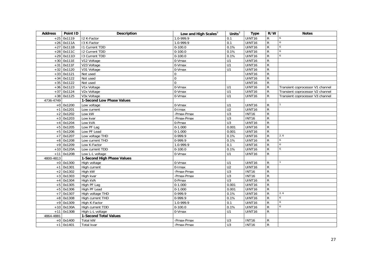<span id="page-26-2"></span><span id="page-26-1"></span><span id="page-26-0"></span>

| <b>Address</b> | Point ID     | <b>Description</b>         | Low and High Scales $3$ | Units $3$        | <b>Type</b>   | R/W            | <b>Notes</b>                     |
|----------------|--------------|----------------------------|-------------------------|------------------|---------------|----------------|----------------------------------|
|                | $+25$ 0x1119 | I2 K-Factor                | 1.0-999.9               | 0.1              | <b>UINT16</b> | $\mathsf{R}$   | 6                                |
|                | $+26$ 0x111A | 13 K-Factor                | 1.0-999.9               | 0.1              | UINT16        | $\overline{R}$ | 6                                |
| $+27$          | 0x111B       | <b>11 Current TDD</b>      | $0-100.0$               | 0.1%             | <b>UINT16</b> | $\mathsf{R}$   | 6                                |
| $+28$          | 0x111C       | <b>I2 Current TDD</b>      | $0-100.0$               | 0.1%             | <b>UINT16</b> | $\overline{R}$ | 6                                |
| $+29$          | 0x111D       | <b>I3 Current TDD</b>      | $0-100.0$               | 0.1%             | <b>UINT16</b> | ${\sf R}$      | 6                                |
|                | $+30$ 0x111E | V12 Voltage                | 0-Vmax                  | U1               | UINT16        | ${\sf R}$      |                                  |
| $+31$          | 0x111F       | V23 Voltage                | 0-Vmax                  | $\overline{U}$   | <b>UINT16</b> | $\overline{R}$ |                                  |
|                | $+32$ 0x1120 | V31 Voltage                | 0-Vmax                  | U1               | <b>UINT16</b> | ${\sf R}$      |                                  |
| $+33$          | 0x1121       | Not used                   | $\mathbf 0$             |                  | <b>UINT16</b> | ${\sf R}$      |                                  |
| $+34$          | 0x1122       | Not used                   | $\mathsf{O}\xspace$     |                  | UINT16        | ${\sf R}$      |                                  |
| $+35$          | 0x1122       | Not used                   | $\overline{0}$          |                  | UINT16        | $\mathsf{R}$   |                                  |
|                | $+36$ 0x1123 | V1x Voltage                | 0-Vmax                  | U1               | <b>UINT16</b> | R              | Transient coprocessor V1 channel |
|                | $+37$ 0x1124 | V2x Voltage                | 0-Vmax                  | $\overline{U}$   | UINT16        | R              | Transient coprocessor V2 channel |
|                | $+38$ 0x1125 | V3x Voltage                | 0-Vmax                  | U1               | UINT16        | $\mathsf{R}$   | Transient coprocessor V3 channel |
| 4736-4749      |              | 1-Second Low Phase Values  |                         |                  |               |                |                                  |
|                | $+0$ 0x1200  | Low voltage                | 0-Vmax                  | U1               | UINT16        | R              |                                  |
|                | $+1$ 0x1201  | Low current                | 0-Imax                  | U <sub>2</sub>   | UINT16        | ${\sf R}$      |                                  |
|                | $+2$ 0x1202  | Low kW                     | -Pmax-Pmax              | $\overline{U}$ 3 | <b>INT16</b>  | ${\sf R}$      |                                  |
| $+3$           | 0x1203       | Low kvar                   | -Pmax-Pmax              | U3               | <b>INT16</b>  | ${\sf R}$      |                                  |
|                | $+4$ 0x1204  | Low kVA                    | 0-Pmax                  | U3               | UINT16        | ${\sf R}$      |                                  |
|                | $+5$ 0x1205  | Low PF Lag                 | $0-1.000$               | 0.001            | UINT16        | ${\sf R}$      |                                  |
|                | $+5$ 0x1206  | Low PF Lead                | $0-1.000$               | 0.001            | UINT16        | $\overline{R}$ |                                  |
|                | $+7$ 0x1207  | Low voltage THD            | 0-999.9                 | 0.1%             | <b>UINT16</b> | ${\sf R}$      | 2, 6                             |
|                | $+8$ 0x1208  | Low current THD            | $0-999.9$               | 0.1%             | <b>UINT16</b> | ${\sf R}$      | 6                                |
|                | $+9$ 0x1209  | Low K-Factor               | 1.0-999.9               | 0.1              | <b>UINT16</b> | $\overline{R}$ | 6                                |
|                | $+10$ 0x120A | Low current TDD            | $0-100.0$               | 0.1%             | <b>UINT16</b> | $\mathsf{R}$   | 6                                |
| $+11$          | 0x120B       | Low L-L voltage            | 0-Vmax                  | U1               | UINT16        | ${\sf R}$      |                                  |
| 4800-4813      |              | 1-Second High Phase Values |                         |                  |               |                |                                  |
|                | $+0$ 0x1300  | High voltage               | 0-Vmax                  | U1               | UINT16        | R              |                                  |
| $+1$           | 0x1301       | High current               | 0-Imax                  | $\overline{U2}$  | UINT16        | ${\sf R}$      |                                  |
|                | $+2$ 0x1302  | High kW                    | -Pmax-Pmax              | U3               | <b>INT16</b>  | $\mathsf{R}$   |                                  |
| $+3$           | 0x1303       | High kvar                  | -Pmax-Pmax              | U3               | <b>INT16</b>  | ${\sf R}$      |                                  |
| $+4$           | 0x1304       | High kVA                   | 0-Pmax                  | U3               | UINT16        | ${\sf R}$      |                                  |
| $+5$           | 0x1305       | High PF Lag                | $0-1.000$               | 0.001            | UINT16        | $\overline{R}$ |                                  |
|                | $+5$ 0x1306  | High PF Lead               | $0-1.000$               | 0.001            | <b>UINT16</b> | ${\sf R}$      |                                  |
|                | $+7$ 0x1307  | High voltage THD           | 0-999.9                 | 0.1%             | UINT16        | ${\sf R}$      | 2, 6                             |
|                | $+8$ 0x1308  | High current THD           | $0-999.9$               | 0.1%             | UINT16        | ${\sf R}$      | 6                                |
|                | $+9$ 0x1309  | High K-Factor              | 1.0-999.9               | 0.1              | UINT16        | ${\sf R}$      | 6                                |
|                | $+10$ 0x130A | High current TDD           | $0 - 100.0$             | 0.1%             | UINT16        | ${\sf R}$      | 6                                |
| $+11$          | 0x130B       | High L-L voltage           | 0-Vmax                  | U1               | UINT16        | R              |                                  |
| 4864-4881      |              | 1-Second Total Values      |                         |                  |               |                |                                  |
|                | $+0$ 0x1400  | Total kW                   | -Pmax-Pmax              | U <sub>3</sub>   | <b>INT16</b>  | R              |                                  |
|                | $+1$ 0x1401  | Total kvar                 | -Pmax-Pmax              | U <sub>3</sub>   | <b>INT16</b>  | ${\sf R}$      |                                  |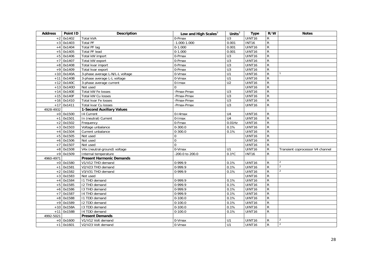<span id="page-27-2"></span><span id="page-27-1"></span><span id="page-27-0"></span>

| <b>Address</b> | Point ID     | Description                      | Low and High Scales <sup>3</sup> | Units $3$        | <b>Type</b>   | R/W            | <b>Notes</b>                     |
|----------------|--------------|----------------------------------|----------------------------------|------------------|---------------|----------------|----------------------------------|
|                | $+2$ 0x1402  | Total kVA                        | $\overline{0}$ -Pmax             | $\overline{U}3$  | UINT16        | R              |                                  |
|                | $+3$ 0x1403  | <b>Total PF</b>                  | $-1.000 - 1.000$                 | 0.001            | <b>INT16</b>  | $\overline{R}$ |                                  |
| $+4$           | 0x1404       | <b>Total PF lag</b>              | $0-1.000$                        | 0.001            | UINT16        | ${\sf R}$      |                                  |
| $+5$           | 0x1405       | <b>Total PF lead</b>             | $0-1.000$                        | 0.001            | <b>UINT16</b> | $\overline{R}$ |                                  |
|                | $+5$ 0x1406  | Total kW import                  | 0-Pmax                           | $\overline{U}$   | UINT16        | $\overline{R}$ |                                  |
|                | $+7$ 0x1407  | Total kW export                  | 0-Pmax                           | U <sub>3</sub>   | UINT16        | ${\sf R}$      |                                  |
| $+8$           | 0x1408       | Total kvar import                | 0-Pmax                           | $\overline{U}$ 3 | UINT16        | $\overline{R}$ |                                  |
| $+9$           | 0x1409       | Total kvar export                | 0-Pmax                           | $\overline{U}$ 3 | UINT16        | R              |                                  |
|                | $+10$ 0x140A | 3-phase average L-N/L-L voltage  | 0-Vmax                           | $\overline{U}$   | UINT16        | ${\sf R}$      |                                  |
| $+11$          | 0x140B       | 3-phase average L-L voltage      | 0-Vmax                           | $\overline{U}$   | UINT16        | R              |                                  |
|                | $+12$ 0x140C | 3-phase average current          | 0-Imax                           | $\overline{U2}$  | UINT16        | R              |                                  |
| $+13$          | 0x140D       | Not used                         | 0                                |                  | UINT16        | ${\sf R}$      |                                  |
|                | $+14$ 0x140E | Total kW Fe losses               | -Pmax-Pmax                       | U <sub>3</sub>   | UINT16        | ${\sf R}$      |                                  |
|                | $+15$ 0x140F | Total kW Cu losses               | -Pmax-Pmax                       | U3               | UINT16        | R              |                                  |
|                | $+16$ 0x1410 | Total kvar Fe losses             | -Pmax-Pmax                       | U3               | UINT16        | $\overline{R}$ |                                  |
|                | $+17$ 0x1411 | Total kvar Cu losses             | -Pmax-Pmax                       | $\overline{U}$ 3 | UINT16        | ${\sf R}$      |                                  |
| 4928-4932      |              | <b>1-Second Auxiliary Values</b> |                                  |                  |               |                |                                  |
|                | $+0$ 0x1500  | 14 Current                       | $0-14$ max                       | U <sub>4</sub>   | UINT16        | R              |                                  |
| $+1$           | 0x1501       | In (neutral) Current             | 0-Imax                           | U <sub>4</sub>   | UINT16        | $\mathsf{R}$   |                                  |
| $+2$           | 0x1502       | Frequency                        | 0-Fmax                           | $0.01$ Hz        | UINT16        | $\overline{R}$ |                                  |
|                | $+3$ 0x1503  | Voltage unbalance                | $0 - 300.0$                      | 0.1%             | UINT16        | R              |                                  |
| $+4$           | 0x1504       | Current unbalance                | $0 - 300.0$                      | 0.1%             | UINT16        | ${\sf R}$      |                                  |
|                | $+5$ 0x1505  | Not used                         | $\mathbf 0$                      |                  | UINT16        | ${\sf R}$      |                                  |
|                | $+6$ 0x1506  | Not used                         | $\pmb{0}$                        |                  | UINT16        | $\overline{R}$ |                                  |
|                | $+7$ 0x1507  | Not used                         | $\Omega$                         |                  | UINT16        | $\mathsf{R}$   |                                  |
|                | $+8$ 0x1508  | V4x (neutral-ground) voltage     | 0-Vmax                           | U1               | UINT16        | ${\sf R}$      | Transient coprocessor V4 channel |
|                | $+9$ 0x1509  | Internal temperature             | -200.0 to 200.0                  | $0.1^{\circ}C$   | <b>INT16</b>  | R              |                                  |
| 4960-4971      |              | <b>Present Harmonic Demands</b>  |                                  |                  |               |                |                                  |
|                | $+0$ 0x1580  | V1/V12 THD demand                | 0-999.9                          | 0.1%             | UINT16        | R              | $\overline{2}$                   |
| $+1$           | 0x1581       | V2/V23 THD demand                | 0-999.9                          | 0.1%             | UINT16        | $\overline{R}$ | $\overline{2}$                   |
|                | $+2$ 0x1582  | V3/V31 THD demand                | $0-999.9$                        | 0.1%             | UINT16        | $\overline{R}$ | $\overline{2}$                   |
| $+3$           | 0x1583       | Not used                         |                                  |                  | UINT16        | $\overline{R}$ |                                  |
| $+4$           | 0x1584       | I1 THD demand                    | 0-999.9                          | 0.1%             | UINT16        | ${\sf R}$      |                                  |
| $+5$           | 0x1585       | I2 THD demand                    | $0-999.9$                        | 0.1%             | UINT16        | $\overline{R}$ |                                  |
|                | $+6$ 0x1586  | 13 THD demand                    | 0-999.9                          | 0.1%             | UINT16        | $\overline{R}$ |                                  |
| $+7$           | 0x1587       | 14 THD demand                    | 0-999.9                          | 0.1%             | UINT16        | R              |                                  |
| $+8$           | 0x1588       | 11 TDD demand                    | $0-100.0$                        | 0.1%             | UINT16        | R              |                                  |
|                | $+9$ 0x1589  | 12 TDD demand                    | $0-100.0$                        | 0.1%             | UINT16        | $\overline{R}$ |                                  |
|                | $+10$ 0x158A | 13 TDD demand                    | $0 - 100.0$                      | 0.1%             | UINT16        | ${\sf R}$      |                                  |
| $+11$          | 0x158B       | 14 TDD demand                    | $\overline{0}$ -100.0            | 0.1%             | UINT16        | $\mathsf{R}$   |                                  |
| 4992-5021      |              | <b>Present Demands</b>           |                                  |                  |               |                |                                  |
|                | $+0$ 0x1600  | V1/V12 Volt demand               | $0-Vmax$                         | U1               | UINT16        | $\mathsf{R}$   | $\overline{2}$                   |
|                | $+1$ 0x1601  | V2/V23 Volt demand               | 0-Vmax                           | U1               | UINT16        | $\mathsf{R}$   | $\overline{2}$                   |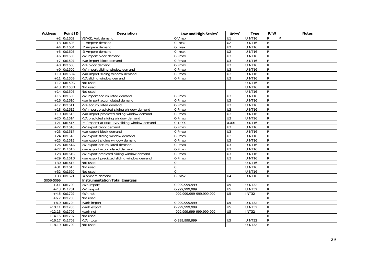<span id="page-28-0"></span>

| <b>Address</b> | Point ID        | <b>Description</b>                            | Low and High Scales <sup>3</sup> | Units $\overline{3}$ | <b>Type</b>        | R/W            | <b>Notes</b>   |
|----------------|-----------------|-----------------------------------------------|----------------------------------|----------------------|--------------------|----------------|----------------|
|                | $+2$ 0x1602     | V3/V31 Volt demand                            | 0-Vmax                           | U1                   | UINT <sub>16</sub> | R              | $\overline{2}$ |
|                | $+3$ 0x1603     | 11 Ampere demand                              | 0-Imax                           | U <sub>2</sub>       | UINT16             | $\overline{R}$ |                |
| $+4$           | 0x1604          | 12 Ampere demand                              | 0-Imax                           | U <sub>2</sub>       | UINT16             | $\mathsf{R}$   |                |
| $+5$           | 0x1605          | 13 Ampere demand                              | 0-Imax                           | U <sub>2</sub>       | UINT16             | ${\sf R}$      |                |
| $+6$           | 0x1606          | kW import block demand                        | 0-Pmax                           | $\overline{U}$ 3     | UINT16             | $\overline{R}$ |                |
| $+7$           | 0x1607          | kvar import block demand                      | 0-Pmax                           | U3                   | UINT16             | ${\sf R}$      |                |
| $+8$           | 0x1608          | kVA block demand                              | 0-Pmax                           | $\overline{U}$       | UINT16             | $\overline{R}$ |                |
| $+9$           | 0x1609          | kW import sliding window demand               | 0-Pmax                           | $\overline{U}$ 3     | UINT16             | ${\sf R}$      |                |
|                | $+10$ 0x160A    | kvar import sliding window demand             | 0-Pmax                           | $\overline{U}$       | UINT16             | $\overline{R}$ |                |
| $+11$          | 0x160B          | kVA sliding window demand                     | 0-Pmax                           | U3                   | UINT16             | ${\sf R}$      |                |
|                | $+12$ 0x160C    | Not used                                      |                                  |                      | UINT16             | $\overline{R}$ |                |
|                | $+13$ 0x160D    | Not used                                      |                                  |                      | UINT16             | ${\sf R}$      |                |
| $+14$          | 0x160E          | Not used                                      |                                  |                      | UINT16             | $\mathsf{R}$   |                |
|                | $+15$ 0x160F    | kW import accumulated demand                  | 0-Pmax                           | U <sub>3</sub>       | UINT16             | $\overline{R}$ |                |
| $+16$          | 0x1610          | kvar import accumulated demand                | 0-Pmax                           | $\overline{U}$ 3     | UINT16             | $\overline{R}$ |                |
|                | $+17$ 0x1611    | kVA accumulated demand                        | 0-Pmax                           | U3                   | UINT16             | $\mathsf{R}$   |                |
|                | $+18$ 0x1612    | kW import predicted sliding window demand     | 0-Pmax                           | $\overline{U}$       | UINT16             | ${\sf R}$      |                |
|                | $+19$ 0x1613    | kvar import predicted sliding window demand   | 0-Pmax                           | $\overline{U}$ 3     | UINT16             | $\mathsf{R}$   |                |
|                | $+20$ 0x1614    | kVA predicted sliding window demand           | 0-Pmax                           | $\overline{U}$ 3     | UINT16             | ${\sf R}$      |                |
| $+21$          | 0x1615          | PF (import) at Max. kVA sliding window demand | $0-1.000$                        | 0.001                | UINT16             | $\overline{R}$ |                |
| $+22$          | 0x1616          | kW export block demand                        | 0-Pmax                           | U <sub>3</sub>       | UINT16             | $\mathsf{R}$   |                |
| $+23$          | 0x1617          | kvar export block demand                      | 0-Pmax                           | $\overline{U}$       | UINT16             | $\overline{R}$ |                |
| $+24$          | 0x1618          | kW export sliding window demand               | 0-Pmax                           | $\overline{U}$       | UINT16             | $\overline{R}$ |                |
| $+25$          | 0x1619          | kvar export sliding window demand             | 0-Pmax                           | U3                   | UINT16             | $\overline{R}$ |                |
|                | $+26$ 0x161A    | kW export accumulated demand                  | 0-Pmax                           | $\overline{U}$       | UINT16             | ${\sf R}$      |                |
| $+27$          | 0x161B          | kvar export accumulated demand                | 0-Pmax                           | $\overline{U}$       | UINT16             | $\mathsf{R}$   |                |
| $+28$          | 0x161C          | kW export predicted sliding window demand     | 0-Pmax                           | U3                   | UINT16             | $\overline{R}$ |                |
| $+29$          | 0x161D          | kvar export predicted sliding window demand   | 0-Pmax                           | $\overline{U}$       | UINT16             | $\overline{R}$ |                |
|                | $+30$ 0x161E    | Not used                                      | $\mathbf 0$                      |                      | UINT16             | $\overline{R}$ |                |
| $+31$          | 0x161F          | Not used                                      | $\mathbf 0$                      |                      | UINT16             | ${\sf R}$      |                |
|                | $+32$ 0x1620    | Not used                                      | $\overline{0}$                   |                      | UINT16             | $\mathsf{R}$   |                |
|                | $+33$ 0x1621    | 14 ampere demand                              | 0-Imax                           | U4                   | UINT16             | ${\sf R}$      |                |
| 5056-5099      |                 | <b>Instrumentation Total Energies</b>         |                                  |                      |                    |                |                |
|                | $+0,1$ 0x1700   | kWh import                                    | 0-999,999,999                    | U <sub>5</sub>       | UINT32             | R              |                |
| $+2,3$         | 0x1701          | kWh export                                    | 0-999,999,999                    | $\overline{U5}$      | UINT32             | ${\sf R}$      |                |
|                | $+4,5$ 0x1702   | kWh net                                       | -999,999,999-999,999,999         | U <sub>5</sub>       | INT32              | ${\sf R}$      |                |
| $+6,7$         | 0x1703          | Not used                                      |                                  |                      |                    | $\mathsf{R}$   |                |
|                | $+8,9$ 0x1704   | kvarh import                                  | 0-999,999,999                    | U <sub>5</sub>       | UINT32             | ${\sf R}$      |                |
|                | $+10,11$ 0x1705 | kvarh export                                  | 0-999,999,999                    | $\overline{U5}$      | UINT32             | $\mathsf{R}$   |                |
|                | $+12,13$ 0x1706 | kvarh net                                     | -999, 999, 999-999, 999, 999     | U <sub>5</sub>       | INT32              | ${\sf R}$      |                |
|                | $+14,15$ 0x1707 | Not used                                      |                                  |                      |                    | $\overline{R}$ |                |
|                | $+16,17$ 0x1708 | kVAh total                                    | 0-999,999,999                    | U <sub>5</sub>       | UINT32             | ${\sf R}$      |                |
|                | +18,19 0x1709   | Not used                                      |                                  |                      | UINT32             | $\mathsf{R}$   |                |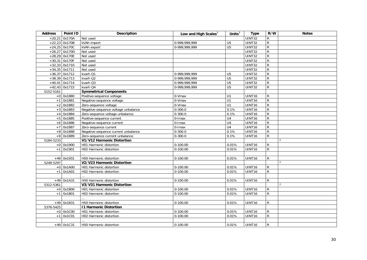<span id="page-29-4"></span><span id="page-29-3"></span><span id="page-29-2"></span><span id="page-29-1"></span><span id="page-29-0"></span>

| <b>Address</b> | Point ID        | <b>Description</b>                  | Low and High Scales $3$ | Units $3$       | <b>Type</b>         | R/W            | <b>Notes</b>             |
|----------------|-----------------|-------------------------------------|-------------------------|-----------------|---------------------|----------------|--------------------------|
| $+20,21$       | 0x170A          | Not used                            |                         |                 | UINT32              | $\mathsf R$    |                          |
|                | $+22,23$ 0x170B | kVAh import                         | 0-999,999,999           | $\overline{U5}$ | <b>UINT32</b>       | $\overline{R}$ |                          |
|                | $+24,25$ 0x170C | kVAh export                         | 0-999,999,999           | $\overline{U5}$ | $\overline{UINT32}$ | $\overline{R}$ |                          |
|                | $+26,27$ 0x170D | Not used                            |                         |                 | UINT32              | $\overline{R}$ |                          |
|                | $+28,29$ 0x170E | Not used                            |                         |                 | UINT32              | $\overline{R}$ |                          |
|                | +30,31 0x170F   | Not used                            |                         |                 | UINT32              | $\overline{R}$ |                          |
|                | $+32,33$ 0x1710 | Not used                            |                         |                 | UINT32              | $\overline{R}$ |                          |
|                | $+34,35$ 0x1711 | Not used                            |                         |                 | UINT32              | $\overline{R}$ |                          |
|                | $+36,37$ 0x1712 | kvarh Q1                            | 0-999,999,999           | U <sub>5</sub>  | UINT32              | $\overline{R}$ |                          |
|                | $+38,39$ 0x1713 | kvarh Q2                            | 0-999,999,999           | $\overline{U5}$ | UINT32              | $\mathsf{R}$   |                          |
|                | $+40,41$ 0x1714 | kvarh Q3                            | 0-999,999,999           | U <sub>5</sub>  | UINT32              | $\overline{R}$ |                          |
|                | $+42,43$ 0x1715 | kvarh Q4                            | 0-999,999,999           | U <sub>5</sub>  | UINT32              | $\mathsf{R}$   |                          |
| 5152-5161      |                 | <b>Symmetrical Components</b>       |                         |                 |                     |                |                          |
|                | $+0$ 0x1880     | Positive-sequence voltage           | 0-Vmax                  | U1              | UINT16              | $\mathsf{R}$   |                          |
| $+1$           | 0x1881          | Negative-sequence voltage           | 0-Vmax                  | U1              | UINT16              | $\overline{R}$ |                          |
| $+2$           | 0x1882          | Zero-sequence voltage               | 0-Vmax                  | U1              | UINT16              | ${\sf R}$      |                          |
| $+3$           | 0x1883          | Negative-sequence voltage unbalance | $0 - 300.0$             | 0.1%            | UINT16              | $\overline{R}$ |                          |
| $+4$           | 0x1884          | Zero-sequence voltage unbalance     | $0 - 300.0$             | 0.1%            | UINT16              | ${\sf R}$      |                          |
|                | +5 0x1885       | Positive-sequence current           | $0$ -Imax               | U4              | UINT16              | $\overline{R}$ |                          |
| $+6$           | 0x1886          | Negative-sequence current           | 0-Imax                  | U4              | UINT16              | $\overline{R}$ |                          |
| $+7$           | 0x1887          | Zero-sequence current               | $0$ -Imax               | U4              | UINT16              | $\overline{R}$ |                          |
| $+8$           | 0x1888          | Negative-sequence current unbalance | $0 - 300.0$             | 0.1%            | UINT16              | $\overline{R}$ |                          |
|                | +9 0x1889       | Zero-sequence current unbalance     | $0 - 300.0$             | 0.1%            | UINT16              | $\mathsf{R}$   |                          |
| 5184-5233      |                 | V1/V12 Harmonic Distortion          |                         |                 |                     |                | $\overline{\phantom{a}}$ |
|                | $+0$ 0x1900     | H01 Harmonic distortion             | $0-100.00$              | 0.01%           | UINT16              | $\mathsf{R}$   |                          |
|                | $+1$ 0x1901     | H02 Harmonic distortion             | $0-100.00$              | 0.01%           | UINT16              | $\mathsf{R}$   |                          |
|                |                 |                                     |                         |                 |                     |                |                          |
|                | $+49$ 0x1931    | H50 Harmonic distortion             | $0-100.00$              | 0.01%           | UINT16              | $\mathsf{R}$   |                          |
| 5248-5297      |                 | V2/V23 Harmonic Distortion          |                         |                 |                     |                | $\mathcal{P}$            |
|                | $+0$ 0x1A00     | H01 Harmonic distortion             | $0-100.00$              | 0.01%           | UINT16              | R              |                          |
|                | $+1$ 0x1A01     | H02 Harmonic distortion             | $0-100.00$              | 0.01%           | UINT16              | $\mathsf{R}$   |                          |
|                |                 |                                     |                         |                 |                     |                |                          |
|                | $+49$ 0x1A31    | H50 Harmonic distortion             | $0-100.00$              | 0.01%           | UINT16              | R              |                          |
| 5312-5361      |                 | V3/V31 Harmonic Distortion          |                         |                 |                     |                | $\mathcal{D}$            |
|                | $+0$ 0x1B00     | H01 Harmonic distortion             | $0-100.00$              | 0.01%           | UINT16              | $\mathsf{R}$   |                          |
| $+1$           | 0x1B01          | H02 Harmonic distortion             | $0-100.00$              | 0.01%           | UINT16              | $\mathsf{R}$   |                          |
|                |                 |                                     |                         |                 |                     |                |                          |
|                | $+49$ 0x1B31    | H50 Harmonic distortion             | $0-100.00$              | 0.01%           | UINT16              | R              |                          |
| 5376-5425      |                 | <b>11 Harmonic Distortion</b>       |                         |                 |                     |                |                          |
|                | $+0$ 0x1C00     | H01 Harmonic distortion             | $0-100.00$              | 0.01%           | UINT16              | $\mathsf{R}$   |                          |
|                | $+1$ 0x1C01     | H02 Harmonic distortion             | $0-100.00$              | 0.01%           | UINT16              | $\mathsf{R}$   |                          |
|                |                 |                                     |                         |                 |                     |                |                          |
|                | $+49$ 0x1C31    | H50 Harmonic distortion             | $0-100.00$              | 0.01%           | UINT <sub>16</sub>  | R              |                          |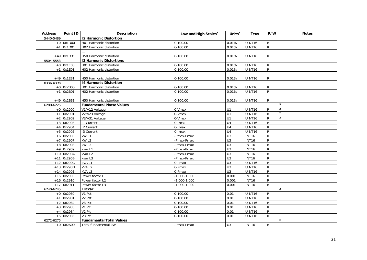<span id="page-30-5"></span><span id="page-30-4"></span><span id="page-30-3"></span><span id="page-30-2"></span><span id="page-30-1"></span><span id="page-30-0"></span>

| <b>Address</b> | Point ID     | Description                     | Low and High Scales <sup>3</sup> | Units $3$        | <b>Type</b>        | R/W            | <b>Notes</b>   |
|----------------|--------------|---------------------------------|----------------------------------|------------------|--------------------|----------------|----------------|
| 5440-5489      |              | <b>12 Harmonic Distortion</b>   |                                  |                  |                    |                |                |
|                | $+0$ 0x1D00  | H01 Harmonic distortion         | $0-100.00$                       | 0.01%            | <b>UINT16</b>      | ${\sf R}$      |                |
|                | $+1$ 0x1D01  | H02 Harmonic distortion         | $0-100.00$                       | 0.01%            | UINT16             | $\mathsf R$    |                |
|                |              |                                 |                                  |                  |                    |                |                |
|                | $+49$ 0x1D31 | H50 Harmonic distortion         | $0-100.00$                       | 0.01%            | UINT16             | R              |                |
| 5504-5553      |              | <b>13 Harmonic Distortions</b>  |                                  |                  |                    |                |                |
|                | $+0$ 0x1E00  | H01 Harmonic distortion         | $0 - 100.00$                     | 0.01%            | UINT16             | R              |                |
|                | $+1$ 0x1E01  | H02 Harmonic distortion         | $0-100.00$                       | 0.01%            | <b>UINT16</b>      | ${\sf R}$      |                |
|                |              |                                 |                                  |                  |                    |                |                |
|                | $+49$ 0x1E31 | H50 Harmonic distortion         | $0 - 100.00$                     | 0.01%            | UINT16             | R              |                |
| 6336-6398      |              | 14 Harmonic Distortion          |                                  |                  |                    |                |                |
|                | $+0$ 0x2B00  | H01 Harmonic distortion         | $0-100.00$                       | 0.01%            | UINT16             | R              |                |
|                | $+1$ 0x2B01  | H02 Harmonic distortion         | $0-100.00$                       | 0.01%            | UINT16             | ${\sf R}$      |                |
|                |              |                                 |                                  |                  |                    |                |                |
|                | $+49$ 0x2B31 | H50 Harmonic distortion         | $0-100.00$                       | 0.01%            | UINT <sub>16</sub> | R              |                |
| 6208-6225      |              | <b>Fundamental Phase Values</b> |                                  |                  |                    |                | 5              |
|                | $+0$ 0x2900  | V1/V12 Voltage                  | 0-Vmax                           | U1               | UINT16             | R              | $\overline{2}$ |
|                | $+1$ 0x2901  | V2/V23 Voltage                  | 0-Vmax                           | U1               | UINT16             | ${\sf R}$      | $\overline{2}$ |
|                | $+2$ 0x2902  | V3/V31 Voltage                  | 0-Vmax                           | $\overline{U}$   | UINT16             | ${\sf R}$      | $\overline{2}$ |
| $+3$           | 0x2903       | 11 Current                      | 0-Imax                           | U <sub>4</sub>   | UINT16             | R              |                |
| $+4$           | 0x2904       | <b>12 Current</b>               | 0-Imax                           | U <sub>4</sub>   | <b>UINT16</b>      | ${\sf R}$      |                |
|                | $+5$ 0x2905  | 13 Current                      | $0$ -Imax                        | U <sub>4</sub>   | UINT16             | $\mathsf R$    |                |
|                | $+6$ 0x2906  | kW <sub>L1</sub>                | -Pmax-Pmax                       | $\overline{U}$ 3 | <b>INT16</b>       | ${\sf R}$      |                |
| $+7$           | 0x2907       | kW L2                           | -Pmax-Pmax                       | U3               | <b>INT16</b>       | ${\sf R}$      |                |
|                | $+8$ 0x2908  | kW <sub>L3</sub>                | -Pmax-Pmax                       | $\overline{U}$ 3 | <b>INT16</b>       | $\mathsf R$    |                |
|                | $+9$ 0x2909  | kvar L1                         | -Pmax-Pmax                       | U3               | <b>INT16</b>       | $\overline{R}$ |                |
|                | $+10$ 0x290A | kvar L2                         | -Pmax-Pmax                       | U3               | <b>INT16</b>       | $\overline{R}$ |                |
| $+11$          | 0x290B       | kvar L3                         | -Pmax-Pmax                       | U3               | <b>INT16</b>       | ${\sf R}$      |                |
| $+12$          | 0x290C       | kVAL1                           | 0-Pmax                           | U3               | <b>UINT16</b>      | ${\sf R}$      |                |
|                | $+13$ 0x290D | kVAL2                           | 0-Pmax                           | $\overline{U}$   | <b>UINT16</b>      | ${\sf R}$      |                |
| $+14$          | 0x290E       | kVAL3                           | 0-Pmax                           | U3               | <b>UINT16</b>      | $\overline{R}$ |                |
|                | $+15$ 0x290F | Power factor L1                 | $-1.000 - 1.000$                 | 0.001            | <b>INT16</b>       | ${\sf R}$      |                |
|                | $+16$ 0x2910 | Power factor L2                 | $-1.000 - 1.000$                 | 0.001            | <b>INT16</b>       | ${\sf R}$      |                |
| $+17$          | 0x2911       | Power factor L3                 | $-1.000 - 1.000$                 | 0.001            | <b>INT16</b>       | ${\sf R}$      |                |
| 6240-6245      |              | <b>Flicker</b>                  |                                  |                  |                    |                | $\overline{2}$ |
|                | $+0$ 0x2980  | V1 Pst                          | $0 - 100.00$                     | 0.01             | UINT16             | R              |                |
| $+1$           | 0x2981       | V <sub>2</sub> Pst              | $0 - 100.00$                     | 0.01             | UINT16             | ${\sf R}$      |                |
| $+2$           | 0x2982       | V3 Pst                          | $0-100.00$                       | 0.01             | UINT16             | ${\sf R}$      |                |
|                | $+3$ 0x2983  | V1 Plt                          | $0-100.00$                       | 0.01             | <b>UINT16</b>      | ${\sf R}$      |                |
|                | $+4$ 0x2984  | V <sub>2</sub> Plt              | $0 - 100.00$                     | 0.01             | UINT16             | ${\sf R}$      |                |
|                | $+5$ 0x2985  | V <sub>3</sub> Plt              | $0 - 100.00$                     | 0.01             | UINT16             | ${\sf R}$      |                |
| 6272-6275      |              | <b>Fundamental Total Values</b> |                                  |                  |                    |                | 5              |
|                | $+0$ 0x2A00  | Total fundamental kW            | -Pmax-Pmax                       | U <sub>3</sub>   | <b>INT16</b>       | R              |                |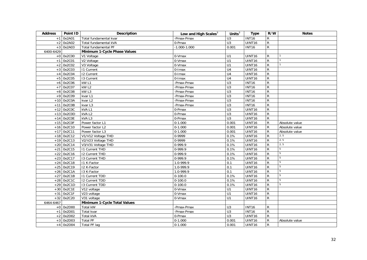<span id="page-31-1"></span><span id="page-31-0"></span>

| <b>Address</b> | Point ID     | Description                  | Low and High Scales <sup>3</sup> | Units $3$        | <b>Type</b>   | R/W            | <b>Notes</b>   |
|----------------|--------------|------------------------------|----------------------------------|------------------|---------------|----------------|----------------|
| $+1$           | 0x2A01       | Total fundamental kvar       | -Pmax-Pmax                       | U3               | <b>INT16</b>  | ${\sf R}$      |                |
| $+2$           | 0x2A02       | Total fundamental kVA        | 0-Pmax                           | U3               | UINT16        | $\mathsf R$    |                |
|                | $+3$ 0x2A03  | Total fundamental PF         | $-1.000 - 1.000$                 | 0.001            | <b>INT16</b>  | $\mathsf R$    |                |
| 6400-6429      |              | Minimum 1-Cycle Phase Values |                                  |                  |               |                |                |
|                | $+0$ 0x2C00  | V1 Voltage                   | 0-Vmax                           | U1               | UINT16        | ${\sf R}$      |                |
| $+1$           | 0x2C01       | V2 Voltage                   | 0-Vmax                           | U1               | UINT16        | $\overline{R}$ |                |
| $+2$           | 0x2C02       | V3 Voltage                   | 0-Vmax                           | $\overline{U}$   | UINT16        | $\mathsf R$    |                |
| $+3$           | 0x2C03       | <b>11 Current</b>            | $0$ -Imax                        | U <sub>4</sub>   | UINT16        | $\overline{R}$ |                |
| $+4$           | 0x2C04       | $\overline{12}$ Current      | $\overline{0}$ -Imax             | U <sub>4</sub>   | <b>UINT16</b> | ${\sf R}$      |                |
|                | $+5$ 0x2C05  | 13 Current                   | 0-Imax                           | U <sub>4</sub>   | <b>UINT16</b> | $\overline{R}$ |                |
| $+6$           | 0x2C06       | $kW$ L1                      | -Pmax-Pmax                       | U3               | <b>INT16</b>  | ${\sf R}$      |                |
|                | $+7$ 0x2C07  | kW <sub>L2</sub>             | -Pmax-Pmax                       | $\overline{U}$ 3 | <b>INT16</b>  | $\overline{R}$ |                |
|                | $+8$ 0x2C08  | kW <sub>L3</sub>             | -Pmax-Pmax                       | U3               | <b>INT16</b>  | ${\sf R}$      |                |
|                | $+9$ 0x2C09  | kvar L1                      | -Pmax-Pmax                       | U3               | <b>INT16</b>  | $\overline{R}$ |                |
| $+10$          | 0x2C0A       | kvar L <sub>2</sub>          | -Pmax-Pmax                       | U3               | <b>INT16</b>  | $\overline{R}$ |                |
|                | $+11$ 0x2C0B | kvar L3                      | -Pmax-Pmax                       | $\overline{U}$   | <b>INT16</b>  | ${\sf R}$      |                |
| $+12$          | 0x2C0C       | kVAL1                        | 0-Pmax                           | U3               | UINT16        | ${\sf R}$      |                |
| $+13$          | 0x2C0D       | kVA <sub>L2</sub>            | 0-Pmax                           | U3               | <b>UINT16</b> | ${\sf R}$      |                |
|                | $+14$ 0x2C0E | kVAL3                        | 0-Pmax                           | $\overline{U}$   | <b>UINT16</b> | ${\sf R}$      |                |
| $+15$          | 0x2C0F       | Power factor L1              | $0-1.000$                        | 0.001            | UINT16        | ${\sf R}$      | Absolute value |
|                | $+16$ 0x2C10 | Power factor L2              | $0-1.000$                        | 0.001            | UINT16        | ${\sf R}$      | Absolute value |
| $+17$          | 0x2C11       | Power factor L3              | $0-1.000$                        | 0.001            | <b>UINT16</b> | ${\sf R}$      | Absolute value |
|                | $+18$ 0x2C12 | V1/V12 Voltage THD           | 0-9999                           | 0.1%             | UINT16        | ${\sf R}$      | 2, 5           |
| $+19$          | 0x2C13       | V2/V23 Voltage THD           | 0-9999                           | 0.1%             | <b>UINT16</b> | $\overline{R}$ | 2, 5           |
|                | $+20$ 0x2C14 | V3/V31 Voltage THD           | 0-999.9                          | 0.1%             | UINT16        | ${\sf R}$      | 2, 5           |
| $+21$          | 0x2C15       | <b>11 Current THD</b>        | 0-999.9                          | 0.1%             | <b>UINT16</b> | ${\sf R}$      | $\overline{5}$ |
| $+22$          | 0x2C16       | <b>I2 Current THD</b>        | 0-999.9                          | 0.1%             | UINT16        | ${\sf R}$      | 5              |
|                | $+23$ 0x2C17 | 13 Current THD               | $0-999.9$                        | 0.1%             | UINT16        | $\overline{R}$ | $\overline{5}$ |
| $+24$          | 0x2C18       | I1 K-Factor                  | 1.0-999.9                        | 0.1              | <b>UINT16</b> | $\overline{R}$ | 5              |
|                | $+25$ 0x2C19 | I2 K-Factor                  | 1.0-999.9                        | 0.1              | UINT16        | ${\sf R}$      | 5              |
| $+26$          | 0x2C1A       | 13 K-Factor                  | 1.0-999.9                        | 0.1              | <b>UINT16</b> | ${\sf R}$      | 5              |
| $+27$          | 0x2C1B       | <b>11 Current TDD</b>        | $0 - 100.0$                      | 0.1%             | <b>UINT16</b> | ${\sf R}$      | 5              |
| $+28$          | 0x2C1C       | <b>I2 Current TDD</b>        | $0-100.0$                        | 0.1%             | UINT16        | ${\sf R}$      | 5              |
| $+29$          | 0x2C1D       | 13 Current TDD               | $0-100.0$                        | 0.1%             | UINT16        | ${\sf R}$      | 5              |
|                | $+30$ 0x2C1E | V12 voltage                  | 0-Vmax                           | $\overline{U}$   | <b>UINT16</b> | ${\sf R}$      |                |
|                | $+31$ 0x2C1F | V23 voltage                  | 0-Vmax                           | U1               | UINT16        | ${\sf R}$      |                |
|                | $+32$ 0x2C20 | V31 voltage                  | 0-Vmax                           | U1               | UINT16        | ${\sf R}$      |                |
| 6464-6467      |              | Minimum 1-Cycle Total Values |                                  |                  |               |                |                |
|                | $+0$ 0x2D00  | Total kW                     | -Pmax-Pmax                       | U3               | <b>INT16</b>  | R              |                |
|                | $+1$ 0x2D01  | Total kvar                   | -Pmax-Pmax                       | U3               | <b>INT16</b>  | ${\sf R}$      |                |
|                | $+2$ 0x2D02  | Total kVA                    | 0-Pmax                           | U3               | <b>UINT16</b> | ${\sf R}$      |                |
|                | $+3$ 0x2D03  | <b>Total PF</b>              | $0 - 1.000$                      | 0.001            | UINT16        | ${\sf R}$      | Absolute value |
|                | $+4$ 0x2D04  | Total PF lag                 | $0-1.000$                        | 0.001            | UINT16        | ${\sf R}$      |                |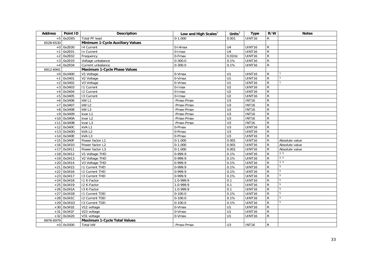<span id="page-32-2"></span><span id="page-32-1"></span><span id="page-32-0"></span>

| <b>Address</b> | Point ID     | <b>Description</b>                  | Low and High Scales $3$ | Units $3$       | <b>Type</b>   | R/W            | <b>Notes</b>   |
|----------------|--------------|-------------------------------------|-------------------------|-----------------|---------------|----------------|----------------|
|                | $+5$ 0x2D05  | <b>Total PF lead</b>                | $0-1.000$               | 0.001           | <b>UINT16</b> | R              |                |
| 6528-6530      |              | Minimum 1-Cycle Auxiliary Values    |                         |                 |               |                |                |
|                | $+0$ 0x2E00  | 14 Current                          | $0-14$ max              | U <sub>4</sub>  | UINT16        | R              |                |
| $+1$           | 0x2E01       | In Current                          | 0-Imax                  | U <sub>4</sub>  | <b>UINT16</b> | ${\sf R}$      |                |
| $+2$           | 0x2E02       | Frequency                           | 0-Fmax                  | $0.01$ Hz       | <b>UINT16</b> | ${\sf R}$      |                |
| $+3$           | 0x2E03       | Voltage unbalance                   | $0 - 300.0$             | 0.1%            | <b>UINT16</b> | ${\sf R}$      |                |
| $+4$           | 0x2E04       | Current unbalance                   | $0 - 300.0$             | 0.1%            | UINT16        | ${\sf R}$      |                |
| 6912-6941      |              | <b>Maximum 1-Cycle Phase Values</b> |                         |                 |               |                |                |
|                | $+0$ 0x3400  | V1 Voltage                          | 0-Vmax                  | U1              | UINT16        | R              |                |
|                | $+1$ 0x3401  | V2 Voltage                          | 0-Vmax                  | U1              | UINT16        | $\mathsf{R}$   |                |
| $+2$           | 0x3402       | V3 Voltage                          | 0-Vmax                  | U1              | <b>UINT16</b> | $\overline{R}$ |                |
|                | $+3$ 0x3403  | <b>11 Current</b>                   | $0$ -Imax               | U <sub>2</sub>  | UINT16        | $\overline{R}$ |                |
| $+4$           | 0x3404       | <b>12 Current</b>                   | $\overline{0}$ -Imax    | $\overline{U2}$ | UINT16        | $\overline{R}$ |                |
| $+5$           | 0x3405       | 13 Current                          | 0-Imax                  | U <sub>2</sub>  | UINT16        | ${\sf R}$      |                |
| $+6$           | 0x3406       | kW <sub>L1</sub>                    | -Pmax-Pmax              | U3              | <b>INT16</b>  | $\overline{R}$ |                |
| $+7$           | 0x3407       | kW <sub>L2</sub>                    | -Pmax-Pmax              | U3              | <b>INT16</b>  | $\overline{R}$ |                |
| $+8$           | 0x3408       | kW <sub>L3</sub>                    | -Pmax-Pmax              | U3              | <b>INT16</b>  | ${\sf R}$      |                |
|                | $+9$ 0x3409  | kvar L1                             | -Pmax-Pmax              | U3              | <b>INT16</b>  | ${\sf R}$      |                |
| $+10$          | 0x340A       | kvar L2                             | -Pmax-Pmax              | $\overline{U}$  | <b>INT16</b>  | ${\sf R}$      |                |
| $+11$          | 0x340B       | kvar L3                             | -Pmax-Pmax              | U3              | <b>INT16</b>  | ${\sf R}$      |                |
| $+12$          | 0x340C       | kVAL1                               | 0-Pmax                  | U3              | <b>UINT16</b> | ${\sf R}$      |                |
| $+13$          | 0x340D       | kVAL2                               | 0-Pmax                  | U3              | UINT16        | ${\sf R}$      |                |
| $+14$          | 0x340E       | kVAL3                               | 0-Pmax                  | U3              | UINT16        | $\overline{R}$ |                |
| $+15$          | 0x340F       | Power factor L1                     | $0-1.000$               | 0.001           | UINT16        | ${\sf R}$      | Absolute value |
| $+16$          | 0x3410       | Power factor L2                     | $0-1.000$               | 0.001           | <b>UINT16</b> | ${\sf R}$      | Absolute value |
| $+17$          | 0x3411       | Power factor L3                     | $0-1.000$               | 0.001           | <b>UINT16</b> | $\overline{R}$ | Absolute value |
| $+18$          | 0x3412       | V1 Voltage THD                      | 0-999.9                 | 0.1%            | UINT16        | ${\sf R}$      | 2, 5           |
| $+19$          | 0x3413       | V2 Voltage THD                      | $0-999.9$               | 0.1%            | <b>UINT16</b> | ${\sf R}$      | 2, 5           |
| $+20$          | 0x3414       | V3 Voltage THD                      | 0-999.9                 | 0.1%            | <b>UINT16</b> | ${\sf R}$      | 2, 5           |
| $+21$          | 0x3415       | <b>11 Current THD</b>               | 0-999.9                 | 0.1%            | UINT16        | ${\sf R}$      | $\,$ 5 $\,$    |
| $+22$          | 0x3416       | <b>12 Current THD</b>               | 0-999.9                 | 0.1%            | UINT16        | ${\sf R}$      | 5              |
| $+23$          | 0x3417       | 13 Current THD                      | 0-999.9                 | 0.1%            | UINT16        | ${\sf R}$      | 5              |
| $+24$          | 0x3418       | I1 K-Factor                         | 1.0-999.9               | 0.1             | UINT16        | ${\sf R}$      | 5              |
| $+25$          | 0x3419       | I2 K-Factor                         | 1.0-999.9               | 0.1             | <b>UINT16</b> | ${\sf R}$      | 5              |
| $+26$          | 0x341A       | 13 K-Factor                         | 1.0-999.9               | 0.1             | UINT16        | $\overline{R}$ | 5              |
| $+27$          | 0x341B       | <b>11 Current TDD</b>               | $0-100.0$               | 0.1%            | <b>UINT16</b> | $\overline{R}$ | $\overline{5}$ |
| $+28$          | 0x341C       | 12 Current TDD                      | $0 - 100.0$             | 0.1%            | UINT16        | ${\sf R}$      | 5              |
| $+29$          | 0x341D       | 13 Current TDD                      | $0-100.0$               | 0.1%            | UINT16        | ${\sf R}$      | 5              |
|                | $+30$ 0x341E | V12 voltage                         | 0-Vmax                  | U1              | <b>UINT16</b> | ${\sf R}$      |                |
|                | $+31$ 0x341F | V23 voltage                         | 0-Vmax                  | U1              | UINT16        | ${\sf R}$      |                |
| $+32$          | 0x3420       | V31 voltage                         | 0-Vmax                  | U1              | UINT16        | ${\sf R}$      |                |
| 6976-6979      |              | <b>Maximum 1-Cycle Total Values</b> |                         |                 |               |                |                |
|                | $+0$ 0x3500  | Total kW                            | -Pmax-Pmax              | U <sub>3</sub>  | <b>INT16</b>  | $\mathsf{R}$   |                |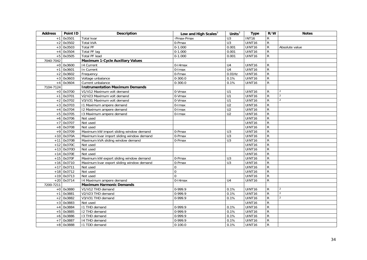<span id="page-33-2"></span><span id="page-33-1"></span><span id="page-33-0"></span>

| <b>Address</b> | Point ID     | <b>Description</b>                        | Low and High Scales <sup>3</sup> | Units $3$        | <b>Type</b>   | R/W            | <b>Notes</b>   |
|----------------|--------------|-------------------------------------------|----------------------------------|------------------|---------------|----------------|----------------|
| $+1$           | 0x3501       | Total kvar                                | -Pmax-Pmax                       | $\overline{U}$ 3 | <b>INT16</b>  | R              |                |
| $+2$           | 0x3502       | <b>Total kVA</b>                          | 0-Pmax                           | U3               | UINT16        | $\mathsf{R}$   |                |
| $+3$           | 0x3503       | <b>Total PF</b>                           | $0 - 1.000$                      | 0.001            | UINT16        | $\mathsf{R}$   | Absolute value |
| $+4$           | 0x3504       | <b>Total PF lag</b>                       | $0-1.000$                        | 0.001            | <b>UINT16</b> | ${\sf R}$      |                |
|                | $+5$ 0x3505  | <b>Total PF lead</b>                      | $0-1.000$                        | 0.001            | UINT16        | $\mathsf{R}$   |                |
| 7040-7042      |              | <b>Maximum 1-Cycle Auxiliary Values</b>   |                                  |                  |               |                |                |
|                | $+0$ 0x3600  | 14 Current                                | $0-14$ max                       | U <sub>4</sub>   | UINT16        | R              |                |
| $+1$           | 0x3601       | In Current                                | 0-Imax                           | U <sub>4</sub>   | UINT16        | R              |                |
| $+2$           | 0x3602       | Frequency                                 | 0-Fmax                           | $0.01$ Hz        | UINT16        | $\mathsf{R}$   |                |
| $+3$           | 0x3603       | Voltage unbalance                         | $0 - 300.0$                      | 0.1%             | UINT16        | R              |                |
| $+4$           | 0x3604       | Current unbalance                         | $0 - 300.0$                      | 0.1%             | UINT16        | R              |                |
| 7104-7124      |              | <b>Instrumentation Maximum Demands</b>    |                                  |                  |               |                |                |
|                | $+0$ 0x3700  | V1/V12 Maximum volt demand                | 0-Vmax                           | U1               | UINT16        | R              | $\overline{2}$ |
| $+1$           | 0x3701       | V2/V23 Maximum volt demand                | 0-Vmax                           | U1               | UINT16        | R              | $\overline{2}$ |
| $+2$           | 0x3702       | V3/V31 Maximum volt demand                | $0-Vmax$                         | $\overline{U}$ 1 | UINT16        | $\mathsf{R}$   | $\overline{2}$ |
| $+3$           | 0x3703       | 11 Maximum ampere demand                  | $\overline{0}$ -Imax             | U <sub>2</sub>   | UINT16        | ${\sf R}$      |                |
| $+4$           | 0x3704       | 12 Maximum ampere demand                  | 0-Imax                           | U <sub>2</sub>   | UINT16        | $\overline{R}$ |                |
|                | $+5$ 0x3705  | 13 Maximum ampere demand                  | 0-Imax                           | U <sub>2</sub>   | UINT16        | R              |                |
|                | $+6$ 0x3706  | Not used                                  |                                  |                  | UINT16        | $\mathsf{R}$   |                |
| $+7$           | 0x3707       | Not used                                  |                                  |                  | UINT16        | $\overline{R}$ |                |
|                | $+8$ 0x3708  | Not used                                  |                                  |                  | UINT16        | R              |                |
| $+9$           | 0x3709       | Maximum kW import sliding window demand   | 0-Pmax                           | U <sub>3</sub>   | UINT16        | ${\sf R}$      |                |
|                | $+10$ 0x370A | Maximum kvar import sliding window demand | 0-Pmax                           | $\overline{U}$ 3 | UINT16        | $\mathsf{R}$   |                |
| $+11$          | 0x370B       | Maximum kVA sliding window demand         | 0-Pmax                           | U3               | UINT16        | $\overline{R}$ |                |
|                | $+12$ 0x370C | Not used                                  |                                  |                  | UINT16        | $\mathsf{R}$   |                |
|                | $+13$ 0x370D | Not used                                  |                                  |                  | UINT16        | ${\sf R}$      |                |
| $+14$          | 0x370E       | Not used                                  |                                  |                  | UINT16        | R              |                |
|                | $+15$ 0x370F | Maximum kW export sliding window demand   | $0$ -Pmax                        | U <sub>3</sub>   | UINT16        | $\overline{R}$ |                |
|                | $+16$ 0x3710 | Maximum kvar export sliding window demand | 0-Pmax                           | U <sub>3</sub>   | UINT16        | ${\sf R}$      |                |
|                | $+17$ 0x3711 | Not used                                  | $\mathbf 0$                      |                  | UINT16        | $\overline{R}$ |                |
|                | $+18$ 0x3712 | Not used                                  | $\overline{0}$                   |                  | UINT16        | $\overline{R}$ |                |
|                | $+19$ 0x3713 | Not used                                  | $\Omega$                         |                  | UINT16        | $\overline{R}$ |                |
|                | $+20$ 0x3714 | 14 Maximum ampere demand                  | $0-14$ max                       | U <sub>4</sub>   | UINT16        | $\mathsf{R}$   |                |
| 7200-7211      |              | <b>Maximum Harmonic Demands</b>           |                                  |                  |               |                |                |
|                | $+0$ 0x3880  | V1/V12 THD demand                         | 0-999.9                          | 0.1%             | UINT16        | $\mathsf{R}$   | 2              |
| $+1$           | 0x3881       | V2/V23 THD demand                         | 0-999.9                          | 0.1%             | UINT16        | R              | $\overline{2}$ |
| $+2$           | 0x3882       | V3/V31 THD demand                         | 0-999.9                          | 0.1%             | UINT16        | R              | $\overline{2}$ |
| $+3$           | 0x3883       | Not used                                  |                                  |                  | UINT16        | R              |                |
| $+4$           | 0x3884       | I1 THD demand                             | 0-999.9                          | 0.1%             | UINT16        | ${\sf R}$      |                |
| $+5$           | 0x3885       | I2 THD demand                             | 0-999.9                          | 0.1%             | UINT16        | R              |                |
| $+6$           | 0x3886       | 13 THD demand                             | 0-999.9                          | 0.1%             | UINT16        | R              |                |
| $+7$           | 0x3887       | 14 THD demand                             | 0-999.9                          | 0.1%             | UINT16        | ${\sf R}$      |                |
|                | +8 0x3888    | 11 TDD demand                             | $0 - 100.0$                      | 0.1%             | UINT16        | $\mathsf{R}$   |                |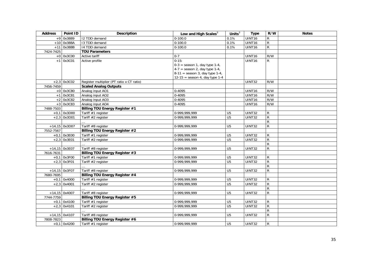<span id="page-34-7"></span><span id="page-34-6"></span><span id="page-34-5"></span><span id="page-34-4"></span><span id="page-34-3"></span><span id="page-34-2"></span><span id="page-34-1"></span><span id="page-34-0"></span>

| <b>Address</b> | Point ID        | <b>Description</b>                        | Low and High Scales $3$          | Units $3$       | <b>Type</b>        | R/W            | <b>Notes</b> |
|----------------|-----------------|-------------------------------------------|----------------------------------|-----------------|--------------------|----------------|--------------|
|                | $+9$ 0x3889     | 12 TDD demand                             | $0 - 100.0$                      | 0.1%            | <b>UINT16</b>      | $\mathsf{R}$   |              |
|                | $+10$ 0x388A    | 13 TDD demand                             | $0-100.0$                        | 0.1%            | UINT16             | $\overline{R}$ |              |
| $+11$          | 0x388B          | 14 TDD demand                             | $0 - 100.0$                      | 0.1%            | <b>UINT16</b>      | $\overline{R}$ |              |
| 7424-7425      |                 | <b>TOU Parameters</b>                     |                                  |                 |                    |                |              |
|                | $+0$ 0x3C00     | Active tariff                             | $0 - 7$                          |                 | UINT <sub>16</sub> | R/W            |              |
|                | $+1$ 0x3C01     | Active profile                            | $0-15:$                          |                 | UINT16             | $\mathsf{R}$   |              |
|                |                 |                                           | $0-3$ = season 1, day type 1-4,  |                 |                    |                |              |
|                |                 |                                           | $4-7$ = season 2, day type 1-4,  |                 |                    |                |              |
|                |                 |                                           | $8-11$ = season 3, day type 1-4, |                 |                    |                |              |
|                |                 |                                           | $12-15 =$ season 4, day type 1-4 |                 |                    |                |              |
|                | $+2,3$ 0x3C02   | Register multiplier (PT ratio x CT ratio) |                                  |                 | <b>UINT32</b>      | R/W            |              |
| 7456-7459      |                 | <b>Scaled Analog Outputs</b>              |                                  |                 |                    |                |              |
|                | $+0$ 0x3C80     | Analog input AO1                          | 0-4095                           |                 | UINT16             | R/W            |              |
|                | $+1$ 0x3C81     | Analog input AO2                          | 0-4095                           |                 | UINT16             | R/W            |              |
|                | $+2$ 0x3C82     | Analog input AO3                          | 0-4095                           |                 | <b>UINT16</b>      | R/W            |              |
| $+3$           | 0x3C83          | Analog input AO4                          | 0-4095                           |                 | UINT16             | R/W            |              |
| 7488-7503      |                 | <b>Billing TOU Energy Register #1</b>     |                                  |                 |                    |                |              |
|                | $+0,1$ 0x3D00   | Tariff #1 register                        | 0-999,999,999                    | U <sub>5</sub>  | <b>UINT32</b>      | R              |              |
|                | $+2,3$ 0x3D01   | Tariff #2 register                        | 0-999,999,999                    | U <sub>5</sub>  | <b>UINT32</b>      | $\mathsf{R}$   |              |
|                |                 |                                           |                                  |                 |                    | $\overline{R}$ |              |
|                | $+14,15$ 0x3D07 | Tariff #8 register                        | $\overline{0.999,999,999}$       | U <sub>5</sub>  | UINT32             | $\mathsf{R}$   |              |
| 7552-7567      |                 | <b>Billing TOU Energy Register #2</b>     |                                  |                 |                    |                |              |
|                | $+0,1$ 0x3E00   | Tariff #1 register                        | 0-999,999,999                    | U <sub>5</sub>  | UINT32             | $\mathsf{R}$   |              |
|                | $+2,3$ 0x3E01   | Tariff #2 register                        | 0-999,999,999                    | U <sub>5</sub>  | <b>UINT32</b>      | ${\sf R}$      |              |
|                |                 |                                           |                                  |                 |                    | ${\sf R}$      |              |
|                | +14,15 0x3E07   | Tariff #8 register                        | 0-999.999.999                    | U <sub>5</sub>  | <b>UINT32</b>      | $\mathsf{R}$   |              |
| 7616-7631      |                 | Billing TOU Energy Register #3            |                                  |                 |                    |                |              |
|                | $+0,1$ 0x3F00   | Tariff #1 register                        | 0-999.999.999                    | U <sub>5</sub>  | <b>UINT32</b>      | R              |              |
|                | $+2,3$ 0x3F01   | Tariff #2 register                        | 0-999.999.999                    | $\overline{U5}$ | UINT32             | $\mathsf{R}$   |              |
|                |                 |                                           |                                  |                 |                    | ${\sf R}$      |              |
|                | +14,15 0x3F07   | Tariff #8 register                        | 0-999.999.999                    | U <sub>5</sub>  | UINT32             | $\mathsf{R}$   |              |
| 7680-7695      |                 | <b>Billing TOU Energy Register #4</b>     |                                  |                 |                    |                |              |
|                | $+0,1$ 0x4000   | Tariff #1 register                        | 0-999,999,999                    | $\overline{U5}$ | <b>UINT32</b>      | R              |              |
|                | $+2,3$ 0x4001   | Tariff #2 register                        | 0-999,999,999                    | U <sub>5</sub>  | UINT32             | $\mathsf{R}$   |              |
|                |                 |                                           |                                  |                 |                    | $\overline{R}$ |              |
|                | $+14,15$ 0x4007 | Tariff #8 register                        | 0-999,999,999                    | U <sub>5</sub>  | <b>UINT32</b>      | ${\sf R}$      |              |
| 7744-7759      |                 | <b>Billing TOU Energy Register #5</b>     |                                  |                 |                    |                |              |
|                | $+0,1$ 0x4100   | Tariff #1 register                        | 0-999,999,999                    | U <sub>5</sub>  | <b>UINT32</b>      | R              |              |
|                | $+2,3$ 0x4101   | Tariff #2 register                        | 0-999,999,999                    | U <sub>5</sub>  | UINT32             | ${\sf R}$      |              |
|                |                 |                                           |                                  |                 |                    | $\overline{R}$ |              |
|                | $+14,15$ 0x4107 | Tariff #8 register                        | $0-999,999,999$                  | U <sub>5</sub>  | UINT32             | $\mathsf{R}$   |              |
| 7808-7823      |                 | Billing TOU Energy Register #6            |                                  |                 |                    |                |              |
|                | $+0,1$ 0x4200   | Tariff #1 register                        | 0-999,999,999                    | U <sub>5</sub>  | UINT32             | R              |              |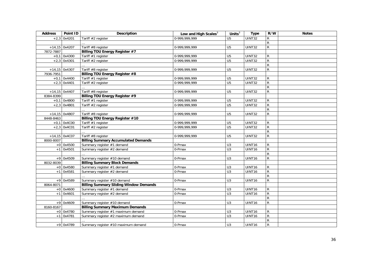<span id="page-35-7"></span><span id="page-35-6"></span><span id="page-35-5"></span><span id="page-35-4"></span><span id="page-35-3"></span><span id="page-35-2"></span><span id="page-35-1"></span><span id="page-35-0"></span>

| <b>Address</b> | Point ID        | <b>Description</b>                            | Low and High Scales <sup>3</sup> | Units $3$       | <b>Type</b>        | R/W       | <b>Notes</b> |
|----------------|-----------------|-----------------------------------------------|----------------------------------|-----------------|--------------------|-----------|--------------|
|                | $+2,3$ 0x4201   | Tariff #2 register                            | $0-999,999,999$                  | U <sub>5</sub>  | UINT32             | R         |              |
|                |                 |                                               |                                  |                 |                    | ${\sf R}$ |              |
|                | $+14,15$ 0x4207 | Tariff #8 register                            | 0-999,999,999                    | U <sub>5</sub>  | UINT32             | ${\sf R}$ |              |
| 7872-7887      |                 | <b>Billing TOU Energy Register #7</b>         |                                  |                 |                    |           |              |
|                | $+0,1$ 0x4300   | Tariff #1 register                            | 0-999,999,999                    | U <sub>5</sub>  | <b>UINT32</b>      | R         |              |
|                | $+2,3$ 0x4301   | Tariff #2 register                            | 0-999,999,999                    | U <sub>5</sub>  | UINT32             | ${\sf R}$ |              |
|                |                 |                                               |                                  |                 |                    | ${\sf R}$ |              |
|                | $+14,15$ 0x4307 | Tariff #8 register                            | 0-999,999,999                    | U <sub>5</sub>  | UINT32             | ${\sf R}$ |              |
| 7936-7951      |                 | Billing TOU Energy Register #8                |                                  |                 |                    |           |              |
|                | $+0,1$ 0x4400   | Tariff #1 register                            | 0-999,999,999                    | U <sub>5</sub>  | UINT32             | R         |              |
|                | $+2,3$ 0x4401   | Tariff $#2$ register                          | 0-999,999,999                    | $\overline{U5}$ | <b>UINT32</b>      | ${\sf R}$ |              |
|                |                 |                                               |                                  |                 |                    | ${\sf R}$ |              |
|                | $+14,15$ 0x4407 | Tariff #8 register                            | 0-999,999,999                    | U <sub>5</sub>  | UINT32             | ${\sf R}$ |              |
| 8384-8399      |                 | Billing TOU Energy Register #9                |                                  |                 |                    |           |              |
|                | $+0,1$ 0x4B00   | Tariff #1 register                            | $0-999,999,999$                  | U <sub>5</sub>  | <b>UINT32</b>      | R         |              |
|                | $+2,3$ 0x4B01   | Tariff #2 register                            | 0-999,999,999                    | $\overline{U5}$ | UINT32             | ${\sf R}$ |              |
|                |                 |                                               |                                  |                 |                    | ${\sf R}$ |              |
|                | $+14,15$ 0x4B07 | Tariff #8 register                            | 0-999,999,999                    | U <sub>5</sub>  | <b>UINT32</b>      | ${\sf R}$ |              |
| 8448-8463      |                 | Billing TOU Energy Register #10               |                                  |                 |                    |           |              |
|                | $+0,1$ 0x4C00   | Tariff #1 register                            | 0-999,999,999                    | U <sub>5</sub>  | UINT32             | R         |              |
|                | $+2,3$ 0x4C01   | Tariff #2 register                            | 0-999,999,999                    | $\overline{U5}$ | UINT32             | ${\sf R}$ |              |
|                |                 |                                               |                                  |                 |                    | ${\sf R}$ |              |
|                | $+14,15$ 0x4C07 | Tariff #8 register                            | 0-999,999,999                    | U <sub>5</sub>  | UINT32             | ${\sf R}$ |              |
| 8000-8007      |                 | <b>Billing Summary Accumulated Demands</b>    |                                  |                 |                    |           |              |
|                | $+0$ 0x4500     | Summary register #1 demand                    | 0-Pmax                           | U <sub>3</sub>  | UINT16             | R         |              |
|                | $+1$ 0x4501     | Summary register #2 demand                    | 0-Pmax                           | U <sub>3</sub>  | UINT16             | ${\sf R}$ |              |
|                |                 |                                               |                                  |                 |                    | ${\sf R}$ |              |
|                | $+9$ 0x4509     | Summary register #10 demand                   | $0$ -Pmax                        | U3              | UINT16             | ${\sf R}$ |              |
| 8032-8039      |                 | <b>Billing Summary Block Demands</b>          |                                  |                 |                    |           |              |
|                | $+0$ 0x4580     | Summary register #1 demand                    | 0-Pmax                           | U <sub>3</sub>  | UINT16             | R         |              |
|                | $+1$ 0x4581     | Summary register #2 demand                    | 0-Pmax                           | U <sub>3</sub>  | UINT <sub>16</sub> | ${\sf R}$ |              |
|                |                 |                                               |                                  |                 |                    | R         |              |
|                | $+9$ 0x4589     | Summary register #10 demand                   | 0-Pmax                           | U <sub>3</sub>  | UINT <sub>16</sub> | ${\sf R}$ |              |
| 8064-8071      |                 | <b>Billing Summary Sliding Window Demands</b> |                                  |                 |                    |           |              |
|                | $+0$ 0x4600     | Summary register #1 demand                    | 0-Pmax                           | U3              | UINT16             | R         |              |
|                | $+1$ 0x4601     | Summary register #2 demand                    | 0-Pmax                           | $\overline{U}$  | UINT16             | ${\sf R}$ |              |
|                |                 |                                               |                                  |                 |                    | ${\sf R}$ |              |
|                | $+9$ 0x4609     | Summary register #10 demand                   | 0-Pmax                           | U <sub>3</sub>  | UINT16             | ${\sf R}$ |              |
| 8160-8167      |                 | <b>Billing Summary Maximum Demands</b>        |                                  |                 |                    |           |              |
|                | $+0$ 0x4780     | Summary register #1 maximum demand            | 0-Pmax                           | U <sub>3</sub>  | UINT16             | R         |              |
|                | $+1$ 0x4781     | Summary register #2 maximum demand            | 0-Pmax                           | $\overline{U}$  | UINT16             | ${\sf R}$ |              |
|                |                 |                                               |                                  |                 |                    | R         |              |
|                | $+9$ 0x4789     | Summary register #10 maximum demand           | $0-Pmax$                         | U <sub>3</sub>  | UINT16             | ${\sf R}$ |              |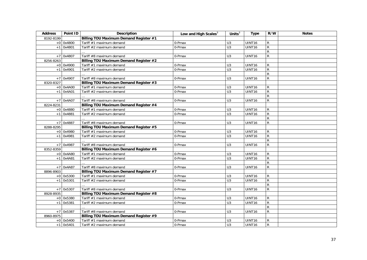| <b>Address</b> | Point ID    | Description                                   | Low and High Scales <sup>3</sup> | Units $3$      | <b>Type</b>        | R/W            | <b>Notes</b> |
|----------------|-------------|-----------------------------------------------|----------------------------------|----------------|--------------------|----------------|--------------|
| 8192-8199      |             | Billing TOU Maximum Demand Register #1        |                                  |                |                    |                |              |
|                | $+0$ 0x4800 | Tariff #1 maximum demand                      | 0-Pmax                           | U <sub>3</sub> | UINT16             | $\mathsf{R}$   |              |
| $+1$           | 0x4801      | Tariff #2 maximum demand                      | 0-Pmax                           | U <sub>3</sub> | UINT16             | $\mathsf{R}$   |              |
|                |             |                                               |                                  |                |                    | ${\sf R}$      |              |
|                | $+7$ 0x4807 | Tariff #8 maximum demand                      | 0-Pmax                           | U <sub>3</sub> | UINT16             | ${\sf R}$      |              |
| 8256-8263      |             | Billing TOU Maximum Demand Register #2        |                                  |                |                    |                |              |
|                | $+0$ 0x4900 | Tariff #1 maximum demand                      | 0-Pmax                           | U3             | UINT16             | $\mathsf{R}$   |              |
| $+1$           | 0x4901      | Tariff #2 maximum demand                      | 0-Pmax                           | U <sub>3</sub> | UINT16             | ${\sf R}$      |              |
|                |             |                                               |                                  |                |                    | R              |              |
|                | +7 0x4907   | Tariff #8 maximum demand                      | 0-Pmax                           | U3             | UINT16             | ${\sf R}$      |              |
| 8320-8327      |             | Billing TOU Maximum Demand Register #3        |                                  |                |                    |                |              |
|                | $+0$ 0x4A00 | Tariff #1 maximum demand                      | 0-Pmax                           | U3             | UINT16             | $\mathsf{R}$   |              |
| $+1$           | 0x4A01      | Tariff #2 maximum demand                      | 0-Pmax                           | U3             | UINT16             | ${\sf R}$      |              |
|                |             |                                               |                                  |                |                    | ${\sf R}$      |              |
|                | $+7$ 0x4A07 | Tariff #8 maximum demand                      | 0-Pmax                           | U <sub>3</sub> | UINT <sub>16</sub> | ${\sf R}$      |              |
| 8224-8231      |             | Billing TOU Maximum Demand Register #4        |                                  |                |                    |                |              |
|                | $+0$ 0x4880 | Tariff #1 maximum demand                      | 0-Pmax                           | U3             | UINT16             | R              |              |
|                | $+1$ 0x4881 | Tariff #2 maximum demand                      | 0-Pmax                           | $\overline{U}$ | UINT16             | ${\sf R}$      |              |
|                |             |                                               |                                  |                |                    | ${\sf R}$      |              |
|                | $+7$ 0x4887 | Tariff #8 maximum demand                      | 0-Pmax                           | U <sub>3</sub> | UINT16             | ${\sf R}$      |              |
| 8288-8295      |             | Billing TOU Maximum Demand Register #5        |                                  |                |                    |                |              |
|                | $+0$ 0x4980 | Tariff #1 maximum demand                      | 0-Pmax                           | U3             | UINT16             | ${\sf R}$      |              |
| $+1$           | 0x4981      | Tariff #2 maximum demand                      | 0-Pmax                           | U <sub>3</sub> | UINT16             | ${\sf R}$      |              |
|                |             |                                               |                                  |                |                    | $\overline{R}$ |              |
|                | +7 0x4987   | Tariff #8 maximum demand                      | 0-Pmax                           | U <sub>3</sub> | UINT16             | ${\sf R}$      |              |
| 8352-8359      |             | Billing TOU Maximum Demand Register #6        |                                  |                |                    |                |              |
|                | $+0$ 0x4A80 | Tariff #1 maximum demand                      | 0-Pmax                           | U3             | UINT16             | R              |              |
| $+1$           | 0x4A81      | Tariff #2 maximum demand                      | 0-Pmax                           | U <sub>3</sub> | UINT16             | ${\sf R}$      |              |
|                |             |                                               |                                  |                |                    | $\mathsf R$    |              |
| $+7$           | 0x4A87      | Tariff #8 maximum demand                      | 0-Pmax                           | U <sub>3</sub> | UINT16             | ${\sf R}$      |              |
| 8896-8903      |             | Billing TOU Maximum Demand Register #7        |                                  |                |                    |                |              |
|                | $+0$ 0x5300 | Tariff #1 maximum demand                      | 0-Pmax                           | U3             | UINT16             | R              |              |
| $+1$           | 0x5301      | Tariff #2 maximum demand                      | 0-Pmax                           | U3             | UINT16             | ${\sf R}$      |              |
|                |             |                                               |                                  |                |                    | $\mathsf{R}$   |              |
| $+7$           | 0x5307      | Tariff #8 maximum demand                      | 0-Pmax                           | U <sub>3</sub> | UINT16             | $\mathsf{R}$   |              |
| 8928-8935      |             | Billing TOU Maximum Demand Register #8        |                                  |                |                    |                |              |
|                | $+0$ 0x5380 | Tariff #1 maximum demand                      | 0-Pmax                           | U <sub>3</sub> | UINT16             | $\mathsf{R}$   |              |
| $+1$           | 0x5381      | Tariff #2 maximum demand                      | 0-Pmax                           | U <sub>3</sub> | UINT16             | ${\sf R}$      |              |
|                |             |                                               |                                  |                |                    | ${\sf R}$      |              |
| $+7$           | 0x5387      | Tariff #8 maximum demand                      | 0-Pmax                           | U <sub>3</sub> | UINT16             | ${\sf R}$      |              |
| 8960-8975      |             | <b>Billing TOU Maximum Demand Register #9</b> |                                  |                |                    |                |              |
|                | $+0$ 0x5400 | Tariff #1 maximum demand                      | 0-Pmax                           | U3             | UINT16             | R              |              |
|                | $+1$ 0x5401 | Tariff #2 maximum demand                      | 0-Pmax                           | U3             | UINT16             | ${\sf R}$      |              |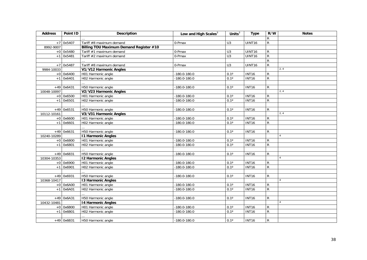| <b>Address</b> | Point ID     | <b>Description</b>                      | Low and High Scales <sup>3</sup> | Units $3$      | <b>Type</b>  | R/W            | <b>Notes</b> |
|----------------|--------------|-----------------------------------------|----------------------------------|----------------|--------------|----------------|--------------|
|                |              |                                         |                                  |                |              | R              |              |
|                | $+7$ 0x5407  | Tariff #8 maximum demand                | 0-Pmax                           | $\overline{U}$ | UINT16       | ${\sf R}$      |              |
| 8992-9007      |              | Billing TOU Maximum Demand Register #10 |                                  |                |              |                |              |
|                | $+0$ 0x5480  | Tariff #1 maximum demand                | 0-Pmax                           | U <sub>3</sub> | UINT16       | $\mathsf{R}$   |              |
| $+1$           | 0x5481       | Tariff #2 maximum demand                | 0-Pmax                           | U3             | UINT16       | $\overline{R}$ |              |
|                |              |                                         |                                  |                |              | ${\sf R}$      |              |
|                | $+7$ 0x5487  | Tariff #8 maximum demand                | 0-Pmax                           | U <sub>3</sub> | UINT16       | $\overline{R}$ |              |
| 9984-10033     |              | V1/V12 Harmonic Angles                  |                                  |                |              |                | 2, 4         |
|                | $+0$ 0x6400  | H01 Harmonic angle                      | $-180.0 - 180.0$                 | $0.1^\circ$    | <b>INT16</b> | ${\sf R}$      |              |
| $+1$           | 0x6401       | H02 Harmonic angle                      | $-180.0 - 180.0$                 | $0.1^\circ$    | <b>INT16</b> | $\mathsf{R}$   |              |
|                |              |                                         |                                  |                |              |                |              |
|                | $+49$ 0x6431 | H50 Harmonic angle                      | $-180.0 - 180.0$                 | $0.1^\circ$    | <b>INT16</b> | $\mathsf{R}$   |              |
| 10048-10097    |              | V2/V23 Harmonic Angles                  |                                  |                |              |                | 2, 4         |
|                | $+0$ 0x6500  | H01 Harmonic angle                      | $-180.0 - 180.0$                 | $0.1^\circ$    | <b>INT16</b> | R              |              |
|                | $+1$ 0x6501  | H02 Harmonic angle                      | $-180.0 - 180.0$                 | $0.1^\circ$    | <b>INT16</b> | $\mathsf{R}$   |              |
|                |              |                                         |                                  |                |              |                |              |
|                | $+49$ 0x6531 | H50 Harmonic angle                      | $-180.0 - 180.0$                 | $0.1^\circ$    | <b>INT16</b> | $\mathsf{R}$   |              |
| 10112-10161    |              | V3/V31 Harmonic Angles                  |                                  |                |              |                | 2, 4         |
|                | $+0$ 0x6600  | H01 Harmonic angle                      | $-180.0 - 180.0$                 | $0.1^\circ$    | <b>INT16</b> | $\mathsf{R}$   |              |
| $+1$           | 0x6601       | H02 Harmonic angle                      | $-180.0 - 180.0$                 | $0.1^\circ$    | <b>INT16</b> | $\overline{R}$ |              |
|                |              |                                         |                                  |                |              |                |              |
|                | $+49$ 0x6631 | H50 Harmonic angle                      | $-180.0 - 180.0$                 | $0.1^\circ$    | <b>INT16</b> | R              |              |
| 10240-10289    |              | <b>11 Harmonic Angles</b>               |                                  |                |              |                |              |
|                | $+0$ 0x6800  | H01 Harmonic angle                      | $-180.0 - 180.0$                 | $0.1^\circ$    | <b>INT16</b> | ${\sf R}$      |              |
| $+1$           | 0x6801       | H02 Harmonic angle                      | $-180.0 - 180.0$                 | $0.1^\circ$    | <b>INT16</b> | $\mathsf{R}$   |              |
|                |              |                                         |                                  |                |              |                |              |
|                | $+49$ 0x6831 | H50 Harmonic angle                      | $-180.0 - 180.0$                 | $0.1^\circ$    | <b>INT16</b> | $\mathsf{R}$   |              |
| 10304-10353    |              | <b>12 Harmonic Angles</b>               |                                  |                |              |                |              |
|                | $+0$ 0x6900  | H01 Harmonic angle                      | $-180.0 - 180.0$                 | $0.1^\circ$    | <b>INT16</b> | R              |              |
|                | $+1$ 0x6901  | H02 Harmonic angle                      | $-180.0 - 180.0$                 | $0.1^\circ$    | <b>INT16</b> | $\mathsf{R}$   |              |
|                |              |                                         |                                  |                |              |                |              |
|                | $+49$ 0x6931 | H50 Harmonic angle                      | $-180.0 - 180.0$                 | $0.1^\circ$    | <b>INT16</b> | ${\sf R}$      |              |
| 10368-10417    |              | <b>13 Harmonic Angles</b>               |                                  |                |              |                | $\Delta$     |
|                | $+0$ 0x6A00  | H01 Harmonic angle                      | $-180.0 - 180.0$                 | $0.1^\circ$    | <b>INT16</b> | ${\sf R}$      |              |
| $+1$           | 0x6A01       | H02 Harmonic angle                      | $-180.0 - 180.0$                 | $0.1^\circ$    | <b>INT16</b> | $\overline{R}$ |              |
|                |              |                                         |                                  |                |              |                |              |
|                | $+49$ 0x6A31 | H50 Harmonic angle                      | $-180.0 - 180.0$                 | $0.1^\circ$    | <b>INT16</b> | $\mathsf{R}$   |              |
| 10432-10481    |              | <b>14 Harmonic Angles</b>               |                                  |                |              |                |              |
|                | $+0$ 0x6B00  | H01 Harmonic angle                      | $-180.0 - 180.0$                 | $0.1^\circ$    | <b>INT16</b> | ${\sf R}$      |              |
| $+1$           | 0x6B01       | H <sub>02</sub> Harmonic angle          | $-180.0 - 180.0$                 | $0.1^\circ$    | <b>INT16</b> | $\mathsf{R}$   |              |
|                |              |                                         |                                  |                |              |                |              |
|                | $+49$ 0x6B31 | H50 Harmonic angle                      | $-180.0 - 180.0$                 | $0.1^\circ$    | <b>INT16</b> | R              |              |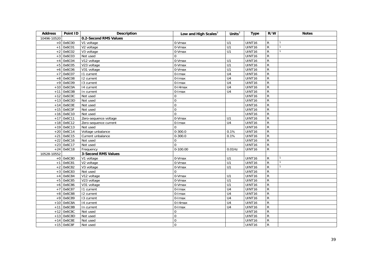| <b>Address</b> | Point ID     | <b>Description</b>         | Low and High Scales <sup>3</sup> | Units $3$        | <b>Type</b>        | R/W          | <b>Notes</b> |
|----------------|--------------|----------------------------|----------------------------------|------------------|--------------------|--------------|--------------|
| 10496-10520    |              | 0.2-Second RMS Values      |                                  |                  |                    |              |              |
|                | $+0$ 0x6C00  | V1 voltage                 | 0-Vmax                           | U1               | UINT16             | R            |              |
| $+1$           | 0x6C01       | V2 voltage                 | 0-Vmax                           | U1               | UINT16             | $\mathsf{R}$ |              |
| $+2$           | 0x6C02       | V3 voltage                 | 0-Vmax                           | U1               | UINT16             | R            |              |
| $+3$           | 0x6C03       | Not used                   | 0                                |                  | UINT16             | R            |              |
| $+4$           | 0x6C04       | V12 voltage                | $0-Vmax$                         | U1               | UINT16             | ${\sf R}$    |              |
| $+5$           | 0x6C05       | V23 voltage                | 0-Vmax                           | $\overline{U}$ 1 | UINT16             | R            |              |
| $+6$           | 0x6C06       | V31 voltage                | 0-Vmax                           | U1               | UINT16             | R            |              |
| $\pm 7$        | 0x6C07       | 11 current                 | 0-Imax                           | U <sub>4</sub>   | UINT16             | ${\sf R}$    |              |
| $+8$           | 0x6C08       | 12 current                 | 0-Imax                           | U <sub>4</sub>   | UINT16             | ${\sf R}$    |              |
| $+9$           | 0x6C09       | 13 current                 | $0$ - $l$ max                    | U <sub>4</sub>   | UINT16             | R            |              |
|                | $+10$ 0x6C0A | 14 current                 | $0-14$ max                       | U <sub>4</sub>   | UINT16             | R            |              |
| $+11$          | 0x6C0B       | In current                 | 0-Imax                           | U <sub>4</sub>   | UINT16             | ${\sf R}$    |              |
| $+12$          | 0x6C0C       | Not used                   | $\mathbf 0$                      |                  | UINT16             | R            |              |
| $+13$          | 0x6C0D       | Not used                   | $\mathsf{O}\xspace$              |                  | UINT16             | R            |              |
| $+14$          | 0x6C0E       | Not used                   | $\pmb{0}$                        |                  | UINT16             | ${\sf R}$    |              |
|                | $+15$ 0x6C0F | Not used                   | $\boldsymbol{0}$                 |                  | UINT16             | R            |              |
|                | $+16$ 0x6C10 | Not used                   | $\Omega$                         |                  | UINT16             | R            |              |
| $+17$          | 0x6C11       | Zero-sequence voltage      | $0-Vmax$                         | U1               | UINT16             | ${\sf R}$    |              |
|                | $+18$ 0x6C12 | Zero-sequence current      | $0$ -Imax                        | U <sub>4</sub>   | UINT16             | R            |              |
|                | $+19$ 0x6C13 | Not used                   | $\Omega$                         |                  | UINT16             | R            |              |
|                | $+20$ 0x6C14 | Voltage unbalance          | $0 - 300.0$                      | 0.1%             | UINT16             | ${\sf R}$    |              |
| $+21$          | 0x6C15       | Current unbalance          | $0 - 300.0$                      | 0.1%             | UINT16             | R            |              |
| $+22$          | 0x6C16       | Not used                   | 0                                |                  | UINT16             | R            |              |
|                | $+23$ 0x6C17 | Not used                   | $\mathbf 0$                      |                  | UINT16             | ${\sf R}$    |              |
|                | $+24$ 0x6C18 | Frequency                  | $0 - 100.00$                     | $0.01$ Hz        | UINT16             | R            |              |
| 10528-10552    |              | <b>3-Second RMS Values</b> |                                  |                  |                    |              |              |
|                | $+0$ 0x6C80  | V1 voltage                 | 0-Vmax                           | U1               | UINT16             | R            |              |
| $+1$           | 0x6C81       | $\overline{V2}$ voltage    | 0-Vmax                           | $\overline{U}$ 1 | UINT16             | ${\sf R}$    |              |
| $+2$           | 0x6C82       | V3 voltage                 | 0-Vmax                           | U1               | UINT16             | R            |              |
| $+3$           | 0x6C83       | Not used                   | 0                                |                  | UINT16             | R            |              |
| $+4$           | 0x6C84       | V12 voltage                | 0-Vmax                           | U1               | UINT <sub>16</sub> | ${\sf R}$    |              |
| $+5$           | 0x6C85       | V23 voltage                | 0-Vmax                           | U1               | UINT16             | R            |              |
| $+6$           | 0x6C86       | V31 voltage                | 0-Vmax                           | U1               | UINT16             | R            |              |
| $\pm 7$        | 0x6C87       | 11 current                 | $\overline{0}$ -Imax             | U <sub>4</sub>   | UINT16             | ${\sf R}$    |              |
| $+8$           | 0x6C88       | 12 current                 | 0-Imax                           | U <sub>4</sub>   | UINT16             | R            |              |
| $+9$           | 0x6C89       | 13 current                 | $0$ - $l$ max                    | U <sub>4</sub>   | UINT16             | R            |              |
|                | $+10$ 0x6C8A | 14 current                 | $0-14$ max                       | U4               | UINT16             | R            |              |
| $+11$          | 0x6C8B       | In current                 | $0$ -Imax                        | U <sub>4</sub>   | UINT16             | ${\sf R}$    |              |
| $+12$          | 0x6C8C       | Not used                   | $\mathbf 0$                      |                  | UINT16             | R            |              |
| $+13$          | 0x6C8D       | Not used                   | $\mathbf 0$                      |                  | UINT16             | R            |              |
| $+14$          | 0x6C8E       | Not used                   | $\overline{0}$                   |                  | UINT16             | ${\sf R}$    |              |
|                | $+15$ 0x6C8F | Not used                   | $\mathbf 0$                      |                  | UINT16             | ${\sf R}$    |              |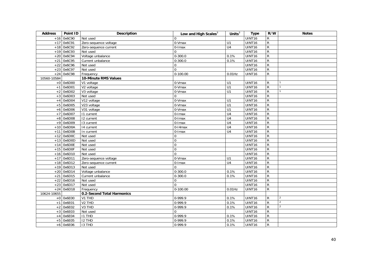| <b>Address</b> | Point ID     | <b>Description</b>             | Low and High Scales <sup>3</sup> | Units $\overline{3}$ | <b>Type</b> | R/W            | <b>Notes</b>   |
|----------------|--------------|--------------------------------|----------------------------------|----------------------|-------------|----------------|----------------|
|                | $+16$ 0x6C90 | Not used                       | $\Omega$                         |                      | UINT16      | ${\sf R}$      |                |
| $+17$          | 0x6C91       | Zero-sequence voltage          | $0-Vmax$                         | U1                   | UINT16      | $\overline{R}$ |                |
|                | $+18$ 0x6C92 | Zero-sequence current          | 0-Imax                           | $\overline{U4}$      | UINT16      | $\overline{R}$ |                |
| $+19$          | 0x6C93       | Not used                       | $\Omega$                         |                      | UINT16      | $\overline{R}$ |                |
| $+20$          | 0x6C94       | Voltage unbalance              | $0 - 300.0$                      | 0.1%                 | UINT16      | $\overline{R}$ |                |
| $+21$          | 0x6C95       | Current unbalance              | $0 - 300.0$                      | 0.1%                 | UINT16      | $\mathsf{R}$   |                |
|                | $+22$ 0x6C96 | Not used                       | $\mathbf 0$                      |                      | UINT16      | $\overline{R}$ |                |
|                | $+23$ 0x6C97 | Not used                       | $\Omega$                         |                      | UINT16      | $\overline{R}$ |                |
|                | $+24$ 0x6C98 | Frequency                      | $0-100.00$                       | $0.01$ Hz            | UINT16      | $\overline{R}$ |                |
| 10560-10584    |              | 10-Minute RMS Values           |                                  |                      |             |                |                |
|                | $+0$ 0x6D00  | $\overline{V}$ 1 voltage       | 0-Vmax                           | U1                   | UINT16      | $\mathsf R$    |                |
| $+1$           | 0x6D01       | V2 voltage                     | 0-Vmax                           | U1                   | UINT16      | ${\sf R}$      |                |
| $+2$           | 0x6D02       | V3 voltage                     | 0-Vmax                           | U1                   | UINT16      | $\mathsf{R}$   |                |
| $+3$           | 0x6D03       | Not used                       | $\Omega$                         |                      | UINT16      | $\mathsf{R}$   |                |
| $+4$           | 0x6D04       | V12 voltage                    | 0-Vmax                           | U1                   | UINT16      | $\overline{R}$ |                |
| $+5$           | 0x6D05       | V23 voltage                    | 0-Vmax                           | U1                   | UINT16      | $\overline{R}$ |                |
| $+6$           | 0x6D06       | V31 voltage                    | 0-Vmax                           | $\overline{U}$ 1     | UINT16      | $\overline{R}$ |                |
| $+7$           | 0x6D07       | 11 current                     | $0$ -Imax                        | U <sub>4</sub>       | UINT16      | $\mathsf{R}$   |                |
| $+8$           | 0x6D08       | $\overline{12}$ current        | 0-Imax                           | $\overline{U4}$      | UINT16      | $\overline{R}$ |                |
| $+9$           | 0x6D09       | 13 current                     | $0$ - $l$ max                    | $\overline{U4}$      | UINT16      | $\overline{R}$ |                |
|                | $+10$ 0x6D0A | 14 current                     | $0-14$ max                       | $\overline{U4}$      | UINT16      | $\overline{R}$ |                |
| $+11$          | 0x6D0B       | In current                     | 0-Imax                           | U4                   | UINT16      | $\overline{R}$ |                |
|                | $+12$ 0x6D0C | Not used                       | $\mathbf 0$                      |                      | UINT16      | $\mathsf{R}$   |                |
|                | $+13$ 0x6D0D | Not used                       | $\pmb{0}$                        |                      | UINT16      | $\overline{R}$ |                |
|                | $+14$ Ox6D0E | Not used                       | $\overline{0}$                   |                      | UINT16      | $\overline{R}$ |                |
|                | $+15$ Ox6D0F | Not used                       | $\pmb{0}$                        |                      | UINT16      | $\mathsf{R}$   |                |
|                | $+16$ 0x6D10 | Not used                       | $\mathbf 0$                      |                      | UINT16      | ${\sf R}$      |                |
| $+17$          | 0x6D11       | Zero-sequence voltage          | 0-Vmax                           | U1                   | UINT16      | $\overline{R}$ |                |
|                | $+18$ 0x6D12 | Zero-sequence current          | $0$ -Imax                        | U <sub>4</sub>       | UINT16      | $\mathsf{R}$   |                |
|                | $+19$ 0x6D13 | Not used                       | $\Omega$                         |                      | UINT16      | $\overline{R}$ |                |
|                | $+20$ 0x6D14 | Voltage unbalance              | $0 - 300.0$                      | 0.1%                 | UINT16      | $\mathsf{R}$   |                |
| $+21$          | 0x6D15       | Current unbalance              | $0 - 300.0$                      | 0.1%                 | UINT16      | $\overline{R}$ |                |
| $+22$          | 0x6D16       | Not used                       | $\mathbf 0$                      |                      | UINT16      | $\mathsf{R}$   |                |
|                | $+23$ 0x6D17 | Not used                       | $\Omega$                         |                      | UINT16      | $\overline{R}$ |                |
|                | $+24$ 0x6D18 | Frequency                      | $0-100.00$                       | $0.01$ Hz            | UINT16      | $\overline{R}$ |                |
| 10624-10655    |              | 0.2-Second Total Harmonics     |                                  |                      |             |                |                |
|                | $+0$ 0x6E00  | V1 THD                         | 0-999.9                          | 0.1%                 | UINT16      | R              | 2              |
| $+1$           | 0x6E01       | V <sub>2</sub> TH <sub>D</sub> | $0-999.9$                        | 0.1%                 | UINT16      | $\overline{R}$ | $\overline{2}$ |
| $+2$           | 0x6E02       | V3 THD                         | 0-999.9                          | 0.1%                 | UINT16      | ${\sf R}$      | $\overline{2}$ |
| $+3$           | 0x6E03       | Not used                       | $\overline{0}$                   |                      | UINT16      | ${\sf R}$      |                |
| $+4$           | 0x6E04       | <b>I1 THD</b>                  | 0-999.9                          | 0.1%                 | UINT16      | ${\sf R}$      |                |
| $+5$           | 0x6E05       | <b>I2 THD</b>                  | 0-999.9                          | 0.1%                 | UINT16      | ${\sf R}$      |                |
|                | $+6$ 0x6E06  | <b>I3 THD</b>                  | 0-999.9                          | 0.1%                 | UINT16      | $\mathsf{R}$   |                |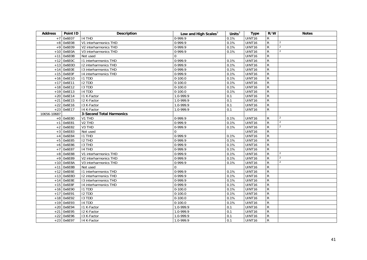| <b>Address</b> | Point ID     | Description                     | Low and High Scales <sup>3</sup> | Units $3$ | <b>Type</b>        | R/W            | <b>Notes</b>   |
|----------------|--------------|---------------------------------|----------------------------------|-----------|--------------------|----------------|----------------|
|                | +7 0x6E07    | 14 THD                          | 0-999.9                          | 0.1%      | UINT16             | R              |                |
|                | $+8$ 0x6E08  | V1 interharmonics THD           | 0-999.9                          | 0.1%      | <b>UINT16</b>      | ${\sf R}$      | 2              |
| $+9$           | 0x6E09       | V2 interharmonics THD           | 0-999.9                          | 0.1%      | <b>UINT16</b>      | $\overline{R}$ | 2              |
| $+10$          | 0x6E0A       | V3 interharmonics THD           | 0-999.9                          | 0.1%      | UINT16             | $\overline{R}$ | $\overline{2}$ |
| $+11$          | 0x6E0B       | Not used                        | $\Omega$                         |           | <b>UINT16</b>      | $\overline{R}$ |                |
| $+12$          | 0x6E0C       | <b>11 interharmonics THD</b>    | 0-999.9                          | 0.1%      | UINT <sub>16</sub> | ${\sf R}$      |                |
| $+13$          | 0x6E0D       | 12 interharmonics THD           | 0-999.9                          | 0.1%      | <b>UINT16</b>      | $\overline{R}$ |                |
|                | $+14$ Ox6E0E | 13 interharmonics THD           | 0-999.9                          | 0.1%      | UINT16             | ${\sf R}$      |                |
|                | $+15$ Ox6E0F | 14 interharmonics THD           | $0-999.9$                        | 0.1%      | UINT16             | $\overline{R}$ |                |
|                | $+16$ 0x6E10 | I1 TDD                          | $0-100.0$                        | 0.1%      | <b>UINT16</b>      | ${\sf R}$      |                |
| $+17$          | 0x6E11       | <b>I2 TDD</b>                   | $0 - 100.0$                      | 0.1%      | UINT16             | ${\sf R}$      |                |
| $+18$          | 0x6E12       | <b>I3 TDD</b>                   | $0-100.0$                        | 0.1%      | UINT16             | $\overline{R}$ |                |
| $+19$          | 0x6E13       | 14 TDD                          | $0 - 100.0$                      | 0.1%      | UINT16             | $\mathsf{R}$   |                |
| $+20$          | 0x6E14       | I1 K-Factor                     | 1.0-999.9                        | 0.1       | <b>UINT16</b>      | ${\sf R}$      |                |
| $+21$          | 0x6E15       | 12 K-Factor                     | 1.0-999.9                        | 0.1       | UINT16             | ${\sf R}$      |                |
|                | $+22$ 0x6E16 | 13 K-Factor                     | 1.0-999.9                        | 0.1       | UINT16             | $\overline{R}$ |                |
| $+23$          | 0x6E17       | 14 K-Factor                     | 1.0-999.9                        | 0.1       | UINT16             | ${\sf R}$      |                |
| 10656-10687    |              | <b>3-Second Total Harmonics</b> |                                  |           |                    |                |                |
|                | $+0$ 0x6E80  | V1 THD                          | 0-999.9                          | 0.1%      | UINT16             | R              | $\overline{2}$ |
|                | $+1$ 0x6E81  | V <sub>2</sub> THD              | 0-999.9                          | 0.1%      | UINT16             | $\mathsf{R}$   | $\overline{2}$ |
| $+2$           | 0x6E82       | V <sub>3</sub> THD              | 0-999.9                          | 0.1%      | <b>UINT16</b>      | ${\sf R}$      | $\overline{2}$ |
| $+3$           | 0x6E83       | Not used                        | $\Omega$                         |           | UINT16             | ${\sf R}$      |                |
| $+4$           | 0x6E84       | <b>I1 THD</b>                   | 0-999.9                          | 0.1%      | UINT16             | ${\sf R}$      |                |
| $+5$           | 0x6E85       | I2 THD                          | $0-999.9$                        | 0.1%      | UINT16             | $\overline{R}$ |                |
| $+6$           | 0x6E86       | I3 THD                          | 0-999.9                          | 0.1%      | <b>UINT16</b>      | ${\sf R}$      |                |
| $+7$           | 0x6E87       | 14 THD                          | 0-999.9                          | 0.1%      | UINT16             | $\overline{R}$ |                |
|                | $+8$ 0x6E88  | V1 interharmonics THD           | $0-999.9$                        | 0.1%      | UINT16             | $\overline{R}$ | 2              |
|                | +9 0x6E89    | V2 interharmonics THD           | 0-999.9                          | 0.1%      | UINT16             | $\overline{R}$ | $\overline{2}$ |
| $+10^{-}$      | 0x6E8A       | V3 interharmonics THD           | 0-999.9                          | 0.1%      | <b>UINT16</b>      | ${\sf R}$      | 2              |
| $+11$          | 0x6E8B       | Not used                        | $\mathbf 0$                      |           | UINT16             | ${\sf R}$      |                |
| $+12$          | Ox6E6E       | <b>11 interharmonics THD</b>    | $0-999.9$                        | 0.1%      | <b>UINT16</b>      | $\overline{R}$ |                |
| $+13$          | 0x6E8D       | 12 interharmonics THD           | 0-999.9                          | 0.1%      | UINT16             | $\mathsf{R}$   |                |
| $+14$          | 0x6E8E       | 13 interharmonics THD           | 0-999.9                          | 0.1%      | <b>UINT16</b>      | $\overline{R}$ |                |
| $+15$          | 0x6E8F       | 14 interharmonics THD           | 0-999.9                          | 0.1%      | UINT16             | ${\sf R}$      |                |
|                | $+16$ 0x6E90 | I1 TDD                          | $0-100.0$                        | 0.1%      | UINT16             | ${\sf R}$      |                |
| $+17$          | 0x6E91       | <b>I2 TDD</b>                   | $0-100.0$                        | 0.1%      | UINT16             | ${\sf R}$      |                |
| $+18$          | 0x6E92       | <b>I3 TDD</b>                   | $0 - 100.0$                      | 0.1%      | UINT16             | ${\sf R}$      |                |
| $+19$          | 0x6E93       | 14 TDD                          | $0-100.0$                        | 0.1%      | UINT16             | $\overline{R}$ |                |
| $+20$          | 0x6E94       | I1 K-Factor                     | 1.0-999.9                        | 0.1       | <b>UINT16</b>      | $\overline{R}$ |                |
| $+21$          | 0x6E95       | I2 K-Factor                     | 1.0-999.9                        | 0.1       | <b>UINT16</b>      | ${\sf R}$      |                |
|                | $+22$ 0x6E96 | 13 K-Factor                     | 1.0-999.9                        | 0.1       | UINT16             | ${\sf R}$      |                |
|                | $+23$ 0x6E97 | 14 K-Factor                     | 1.0-999.9                        | 0.1       | UINT16             | $\overline{R}$ |                |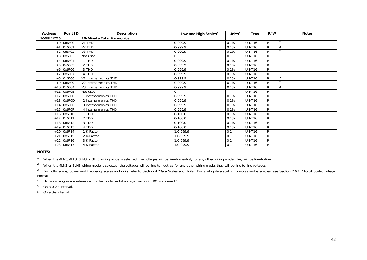| <b>Address</b> | Point ID     | Description                      | Low and High Scales <sup>3</sup> | Units $3$   | <b>Type</b>        | R/W          | <b>Notes</b>   |
|----------------|--------------|----------------------------------|----------------------------------|-------------|--------------------|--------------|----------------|
| 10688-10719    |              | <b>10-Minute Total Harmonics</b> |                                  |             |                    |              |                |
|                | $+0$ 0x6F00  | V1 THD                           | 0-999.9                          | 0.1%        | UINT16             | R            |                |
| $+1$           | 0x6F01       | V <sub>2</sub> THD               | $0-999.9$                        | 0.1%        | UINT <sub>16</sub> | R            | $\overline{2}$ |
| $+2$           | 0x6F02       | V3 THD                           | 0-999.9                          | 0.1%        | UINT <sub>16</sub> | R            |                |
|                | $+3$ 0x6F03  | Not used                         |                                  | $\mathbf 0$ | UINT <sub>16</sub> | R            |                |
|                | $+4$ 0x6F04  | <b>I1 THD</b>                    | $0-999.9$                        | 0.1%        | UINT <sub>16</sub> | R            |                |
|                | $+5$ 0x6F05  | <b>I2 THD</b>                    | $0-999.9$                        | 0.1%        | UINT <sub>16</sub> | R            |                |
|                | $+6$ 0x6F06  | <b>I3 THD</b>                    | 0-999.9                          | 0.1%        | <b>UINT16</b>      | R            |                |
| $+7$           | 0x6F07       | 14 THD                           | 0-999.9                          | 0.1%        | UINT <sub>16</sub> | R            |                |
| $+8$           | 0x6F08       | V1 interharmonics THD            | $0-999.9$                        | 0.1%        | UINT <sub>16</sub> | R            | $\overline{2}$ |
| $+9$           | 0x6F09       | V2 interharmonics THD            | 0-999.9                          | 0.1%        | UINT <sub>16</sub> | $\mathsf{R}$ |                |
|                | $+10$ 0x6F0A | V3 interharmonics THD            | 0-999.9                          | 0.1%        | UINT <sub>16</sub> | R            | $^{\circ}$ 2   |
|                | $+11$ 0x6F0B | Not used                         |                                  |             | UINT <sub>16</sub> | R            |                |
|                | $+12$ 0x6F0C | 11 interharmonics THD            | $0-999.9$                        | 0.1%        | UINT <sub>16</sub> | R            |                |
|                | $+13$ 0x6F0D | 12 interharmonics THD            | $0-999.9$                        | 0.1%        | UINT16             | R            |                |
| $+14$          | 0x6F0E       | 13 interharmonics THD            | $0-999.9$                        | 0.1%        | UINT <sub>16</sub> | R            |                |
|                | $+15$ Ox6FOF | 14 interharmonics THD            | $0-999.9$                        | 0.1%        | UINT <sub>16</sub> | R            |                |
|                | $+16$ 0x6F10 | <b>I1 TDD</b>                    | $0-100.0$                        | 0.1%        | UINT <sub>16</sub> | R            |                |
| $+17$          | 0x6F11       | <b>I2 TDD</b>                    | $0-100.0$                        | 0.1%        | UINT <sub>16</sub> | R            |                |
|                | $+18$ 0x6F12 | 13 TDD                           | $0-100.0$                        | 0.1%        | UINT <sub>16</sub> | R            |                |
|                | $+19$ 0x6F13 | 14 TDD                           | $0-100.0$                        | 0.1%        | UINT16             | R            |                |
| $+20$          | 0x6F14       | 11 K-Factor                      | 1.0-999.9                        | 0.1         | UINT16             | R            |                |
| $+21$          | 0x6F15       | 12 K-Factor                      | 1.0-999.9                        | 0.1         | UINT <sub>16</sub> | R            |                |
|                | $+22$ 0x6F16 | 13 K-Factor                      | 1.0-999.9                        | 0.1         | UINT <sub>16</sub> | $\mathsf{R}$ |                |
|                | $+23$ 0x6F17 | 14 K-Factor                      | 1.0-999.9                        | 0.1         | UINT <sub>16</sub> | R            |                |

**NOTES:** 

<sup>1</sup> When the 4LN3, 4LL3, 3LN3 or 3LL3 wiring mode is selected, the voltages will be line-to-neutral; for any other wiring mode, they will be line-to-line.

<sup>2</sup> When the 4LN3 or 3LN3 wiring mode is selected, the voltages will be line-to-neutral; for any other wiring mode, they will be line-to-line voltages.

 $3$  For volts, amps, power and frequency scales and units refer to Section 4 "Data Scales and Units". For analog data scaling formulas and examples, see Section 2.6.1, "16-bit Scaled Integer Format".

4 Harmonic angles are referenced to the fundamental voltage harmonic H01 on phase L1.

5 On a 0.2-s interval.

6 On a 3-s interval.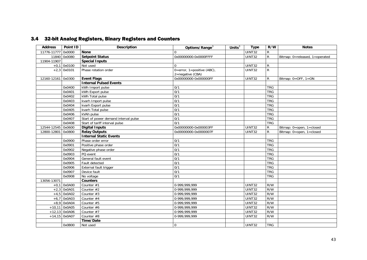## 3.4 32-bit Analog Registers, Binary Registers and Counters

| <b>Address</b>     | Point ID        | <b>Description</b>                   | Options/Range <sup>3</sup>                     | Units $\overline{3}$ | <b>Type</b>   | R/W            | <b>Notes</b>                   |
|--------------------|-----------------|--------------------------------------|------------------------------------------------|----------------------|---------------|----------------|--------------------------------|
| 11776-11777        | 0x0000          | <b>None</b>                          | $\Omega$                                       |                      | UINT32        | $\mathsf{R}$   |                                |
|                    | 11840 0x0080    | <b>Setpoint Status</b>               | 0x00000000-0x0000FFFF                          |                      | <b>UINT32</b> | $\mathsf{R}$   | Bitmap: 0=released, 1=operated |
| 11904-11907        |                 | <b>Special Inputs</b>                |                                                |                      |               |                |                                |
|                    | $+0,1$ 0x0100   | Not used                             | $\Omega$                                       |                      | UINT32        | R              |                                |
|                    | $+2,3$ 0x0101   | Phase rotation order                 | 0=error, 1=positive (ABC),<br>2=negative (CBA) |                      | UINT32        | $\overline{R}$ |                                |
| 12160-12161 0x0300 |                 | <b>Event Flags</b>                   | 0x00000000-0x000000FF                          |                      | UINT32        | $\mathsf{R}$   | Bitmap: 0=OFF, 1=ON            |
|                    |                 | <b>Internal Pulsed Events</b>        |                                                |                      |               |                |                                |
|                    | 0x0400          | kWh Import pulse                     | 0/1                                            |                      |               | <b>TRG</b>     |                                |
|                    | 0x0401          | kWh Export pulse                     | 0/1                                            |                      |               | <b>TRG</b>     |                                |
|                    | 0x0402          | kWh Total pulse                      | 0/1                                            |                      |               | <b>TRG</b>     |                                |
|                    | 0x0403          | kvarh Import pulse                   | 0/1                                            |                      |               | <b>TRG</b>     |                                |
|                    | 0x0404          | kvarh Export pulse                   | 0/1                                            |                      |               | <b>TRG</b>     |                                |
|                    | 0x0405          | kvarh Total pulse                    | 0/1                                            |                      |               | <b>TRG</b>     |                                |
|                    | 0x0406          | kVAh pulse                           | 0/1                                            |                      |               | <b>TRG</b>     |                                |
|                    | 0x0407          | Start of power demand interval pulse | 0/1                                            |                      |               | <b>TRG</b>     |                                |
|                    | 0x0408          | Start of tariff interval pulse       | 0/1                                            |                      |               | <b>TRG</b>     |                                |
| 12544-12545        | 0x0600          | <b>Digital Inputs</b>                | 0x00000000-0x000003FF                          |                      | <b>UINT32</b> | R              | Bitmap: 0=open, 1=closed       |
| 12800-12801        | 0x0800          | <b>Relay Outputs</b>                 | 0x00000000-0x0000007F                          |                      | <b>UINT32</b> | $\mathsf{R}$   | Bitmap: 0=open, 1=closed       |
|                    |                 | <b>Internal Static Events</b>        |                                                |                      |               |                |                                |
|                    | 0x0900          | Phase order error                    | 0/1                                            |                      |               | <b>TRG</b>     |                                |
|                    | 0x0901          | Positive phase order                 | 0/1                                            |                      |               | <b>TRG</b>     |                                |
|                    | 0x0902          | Negative phase order                 | 0/1                                            |                      |               | <b>TRG</b>     |                                |
|                    | 0x0903          | PQ event                             | 0/1                                            |                      |               | <b>TRG</b>     |                                |
|                    | 0x0904          | General fault event                  | 0/1                                            |                      |               | <b>TRG</b>     |                                |
|                    | 0x0905          | Fault detected                       | 0/1                                            |                      |               | <b>TRG</b>     |                                |
|                    | 0x0906          | External fault trigger               | 0/1                                            |                      |               | <b>TRG</b>     |                                |
|                    | 0x0907          | Device fault                         | 0/1                                            |                      |               | <b>TRG</b>     |                                |
|                    | 0x0908          | No voltage                           | 0/1                                            |                      |               | <b>TRG</b>     |                                |
| 13056-13071        |                 | <b>Counters</b>                      |                                                |                      |               |                |                                |
|                    | $+0,1$ 0x0A00   | Counter #1                           | 0-999,999,999                                  |                      | UINT32        | R/W            |                                |
|                    | $+2,3$ 0x0A01   | Counter #2                           | 0-999,999,999                                  |                      | UINT32        | R/W            |                                |
|                    | $+4,5$ 0x0A02   | Counter #3                           | 0-999,999,999                                  |                      | UINT32        | R/W            |                                |
|                    | $+6,7$ 0x0A03   | Counter #4                           | 0-999,999,999                                  |                      | <b>UINT32</b> | R/W            |                                |
|                    | $+8,9$ 0x0A04   | Counter #5                           | 0-999,999,999                                  |                      | UINT32        | R/W            |                                |
|                    | $+10.11$ 0x0A05 | Counter #6                           | 0-999,999,999                                  |                      | UINT32        | R/W            |                                |
|                    | $+12,13$ 0x0A06 | Counter #7                           | 0-999,999,999                                  |                      | UINT32        | R/W            |                                |
|                    | +14,15 0x0A07   | Counter #8                           | 0-999,999,999                                  |                      | UINT32        | R/W            |                                |
|                    |                 | Time/Date                            |                                                |                      |               |                |                                |
|                    | 0x0B00          | Not used                             | $\Omega$                                       |                      | UINT32        | <b>TRG</b>     |                                |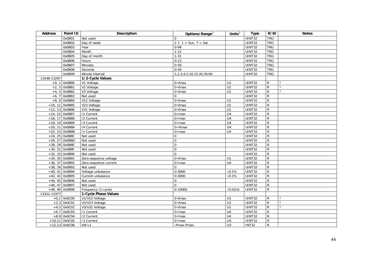| <b>Address</b> | Point ID         | <b>Description</b>    | Options/Range <sup>3</sup>                                    | Units $3\overline{3}$ | <b>Type</b>         | R/W            | <b>Notes</b> |
|----------------|------------------|-----------------------|---------------------------------------------------------------|-----------------------|---------------------|----------------|--------------|
|                | 0x0B01           | Not used              | $\Omega$                                                      |                       | UINT32              | <b>TRG</b>     |              |
|                | 0x0B02           | Day of week           | $\overline{1-7}$ , $\overline{1}$ = Sun, $\overline{7}$ = Sat |                       | <b>UINT32</b>       | <b>TRG</b>     |              |
|                | 0x0B03           | Year                  | $0 - 99$                                                      |                       | UINT32              | <b>TRG</b>     |              |
|                | 0x0B04           | Month                 | $1-12$                                                        |                       | UINT32              | <b>TRG</b>     |              |
|                | 0x0B05           | Day of month          | $1 - 31$                                                      |                       | <b>UINT32</b>       | <b>TRG</b>     |              |
|                | 0x0B06           | Hours                 | $0-23$                                                        |                       | UINT32              | <b>TRG</b>     |              |
|                | 0x0B07           | Minutes               | $0 - 59$                                                      |                       | UINT32              | <b>TRG</b>     |              |
|                | 0x0B08           | Seconds               | $0 - 59$                                                      |                       | UINT32              | <b>TRG</b>     |              |
|                | 0x0B09           | Minute interval       | 1,2,3,4,5,10,15,20,30,60                                      |                       | UINT32              | <b>TRG</b>     |              |
| 13248-13297    |                  | 1/2-Cycle Values      |                                                               |                       |                     |                |              |
|                | $+0, 1$ 0x0B80   | V1 Voltage            | 0-Vmax                                                        | U1                    | UINT32              | $\mathsf{R}$   |              |
|                | $+2, 3$ 0x0B81   | V2 Voltage            | 0-Vmax                                                        | U1                    | UINT32              | $\overline{R}$ |              |
|                | $+4, 5$ 0x0B82   | V3 Voltage            | 0-Vmax                                                        | U1                    | UINT32              | $\overline{R}$ |              |
| $+6, 7$        | 0x0B83           | Not used              | $\Omega$                                                      |                       | UINT32              | $\overline{R}$ |              |
|                | $+8,9$ 0x0B84    | V12 Voltage           | 0-Vmax                                                        | $\overline{U}$ 1      | UINT32              | $\overline{R}$ |              |
|                | $+10, 11$ 0x0B85 | V23 Voltage           | $0-Vmax$                                                      | U1                    | UINT32              | $\overline{R}$ |              |
|                | $+12, 13$ 0x0B86 | V31 Voltage           | 0-Vmax                                                        | $\overline{U}$ 1      | UINT32              | $\overline{R}$ |              |
|                | $+14, 15$ 0x0B87 | <b>11 Current</b>     | $0$ -Imax                                                     | $\overline{U4}$       | UINT32              | $\overline{R}$ |              |
|                | $+16, 17$ 0x0B88 | <b>I2 Current</b>     | $0$ - $l$ max                                                 | U <sub>4</sub>        | UINT32              | $\overline{R}$ |              |
|                | +18, 19 0x0B89   | 13 Current            | 0-Imax                                                        | $\overline{U4}$       | UINT32              | $\overline{R}$ |              |
|                | $+20, 21$ 0x0B8A | 14 Current            | $0-14$ max                                                    | U <sub>4</sub>        | UINT32              | $\overline{R}$ |              |
|                | $+22, 23$ 0x0B8B | In Current            | $0$ -Imax                                                     | U4                    | UINT32              | $\overline{R}$ |              |
|                | $+24, 25$ 0x0B8C | Not used              | $\mathbf 0$                                                   |                       | UINT32              | $\overline{R}$ |              |
|                | $+26, 27$ 0x0B8D | Not used              | $\mathbf 0$                                                   |                       | UINT32              | $\overline{R}$ |              |
|                | $+28, 29$ OxOB8E | Not used              | $\mathbf{0}$                                                  |                       | UINT32              | $\overline{R}$ |              |
|                | +30, 31 0x0B8F   | Not used              | $\mathbf 0$                                                   |                       | UINT32              | $\mathsf{R}$   |              |
|                | $+32, 33$ 0x0B90 | Not used              | $\Omega$                                                      |                       | UINT32              | $\overline{R}$ |              |
|                | $+34, 35$ 0x0B91 | Zero-sequence voltage | 0-Vmax                                                        | U1                    | UINT32              | $\overline{R}$ |              |
|                | $+36, 37$ 0x0B92 | Zero-sequence current | $\overline{0}$ -Imax                                          | $\overline{U4}$       | $\overline{UINT32}$ | $\overline{R}$ |              |
|                | $+38, 39$ 0x0B93 | Not used              | $\Omega$                                                      |                       | UINT32              | $\overline{R}$ |              |
|                | $+40, 41$ 0x0B94 | Voltage unbalance     | $0 - 3000$                                                    | $\times 0.1\%$        | UINT32              | $\overline{R}$ |              |
|                | $+42, 43$ 0x0B95 | Current unbalance     | 0-3000                                                        | $\times 0.1\%$        | UINT32              | $\overline{R}$ |              |
|                | $+44, 45$ 0x0B96 | Not used              | $\mathbf 0$                                                   |                       | UINT32              | $\overline{R}$ |              |
|                | $+46, 47$ 0x0B97 | Not used              | $\Omega$                                                      |                       | UINT32              | $\mathsf{R}$   |              |
|                | +48, 49 0x0B98   | Frequency (1-cycle)   | 0-10000                                                       | $\times 0.01$ Hz      | UINT32              | $\mathsf{R}$   |              |
| 13312-13377    |                  | 1-Cycle Phase Values  |                                                               |                       |                     |                |              |
|                | $+0,1$ 0x0C00    | V1/V12 Voltage        | 0-Vmax                                                        | U1                    | UINT32              | $\mathsf{R}$   |              |
| $+2,3$         | 0x0C01           | V2/V23 Voltage        | 0-Vmax                                                        | $\overline{U}$ 1      | UINT32              | $\overline{R}$ |              |
|                | $+4,5$ 0x0C02    | V3/V31 Voltage        | $0-Vmax$                                                      | U1                    | UINT32              | ${\sf R}$      |              |
|                | $+6,7$ 0x0C03    | 11 Current            | 0-Imax                                                        | $\overline{U4}$       | UINT32              | ${\sf R}$      |              |
|                | $+8,9$ 0x0C04    | <b>12 Current</b>     | 0-Imax                                                        | $\overline{U4}$       | UINT32              | $\overline{R}$ |              |
|                | $+10,11$ 0x0C05  | 13 Current            | 0-Imax                                                        | $\overline{U4}$       | UINT32              | ${\sf R}$      |              |
|                | $+12,13$ 0x0C06  | kW L1                 | -Pmax-Pmax                                                    | U3                    | <b>INT32</b>        | $\mathsf{R}$   |              |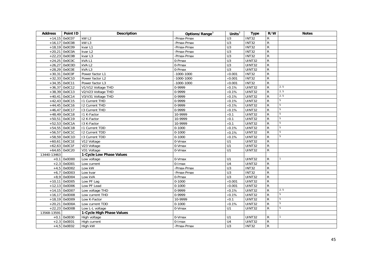| <b>Address</b> | Point ID        | Description               | Options/Range <sup>3</sup> | Units $3$        | <b>Type</b>          | R/W            | <b>Notes</b>    |
|----------------|-----------------|---------------------------|----------------------------|------------------|----------------------|----------------|-----------------|
|                | $+14,15$ 0x0C07 | kW <sub>L2</sub>          | -Pmax-Pmax                 | U <sub>3</sub>   | <b>INT32</b>         | R              |                 |
|                | $+16,17$ 0x0C08 | kW <sub>L3</sub>          | -Pmax-Pmax                 | U3               | <b>INT32</b>         | ${\sf R}$      |                 |
|                | $+18,19$ 0x0C09 | kvar L1                   | -Pmax-Pmax                 | U3               | <b>INT32</b>         | $\overline{R}$ |                 |
|                | $+20,21$ 0x0C0A | kvar L <sub>2</sub>       | -Pmax-Pmax                 | U3               | <b>INT32</b>         | R              |                 |
|                | $+22,23$ 0x0C0B | kvar L3                   | -Pmax-Pmax                 | U3               | INT32                | $\mathsf{R}$   |                 |
|                | $+24,25$ 0x0COC | kVAL1                     | 0-Pmax                     | $\overline{U}$ 3 | UINT32               | $\overline{R}$ |                 |
|                | $+26,27$ 0x0C0D | $kVA$ L <sub>2</sub>      | 0-Pmax                     | U3               | UINT32               | $\overline{R}$ |                 |
|                | $+28,29$ OxOCOE | kVAL3                     | 0-Pmax                     | $\overline{U}$ 3 | UINT32               | $\mathsf{R}$   |                 |
|                | $+30,31$ OxOCOF | Power factor L1           | $-1000 - 1000$             | $\times$ 0.001   | <b>INT32</b>         | ${\sf R}$      |                 |
|                | $+32,33$ 0x0C10 | Power factor L2           | $-1000 - 1000$             | $\times 0.001$   | <b>INT32</b>         | $\overline{R}$ |                 |
|                | $+34,35$ 0x0C11 | Power factor L3           | $-1000 - 1000$             | $\times$ 0.001   | INT32                | $\overline{R}$ |                 |
|                | $+36,37$ 0x0C12 | V1/V12 Voltage THD        | 0-9999                     | $\times 0.1\%$   | UINT32               | ${\sf R}$      | 2, 5            |
|                | $+38,39$ 0x0C13 | V2/V23 Voltage THD        | 0-9999                     | $\times 0.1\%$   | UINT32               | R              | 2, 5            |
|                | $+40,41$ 0x0C14 | V3/V31 Voltage THD        | 0-9999                     | $\times 0.1\%$   | UINT32               | R              | 2, 5            |
|                | $+42,43$ 0x0C15 | <b>11 Current THD</b>     | 0-9999                     | $\times 0.1\%$   | UINT32               | R              | $5\phantom{.0}$ |
|                | $+44,45$ 0x0C16 | <b>I2 Current THD</b>     | 0-9999                     | $\times 0.1\%$   | UINT32               | $\mathsf{R}$   | $5\phantom{.0}$ |
|                | $+46,47$ 0x0C17 | 13 Current THD            | 0-9999                     | $\times 0.1\%$   | UINT32               | $\mathsf{R}$   | 5               |
|                | $+48,49$ 0x0C18 | I1 K-Factor               | 10-9999                    | $\times 0.1$     | <b>UINT32</b>        | $\overline{R}$ | 5               |
|                | $+50,51$ 0x0C19 | 12 K-Factor               | 10-9999                    | $\times 0.1$     | UINT32               | ${\sf R}$      | 5               |
|                | $+52,53$ 0x0C1A | 13 K-Factor               | 10-9999                    | $\times 0.1$     | UINT32               | $\overline{R}$ | 5               |
|                | $+54,55$ 0x0C1B | 11 Current TDD            | $0 - 1000$                 | $\times 0.1\%$   | UINT32               | $\overline{R}$ | $\overline{5}$  |
|                | +56,57 0x0C1C   | 12 Current TDD            | $0 - 1000$                 | $\times 0.1\%$   | UINT32               | ${\sf R}$      | 5               |
|                | $+58,59$ 0x0C1D | 13 Current TDD            | $0 - 1000$                 | $\times 0.1\%$   | UINT32               | $\mathsf{R}$   | $5\phantom{.0}$ |
|                | $+60,61$ 0x0C1E | V12 Voltage               | 0-Vmax                     | U1               | UINT32               | ${\sf R}$      |                 |
|                | $+62,63$ OxOC1F | V23 Voltage               | 0-Vmax                     | U1               | UINT32               | $\mathsf{R}$   |                 |
|                | $+64,65$ 0x0C20 | V31 Voltage               | 0-Vmax                     | $\overline{U}$   | UINT32               | $\mathsf{R}$   |                 |
| 13440-13463    |                 | 1-Cycle Low Phase Values  |                            |                  |                      |                |                 |
|                | $+0,1$ 0x0D00   | Low voltage               | 0-Vmax                     | U1               | UINT32               | $\mathsf{R}$   |                 |
|                | $+2,3$ 0x0D01   | Low current               | $0$ -Imax                  | U4               | $\overline{UINT}$ 32 | $\overline{R}$ |                 |
|                | $+4,5$ 0x0D02   | Low kW                    | -Pmax-Pmax                 | $\overline{U}$   | <b>INT32</b>         | ${\sf R}$      |                 |
| $+6,7$         | 0x0D03          | Low kvar                  | -Pmax-Pmax                 | $\overline{U}$ 3 | <b>INT32</b>         | $\overline{R}$ |                 |
|                | $+8,9$ 0x0D04   | Low kVA                   | 0-Pmax                     | $\overline{U}$   | UINT32               | $\overline{R}$ |                 |
|                | $+10,11$ 0x0D05 | Low PF Lag                | $0-1000$                   | $\times$ 0.001   | UINT32               | $\overline{R}$ |                 |
|                | $+12,13$ 0x0D06 | Low PF Lead               | $0 - 1000$                 | $\times 0.001$   | UINT32               | R              |                 |
|                | $+14,15$ 0x0D07 | Low voltage THD           | 0-9999                     | $\times 0.1\%$   | <b>UINT32</b>        | $\overline{R}$ | 2, 5            |
|                | $+16,17$ 0x0D08 | Low current THD           | 0-9999                     | $\times 0.1\%$   | UINT32               | $\overline{R}$ | $5\overline{)}$ |
|                | $+18,19$ 0x0D09 | Low K-Factor              | 10-9999                    | $\times 0.1$     | UINT32               | R              | 5               |
|                | $+20,21$ 0x0D0A | Low current TDD           | $0 - 1000$                 | $\times 0.1\%$   | UINT32               | $\mathsf{R}$   | $5\phantom{.0}$ |
|                | $+22,23$ 0x0D0B | Low L-L voltage           | 0-Vmax                     | U1               | UINT32               | $\mathsf{R}$   | 5               |
| 13568-13591    |                 | 1-Cycle High Phase Values |                            |                  |                      |                |                 |
|                | $+0,1$ 0x0E00   | High voltage              | 0-Vmax                     | U1               | UINT32               | $\mathsf{R}$   |                 |
|                | $+2,3$ 0x0E01   | High current              | $0$ -Imax                  | U <sub>4</sub>   | UINT32               | $\overline{R}$ |                 |
|                | $+4,5$ 0x0E02   | High kW                   | -Pmax-Pmax                 | U <sub>3</sub>   | <b>INT32</b>         | ${\sf R}$      |                 |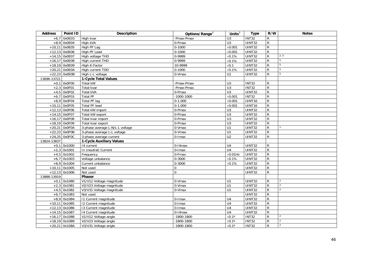| <b>Address</b> | Point ID        | <b>Description</b>              | Options/Range <sup>3</sup> | Units $3$            | <b>Type</b>   | R/W            | <b>Notes</b>   |
|----------------|-----------------|---------------------------------|----------------------------|----------------------|---------------|----------------|----------------|
| $+6,7$         | 0x0E03          | High kvar                       | -Pmax-Pmax                 | U <sub>3</sub>       | <b>INT32</b>  | $\mathsf R$    |                |
|                | $+8,9$ 0x0E04   | High kVA                        | 0-Pmax                     | U3                   | UINT32        | ${\sf R}$      |                |
|                | $+10,11$ 0x0E05 | High PF Lag                     | $0 - 1000$                 | $\times$ 0.001       | <b>UINT32</b> | ${\sf R}$      |                |
|                | $+12,13$ 0x0E06 | High PF Lead                    | $0 - 1000$                 | $\times$ 0.001       | <b>UINT32</b> | ${\sf R}$      |                |
|                | $+14,15$ 0x0E07 | High voltage THD                | 0-9999                     | $\times 0.1\%$       | <b>UINT32</b> | ${\sf R}$      | 2, 5           |
| $+16.17$       | 0x0E08          | High current THD                | 0-9999                     | $\times 0.1\%$       | <b>UINT32</b> | ${\sf R}$      | 5              |
|                | $+18,19$ 0x0E09 | High K-Factor                   | 10-9999                    | $\times 0.1$         | UINT32        | $\overline{R}$ | $\overline{5}$ |
|                | $+20,21$ OxOEOA | High current TDD                | $0 - 1000$                 | $\times 0.1\%$       | <b>UINT32</b> | $\overline{R}$ | 5              |
|                | $+22,23$ OxOEOB | High L-L voltage                | 0-Vmax                     | U1                   | <b>UINT32</b> | $\mathsf{R}$   | 5              |
| 13696-13721    |                 | 1-Cycle Total Values            |                            |                      |               |                |                |
|                | $+0,1$ 0x0F00   | Total kW                        | -Pmax-Pmax                 | U <sub>3</sub>       | <b>INT32</b>  | $\mathsf R$    |                |
| $+2.3$         | 0x0F01          | Total kvar                      | -Pmax-Pmax                 | $\overline{U}$ 3     | <b>INT32</b>  | $\overline{R}$ |                |
|                | $+4,5$ 0x0F02   | Total kVA                       | 0-Pmax                     | U3                   | UINT32        | ${\sf R}$      |                |
|                | $+6,7$ 0x0F03   | <b>Total PF</b>                 | $-1000 - 1000$             | $\times 0.001$       | <b>INT32</b>  | $\overline{R}$ |                |
|                | $+8,9$ 0x0F04   | Total PF lag                    | $0-1.000$                  | $\times$ 0.001       | UINT16        | ${\sf R}$      |                |
| $+10,11$       | 0x0F05          | Total PF lead                   | $0 - 1.000$                | $\times 0.001$       | UINT16        | ${\sf R}$      |                |
|                | $+12,13$ 0x0F06 | Total kW import                 | 0-Pmax                     | U3                   | <b>UINT32</b> | $\overline{R}$ |                |
|                | $+14,15$ 0x0F07 | Total kW export                 | 0-Pmax                     | U3                   | <b>UINT32</b> | ${\sf R}$      |                |
|                | $+16,17$ 0x0F08 | Total kvar import               | 0-Pmax                     | $\overline{U}$       | <b>UINT32</b> | ${\sf R}$      |                |
|                | $+18,19$ 0x0F09 | Total kvar export               | 0-Pmax                     | U3                   | UINT32        | $\mathsf R$    |                |
|                | $+20,21$ 0x0F0A | 3-phase average L-N/L-L voltage | 0-Vmax                     | U1                   | <b>UINT32</b> | $\mathsf R$    |                |
|                | $+22,23$ OxOFOB | 3-phase average L-L voltage     | 0-Vmax                     | U1                   | UINT32        | R              |                |
|                | $+24,25$ OxOFOC | 3-phase average current         | 0-Imax                     | U <sub>2</sub>       | UINT32        | R              |                |
| 13824-13837    |                 | <b>1-Cycle Auxiliary Values</b> |                            |                      |               |                |                |
| $+0,1$         | 0x1000          | 14 current                      | $0-14$ max                 | U <sub>4</sub>       | <b>UINT32</b> | R              |                |
|                | $+2,3$ 0x1001   | In (neutral) Current            | 0-Imax                     | U <sub>4</sub>       | <b>UINT32</b> | ${\sf R}$      |                |
|                | $+4,5$ 0x1002   | Frequency                       | 0-Fmax                     | $\times 0.01$ Hz     | UINT32        | $\overline{R}$ |                |
| $+6,7$         | 0x1003          | Voltage unbalance               | $0 - 3000$                 | $\times 0.1\%$       | UINT32        | $\overline{R}$ |                |
|                | $+8,9$ 0x1004   | Current unbalance               | $0 - 3000$                 | $\times 0.1\%$       | UINT32        | $\overline{R}$ |                |
|                | $+10,11$ 0x1005 | Not used                        | 0                          |                      | UINT32        | ${\sf R}$      |                |
|                | $+12,13$ 0x1006 | Not used                        | $\Omega$                   |                      | <b>UINT32</b> | $\mathsf{R}$   |                |
| 13888-13919    |                 | Phasor                          |                            |                      |               |                |                |
|                | $+0,1$ 0x1080   | V1/V12 Voltage magnitude        | 0-Vmax                     | U1                   | <b>UINT32</b> | R              | 2              |
|                | $+2,3$ 0x1081   | V2/V23 Voltage magnitude        | 0-Vmax                     | U1                   | <b>UINT32</b> | $\overline{R}$ | $\mathcal{P}$  |
|                | $+4,5$ 0x1082   | V3/V31 Voltage magnitude        | $0-Vmax$                   | U1                   | <b>UINT32</b> | ${\sf R}$      | $\overline{2}$ |
| $+6,7$         | 0x1083          | Not used                        |                            |                      | UINT32        | ${\sf R}$      |                |
|                | $+8,9$ 0x1084   | 11 Current magnitude            | $\overline{0}$ -Imax       | U <sub>4</sub>       | <b>UINT32</b> | $\overline{R}$ |                |
| $+10,11$       | 0x1085          | 12 Current magnitude            | 0-Imax                     | $\overline{U4}$      | UINT32        | ${\sf R}$      |                |
|                | $+12,13$ 0x1086 | 13 Current magnitude            | 0-Imax                     | U <sub>4</sub>       | UINT32        | ${\sf R}$      |                |
|                | $+14,15$ 0x1087 | 14 Current magnitude            | $0-14$ max                 | U <sub>4</sub>       | UINT32        | $\overline{R}$ |                |
|                | $+16,17$ 0x1088 | V1/V12 Voltage angle            | $-1800 - 1800$             | $\times 0.1^\circ$   | <b>INT32</b>  | ${\sf R}$      | $\overline{2}$ |
|                | $+18,19$ 0x1089 | V2/V23 Voltage angle            | $-1800 - 1800$             | $\times 0.1^\circ$   | <b>INT32</b>  | $\mathsf{R}$   | 2              |
|                | $+20,21$ 0x108A | V3/V31 Voltage angle            | $-1800 - 1800$             | $\times 0.1^{\circ}$ | <b>INT32</b>  | $\mathsf{R}$   | $\overline{2}$ |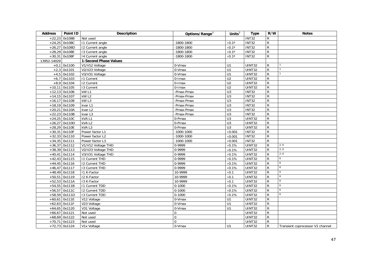| <b>Address</b> | Point ID        | <b>Description</b>           | Options/Range <sup>3</sup> | Units $3$          | <b>Type</b>         | R/W            | <b>Notes</b>                     |
|----------------|-----------------|------------------------------|----------------------------|--------------------|---------------------|----------------|----------------------------------|
|                | $+22,23$ 0x108B | Not used                     |                            |                    | <b>INT32</b>        | ${\sf R}$      |                                  |
|                | $+24,25$ 0x108C | 11 Current angle             | $-1800 - 1800$             | $\times 0.1^\circ$ | <b>INT32</b>        | ${\sf R}$      |                                  |
|                | $+26,27$ 0x108D | 12 Current angle             | $-1800 - 1800$             | $\times 0.1^\circ$ | <b>INT32</b>        | $\mathsf{R}$   |                                  |
|                | $+28,29$ 0x108E | 13 Current angle             | $-1800 - 1800$             | $\times 0.1^\circ$ | <b>INT32</b>        | $\overline{R}$ |                                  |
|                | $+30,31$ 0x108F | 14 Current angle             | $-1800 - 1800$             | $\times 0.1^\circ$ | INT32               | $\mathsf{R}$   |                                  |
| 13952-14029    |                 | <b>1-Second Phase Values</b> |                            |                    |                     |                |                                  |
|                | $+0,1$ 0x1100   | V1/V12 Voltage               | $0-Vmax$                   | U1                 | UINT32              | ${\sf R}$      |                                  |
|                | $+2,3$ 0x1101   | V2/V23 Voltage               | 0-Vmax                     | $\overline{U}$ 1   | <b>UINT32</b>       | $\overline{R}$ |                                  |
|                | $+4,5$ 0x1102   | V3/V31 Voltage               | 0-Vmax                     | $\overline{U}$     | $\overline{UINT32}$ | ${\sf R}$      |                                  |
|                | $+6,7$ 0x1103   | <b>11 Current</b>            | 0-Imax                     | U <sub>2</sub>     | <b>UINT32</b>       | ${\sf R}$      |                                  |
|                | $+8,9$ 0x1104   | 12 Current                   | $0$ -Imax                  | $\overline{U2}$    | <b>UINT32</b>       | ${\sf R}$      |                                  |
| $+10,11$       | 0x1105          | 13 Current                   | $0$ -Imax                  | $\overline{U2}$    | <b>UINT32</b>       | ${\sf R}$      |                                  |
|                | $+12,13$ 0x1106 | kW L1                        | -Pmax-Pmax                 | $\overline{U}$     | INT32               | $\overline{R}$ |                                  |
|                | $+14,15$ 0x1107 | kWL2                         | -Pmax-Pmax                 | U3                 | <b>INT32</b>        | $\overline{R}$ |                                  |
|                | $+16,17$ 0x1108 | kW <sub>L3</sub>             | -Pmax-Pmax                 | U3                 | <b>INT32</b>        | $\overline{R}$ |                                  |
|                | $+18,19$ 0x1109 | kvar L1                      | -Pmax-Pmax                 | U3                 | INT32               | ${\sf R}$      |                                  |
|                | $+20,21$ 0x110A | kvar L <sub>2</sub>          | -Pmax-Pmax                 | U3                 | <b>INT32</b>        | $\overline{R}$ |                                  |
|                | $+22,23$ 0x110B | kvar L3                      | -Pmax-Pmax                 | $\overline{U}$     | <b>INT32</b>        | $\overline{R}$ |                                  |
|                | $+24,25$ 0x110C | kVA L1                       | 0-Pmax                     | U3                 | UINT32              | ${\sf R}$      |                                  |
|                | $+26,27$ 0x110D | kVAL <sub>2</sub>            | 0-Pmax                     | $\overline{U}$     | <b>UINT32</b>       | ${\sf R}$      |                                  |
|                | $+28,29$ 0x110E | kVA L3                       | 0-Pmax                     | U3                 | <b>UINT32</b>       | $\overline{R}$ |                                  |
|                | $+30,31$ 0x110F | Power factor L1              | $-1000 - 1000$             | $\times$ 0.001     | <b>INT32</b>        | ${\sf R}$      |                                  |
|                | $+32,33$ 0x1110 | Power factor L2              | $-1000 - 1000$             | $\times$ 0.001     | <b>INT32</b>        | $\overline{R}$ |                                  |
|                | $+34,35$ 0x1111 | Power factor L3              | $-1000 - 1000$             | $\times$ 0.001     | <b>INT32</b>        | $\overline{R}$ |                                  |
|                | $+36,37$ 0x1112 | V1/V12 Voltage THD           | 0-9999                     | $\times 0.1\%$     | <b>UINT32</b>       | $\overline{R}$ | 2, 6                             |
|                | $+38,39$ 0x1113 | V2/V23 Voltage THD           | 0-9999                     | $\times 0.1\%$     | UINT32              | $\overline{R}$ | 2, 6                             |
|                | $+40,41$ 0x1114 | V3/V31 Voltage THD           | 0-9999                     | $\times 0.1\%$     | UINT32              | $\overline{R}$ | 2, 6                             |
|                | $+42,43$ 0x1115 | 11 Current THD               | 0-9999                     | $\times 0.1\%$     | <b>UINT32</b>       | $\overline{R}$ | 6                                |
|                | $+44,45$ 0x1116 | <b>I2 Current THD</b>        | 0-9999                     | $\times 0.1\%$     | <b>UINT32</b>       | ${\sf R}$      | 6                                |
|                | $+46,47$ 0x1117 | 13 Current THD               | 0-9999                     | $\times 0.1\%$     | UINT32              | ${\sf R}$      | 6                                |
|                | $+48,49$ 0x1118 | I1 K-Factor                  | 10-9999                    | $\times 0.1$       | <b>UINT32</b>       | ${\sf R}$      | 6                                |
|                | $+50,51$ 0x1119 | 12 K-Factor                  | 10-9999                    | $\times 0.1$       | <b>UINT32</b>       | ${\sf R}$      | 6                                |
|                | $+52,53$ 0x111A | 13 K-Factor                  | 10-9999                    | $\times 0.1$       | <b>UINT32</b>       | ${\sf R}$      | 6                                |
|                | $+54,55$ 0x111B | 11 Current TDD               | $0 - 1000$                 | $\times 0.1\%$     | <b>UINT32</b>       | $\overline{R}$ | $6\overline{6}$                  |
|                | $+56,57$ 0x111C | 12 Current TDD               | $0 - 1000$                 | $\times 0.1\%$     | <b>UINT32</b>       | $\overline{R}$ | 6                                |
|                | +58,59 0x111D   | 13 Current TDD               | $0 - 1000$                 | $\times 0.1\%$     | UINT32              | ${\sf R}$      | 6                                |
|                | $+60,61$ 0x111E | V12 Voltage                  | 0-Vmax                     | U1                 | <b>UINT32</b>       | ${\sf R}$      |                                  |
|                | $+62,63$ 0x111F | V23 Voltage                  | 0-Vmax                     | U1                 | <b>UINT32</b>       | ${\sf R}$      |                                  |
|                | $+64,65$ 0x1120 | V31 Voltage                  | 0-Vmax                     | $\overline{U}$     | <b>UINT32</b>       | $\overline{R}$ |                                  |
|                | $+66,67$ 0x1121 | Not used                     | $\Omega$                   |                    | <b>UINT32</b>       | $\overline{R}$ |                                  |
|                | $+68,69$ 0x1122 | Not used                     | $\Omega$                   |                    | UINT32              | $\overline{R}$ |                                  |
|                | $+70,71$ 0x1123 | Not used                     | $\Omega$                   |                    | <b>UINT32</b>       | $\overline{R}$ |                                  |
|                | $+72,73$ 0x1124 | V1x Voltage                  | 0-Vmax                     | U1                 | <b>UINT32</b>       | $\overline{R}$ | Transient coprocessor V1 channel |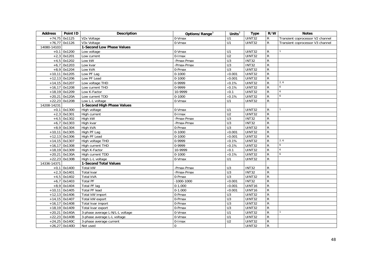| <b>Address</b> | Point ID        | <b>Description</b>              | Options/Range <sup>3</sup> | Units $3$        | <b>Type</b>   | R/W            | <b>Notes</b>                     |
|----------------|-----------------|---------------------------------|----------------------------|------------------|---------------|----------------|----------------------------------|
|                | $+74,75$ 0x1125 | V2x Voltage                     | $\overline{0}$ -Vmax       | U1               | UINT32        | R              | Transient coprocessor V2 channel |
|                | $+76,77$ 0x1126 | V3x Voltage                     | 0-Vmax                     | U1               | UINT32        | $\mathsf{R}$   | Transient coprocessor V3 channel |
| 14080-14103    |                 | 1-Second Low Phase Values       |                            |                  |               |                |                                  |
|                | $+0,1$ 0x1200   | Low voltage                     | 0-Vmax                     | U1               | UINT32        | R              |                                  |
|                | $+2,3$ 0x1201   | Low current                     | 0-Imax                     | $\overline{U2}$  | UINT32        | $\overline{R}$ |                                  |
|                | $+4,5$ 0x1202   | Low kW                          | -Pmax-Pmax                 | U3               | <b>INT32</b>  | ${\sf R}$      |                                  |
|                | $+6,7$ 0x1203   | Low kvar                        | -Pmax-Pmax                 | U3               | <b>INT32</b>  | $\overline{R}$ |                                  |
|                | $+8,9$ 0x1204   | Low kVA                         | 0-Pmax                     | U3               | UINT32        | $\overline{R}$ |                                  |
|                | $+10,11$ 0x1205 | Low PF Lag                      | $0 - 1000$                 | $\times$ 0.001   | UINT32        | ${\sf R}$      |                                  |
|                | $+12,13$ 0x1206 | Low PF Lead                     | $0-1000$                   | $\times 0.001$   | UINT32        | R              |                                  |
|                | $+14,15$ 0x1207 | Low voltage THD                 | 0-9999                     | $\times 0.1\%$   | UINT32        | R              | 2, 6                             |
|                | $+16,17$ 0x1208 | Low current THD                 | 0-9999                     | $\times 0.1\%$   | UINT32        | R              | 6                                |
|                | $+18,19$ 0x1209 | Low K-Factor                    | 10-9999                    | $\times 0.1$     | UINT32        | R              | 6                                |
|                | $+20,21$ 0x120A | Low current TDD                 | $0 - 1000$                 | $\times 0.1\%$   | <b>UINT32</b> | $\overline{R}$ | 6                                |
|                | $+22,23$ 0x120B | Low L-L voltage                 | 0-Vmax                     | $\overline{U1}$  | UINT32        | $\overline{R}$ |                                  |
| 14208-14231    |                 | 1-Second High Phase Values      |                            |                  |               |                |                                  |
|                | $+0,1$ 0x1300   | High voltage                    | 0-Vmax                     | U1               | UINT32        | R              |                                  |
| $+2,3$         | 0x1301          | High current                    | 0-Imax                     | $\overline{U2}$  | UINT32        | R              |                                  |
|                | $+4,5$ 0x1302   | High kW                         | -Pmax-Pmax                 | U3               | INT32         | ${\sf R}$      |                                  |
| $+6,7$         | 0x1303          | High kvar                       | -Pmax-Pmax                 | $\overline{U}$ 3 | <b>INT32</b>  | R              |                                  |
|                | $+8,9$ 0x1304   | High kVA                        | 0-Pmax                     | U3               | UINT32        | $\overline{R}$ |                                  |
|                | $+10,11$ 0x1305 | High PF Lag                     | $0-1000$                   | $\times$ 0.001   | UINT32        | $\overline{R}$ |                                  |
|                | $+12,13$ 0x1306 | High PF Lead                    | $0-1000$                   | $\times$ 0.001   | UINT32        | $\overline{R}$ |                                  |
|                | $+14,15$ 0x1307 | High voltage THD                | 0-9999                     | $\times 0.1\%$   | UINT32        | R              | 2, 6                             |
|                | $+16,17$ 0x1308 | High current THD                | 0-9999                     | $\times 0.1\%$   | UINT32        | $\overline{R}$ | 6                                |
|                | $+18,19$ 0x1309 | High K-Factor                   | 10-9999                    | $\times 0.1$     | UINT32        | $\overline{R}$ | $\ddot{\phantom{0}}$             |
|                | $+20,21$ 0x130A | High current TDD                | $0 - 1000$                 | $\times 0.1\%$   | UINT32        | ${\sf R}$      | 6                                |
|                | $+22,23$ 0x130B | High L-L voltage                | 0-Vmax                     | U1               | UINT32        | R              |                                  |
| 14336-14371    |                 | 1-Second Total Values           |                            |                  |               |                |                                  |
|                | $+0,1$ 0x1400   | Total kW                        | -Pmax-Pmax                 | U <sub>3</sub>   | <b>INT32</b>  | R              |                                  |
|                | $+2,3$ 0x1401   | Total kvar                      | -Pmax-Pmax                 | U <sub>3</sub>   | INT32         | R              |                                  |
|                | $+4,5$ 0x1402   | <b>Total kVA</b>                | 0-Pmax                     | U3               | UINT32        | $\overline{R}$ |                                  |
|                | $+6,7$ 0x1403   | <b>Total PF</b>                 | $-1000 - 1000$             | $\times 0.001$   | <b>INT32</b>  | $\overline{R}$ |                                  |
|                | $+8,9$ 0x1404   | Total PF lag                    | $0-1.000$                  | $\times$ 0.001   | UINT16        | R              |                                  |
| $+10,11$       | 0x1405          | <b>Total PF lead</b>            | $0-1.000$                  | $\times$ 0.001   | UINT16        | $\overline{R}$ |                                  |
|                | $+12,13$ 0x1406 | Total kW import                 | 0-Pmax                     | U <sub>3</sub>   | UINT32        | ${\sf R}$      |                                  |
|                | $+14,15$ 0x1407 | Total kW export                 | 0-Pmax                     | U3               | UINT32        | R              |                                  |
|                | $+16,17$ 0x1408 | Total kvar import               | 0-Pmax                     | $\overline{U}$   | UINT32        | $\mathsf{R}$   |                                  |
|                | $+18,19$ 0x1409 | Total kvar export               | 0-Pmax                     | $\overline{U}$ 3 | UINT32        | R              |                                  |
|                | $+20,21$ 0x140A | 3-phase average L-N/L-L voltage | 0-Vmax                     | $\overline{U}$ 1 | UINT32        | $\overline{R}$ |                                  |
|                | $+22,23$ 0x140B | 3-phase average L-L voltage     | $0-Vmax$                   | U1               | UINT32        | $\overline{R}$ |                                  |
|                | $+24,25$ 0x140C | 3-phase average current         | 0-Imax                     | $\overline{U2}$  | UINT32        | $\mathsf{R}$   |                                  |
|                | $+26,27$ 0x140D | Not used                        | $\Omega$                   |                  | <b>UINT32</b> | ${\sf R}$      |                                  |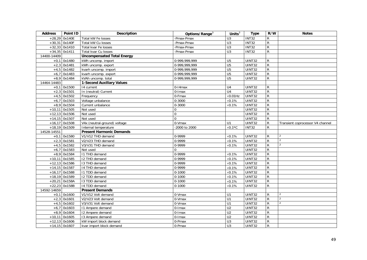| <b>Address</b> | Point ID        | <b>Description</b>                | Options/Range <sup>3</sup> | Units $\overline{3}$        | <b>Type</b>   | R/W            | <b>Notes</b>                     |
|----------------|-----------------|-----------------------------------|----------------------------|-----------------------------|---------------|----------------|----------------------------------|
| $+28,29$       | 0x140E          | Total kW Fe losses                | -Pmax-Pmax                 | U <sub>3</sub>              | <b>INT32</b>  | ${\sf R}$      |                                  |
|                | $+30,31$ 0x140F | Total kW Cu losses                | -Pmax-Pmax                 | U3                          | <b>INT32</b>  | $\overline{R}$ |                                  |
|                | $+32,33$ 0x1410 | Total kvar Fe losses              | -Pmax-Pmax                 | $\overline{U}$              | <b>INT32</b>  | $\mathsf{R}$   |                                  |
|                | $+34,35$ 0x1411 | Total kvar Cu losses              | -Pmax-Pmax                 | $\overline{U}$ 3            | <b>INT32</b>  | ${\sf R}$      |                                  |
| 14400-14409    |                 | <b>Uncompensated Total Energy</b> |                            |                             |               |                |                                  |
|                | $+0,1$ 0x1480   | kWh uncomp. import                | 0-999,999,999              | U <sub>5</sub>              | UINT32        | $\mathsf R$    |                                  |
|                | $+2,3$ 0x1481   | kWh uncomp. export                | 0-999,999,999              | U <sub>5</sub>              | UINT32        | $\overline{R}$ |                                  |
|                | $+4,5$ 0x1482   | kvarh uncomp. import              | 0-999, 999, 999            | U <sub>5</sub>              | UINT32        | $\mathsf{R}$   |                                  |
| $+6,7$         | 0x1483          | kvarh uncomp. export              | 0-999, 999, 999            | U <sub>5</sub>              | UINT32        | $\overline{R}$ |                                  |
|                | $+8,9$ 0x1484   | kVAh uncomp. total                | 0-999,999,999              | U <sub>5</sub>              | UINT32        | $\overline{R}$ |                                  |
| 14464-14483    |                 | <b>1-Second Auxiliary Values</b>  |                            |                             |               |                |                                  |
|                | $+0,1$ 0x1500   | 14 current                        | $0-14$ max                 | U <sub>4</sub>              | UINT32        | R              |                                  |
|                | $+2,3$ 0x1501   | In (neutral) Current              | $0$ - $l$ max              | U <sub>4</sub>              | UINT32        | $\overline{R}$ |                                  |
|                | $+4,5$ 0x1502   | Frequency                         | 0-Fmax                     | $\times 0.01$ Hz            | UINT32        | ${\sf R}$      |                                  |
| $+6,7$         | 0x1503          | Voltage unbalance                 | 0-3000                     | $\times 0.1\%$              | UINT32        | $\overline{R}$ |                                  |
|                | $+8,9$ 0x1504   | Current unbalance                 | 0-3000                     | $\times 0.1\%$              | UINT32        | $\mathsf{R}$   |                                  |
|                | $+10,11$ 0x1505 | Not used                          | $\mathbf 0$                |                             | UINT32        | $\overline{R}$ |                                  |
|                | $+12,13$ 0x1506 | Not used                          | $\Omega$                   |                             | UINT32        | $\overline{R}$ |                                  |
|                | $+14,15$ 0x1507 | Not used                          | $\Omega$                   |                             | UINT32        | $\overline{R}$ |                                  |
|                | $+16,17$ 0x1508 | V4x (neutral-ground) voltage      | 0-Vmax                     | U1                          | UINT32        | $\overline{R}$ | Transient coprocessor V4 channel |
|                | $+18,19$ 0x1509 | Internal temperature              | -2000 to 2000              | $\times 0.1$ <sup>o</sup> C | <b>INT32</b>  | $\mathsf{R}$   |                                  |
| 14528-14551    |                 | <b>Present Harmonic Demands</b>   |                            |                             |               |                |                                  |
|                | $+0,1$ 0x1580   | V1/V12 THD demand                 | 0-9999                     | $\times0.1\%$               | UINT32        | R              |                                  |
|                | $+2,3$ 0x1581   | V2/V23 THD demand                 | 0-9999                     | $\times 0.1\%$              | UINT32        | ${\sf R}$      | $\overline{2}$                   |
|                | $+4,5$ 0x1582   | V3/V31 THD demand                 | 0-9999                     | $\times 0.1\%$              | UINT32        | $\mathsf{R}$   | 2                                |
|                | $+6,7$ 0x1583   | Not used                          | $\Omega$                   |                             | UINT32        | $\mathsf{R}$   |                                  |
|                | $+8,9$ 0x1584   | I1 THD demand                     | 0-9999                     | $\times 0.1\%$              | UINT32        | $\overline{R}$ |                                  |
|                | $+10,11$ 0x1585 | I2 THD demand                     | 0-9999                     | $\times 0.1\%$              | UINT32        | $\overline{R}$ |                                  |
|                | $+12,13$ 0x1586 | 13 THD demand                     | 0-9999                     | $\times 0.1\%$              | UINT32        | $\overline{R}$ |                                  |
|                | $+14,15$ 0x1587 | 14 THD demand                     | 0-9999                     | $\times 0.1\%$              | UINT32        | $\overline{R}$ |                                  |
|                | $+16,17$ 0x1588 | 11 TDD demand                     | $0 - 1000$                 | $\times 0.1\%$              | UINT32        | $\overline{R}$ |                                  |
|                | $+18,19$ 0x1589 | I2 TDD demand                     | $0 - 1000$                 | $\times 0.1\%$              | UINT32        | $\overline{R}$ |                                  |
|                | $+20,21$ 0x158A | 13 TDD demand                     | $0 - 1000$                 | $\times 0.1\%$              | UINT32        | $\mathsf{R}$   |                                  |
|                | $+22,23$ 0x158B | 14 TDD demand                     | $0 - 1000$                 | $\times$ 0.1%               | UINT32        | $\overline{R}$ |                                  |
| 14592-14659    |                 | <b>Present Demands</b>            |                            |                             |               |                |                                  |
|                | $+0,1$ 0x1600   | V1/V12 Volt demand                | 0-Vmax                     | U1                          | UINT32        | R              | 2                                |
|                | $+2,3$ 0x1601   | V2/V23 Volt demand                | 0-Vmax                     | $\overline{U}$ 1            | UINT32        | $\overline{R}$ | $\overline{2}$                   |
|                | $+4,5$ 0x1602   | V3/V31 Volt demand                | 0-Vmax                     | $\overline{U}$ 1            | UINT32        | ${\sf R}$      | $\mathfrak{D}$                   |
| $+6,7$         | 0x1603          | 11 Ampere demand                  | $0$ -Imax                  | U <sub>2</sub>              | UINT32        | $\overline{R}$ |                                  |
|                | $+8,9$ 0x1604   | 12 Ampere demand                  | $0$ - $l$ max              | $\overline{U2}$             | UINT32        | $\overline{R}$ |                                  |
|                | $+10,11$ 0x1605 | 13 Ampere demand                  | $0$ -Imax                  | U <sub>2</sub>              | UINT32        | $\overline{R}$ |                                  |
|                | $+12,13$ 0x1606 | kW import block demand            | 0-Pmax                     | $\overline{U}$ 3            | UINT32        | $\overline{R}$ |                                  |
|                | $+14,15$ 0x1607 | kvar import block demand          | 0-Pmax                     | U <sub>3</sub>              | <b>UINT32</b> | $\overline{R}$ |                                  |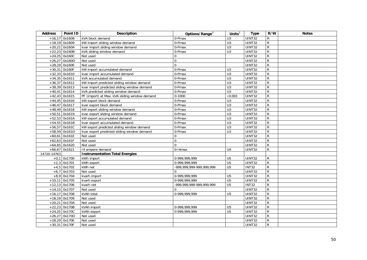| <b>Address</b> | Point ID        | <b>Description</b>                            | Options/Range <sup>3</sup>   | Units $3$        | <b>Type</b>   | R/W            | <b>Notes</b> |
|----------------|-----------------|-----------------------------------------------|------------------------------|------------------|---------------|----------------|--------------|
| $+16,17$       | 0x1608          | kVA block demand                              | 0-Pmax                       | U3               | UINT32        | $\mathsf R$    |              |
|                | $+18,19$ 0x1609 | kW import sliding window demand               | 0-Pmax                       | U3               | UINT32        | $\overline{R}$ |              |
|                | $+20,21$ 0x160A | kvar import sliding window demand             | 0-Pmax                       | U3               | UINT32        | $\overline{R}$ |              |
|                | $+22,23$ 0x160B | kVA sliding window demand                     | 0-Pmax                       | U3               | UINT32        | $\overline{R}$ |              |
|                | $+24,25$ 0x160C | Not used                                      | $\Omega$                     |                  | <b>UINT32</b> | $\overline{R}$ |              |
|                | $+26,27$ 0x160D | Not used                                      | $\mathbf{0}$                 |                  | <b>UINT32</b> | $\overline{R}$ |              |
|                | $+28,29$ 0x160E | Not used                                      | $\overline{0}$               |                  | <b>UINT32</b> | $\overline{R}$ |              |
|                | $+30,31$ 0x160F | kW import accumulated demand                  | 0-Pmax                       | U <sub>3</sub>   | UINT32        | $\overline{R}$ |              |
|                | $+32,33$ 0x1610 | kvar import accumulated demand                | 0-Pmax                       | U3               | UINT32        | $\overline{R}$ |              |
|                | $+34,35$ 0x1611 | kVA accumulated demand                        | 0-Pmax                       | $\overline{U}$ 3 | UINT32        | $\overline{R}$ |              |
|                | $+36,37$ 0x1612 | kW import predicted sliding window demand     | 0-Pmax                       | U3               | UINT32        | ${\sf R}$      |              |
|                | $+38,39$ 0x1613 | kvar import predicted sliding window demand   | 0-Pmax                       | $\overline{U}$ 3 | UINT32        | $\overline{R}$ |              |
|                | $+40,41$ 0x1614 | kVA predicted sliding window demand           | 0-Pmax                       | U3               | UINT32        | $\overline{R}$ |              |
|                | $+42,43$ 0x1615 | PF (import) at Max. kVA sliding window demand | $0 - 1000$                   | $\times 0.001$   | <b>UINT32</b> | $\overline{R}$ |              |
|                | $+44,45$ 0x1616 | kW export block demand                        | 0-Pmax                       | $\overline{U}$ 3 | UINT32        | $\overline{R}$ |              |
|                | $+46,47$ 0x1617 | kvar export block demand                      | 0-Pmax                       | $\overline{U}$   | UINT32        | ${\sf R}$      |              |
|                | $+48,49$ 0x1618 | kW export sliding window demand               | 0-Pmax                       | U3               | UINT32        | $\overline{R}$ |              |
|                | $+50,51$ 0x1619 | kvar export sliding window demand             | 0-Pmax                       | U3               | <b>UINT32</b> | $\overline{R}$ |              |
|                | $+52,53$ 0x161A | kW export accumulated demand                  | 0-Pmax                       | $\overline{U}$ 3 | UINT32        | $\overline{R}$ |              |
|                | $+54,55$ 0x161B | kvar export accumulated demand                | 0-Pmax                       | $\overline{U}$   | UINT32        | $\overline{R}$ |              |
|                | $+56,57$ 0x161C | kW export predicted sliding window demand     | 0-Pmax                       | U3               | UINT32        | $\overline{R}$ |              |
|                | $+58,59$ 0x161D | kvar export predicted sliding window demand   | 0-Pmax                       | $\overline{U}$   | <b>UINT32</b> | $\overline{R}$ |              |
|                | $+60,61$ 0x161E | Not used                                      | $\mathbf 0$                  |                  | UINT32        | $\overline{R}$ |              |
|                | $+62,63$ 0x161F | Not used                                      | $\overline{0}$               |                  | <b>UINT32</b> | $\mathsf{R}$   |              |
|                | $+64,65$ 0x1620 | Not used                                      | $\overline{0}$               |                  | <b>UINT32</b> | ${\sf R}$      |              |
|                | $+66,67$ 0x1621 | 14 ampere demand                              | $0-14$ max                   | U <sub>4</sub>   | UINT32        | ${\sf R}$      |              |
| 14720-14763    |                 | <b>Instrumentation Total Energies</b>         |                              |                  |               |                |              |
|                | $+0,1$ 0x1700   | kWh import                                    | 0-999.999.999                | U <sub>5</sub>   | <b>UINT32</b> | ${\sf R}$      |              |
|                | $+2,3$ 0x1701   | kWh export                                    | 0-999,999,999                | U <sub>5</sub>   | <b>UINT32</b> | ${\sf R}$      |              |
|                | $+4,5$ 0x1702   | kWh net                                       | -999,999,999-999,999,999     | $\overline{U5}$  | <b>INT32</b>  | $\overline{R}$ |              |
| $+6,7$         | 0x1703          | Not used                                      | $\Omega$                     |                  | <b>UINT32</b> | $\overline{R}$ |              |
|                | $+8,9$ 0x1704   | kvarh import                                  | 0-999,999,999                | U <sub>5</sub>   | UINT32        | $\overline{R}$ |              |
|                | $+10,11$ 0x1705 | kvarh export                                  | 0-999,999,999                | U <sub>5</sub>   | UINT32        | ${\sf R}$      |              |
|                | $+12,13$ 0x1706 | kvarh net                                     | -999, 999, 999-999, 999, 999 | $\overline{U5}$  | <b>INT32</b>  | $\overline{R}$ |              |
|                | $+14,15$ 0x1707 | Not used                                      | $\Omega$                     |                  | <b>UINT32</b> | $\overline{R}$ |              |
|                | $+16,17$ 0x1708 | kVAh total                                    | 0-999,999,999                | U <sub>5</sub>   | UINT32        | $\overline{R}$ |              |
|                | $+18,19$ 0x1709 | Not used                                      |                              |                  | <b>UINT32</b> | $\overline{R}$ |              |
|                | $+20,21$ 0x170A | Not used                                      |                              |                  | UINT32        | ${\sf R}$      |              |
|                | $+22,23$ 0x170B | kVAh import                                   | 0-999,999,999                | U <sub>5</sub>   | UINT32        | ${\sf R}$      |              |
|                | $+24,25$ 0x170C | kVAh export                                   | $0-999,999,999$              | $\overline{U5}$  | <b>UINT32</b> | $\overline{R}$ |              |
|                | $+26,27$ 0x170D | Not used                                      |                              |                  | <b>UINT32</b> | $\overline{R}$ |              |
|                | $+28,29$ 0x170E | Not used                                      |                              |                  | UINT32        | ${\sf R}$      |              |
|                | $+30,31$ 0x170F | Not used                                      |                              |                  | UINT32        | ${\sf R}$      |              |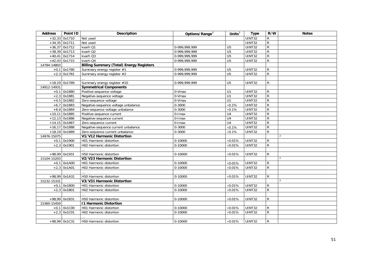| <b>Address</b> | Point ID        | <b>Description</b>                              | Options/Range <sup>3</sup> | Units $3$       | <b>Type</b>   | R/W            | <b>Notes</b> |
|----------------|-----------------|-------------------------------------------------|----------------------------|-----------------|---------------|----------------|--------------|
|                | $+32,33$ 0x1710 | Not used                                        |                            |                 | UINT32        | $\mathsf{R}$   |              |
|                | $+34,35$ 0x1711 | Not used                                        |                            |                 | <b>UINT32</b> | $\overline{R}$ |              |
|                | $+36,37$ 0x1712 | kvarh Q1                                        | 0-999,999,999              | U <sub>5</sub>  | <b>UINT32</b> | $\overline{R}$ |              |
|                | $+38,39$ 0x1713 | kvarh Q2                                        | 0-999,999,999              | $\overline{U5}$ | <b>UINT32</b> | $\overline{R}$ |              |
|                | $+40,41$ 0x1714 | kvarh Q3                                        | 0-999, 999, 999            | $\overline{U5}$ | <b>UINT32</b> | ${\sf R}$      |              |
|                | $+42,43$ 0x1715 | kvarh Q4                                        | 0-999,999,999              | $\overline{U5}$ | <b>UINT32</b> | $\overline{R}$ |              |
| 14784-14803    |                 | <b>Billing Summary (Total) Energy Registers</b> |                            |                 |               |                |              |
|                | $+0,1$ 0x1780   | Summary energy register #1                      | 0-999,999,999              | U <sub>5</sub>  | UINT32        | $\mathsf{R}$   |              |
|                | $+2,3$ 0x1781   | Summary energy register #2                      | 0-999.999.999              | U <sub>5</sub>  | <b>UINT32</b> | $\mathsf{R}$   |              |
|                |                 |                                                 |                            |                 |               |                |              |
|                | $+18,19$ 0x1789 | Summary energy register #10                     | 0-999,999,999              | U <sub>5</sub>  | UINT32        | $\mathsf{R}$   |              |
| 14912-14931    |                 | <b>Symmetrical Components</b>                   |                            |                 |               |                |              |
|                | $+0,1$ 0x1880   | Positive-sequence voltage                       | 0-Vmax                     | U1              | <b>UINT32</b> | $\mathsf{R}$   |              |
|                | $+2,3$ 0x1881   | Negative-sequence voltage                       | 0-Vmax                     | $\overline{U}$  | <b>UINT32</b> | $\overline{R}$ |              |
|                | $+4,5$ 0x1882   | Zero-sequence voltage                           | 0-Vmax                     | U1              | UINT32        | $\overline{R}$ |              |
| $+6,7$         | 0x1883          | Negative-sequence voltage unbalance             | $0 - 3000$                 | $\times 0.1\%$  | <b>UINT32</b> | $\overline{R}$ |              |
|                | $+8,9$ 0x1884   | Zero-sequence voltage unbalance                 | 0-3000                     | $\times 0.1\%$  | <b>UINT32</b> | $\overline{R}$ |              |
|                | $+10,11$ 0x1885 | Positive-sequence current                       | 0-Imax                     | U4              | <b>UINT32</b> | $\overline{R}$ |              |
|                | $+12,13$ 0x1886 | Negative-sequence current                       | $0$ -Imax                  | U <sub>4</sub>  | UINT32        | $\mathsf{R}$   |              |
|                | $+14,15$ 0x1887 | Zero-sequence current                           | $0$ -Imax                  | $\overline{U4}$ | <b>UINT32</b> | ${\sf R}$      |              |
|                | $+16,17$ 0x1888 | Negative-sequence current unbalance             | $0 - 3000$                 | $\times 0.1\%$  | UINT32        | $\mathsf{R}$   |              |
|                | $+18,19$ 0x1889 | Zero-sequence current unbalance                 | $0 - 3000$                 | $\times 0.1\%$  | UINT32        | ${\sf R}$      |              |
| 14976-15075    |                 | V1/V12 Harmonic Distortion                      |                            |                 |               |                | 2            |
|                | $+0,1$ 0x1900   | H01 Harmonic distortion                         | 0-10000                    | $\times 0.01\%$ | UINT32        | ${\sf R}$      |              |
|                | $+2,3$ 0x1901   | H02 Harmonic distortion                         | 0-10000                    | $\times$ 0.01%  | <b>UINT32</b> | R              |              |
|                |                 |                                                 |                            |                 |               |                |              |
|                | +98,99 0x1931   | H50 Harmonic distortion                         | 0-10000                    | $\times 0.01\%$ | UINT32        | $\mathsf{R}$   |              |
| 15104-15203    |                 | V2/V23 Harmonic Distortion                      |                            |                 |               |                | 2            |
|                | $+0,1$ 0x1A00   | H01 Harmonic distortion                         | 0-10000                    | $\times 0.01\%$ | UINT32        | $\mathsf{R}$   |              |
|                | $+2,3$ 0x1A01   | H02 Harmonic distortion                         | 0-10000                    | $\times 0.01\%$ | UINT32        | ${\sf R}$      |              |
|                |                 |                                                 |                            |                 |               |                |              |
|                | +98,99 0x1A31   | H50 Harmonic distortion                         | 0-10000                    | $\times 0.01\%$ | UINT32        | ${\sf R}$      |              |
| 15232-15331    |                 | V3/V31 Harmonic Distortion                      |                            |                 |               |                | 2            |
|                | $+0,1$ 0x1B00   | H01 Harmonic distortion                         | 0-10000                    | $\times 0.01\%$ | UINT32        | ${\sf R}$      |              |
|                | $+2,3$ 0x1B01   | H02 Harmonic distortion                         | $0-10000$                  | $\times 0.01\%$ | UINT32        | ${\sf R}$      |              |
|                |                 |                                                 |                            |                 |               |                |              |
|                | +98,99 0x1B31   | H50 Harmonic distortion                         | 0-10000                    | $\times 0.01\%$ | UINT32        | R              |              |
| 15360-15459    |                 | <b>11 Harmonic Distortion</b>                   |                            |                 |               |                |              |
|                | $+0,1$ 0x1C00   | H01 Harmonic distortion                         | $0-10000$                  | $\times 0.01\%$ | <b>UINT32</b> | ${\sf R}$      |              |
|                | $+2,3$ 0x1C01   | H02 Harmonic distortion                         | 0-10000                    | $\times 0.01\%$ | UINT32        | $\mathsf{R}$   |              |
|                |                 |                                                 |                            |                 |               |                |              |
|                | $+98,99$ 0x1C31 | H50 Harmonic distortion                         | 0-10000                    | $\times 0.01\%$ | UINT32        | R              |              |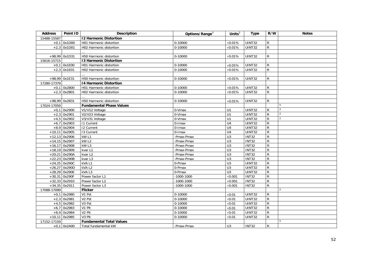| <b>Address</b> | Point ID        | <b>Description</b>              | Options/Range <sup>3</sup> | Units $3$        | <b>Type</b>   | R/W            | <b>Notes</b>   |
|----------------|-----------------|---------------------------------|----------------------------|------------------|---------------|----------------|----------------|
| 15488-15587    |                 | <b>12 Harmonic Distortion</b>   |                            |                  |               |                |                |
| $+0,1$         | 0x1D00          | H01 Harmonic distortion         | 0-10000                    | $\times 0.01\%$  | UINT32        | $\mathsf{R}$   |                |
|                | $+2,3$ 0x1D01   | H02 Harmonic distortion         | 0-10000                    | $\times$ 0.01%   | UINT32        | $\mathsf{R}$   |                |
|                |                 |                                 |                            |                  |               |                |                |
|                | +98,99 0x1D31   | H50 Harmonic distortion         | 0-10000                    | $\times 0.01\%$  | UINT32        | $\mathsf{R}$   |                |
| 15616-15715    |                 | <b>13 Harmonic Distortion</b>   |                            |                  |               |                |                |
|                | $+0,1$ 0x1E00   | H01 Harmonic distortion         | 0-10000                    | $\times 0.01\%$  | UINT32        | R              |                |
|                | $+2,3$ 0x1E01   | H02 Harmonic distortion         | 0-10000                    | $\times$ 0.01%   | UINT32        | $\mathsf{R}$   |                |
|                |                 |                                 |                            |                  |               |                |                |
|                | $+98,99$ 0x1E31 | H50 Harmonic distortion         | 0-10000                    | $\times 0.01\%$  | UINT32        | $\mathsf{R}$   |                |
| 17280-17379    |                 | <b>14 Harmonic Distortion</b>   |                            |                  |               |                |                |
|                | $+0,1$ 0x2B00   | H01 Harmonic distortion         | 0-10000                    | $\times 0.01\%$  | <b>UINT32</b> | $\mathsf{R}$   |                |
|                | $+2,3$ 0x2B01   | H02 Harmonic distortion         | 0-10000                    | $\times$ 0.01%   | UINT32        | $\mathsf{R}$   |                |
|                |                 |                                 |                            |                  |               |                |                |
|                | +98,99 0x2B31   | H50 Harmonic distortion         | 0-10000                    | $\times 0.01\%$  | UINT32        | $\mathsf{R}$   |                |
| 17024-17059    |                 | <b>Fundamental Phase Values</b> |                            |                  |               |                | 5              |
|                | $+0,1$ 0x2900   | V1/V12 Voltage                  | 0-Vmax                     | U1               | <b>UINT32</b> | $\mathsf{R}$   | $\overline{2}$ |
|                | $+2,3$ 0x2901   | V2/V23 Voltage                  | 0-Vmax                     | U1               | UINT32        | $\mathsf{R}$   | 2              |
|                | $+4,5$ 0x2902   | V3/V31 Voltage                  | 0-Vmax                     | U1               | <b>UINT32</b> | ${\sf R}$      | 2              |
|                | $+6,7$ 0x2903   | <b>11 Current</b>               | $0$ -Imax                  | $\overline{U4}$  | <b>UINT32</b> | ${\sf R}$      |                |
|                | $+8,9$ 0x2904   | 12 Current                      | 0-Imax                     | U <sub>4</sub>   | UINT32        | ${\sf R}$      |                |
| $+10,11$       | 0x2905          | 13 Current                      | 0-Imax                     | $\overline{U4}$  | UINT32        | ${\sf R}$      |                |
|                | $+12,13$ 0x2906 | kW L1                           | -Pmax-Pmax                 | $\overline{U}$   | <b>INT32</b>  | $\mathsf{R}$   |                |
|                | $+14,15$ 0x2907 | kW <sub>L2</sub>                | -Pmax-Pmax                 | U3               | INT32         | $\overline{R}$ |                |
|                | $+16,17$ 0x2908 | kW <sub>L3</sub>                | -Pmax-Pmax                 | $\overline{U}$ 3 | <b>INT32</b>  | $\mathsf{R}$   |                |
|                | $+18,19$ 0x2909 | kvar L1                         | -Pmax-Pmax                 | $\overline{U}$   | <b>INT32</b>  | $\mathsf{R}$   |                |
|                | $+20,21$ 0x290A | kvar L2                         | -Pmax-Pmax                 | $\overline{U}$   | <b>INT32</b>  | ${\sf R}$      |                |
|                | $+22,23$ 0x290B | kvar L3                         | -Pmax-Pmax                 | U3               | INT32         | ${\sf R}$      |                |
|                | $+24,25$ 0x290C | kVA L1                          | 0-Pmax                     | $\overline{U}$ 3 | UINT32        | $\overline{R}$ |                |
|                | $+26,27$ 0x290D | kVA L2                          | 0-Pmax                     | U3               | UINT32        | ${\sf R}$      |                |
|                | $+28,29$ 0x290E | kVAL3                           | 0-Pmax                     | U3               | <b>UINT32</b> | ${\sf R}$      |                |
|                | $+30,31$ 0x290F | Power factor L1                 | $-1000 - 1000$             | $\times$ 0.001   | <b>INT32</b>  | ${\sf R}$      |                |
|                | $+32,33$ 0x2910 | Power factor L2                 | $-1000 - 1000$             | $\times$ 0.001   | <b>INT32</b>  | ${\sf R}$      |                |
|                | $+34,35$ 0x2911 | Power factor L3                 | $-1000 - 1000$             | $\times$ 0.001   | <b>INT32</b>  | $\mathsf{R}$   |                |
| 17088-17099    |                 | <b>Flicker</b>                  |                            |                  |               |                | 2              |
|                | $+0,1$ 0x2980   | V1 Pst                          | 0-10000                    | $\times 0.01$    | UINT32        | $\mathsf{R}$   |                |
|                | $+2,3$ 0x2981   | V <sub>2</sub> Pst              | $0 - 10000$                | $\times 0.01$    | UINT32        | ${\sf R}$      |                |
|                | $+4,5$ 0x2982   | V3 Pst                          | 0-10000                    | $\times 0.01$    | <b>UINT32</b> | ${\sf R}$      |                |
|                | $+6,7$ 0x2983   | V1 Plt                          | $0 - 10000$                | $\times 0.01$    | UINT32        | ${\sf R}$      |                |
|                | $+8,9$ 0x2984   | V <sub>2</sub> Plt              | $0 - 10000$                | $\times 0.01$    | UINT32        | ${\sf R}$      |                |
|                | $+10,11$ 0x2985 | V3 Plt                          | 0-10000                    | $\times$ 0.01    | UINT32        | $\mathsf{R}$   |                |
| 17152-17159    |                 | <b>Fundamental Total Values</b> |                            |                  |               |                | 5              |
|                | $+0,1$ 0x2A00   | Total fundamental kW            | -Pmax-Pmax                 | U3               | <b>INT32</b>  | $\mathsf{R}$   |                |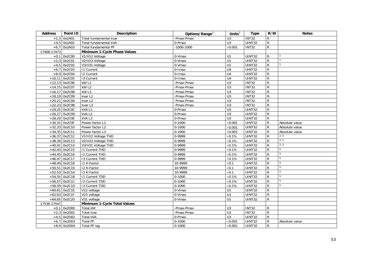| <b>Address</b> | Point ID        | <b>Description</b>           | Options/Range <sup>3</sup> | Units $3$        | <b>Type</b>   | R/W            | <b>Notes</b>   |
|----------------|-----------------|------------------------------|----------------------------|------------------|---------------|----------------|----------------|
| $+2,3$         | 0x2A01          | Total fundamental kvar       | -Pmax-Pmax                 | U <sub>3</sub>   | <b>INT32</b>  | $\mathsf{R}$   |                |
|                | $+4,5$ 0x2A02   | Total fundamental kVA        | 0-Pmax                     | U3               | <b>UINT32</b> | ${\sf R}$      |                |
|                | $+6,7$ 0x2A03   | Total fundamental PF         | $-1000 - 1000$             | $\times 0.001$   | <b>INT32</b>  | $\mathsf{R}$   |                |
| 17408-17473    |                 | Minimum 1-Cycle Phase Values |                            |                  |               |                |                |
|                | $+0,1$ 0x2C00   | V1/V12 Voltage               | 0-Vmax                     | U1               | UINT32        | $\mathsf{R}$   |                |
|                | $+2,3$ 0x2C01   | V2/V23 Voltage               | $0-Vmax$                   | U1               | <b>UINT32</b> | ${\sf R}$      | $\mathbf{1}$   |
|                | $+4,5$ 0x2C02   | V3/V31 Voltage               | 0-Vmax                     | U1               | <b>UINT32</b> | ${\sf R}$      |                |
| $+6,7$         | 0x2C03          | <b>11 Current</b>            | 0-Imax                     | U <sub>4</sub>   | <b>UINT32</b> | ${\sf R}$      |                |
|                | $+8,9$ 0x2C04   | <b>I2 Current</b>            | $0$ - $l$ max              | U <sub>4</sub>   | <b>UINT32</b> | $\overline{R}$ |                |
|                | $+10,11$ 0x2C05 | 13 Current                   | 0-Imax                     | $\overline{U4}$  | UINT32        | ${\sf R}$      |                |
|                | $+12,13$ 0x2C06 | kWL1                         | -Pmax-Pmax                 | U3               | INT32         | ${\sf R}$      |                |
|                | $+14,15$ 0x2C07 | kW <sub>L2</sub>             | -Pmax-Pmax                 | U3               | <b>INT32</b>  | $\overline{R}$ |                |
|                | $+16,17$ 0x2C08 | kW <sub>L3</sub>             | -Pmax-Pmax                 | U3               | INT32         | $\overline{R}$ |                |
|                | $+18,19$ 0x2C09 | kvar L1                      | -Pmax-Pmax                 | U3               | INT32         | $\overline{R}$ |                |
|                | $+20,21$ 0x2COA | kvar L2                      | -Pmax-Pmax                 | U3               | <b>INT32</b>  | ${\sf R}$      |                |
|                | $+22,23$ 0x2C0B | kvar L3                      | -Pmax-Pmax                 | $\overline{U}$ 3 | <b>INT32</b>  | ${\sf R}$      |                |
|                | $+24,25$ 0x2COC | kVA L1                       | 0-Pmax                     | U3               | UINT32        | $\overline{R}$ |                |
|                | $+26,27$ 0x2COD | kVA L2                       | 0-Pmax                     | U3               | <b>UINT32</b> | $\overline{R}$ |                |
|                | $+28,29$ Ox2COE | kVA L3                       | 0-Pmax                     | $\overline{U}3$  | UINT32        | ${\sf R}$      |                |
|                | $+30,31$ 0x2C0F | Power factor L1              | $0 - 1000$                 | $\times$ 0.001   | UINT32        | ${\sf R}$      | Absolute value |
|                | $+32,33$ 0x2C10 | Power factor L2              | $0 - 1000$                 | $\times$ 0.001   | <b>UINT32</b> | ${\sf R}$      | Absolute value |
|                | $+34,35$ 0x2C11 | Power factor L3              | $0 - 1000$                 | $\times 0.001$   | <b>UINT32</b> | ${\sf R}$      | Absolute value |
|                | $+36,37$ 0x2C12 | V1/V12 Voltage THD           | 0-9999                     | $\times$ 0.1%    | <b>UINT32</b> | ${\sf R}$      | 2, 5           |
|                | $+38,39$ 0x2C13 | V2/V23 Voltage THD           | 0-9999                     | $\times 0.1\%$   | <b>UINT32</b> | ${\sf R}$      | 2, 5           |
|                | $+40,41$ 0x2C14 | V3/V31 Voltage THD           | 0-9999                     | $\times 0.1\%$   | UINT32        | $\overline{R}$ | 2, 5           |
|                | $+42,43$ 0x2C15 | <b>11 Current THD</b>        | 0-9999                     | $\times 0.1\%$   | UINT32        | ${\sf R}$      | 5              |
|                | $+44,45$ 0x2C16 | 12 Current THD               | 0-9999                     | $\times$ 0.1%    | <b>UINT32</b> | ${\sf R}$      | 5              |
|                | $+46,47$ 0x2C17 | 13 Current THD               | 0-9999                     | $\times 0.1\%$   | <b>UINT32</b> | $\overline{R}$ | 5              |
|                | $+48,49$ 0x2C18 | 11 K-Factor                  | 10-9999                    | $\times 0.1$     | <b>UINT32</b> | $\mathsf{R}$   | 5              |
|                | $+50,51$ 0x2C19 | 12 K-Factor                  | 10-9999                    | $\times 0.1$     | <b>UINT32</b> | ${\sf R}$      | 5              |
|                | $+52,53$ 0x2C1A | 13 K-Factor                  | 10-9999                    | $\times 0.1$     | <b>UINT32</b> | $\overline{R}$ | $\overline{5}$ |
|                | $+54,55$ 0x2C1B | <b>11 Current TDD</b>        | $0 - 1000$                 | $\times 0.1\%$   | <b>UINT32</b> | ${\sf R}$      | 5              |
|                | +56,57 0x2C1C   | 12 Current TDD               | $0 - 1000$                 | $\times$ 0.1%    | UINT32        | ${\sf R}$      | 5              |
|                | $+58,59$ 0x2C1D | 13 Current TDD               | $0-1000$                   | $\times$ 0.1%    | <b>UINT32</b> | $\overline{R}$ | 5              |
|                | $+60,61$ 0x2C1E | V12 voltage                  | 0-Vmax                     | $\overline{U1}$  | <b>UINT32</b> | ${\sf R}$      |                |
|                | $+62,63$ 0x2C1F | V23 voltage                  | 0-Vmax                     | $\overline{U}$   | <b>UINT32</b> | ${\sf R}$      |                |
|                | $+64,65$ 0x2C20 | V31 voltage                  | 0-Vmax                     | U1               | <b>UINT32</b> | $\overline{R}$ |                |
| 17536-17547    |                 | Minimum 1-Cycle Total Values |                            |                  |               |                |                |
|                | $+0,1$ 0x2D00   | Total kW                     | -Pmax-Pmax                 | U3               | <b>INT32</b>  | $\mathsf{R}$   |                |
|                | $+2,3$ 0x2D01   | Total kvar                   | -Pmax-Pmax                 | $\overline{U}$ 3 | <b>INT32</b>  | ${\sf R}$      |                |
|                | $+4,5$ 0x2D02   | <b>Total kVA</b>             | 0-Pmax                     | $\overline{U}$ 3 | UINT32        | ${\sf R}$      |                |
|                | $+6,7$ 0x2D03   | Total PF                     | $0 - 1000$                 | $\times$ 0.001   | <b>UINT32</b> | $\mathsf{R}$   | Absolute value |
|                | $+8,9$ 0x2D04   | Total PF lag                 | $0 - 1000$                 | $\times 0.001$   | <b>UINT32</b> | $\mathsf{R}$   |                |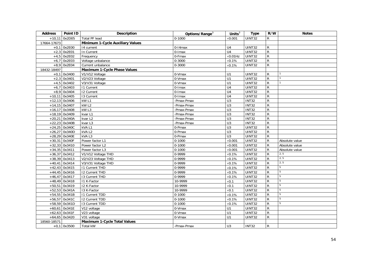| <b>Address</b> | Point ID        | <b>Description</b>                  | Options/Range <sup>3</sup> | Units $\overline{3}$ | <b>Type</b>   | R/W            | <b>Notes</b>   |
|----------------|-----------------|-------------------------------------|----------------------------|----------------------|---------------|----------------|----------------|
| $+10,11$       | 0x2D05          | Total PF lead                       | $0 - 1000$                 | $\times$ 0.001       | UINT32        | $\mathsf{R}$   |                |
| 17664-17673    |                 | Minimum 1-Cycle Auxiliary Values    |                            |                      |               |                |                |
|                | $+0,1$ 0x2E00   | 14 current                          | $0-14$ max                 | U <sub>4</sub>       | UINT32        | $\mathsf{R}$   |                |
|                | $+2,3$ 0x2E01   | In Current                          | 0-Imax                     | U <sub>4</sub>       | <b>UINT32</b> | $\overline{R}$ |                |
| $+4,5$         | 0x2E02          | Frequency                           | 0-Fmax                     | $\times$ 0.01Hz      | <b>UINT32</b> | ${\sf R}$      |                |
| $+6,7$         | 0x2E03          | Voltage unbalance                   | $0 - 3000$                 | $\times 0.1\%$       | <b>UINT32</b> | $\overline{R}$ |                |
|                | $+8,9$ 0x2E04   | Current unbalance                   | $0 - 3000$                 | $\times 0.1\%$       | <b>UINT32</b> | $\overline{R}$ |                |
| 18432-18497    |                 | Maximum 1-Cycle Phase Values        |                            |                      |               |                |                |
|                | $+0,1$ 0x3400   | V1/V12 Voltage                      | 0-Vmax                     | U1                   | UINT32        | ${\sf R}$      |                |
|                | $+2,3$ 0x3401   | V2/V23 Voltage                      | 0-Vmax                     | U1                   | UINT32        | $\overline{R}$ |                |
| $+4,5$         | 0x3402          | V3/V31 Voltage                      | 0-Vmax                     | U1                   | <b>UINT32</b> | ${\sf R}$      |                |
| $+6,7$         | 0x3403          | <b>11 Current</b>                   | $0$ -Imax                  | $\overline{U4}$      | UINT32        | $\overline{R}$ |                |
|                | $+8,9$ 0x3404   | <b>I2 Current</b>                   | 0-Imax                     | $\overline{U4}$      | <b>UINT32</b> | ${\sf R}$      |                |
|                | $+10,11$ 0x3405 | 13 Current                          | $0$ - $l$ max              | U4                   | UINT32        | $\overline{R}$ |                |
|                | $+12,13$ 0x3406 | kW <sub>L1</sub>                    | -Pmax-Pmax                 | $\overline{U}$       | <b>INT32</b>  | $\overline{R}$ |                |
|                | $+14,15$ 0x3407 | kW L2                               | -Pmax-Pmax                 | $\overline{U}$       | INT32         | ${\sf R}$      |                |
|                | $+16,17$ 0x3408 | kW <sub>L3</sub>                    | -Pmax-Pmax                 | $\overline{U}$       | <b>INT32</b>  | ${\sf R}$      |                |
|                | $+18,19$ 0x3409 | kvar L1                             | -Pmax-Pmax                 | $\overline{U}$       | INT32         | $\overline{R}$ |                |
|                | $+20,21$ 0x340A | kvar L2                             | -Pmax-Pmax                 | $\overline{U}$       | <b>INT32</b>  | ${\sf R}$      |                |
|                | $+22,23$ 0x340B | kvar L3                             | -Pmax-Pmax                 | $\overline{U}$       | INT32         | $\overline{R}$ |                |
|                | $+24,25$ 0x340C | kVAL1                               | 0-Pmax                     | U3                   | <b>UINT32</b> | $\overline{R}$ |                |
|                | $+26,27$ 0x340D | kVA L2                              | 0-Pmax                     | U3                   | UINT32        | ${\sf R}$      |                |
|                | +28,29 0x340E   | kVAL3                               | 0-Pmax                     | $\overline{U}$       | UINT32        | ${\sf R}$      |                |
|                | $+30,31$ 0x340F | Power factor L1                     | $0 - 1000$                 | $\times$ 0.001       | <b>UINT32</b> | ${\sf R}$      | Absolute value |
|                | $+32,33$ 0x3410 | Power factor L2                     | $0 - 1000$                 | $\times$ 0.001       | <b>UINT32</b> | ${\sf R}$      | Absolute value |
|                | $+34,35$ 0x3411 | Power factor L3                     | $0 - 1000$                 | $\times$ 0.001       | UINT32        | $\overline{R}$ | Absolute value |
|                | $+36,37$ 0x3412 | V1/V12 Voltage THD                  | 0-9999                     | $\times 0.1\%$       | <b>UINT32</b> | $\overline{R}$ | 2, 5           |
|                | $+38,39$ 0x3413 | V2/V23 Voltage THD                  | 0-9999                     | $\times$ 0.1%        | <b>UINT32</b> | $\overline{R}$ | 2, 5           |
|                | $+40,41$ 0x3414 | V3/V31 Voltage THD                  | 0-9999                     | $\times 0.1\%$       | UINT32        | $\overline{R}$ | 2, 5           |
|                | $+42,43$ 0x3415 | <b>11 Current THD</b>               | 0-9999                     | $\times 0.1\%$       | UINT32        | ${\sf R}$      | 5              |
|                | $+44,45$ 0x3416 | <b>12 Current THD</b>               | 0-9999                     | $\times 0.1\%$       | <b>UINT32</b> | ${\sf R}$      | 5              |
|                | $+46,47$ 0x3417 | 13 Current THD                      | 0-9999                     | $\times 0.1\%$       | <b>UINT32</b> | $\overline{R}$ | 5              |
|                | $+48,49$ 0x3418 | 11 K-Factor                         | 10-9999                    | $\times 0.1$         | <b>UINT32</b> | $\overline{R}$ | 5              |
|                | $+50,51$ 0x3419 | I2 K-Factor                         | 10-9999                    | $\times 0.1$         | <b>UINT32</b> | $\overline{R}$ | 5              |
|                | $+52,53$ 0x341A | 13 K-Factor                         | 10-9999                    | $\times$ 0.1         | <b>UINT32</b> | $\overline{R}$ | 5              |
|                | $+54,55$ 0x341B | <b>11 Current TDD</b>               | $0 - 1000$                 | $\times 0.1\%$       | UINT32        | $\overline{R}$ | 5              |
|                | $+56,57$ 0x341C | 12 Current TDD                      | $0 - 1000$                 | $\times 0.1\%$       | UINT32        | ${\sf R}$      | 5              |
|                | $+58,59$ 0x341D | 13 Current TDD                      | $0 - 1000$                 | $\times 0.1\%$       | <b>UINT32</b> | ${\sf R}$      | 5              |
|                | $+60,61$ 0x341E | V12 voltage                         | 0-Vmax                     | U1                   | <b>UINT32</b> | ${\sf R}$      |                |
|                | $+62,63$ 0x341F | V23 voltage                         | 0-Vmax                     | U1                   | UINT32        | ${\sf R}$      |                |
|                | $+64,65$ 0x3420 | V31 voltage                         | $0-Vmax$                   | U1                   | UINT32        | ${\sf R}$      |                |
| 18560-18571    |                 | <b>Maximum 1-Cycle Total Values</b> |                            |                      |               |                |                |
|                | $+0,1$ 0x3500   | Total kW                            | -Pmax-Pmax                 | U3                   | <b>INT32</b>  | ${\sf R}$      |                |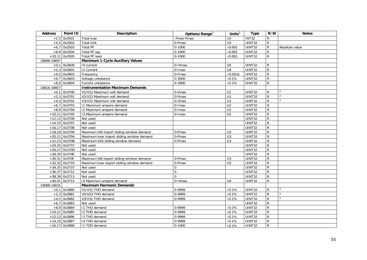| <b>Address</b> | Point ID        | <b>Description</b>                        | Options/Range <sup>3</sup> | Units $3\overline{3}$ | <b>Type</b>   | R/W            | <b>Notes</b>   |
|----------------|-----------------|-------------------------------------------|----------------------------|-----------------------|---------------|----------------|----------------|
| $+2,3$         | 0x3501          | Total kvar                                | Pmax-Pmax                  | $\overline{U}$ 3      | <b>INT32</b>  | ${\sf R}$      |                |
| $+4,5$         | 0x3502          | Total kVA                                 | 0-Pmax                     | $\overline{U}$ 3      | UINT32        | $\mathsf{R}$   |                |
|                | $+6,7$ 0x3503   | <b>Total PF</b>                           | $0 - 1000$                 | $\times$ 0.001        | UINT32        | $\mathsf{R}$   | Absolute value |
|                | $+8,9$ 0x3504   | <b>Total PF lag</b>                       | $0 - 1000$                 | $\times$ 0.001        | UINT32        | $\mathsf{R}$   |                |
| $+10,11$       | 0x3505          | <b>Total PF lead</b>                      | $0 - 1000$                 | $\times$ 0.001        | UINT32        | $\mathsf{R}$   |                |
| 18688-18697    |                 | <b>Maximum 1-Cycle Auxiliary Values</b>   |                            |                       |               |                |                |
|                | $+0,1$ 0x3600   | 14 current                                | $0-14$ max                 | U <sub>4</sub>        | UINT32        | $\mathsf{R}$   |                |
| $+2,3$         | 0x3601          | In Current                                | $0$ -Imax                  | U <sub>4</sub>        | UINT32        | $\overline{R}$ |                |
| $+4,5$         | 0x3602          | Frequency                                 | 0-Fmax                     | $\times$ 0.01Hz       | UINT32        | ${\sf R}$      |                |
| $+6,7$         | 0x3603          | Voltage unbalance                         | $0 - 3000$                 | $\times 0.1\%$        | UINT32        | ${\sf R}$      |                |
|                | $+8,9$ 0x3604   | Current unbalance                         | $0 - 3000$                 | $\times 0.1\%$        | UINT32        | $\mathsf{R}$   |                |
| 18816-18857    |                 | <b>Instrumentation Maximum Demands</b>    |                            |                       |               |                |                |
|                | $+0,1$ 0x3700   | V1/V12 Maximum volt demand                | 0-Vmax                     | U1                    | UINT32        | R              | 2              |
|                | $+2,3$ 0x3701   | V2/V23 Maximum volt demand                | 0-Vmax                     | $\overline{U}$ 1      | <b>UINT32</b> | $\mathsf{R}$   | $\mathcal{L}$  |
|                | $+4,5$ 0x3702   | V3/V31 Maximum volt demand                | 0-Vmax                     | $\overline{U}$ 1      | <b>UINT32</b> | $\overline{R}$ | $\overline{2}$ |
| $+6.7$         | 0x3703          | 11 Maximum ampere demand                  | 0-Imax                     | $\overline{U2}$       | UINT32        | $\overline{R}$ |                |
|                | $+8,9$ 0x3704   | 12 Maximum ampere demand                  | $0$ - $l$ max              | U <sub>2</sub>        | UINT32        | $\overline{R}$ |                |
|                | $+10,11$ 0x3705 | 13 Maximum ampere demand                  | 0-Imax                     | $\overline{U2}$       | UINT32        | $\overline{R}$ |                |
|                | $+12,13$ 0x3706 | Not used                                  |                            |                       | UINT32        | ${\sf R}$      |                |
|                | +14,15 0x3707   | Not used                                  |                            |                       | UINT32        | $\overline{R}$ |                |
|                | $+16,17$ 0x3708 | Not used                                  |                            |                       | UINT32        | $\overline{R}$ |                |
|                | $+18,19$ 0x3709 | Maximum kW import sliding window demand   | 0-Pmax                     | U <sub>3</sub>        | UINT32        | $\overline{R}$ |                |
|                | $+20,21$ 0x370A | Maximum kvar import sliding window demand | 0-Pmax                     | $\overline{U}$ 3      | UINT32        | $\overline{R}$ |                |
|                | $+22,23$ 0x370B | Maximum kVA sliding window demand         | 0-Pmax                     | $\overline{U}$ 3      | UINT32        | ${\sf R}$      |                |
|                | $+24,25$ 0x3737 | Not used                                  |                            |                       | UINT32        | $\overline{R}$ |                |
|                | $+26,27$ 0x370D | Not used                                  |                            |                       | UINT32        | $\overline{R}$ |                |
|                | $+28,29$ 0x370E | Not used                                  |                            |                       | UINT32        | $\overline{R}$ |                |
|                | +30,31 0x370F   | Maximum kW export sliding window demand   | 0-Pmax                     | U <sub>3</sub>        | UINT32        | ${\sf R}$      |                |
|                | $+32,33$ 0x3710 | Maximum kvar export sliding window demand | 0-Pmax                     | $\overline{U}$ 3      | UINT32        | $\mathsf{R}$   |                |
|                | $+34,35$ 0x3737 | Not used                                  | $\Omega$                   |                       | UINT32        | $\overline{R}$ |                |
|                | $+36,37$ 0x3712 | Not used                                  | $\Omega$                   |                       | UINT32        | $\overline{R}$ |                |
|                | $+38,39$ 0x3713 | Not used                                  | $\Omega$                   |                       | UINT32        | $\mathsf{R}$   |                |
|                | $+40,41$ 0x3714 | 14 Maximum ampere demand                  | $0-14$ max                 | U <sub>4</sub>        | UINT32        | ${\sf R}$      |                |
| 19008-19031    |                 | <b>Maximum Harmonic Demands</b>           |                            |                       |               |                |                |
|                | $+0,1$ 0x3880   | V1/V12 THD demand                         | 0-9999                     | $\times 0.1\%$        | UINT32        | $\mathsf{R}$   | $\overline{2}$ |
| $+2,3$         | 0x3881          | V2/V23 THD demand                         | 0-9999                     | $\times 0.1\%$        | UINT32        | $\mathsf{R}$   | $\mathcal{P}$  |
| $+4,5$         | 0x3882          | V3/V31 THD demand                         | 0-9999                     | $\times 0.1\%$        | UINT32        | $\mathsf{R}$   | $\mathfrak{D}$ |
| $+6,7$         | 0x3883          | Not used                                  |                            |                       | UINT32        | $\mathsf{R}$   |                |
|                | $+8,9$ 0x3884   | I1 THD demand                             | 0-9999                     | $\times 0.1\%$        | UINT32        | $\overline{R}$ |                |
| $+10,11$       | 0x3885          | I2 THD demand                             | 0-9999                     | $\times 0.1\%$        | UINT32        | $\overline{R}$ |                |
|                | $+12,13$ 0x3886 | 13 THD demand                             | 0-9999                     | $\times 0.1\%$        | UINT32        | $\overline{R}$ |                |
|                | $+14,15$ 0x3887 | 14 THD demand                             | 0-9999                     | $\times 0.1\%$        | UINT32        | $\overline{R}$ |                |
|                | $+16,17$ 0x3888 | 11 TDD demand                             | $0 - 1000$                 | $\times 0.1\%$        | UINT32        | $\mathsf{R}$   |                |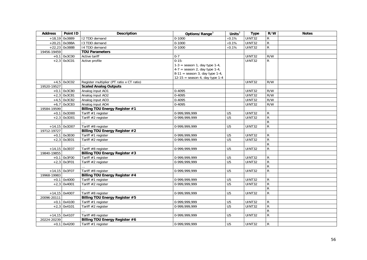| <b>Address</b> | Point ID        | Description                               | Options/Range <sup>3</sup>       | Units $3$       | <b>Type</b>   | R/W            | <b>Notes</b> |
|----------------|-----------------|-------------------------------------------|----------------------------------|-----------------|---------------|----------------|--------------|
|                | $+18,19$ 0x3889 | 12 TDD demand                             | $0 - 1000$                       | $\times 0.1\%$  | <b>UINT32</b> | R              |              |
|                | $+20,21$ 0x388A | 13 TDD demand                             | $0 - 1000$                       | $\times 0.1\%$  | UINT32        | $\mathsf{R}$   |              |
|                | $+22,23$ 0x388B | 14 TDD demand                             | $0 - 1000$                       | $\times 0.1\%$  | <b>UINT32</b> | $\mathsf{R}$   |              |
| 19456-19459    |                 | <b>TOU Parameters</b>                     |                                  |                 |               |                |              |
|                | $+0,1$ 0x3C00   | Active tariff                             | $0 - 7$                          |                 | <b>UINT32</b> | R/W            |              |
|                | $+2,3$ 0x3C01   | Active profile                            | $0 - 15$ :                       |                 | UINT32        | $\mathsf{R}$   |              |
|                |                 |                                           | $1-3$ = season 1, day type 1-4,  |                 |               |                |              |
|                |                 |                                           | $4-7$ = season 2, day type 1-4,  |                 |               |                |              |
|                |                 |                                           | $8-11$ = season 3, day type 1-4, |                 |               |                |              |
|                |                 |                                           | $12-15$ = season 4, day type 1-4 |                 |               |                |              |
|                | $+4,5$ 0x3C02   | Register multiplier (PT ratio x CT ratio) |                                  |                 | <b>UINT32</b> | R/W            |              |
| 19520-19527    |                 | <b>Scaled Analog Outputs</b>              |                                  |                 |               |                |              |
|                | $+0,1$ 0x3C80   | Analog input AO1                          | 0-4095                           |                 | <b>UINT32</b> | R/W            |              |
|                | $+2,3$ 0x3C81   | Analog input AO2                          | 0-4095                           |                 | <b>UINT32</b> | R/W            |              |
|                | $+4,5$ 0x3C82   | Analog input AO3                          | 0-4095                           |                 | <b>UINT32</b> | R/W            |              |
|                | $+6,7$ 0x3C83   | Analog input AO4                          | 0-4095                           |                 | UINT32        | R/W            |              |
| 19584-19599    |                 | <b>Billing TOU Energy Register #1</b>     |                                  |                 |               |                |              |
| $+0,1$         | 0x3D00          | Tariff #1 register                        | 0-999,999,999                    | U <sub>5</sub>  | <b>UINT32</b> | R              |              |
|                | $+2,3$ 0x3D01   | Tariff #2 register                        | 0-999,999,999                    | U <sub>5</sub>  | UINT32        | $\mathsf{R}$   |              |
|                |                 |                                           |                                  |                 |               | R              |              |
|                | $+14,15$ 0x3D07 | Tariff #8 register                        | 0-999,999,999                    | U <sub>5</sub>  | <b>UINT32</b> | $\mathsf{R}$   |              |
| 19712-19727    |                 | Billing TOU Energy Register #2            |                                  |                 |               |                |              |
|                | $+0,1$ 0x3E00   | Tariff #1 register                        | 0-999,999,999                    | U <sub>5</sub>  | <b>UINT32</b> | $\mathsf{R}$   |              |
|                | $+2,3$ 0x3E01   | Tariff #2 register                        | 0-999,999,999                    | U <sub>5</sub>  | UINT32        | $\mathsf{R}$   |              |
|                |                 |                                           |                                  |                 |               | $\mathsf{R}$   |              |
|                | +14,15 0x3E07   | Tariff #8 register                        | 0-999,999,999                    | U <sub>5</sub>  | UINT32        | ${\sf R}$      |              |
| 19840-19855    |                 | Billing TOU Energy Register #3            |                                  |                 |               |                |              |
|                | $+0,1$ 0x3F00   | Tariff #1 register                        | $0-999,999,999$                  | U <sub>5</sub>  | UINT32        | R              |              |
|                | $+2,3$ 0x3F01   | Tariff #2 register                        | 0-999,999,999                    | $\overline{U5}$ | <b>UINT32</b> | ${\sf R}$      |              |
|                |                 |                                           |                                  |                 |               | $\mathsf{R}$   |              |
|                | $+14,15$ 0x3F07 | Tariff #8 register                        | 0-999,999,999                    | U <sub>5</sub>  | <b>UINT32</b> | ${\sf R}$      |              |
| 19968-19983    |                 | Billing TOU Energy Register #4            |                                  |                 |               |                |              |
|                | $+0,1$ 0x4000   | Tariff #1 register                        | 0-999,999,999                    | U <sub>5</sub>  | <b>UINT32</b> | $\mathsf{R}$   |              |
|                | $+2,3$ 0x4001   | Tariff $#2$ register                      | 0-999,999,999                    | U <sub>5</sub>  | <b>UINT32</b> | $\mathsf{R}$   |              |
|                |                 |                                           |                                  |                 |               | $\mathsf{R}$   |              |
|                | $+14,15$ 0x4007 | Tariff #8 register                        | 0-999,999,999                    | U <sub>5</sub>  | UINT32        | ${\sf R}$      |              |
| 20096-20111    |                 | <b>Billing TOU Energy Register #5</b>     |                                  |                 |               |                |              |
|                | $+0,1$ 0x4100   | Tariff #1 register                        | 0-999,999,999                    | U <sub>5</sub>  | UINT32        | R              |              |
|                | $+2,3$ 0x4101   | Tariff #2 register                        | 0-999,999,999                    | U <sub>5</sub>  | <b>UINT32</b> | ${\sf R}$      |              |
|                |                 |                                           |                                  |                 |               | $\mathsf{R}$   |              |
|                | $+14,15$ 0x4107 | Tariff #8 register                        | 0-999,999,999                    | U <sub>5</sub>  | <b>UINT32</b> | $\overline{R}$ |              |
| 20224-20239    |                 | <b>Billing TOU Energy Register #6</b>     |                                  |                 |               |                |              |
|                | $+0,1$ 0x4200   | Tariff #1 register                        | 0-999.999.999                    | U <sub>5</sub>  | <b>UINT32</b> | R              |              |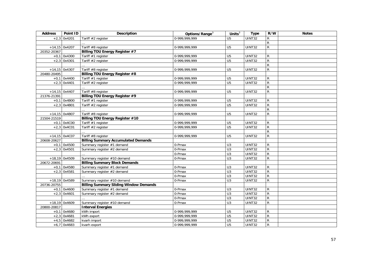| <b>Address</b> | Point ID        | <b>Description</b>                            | Options/Range <sup>3</sup> | Units $3$        | <b>Type</b>   | R/W            | <b>Notes</b> |
|----------------|-----------------|-----------------------------------------------|----------------------------|------------------|---------------|----------------|--------------|
|                | $+2,3$ 0x4201   | Tariff #2 register                            | 0-999,999,999              | U <sub>5</sub>   | UINT32        | R              |              |
|                |                 |                                               |                            |                  |               | ${\sf R}$      |              |
|                | $+14,15$ 0x4207 | Tariff #8 register                            | 0-999,999,999              | U <sub>5</sub>   | UINT32        | ${\sf R}$      |              |
| 20352-20367    |                 | <b>Billing TOU Energy Register #7</b>         |                            |                  |               |                |              |
|                | $+0,1$ 0x4300   | Tariff #1 register                            | 0-999,999,999              | U <sub>5</sub>   | <b>UINT32</b> | R              |              |
|                | $+2,3$ 0x4301   | Tariff #2 register                            | 0-999,999,999              | U <sub>5</sub>   | <b>UINT32</b> | ${\sf R}$      |              |
|                |                 |                                               |                            |                  |               | ${\sf R}$      |              |
|                | $+14,15$ 0x4307 | Tariff #8 register                            | 0-999,999,999              | U <sub>5</sub>   | <b>UINT32</b> | $\mathsf{R}$   |              |
| 20480-20495    |                 | Billing TOU Energy Register #8                |                            |                  |               |                |              |
|                | $+0,1$ 0x4400   | Tariff #1 register                            | 0-999,999,999              | U <sub>5</sub>   | <b>UINT32</b> | R              |              |
|                | $+2,3$ 0x4401   | Tariff #2 register                            | 0-999, 999, 999            | U <sub>5</sub>   | <b>UINT32</b> | $\overline{R}$ |              |
|                |                 |                                               |                            |                  |               | ${\sf R}$      |              |
|                | $+14,15$ 0x4407 | Tariff #8 register                            | 0-999,999,999              | U <sub>5</sub>   | UINT32        | ${\sf R}$      |              |
| 21376-21391    |                 | <b>Billing TOU Energy Register #9</b>         |                            |                  |               |                |              |
|                | $+0,1$ 0x4B00   | Tariff #1 register                            | 0-999,999,999              | U <sub>5</sub>   | <b>UINT32</b> | R              |              |
|                | $+2,3$ 0x4B01   | Tariff #2 register                            | 0-999,999,999              | U <sub>5</sub>   | <b>UINT32</b> | ${\sf R}$      |              |
|                |                 |                                               |                            |                  |               | ${\sf R}$      |              |
|                | $+14,15$ 0x4B07 | Tariff #8 register                            | 0-999,999,999              | U <sub>5</sub>   | <b>UINT32</b> | $\mathsf{R}$   |              |
| 21504-21519    |                 | <b>Billing TOU Energy Register #10</b>        |                            |                  |               |                |              |
|                | $+0,1$ 0x4C00   | Tariff #1 register                            | 0-999,999,999              | U <sub>5</sub>   | <b>UINT32</b> | R              |              |
|                | $+2,3$ 0x4C01   | Tariff #2 register                            | 0-999,999,999              | U <sub>5</sub>   | UINT32        | $\mathsf{R}$   |              |
|                |                 |                                               |                            |                  |               | ${\sf R}$      |              |
|                | $+14,15$ 0x4C07 | Tariff #8 register                            | 0-999,999,999              | U <sub>5</sub>   | UINT32        | ${\sf R}$      |              |
| 20608-20627    |                 | <b>Billing Summary Accumulated Demands</b>    |                            |                  |               |                |              |
|                | $+0,1$ 0x4500   | Summary register #1 demand                    | 0-Pmax                     | U <sub>3</sub>   | UINT32        | $\mathsf{R}$   |              |
|                | $+2,3$ 0x4501   | Summary register #2 demand                    | 0-Pmax                     | $\overline{U}$ 3 | <b>UINT32</b> | $\overline{R}$ |              |
|                |                 |                                               | 0-Pmax                     | U3               | <b>UINT32</b> | $\overline{R}$ |              |
|                | $+18,19$ 0x4509 | Summary register #10 demand                   | 0-Pmax                     | U <sub>3</sub>   | UINT32        | $\overline{R}$ |              |
| 20672-20691    |                 | <b>Billing Summary Block Demands</b>          |                            |                  |               |                |              |
|                | $+0,1$ 0x4580   | Summary register #1 demand                    | 0-Pmax                     | U <sub>3</sub>   | <b>UINT32</b> | $\mathsf{R}$   |              |
|                | $+2,3$ 0x4581   | Summary register #2 demand                    | 0-Pmax                     | U3               | <b>UINT32</b> | $\overline{R}$ |              |
|                |                 |                                               | 0-Pmax                     | U3               | <b>UINT32</b> | ${\sf R}$      |              |
|                | $+18,19$ 0x4589 | Summary register #10 demand                   | 0-Pmax                     | U <sub>3</sub>   | UINT32        | ${\sf R}$      |              |
| 20736-20755    |                 | <b>Billing Summary Sliding Window Demands</b> |                            |                  |               |                |              |
|                | $+0,1$ 0x4600   | Summary register #1 demand                    | 0-Pmax                     | $\overline{U}$ 3 | <b>UINT32</b> | $\mathsf{R}$   |              |
|                | $+2,3$ 0x4601   | Summary register #2 demand                    | 0-Pmax                     | $\overline{U}$   | <b>UINT32</b> | $\overline{R}$ |              |
|                |                 |                                               | 0-Pmax                     | U3               | <b>UINT32</b> | $\mathsf R$    |              |
|                | $+18,19$ 0x4609 | Summary register #10 demand                   | 0-Pmax                     | U3               | <b>UINT32</b> | $\mathsf{R}$   |              |
| 20800-20817    |                 | <b>Interval Energies</b>                      |                            |                  |               |                |              |
|                | $+0,1$ 0x4680   | kWh import                                    | 0-999,999,999              | U <sub>5</sub>   | <b>UINT32</b> | R              |              |
|                | $+2,3$ 0x4681   | kWh export                                    | 0-999,999,999              | U <sub>5</sub>   | <b>UINT32</b> | $\overline{R}$ |              |
|                | $+4,5$ 0x4682   | kvarh import                                  | 0-999,999,999              | U <sub>5</sub>   | <b>UINT32</b> | $\overline{R}$ |              |
|                | $+6,7$ 0x4683   | kvarh export                                  | 0-999.999.999              | U <sub>5</sub>   | <b>UINT32</b> | ${\sf R}$      |              |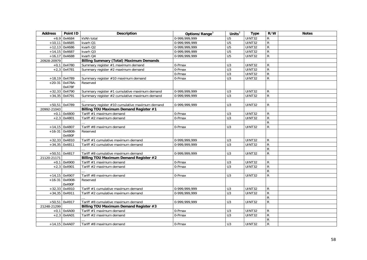| <b>Address</b> | Point ID         | <b>Description</b>                             | Options/Range <sup>3</sup> | Units $3$        | <b>Type</b>   | R/W            | <b>Notes</b> |
|----------------|------------------|------------------------------------------------|----------------------------|------------------|---------------|----------------|--------------|
|                | $+8,9$ 0x4684    | kVAh total                                     | 0-999,999,999              | U <sub>5</sub>   | <b>UINT32</b> | ${\sf R}$      |              |
|                | $+10,11$ 0x4685  | kvarh Q1                                       | 0-999,999,999              | U <sub>5</sub>   | UINT32        | $\overline{R}$ |              |
|                | $+12,13$ 0x4686  | kvarh Q2                                       | 0-999,999,999              | U <sub>5</sub>   | <b>UINT32</b> | $\overline{R}$ |              |
|                | $+14,15$ 0x4687  | kvarh Q3                                       | 0-999,999,999              | U <sub>5</sub>   | <b>UINT32</b> | $\overline{R}$ |              |
|                | $+16,17$ 0x4688  | kvarh Q4                                       | 0-999, 999, 999            | U <sub>5</sub>   | <b>UINT32</b> | ${\sf R}$      |              |
| 20928-20979    |                  | <b>Billing Summary (Total) Maximum Demands</b> |                            |                  |               |                |              |
|                | $+0,1$ 0x4780    | Summary register #1 maximum demand             | 0-Pmax                     | U <sub>3</sub>   | UINT32        | R              |              |
|                | $+2,3$ 0x4781    | Summary register #2 maximum demand             | 0-Pmax                     | $\overline{U}$ 3 | UINT32        | ${\sf R}$      |              |
|                |                  |                                                | 0-Pmax                     | U3               | <b>UINT32</b> | $\overline{R}$ |              |
|                | $+18,19$ 0x4789  | Summary register #10 maximum demand            | 0-Pmax                     | $\overline{U}$   | UINT32        | $\overline{R}$ |              |
|                | $+20-31$ 0x478A- | Reserved                                       |                            |                  |               |                |              |
|                | 0x478F           |                                                |                            |                  |               |                |              |
|                | $+32,33$ 0x4790  | Summary register #1 cumulative maximum demand  | 0-999,999,999              | U <sub>3</sub>   | UINT32        | R              |              |
|                | $+34,35$ 0x4791  | Summary register #2 cumulative maximum demand  | 0-999, 999, 999            | U3               | <b>UINT32</b> | $\overline{R}$ |              |
|                |                  |                                                |                            |                  |               |                |              |
|                | +50,51 0x4789    | Summary register #10 cumulative maximum demand | 0-999,999,999              | U <sub>3</sub>   | UINT32        | R              |              |
| 20992-21043    |                  | Billing TOU Maximum Demand Register #1         |                            |                  |               |                |              |
|                | $+0,1$ 0x4800    | Tariff #1 maximum demand                       | 0-Pmax                     | U <sub>3</sub>   | UINT32        | R              |              |
|                | $+2,3$ 0x4801    | Tariff #2 maximum demand                       | 0-Pmax                     | $\overline{U}$ 3 | <b>UINT32</b> | $\overline{R}$ |              |
|                |                  |                                                |                            |                  |               | $\mathsf{R}$   |              |
|                | $+14,15$ 0x4807  | Tariff #8 maximum demand                       | 0-Pmax                     | U <sub>3</sub>   | <b>UINT32</b> | ${\sf R}$      |              |
|                | $+16-31$ 0x4808- | Reserved                                       |                            |                  |               |                |              |
|                | 0x480F           |                                                |                            |                  |               |                |              |
|                | $+32,33$ 0x4810  | Tariff #1 cumulative maximum demand            | 0-999,999,999              | U <sub>3</sub>   | <b>UINT32</b> | $\mathsf R$    |              |
|                | $+34,35$ 0x4811  | Tariff #2 cumulative maximum demand            | 0-999, 999, 999            | U3               | <b>UINT32</b> | $\mathsf{R}$   |              |
|                |                  |                                                |                            |                  |               | $\mathsf{R}$   |              |
|                | $+50,51$ 0x4817  | Tariff #8 cumulative maximum demand            | 0-999,999,999              | U3               | <b>UINT32</b> | ${\sf R}$      |              |
| 21120-21171    |                  | Billing TOU Maximum Demand Register #2         |                            |                  |               |                |              |
|                | $+0,1$ 0x4900    | Tariff #1 maximum demand                       | 0-Pmax                     | U <sub>3</sub>   | <b>UINT32</b> | R              |              |
|                | $+2,3$ 0x4901    | Tariff #2 maximum demand                       | 0-Pmax                     | $\overline{U}$ 3 | <b>UINT32</b> | $\mathsf{R}$   |              |
|                |                  |                                                |                            |                  |               | ${\sf R}$      |              |
|                | $+14,15$ 0x4907  | Tariff #8 maximum demand                       | 0-Pmax                     | U <sub>3</sub>   | UINT32        | $\overline{R}$ |              |
|                | $+16-31$ 0x4908- | Reserved                                       |                            |                  |               |                |              |
|                | 0x490F           |                                                |                            |                  |               |                |              |
|                | $+32,33$ 0x4910  | Tariff #1 cumulative maximum demand            | 0-999.999.999              | U <sub>3</sub>   | <b>UINT32</b> | R              |              |
|                | $+34,35$ 0x4911  | Tariff #2 cumulative maximum demand            | 0-999.999.999              | U <sub>3</sub>   | UINT32        | $\overline{R}$ |              |
|                |                  |                                                |                            |                  |               | $\mathsf{R}$   |              |
|                | $+50,51$ 0x4917  | Tariff #8 cumulative maximum demand            | 0-999,999,999              | U <sub>3</sub>   | <b>UINT32</b> | $\mathsf{R}$   |              |
| 21248-21299    |                  | Billing TOU Maximum Demand Register #3         |                            |                  |               |                |              |
|                | $+0,1$ 0x4A00    | Tariff #1 maximum demand                       | 0-Pmax                     | U <sub>3</sub>   | <b>UINT32</b> | R              |              |
|                | $+2,3$ 0x4A01    | Tariff #2 maximum demand                       | 0-Pmax                     | U <sub>3</sub>   | <b>UINT32</b> | $\overline{R}$ |              |
|                |                  |                                                |                            |                  |               | ${\sf R}$      |              |
|                | $+14,15$ 0x4A07  | Tariff #8 maximum demand                       | 0-Pmax                     | U <sub>3</sub>   | UINT32        | ${\sf R}$      |              |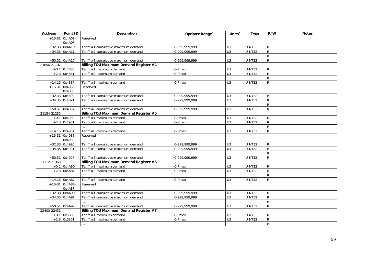| <b>Address</b> | Point ID         | Description                                   | Options/Range <sup>3</sup> | Units $3$        | <b>Type</b>   | R/W            | <b>Notes</b> |
|----------------|------------------|-----------------------------------------------|----------------------------|------------------|---------------|----------------|--------------|
|                | $+16-31$ 0x4A08- | Reserved                                      |                            |                  |               |                |              |
|                | 0x4A0F           |                                               |                            |                  |               |                |              |
| $+32,33$       | 0x4A10           | Tariff #1 cumulative maximum demand           | 0-999,999,999              | U <sub>3</sub>   | <b>UINT32</b> | R              |              |
|                | $+34,35$ 0x4A11  | Tariff #2 cumulative maximum demand           | 0-999, 999, 999            | U3               | <b>UINT32</b> | $\overline{R}$ |              |
|                |                  |                                               |                            |                  |               | $\overline{R}$ |              |
|                | $+50,51$ 0x4A17  | Tariff #8 cumulative maximum demand           | 0-999,999,999              | U <sub>3</sub>   | <b>UINT32</b> | ${\sf R}$      |              |
| 21056-21107    |                  | Billing TOU Maximum Demand Register #4        |                            |                  |               |                |              |
|                | $+0,1$ 0x4880    | Tariff #1 maximum demand                      | 0-Pmax                     | $\overline{U}$   | <b>UINT32</b> | ${\sf R}$      |              |
|                | $+2,3$ 0x4881    | Tariff #2 maximum demand                      | 0-Pmax                     | U3               | UINT32        | $\overline{R}$ |              |
|                |                  |                                               |                            |                  |               | ${\sf R}$      |              |
|                | $+14,15$ 0x4887  | Tariff #8 maximum demand                      | 0-Pmax                     | $\overline{U}$ 3 | <b>UINT32</b> | $\overline{R}$ |              |
|                | $+16-31$ 0x4888- | Reserved                                      |                            |                  |               |                |              |
|                | 0x488F           |                                               |                            |                  |               |                |              |
| $+32,33$       | 0x4890           | Tariff #1 cumulative maximum demand           | 0-999, 999, 999            | U <sub>3</sub>   | <b>UINT32</b> | ${\sf R}$      |              |
|                | $+34,35$ 0x4891  | Tariff #2 cumulative maximum demand           | 0-999,999,999              | U3               | <b>UINT32</b> | $\mathsf R$    |              |
|                |                  |                                               |                            |                  |               | $\overline{R}$ |              |
|                | $+50,51$ 0x4897  | Tariff #8 cumulative maximum demand           | 0-999,999,999              | U <sub>3</sub>   | <b>UINT32</b> | $\overline{R}$ |              |
| 21184-21235    |                  | <b>Billing TOU Maximum Demand Register #5</b> |                            |                  |               |                |              |
|                | $+0,1$ 0x4980    | Tariff #1 maximum demand                      | 0-Pmax                     | U <sub>3</sub>   | <b>UINT32</b> | R              |              |
|                | $+2,3$ 0x4981    | Tariff #2 maximum demand                      | 0-Pmax                     | $\overline{U}$ 3 | UINT32        | ${\sf R}$      |              |
|                |                  |                                               |                            |                  |               | $\overline{R}$ |              |
|                | $+14,15$ 0x4987  | Tariff #8 maximum demand                      | 0-Pmax                     | $\overline{U}$   | <b>UINT32</b> | $\overline{R}$ |              |
|                | $+16-31$ 0x4988- | Reserved                                      |                            |                  |               |                |              |
|                | 0x498F           |                                               |                            |                  |               |                |              |
|                | $+32,33$ 0x4990  | Tariff #1 cumulative maximum demand           | 0-999,999,999              | U <sub>3</sub>   | <b>UINT32</b> | R              |              |
|                | $+34,35$ 0x4991  | Tariff #2 cumulative maximum demand           | 0-999, 999, 999            | U <sub>3</sub>   | UINT32        | $\overline{R}$ |              |
|                |                  |                                               |                            |                  |               | $\mathsf R$    |              |
| $+50,51$       | 0x4997           | Tariff #8 cumulative maximum demand           | 0-999,999,999              | U <sub>3</sub>   | <b>UINT32</b> | $\overline{R}$ |              |
| 21312-21363    |                  | Billing TOU Maximum Demand Register #6        |                            |                  |               |                |              |
|                | $+0,1$ 0x4A80    | Tariff #1 maximum demand                      | $0$ -Pmax                  | U <sub>3</sub>   | <b>UINT32</b> | R              |              |
|                | $+2,3$ 0x4A81    | Tariff #2 maximum demand                      | 0-Pmax                     | $\overline{U}$   | <b>UINT32</b> | $\overline{R}$ |              |
|                |                  |                                               |                            |                  |               | ${\sf R}$      |              |
|                | $+14,15$ 0x4A87  | Tariff #8 maximum demand                      | 0-Pmax                     | U3               | UINT32        | ${\sf R}$      |              |
|                | $+16-31$ 0x4A88- | Reserved                                      |                            |                  |               |                |              |
|                | 0x4A8F           |                                               |                            |                  |               |                |              |
| $+32,33$       | 0x4A90           | Tariff #1 cumulative maximum demand           | 0-999,999,999              | U <sub>3</sub>   | <b>UINT32</b> | ${\sf R}$      |              |
|                | $+34,35$ 0x4A91  | Tariff #2 cumulative maximum demand           | 0-999, 999, 999            | U3               | <b>UINT32</b> | $\mathsf R$    |              |
|                |                  |                                               |                            |                  |               | $\overline{R}$ |              |
|                | $+50,51$ 0x4A97  | Tariff #8 cumulative maximum demand           | 0-999,999,999              | U <sub>3</sub>   | UINT32        | $\overline{R}$ |              |
| 22400-22451    |                  | Billing TOU Maximum Demand Register #7        |                            |                  |               |                |              |
| $+0,1$         | 0x5300           | Tariff #1 maximum demand                      | 0-Pmax                     | U <sub>3</sub>   | <b>UINT32</b> | R              |              |
| $+2,3$         | 0x5301           | Tariff #2 maximum demand                      | 0-Pmax                     | $\overline{U}$ 3 | UINT32        | ${\sf R}$      |              |
|                |                  | $\cdots$                                      |                            |                  |               | $\overline{R}$ |              |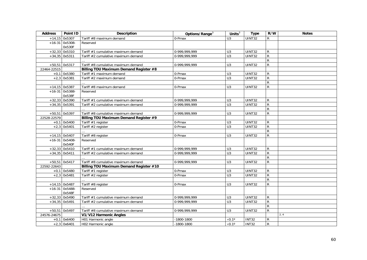| <b>Address</b> | Point ID         | <b>Description</b>                      | Options/Range <sup>3</sup> | Units $3$          | <b>Type</b>   | R/W            | <b>Notes</b> |
|----------------|------------------|-----------------------------------------|----------------------------|--------------------|---------------|----------------|--------------|
|                | $+14,15$ 0x5307  | Tariff #8 maximum demand                | 0-Pmax                     | U3                 | <b>UINT32</b> | $\mathsf{R}$   |              |
|                | $+16-31$ 0x5308- | Reserved                                |                            |                    |               |                |              |
|                | 0x530F           |                                         |                            |                    |               |                |              |
|                | $+32,33$ 0x5310  | Tariff #1 cumulative maximum demand     | 0-999,999,999              | U <sub>3</sub>     | UINT32        | $\mathsf{R}$   |              |
|                | $+34,35$ 0x5311  | Tariff #2 cumulative maximum demand     | 0-999,999,999              | U3                 | UINT32        | ${\sf R}$      |              |
|                |                  |                                         |                            |                    |               | $\mathsf{R}$   |              |
|                | +50,51 0x5317    | Tariff #8 cumulative maximum demand     | 0-999,999,999              | U3                 | UINT32        | ${\sf R}$      |              |
| 22464-22515    |                  | Billing TOU Maximum Demand Register #8  |                            |                    |               |                |              |
|                | $+0,1$ 0x5380    | Tariff #1 maximum demand                | 0-Pmax                     | U3                 | UINT32        | R              |              |
|                | $+2,3$ 0x5381    | Tariff #2 maximum demand                | 0-Pmax                     | $\overline{U}$ 3   | UINT32        | ${\sf R}$      |              |
|                |                  |                                         |                            |                    |               | ${\sf R}$      |              |
|                | $+14,15$ 0x5387  | Tariff #8 maximum demand                | 0-Pmax                     | U3                 | UINT32        | ${\sf R}$      |              |
|                | $+16-31$ 0x5388- | Reserved                                |                            |                    |               |                |              |
|                | 0x538F           |                                         |                            |                    |               |                |              |
|                | $+32,33$ 0x5390  | Tariff #1 cumulative maximum demand     | 0-999.999.999              | U <sub>3</sub>     | UINT32        | R              |              |
|                | $+34,35$ 0x5391  | Tariff #2 cumulative maximum demand     | 0-999,999,999              | $\overline{U}$ 3   | <b>UINT32</b> | $\overline{R}$ |              |
|                |                  |                                         |                            |                    |               | ${\sf R}$      |              |
| $+50,51$       | 0x5397           | Tariff #8 cumulative maximum demand     | 0-999,999,999              | U <sub>3</sub>     | <b>UINT32</b> | ${\sf R}$      |              |
| 22528-22579    |                  | Billing TOU Maximum Demand Register #9  |                            |                    |               |                |              |
|                | $+0,1$ 0x5400    | Tariff #1 register                      | 0-Pmax                     | U <sub>3</sub>     | UINT32        | $\mathsf{R}$   |              |
|                | $+2,3$ 0x5401    | Tariff #2 register                      | 0-Pmax                     | $\overline{U}$ 3   | <b>UINT32</b> | $\overline{R}$ |              |
|                |                  |                                         |                            |                    |               | ${\sf R}$      |              |
|                | $+14,15$ 0x5407  | Tariff #8 register                      | 0-Pmax                     | U <sub>3</sub>     | UINT32        | ${\sf R}$      |              |
|                | $+16-31$ 0x5408- | Reserved                                |                            |                    |               |                |              |
|                | 0x540F           |                                         |                            |                    |               |                |              |
|                | $+32,33$ 0x5410  | Tariff #1 cumulative maximum demand     | 0-999,999,999              | U3                 | UINT32        | $\mathsf{R}$   |              |
|                | $+34,35$ 0x5411  | Tariff #2 cumulative maximum demand     | 0-999, 999, 999            | $\overline{U}$ 3   | UINT32        | ${\sf R}$      |              |
|                |                  |                                         |                            |                    |               | ${\sf R}$      |              |
|                | +50,51 0x5417    | Tariff #8 cumulative maximum demand     | 0-999,999,999              | U <sub>3</sub>     | UINT32        | $\mathsf{R}$   |              |
| 22592-22643    |                  | Billing TOU Maximum Demand Register #10 |                            |                    |               |                |              |
|                | $+0,1$ 0x5480    | Tariff #1 register                      | 0-Pmax                     | $\overline{U}$ 3   | UINT32        | $\mathsf{R}$   |              |
|                | $+2,3$ 0x5481    | Tariff #2 register                      | 0-Pmax                     | $\overline{U}$     | <b>UINT32</b> | $\mathsf{R}$   |              |
|                |                  |                                         |                            |                    |               | $\overline{R}$ |              |
|                | $+14,15$ 0x5487  | Tariff #8 register                      | 0-Pmax                     | U <sub>3</sub>     | <b>UINT32</b> | ${\sf R}$      |              |
|                | $+16-31$ 0x5488- | Reserved                                |                            |                    |               |                |              |
|                | 0x548F           |                                         |                            |                    |               |                |              |
|                | $+32,33$ 0x5490  | Tariff #1 cumulative maximum demand     | 0-999,999,999              | U <sub>3</sub>     | <b>UINT32</b> | $\mathsf{R}$   |              |
|                | $+34,35$ 0x5491  | Tariff #2 cumulative maximum demand     | 0-999,999,999              | U3                 | UINT32        | ${\sf R}$      |              |
|                |                  |                                         |                            |                    |               | ${\sf R}$      |              |
|                | $+50,51$ 0x5497  | Tariff #8 cumulative maximum demand     | 0-999,999,999              | U <sub>3</sub>     | UINT32        | ${\sf R}$      |              |
| 24576-24675    |                  | V1/V12 Harmonic Angles                  |                            |                    |               |                | 2, 4         |
|                | $+0,1$ 0x6400    | H01 Harmonic angle                      | -1800-1800                 | $\times 0.1^\circ$ | <b>INT32</b>  | ${\sf R}$      |              |
|                | $+2,3$ 0x6401    | H02 Harmonic angle                      | $-1800 - 1800$             | $\times 0.1^\circ$ | <b>INT32</b>  | ${\sf R}$      |              |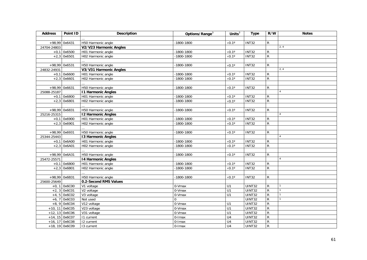| <b>Address</b> | Point ID         | <b>Description</b>        | Options/Range <sup>3</sup> | Units $3$            | <b>Type</b>        | R/W            | <b>Notes</b>   |
|----------------|------------------|---------------------------|----------------------------|----------------------|--------------------|----------------|----------------|
|                |                  |                           |                            |                      |                    |                |                |
|                | +98,99 0x6431    | H50 Harmonic angle        | $-1800 - 1800$             | $\times$ 0.1°        | $\overline{INT32}$ | $\mathsf{R}$   |                |
| 24704-24803    |                  | V2/V23 Harmonic Angles    |                            |                      |                    |                | 2, 4           |
|                | $+0,1$ 0x6500    | H01 Harmonic angle        | $-1800 - 1800$             | $\times 0.1^\circ$   | <b>INT32</b>       | R              |                |
|                | $+2,3$ 0x6501    | H02 Harmonic angle        | $-1800 - 1800$             | $\times 0.1^\circ$   | <b>INT32</b>       | ${\sf R}$      |                |
|                |                  |                           |                            |                      |                    |                |                |
|                | +98,99 0x6531    | H50 Harmonic angle        | $-1800 - 1800$             | $\times$ 0.1 $\circ$ | <b>INT32</b>       | $\mathsf{R}$   |                |
| 24832-24931    |                  | V3/V31 Harmonic Angles    |                            |                      |                    |                | 2, 4           |
| $+0,1$         | 0x6600           | H01 Harmonic angle        | $-1800 - 1800$             | $\times 0.1^\circ$   | <b>INT32</b>       | ${\sf R}$      |                |
|                | $+2,3$ 0x6601    | H02 Harmonic angle        | $-1800 - 1800$             | $\times 0.1^\circ$   | <b>INT32</b>       | ${\sf R}$      |                |
|                |                  |                           |                            |                      |                    |                |                |
| $+98,99$       | 0x6631           | H50 Harmonic angle        | $-1800 - 1800$             | $\times 0.1^\circ$   | <b>INT32</b>       | R              |                |
| 25088-25187    |                  | <b>11 Harmonic Angles</b> |                            |                      |                    |                | $\overline{A}$ |
|                | $+0,1$ 0x6800    | H01 Harmonic angle        | $-1800 - 1800$             | $\times 0.1^\circ$   | <b>INT32</b>       | ${\sf R}$      |                |
| $+2,3$         | 0x6801           | H02 Harmonic angle        | $-1800 - 1800$             | $\times 0.1^\circ$   | <b>INT32</b>       | $\overline{R}$ |                |
|                |                  |                           |                            |                      |                    |                |                |
|                | +98,99 0x6831    | H50 Harmonic angle        | $-1800 - 1800$             | $\times 0.1^\circ$   | <b>INT32</b>       | R              |                |
| 25216-25315    |                  | <b>12 Harmonic Angles</b> |                            |                      |                    |                |                |
| $+0,1$         | 0x6900           | H01 Harmonic angle        | $-1800 - 1800$             | $\times 0.1^\circ$   | INT <sub>32</sub>  | R              |                |
|                | $+2,3$ 0x6901    | H02 Harmonic angle        | $-1800 - 1800$             | $\times 0.1^\circ$   | <b>INT32</b>       | ${\sf R}$      |                |
|                |                  |                           |                            |                      |                    |                |                |
|                | +98,99 0x6931    | H50 Harmonic angle        | $-1800 - 1800$             | $\times 0.1^\circ$   | <b>INT32</b>       | R              |                |
| 25344-25443    |                  | <b>13 Harmonic Angles</b> |                            |                      |                    |                | $\overline{A}$ |
|                | $+0,1$ 0x6A00    | H01 Harmonic angle        | $-1800 - 1800$             | $\times 0.1^\circ$   | <b>INT32</b>       | ${\sf R}$      |                |
|                | $+2,3$ 0x6A01    | H02 Harmonic angle        | $-1800 - 1800$             | $\times 0.1^\circ$   | INT32              | $\mathsf{R}$   |                |
|                |                  |                           |                            |                      |                    |                |                |
|                | +98,99 0x6A31    | H50 Harmonic angle        | $-1800 - 1800$             | $\times 0.1^\circ$   | <b>INT32</b>       | ${\sf R}$      |                |
| 25472-25571    |                  | 14 Harmonic Angles        |                            |                      |                    |                | $\Delta$       |
| $+0,1$         | 0x6B00           | H01 Harmonic angle        | $-1800 - 1800$             | $\times 0.1^\circ$   | <b>INT32</b>       | ${\sf R}$      |                |
|                | $+2,3$ 0x6B01    | H02 Harmonic angle        | $-1800 - 1800$             | $\times 0.1^\circ$   | <b>INT32</b>       | ${\sf R}$      |                |
|                |                  |                           |                            |                      |                    |                |                |
|                | $+98,99$ 0x6B31  | H50 Harmonic angle        | $-1800 - 1800$             | $\times 0.1^\circ$   | <b>INT32</b>       | R              |                |
| 25600-25649    |                  | 0.2-Second RMS Values     |                            |                      |                    |                |                |
|                | $+0, 1$ 0x6C00   | V1 voltage                | 0-Vmax                     | U1                   | <b>UINT32</b>      | $\overline{R}$ |                |
|                | $+2, 3$ 0x6C01   | V2 voltage                | 0-Vmax                     | U1                   | <b>UINT32</b>      | $\overline{R}$ |                |
|                | $+4, 5$ 0x6C02   | V3 voltage                | 0-Vmax                     | U1                   | <b>UINT32</b>      | $\overline{R}$ |                |
|                | $+6, 7$ 0x6C03   | Not used                  | $\Omega$                   |                      | <b>UINT32</b>      | $\overline{R}$ |                |
|                | $+8,9$ 0x6C04    | V12 voltage               | $0-Vmax$                   | U1                   | <b>UINT32</b>      | $\overline{R}$ |                |
|                | $+10, 11$ 0x6C05 | V23 voltage               | $0-Vmax$                   | U1                   | UINT32             | $\overline{R}$ |                |
|                | $+12, 13$ 0x6C06 | V31 voltage               | 0-Vmax                     | U1                   | UINT32             | $\overline{R}$ |                |
|                | $+14, 15$ 0x6C07 | 11 current                | $0$ -Imax                  | $\overline{U4}$      | UINT32             | $\overline{R}$ |                |
|                | $+16, 17$ 0x6C08 | 12 current                | 0-Imax                     | U <sub>4</sub>       | UINT32             | $\overline{R}$ |                |
|                | $+18, 19$ 0x6C09 | 13 current                | 0-Imax                     | U <sub>4</sub>       | <b>UINT32</b>      | $\overline{R}$ |                |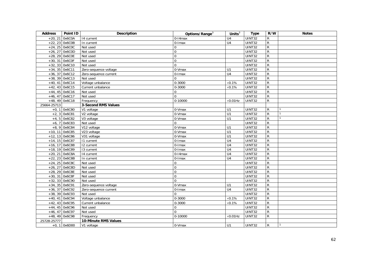| <b>Address</b> | Point ID         | Description                | Options/Range <sup>3</sup> | Units $3$        | <b>Type</b>         | R/W            | <b>Notes</b> |
|----------------|------------------|----------------------------|----------------------------|------------------|---------------------|----------------|--------------|
| $+20, 21$      | 0x6C0A           | 14 current                 | $0-14$ max                 | U <sub>4</sub>   | UINT32              | ${\sf R}$      |              |
|                | $+22, 23$ 0x6C0B | In current                 | 0-Imax                     | U4               | UINT32              | ${\sf R}$      |              |
|                | $+24, 25$ 0x6C0C | Not used                   | $\mathbf 0$                |                  | UINT32              | ${\sf R}$      |              |
|                | $+26, 27$ 0x6C0D | Not used                   | $\overline{0}$             |                  | UINT32              | ${\sf R}$      |              |
|                | +28, 29 0x6C0E   | Not used                   | $\mathbf 0$                |                  | UINT32              | ${\sf R}$      |              |
|                | +30, 31 Ox6COF   | Not used                   | $\mathbf 0$                |                  | UINT32              | $\mathsf{R}$   |              |
|                | $+32, 33$ 0x6C10 | Not used                   | $\mathbf 0$                |                  | UINT32              | ${\sf R}$      |              |
|                | $+34, 35$ 0x6C11 | Zero-sequence voltage      | 0-Vmax                     | U1               | UINT32              | $\overline{R}$ |              |
|                | $+36, 37$ 0x6C12 | Zero-sequence current      | $\overline{0}$ -Imax       | U4               | UINT32              | $\mathsf{R}$   |              |
|                | $+38, 39$ 0x6C13 | Not used                   | $\Omega$                   |                  | UINT32              | ${\sf R}$      |              |
|                | $+40, 41$ 0x6C14 | Voltage unbalance          | $0 - 3000$                 | $\times 0.1\%$   | UINT32              | $\mathsf{R}$   |              |
|                | $+42, 43$ 0x6C15 | Current unbalance          | $0 - 3000$                 | $\times 0.1\%$   | <b>UINT32</b>       | $\overline{R}$ |              |
|                | $+44, 45$ 0x6C16 | Not used                   | 0                          |                  | UINT32              | $\overline{R}$ |              |
|                | $+46, 47$ 0x6C17 | Not used                   | $\overline{0}$             |                  | UINT32              | ${\sf R}$      |              |
|                | $+48, 49$ 0x6C18 | Frequency                  | 0-10000                    | $\times 0.01$ Hz | UINT32              | $\mathsf{R}$   |              |
| 25664-25713    |                  | <b>3-Second RMS Values</b> |                            |                  |                     |                |              |
|                | $+0, 1$ 0x6C80   | V1 voltage                 | 0-Vmax                     | U1               | UINT32              | $\mathsf{R}$   |              |
| $+2, 3$        | 0x6C81           | V2 voltage                 | 0-Vmax                     | $\overline{U}$ 1 | UINT32              | $\overline{R}$ |              |
|                | $+4, 5$ 0x6C82   | V3 voltage                 | 0-Vmax                     | U1               | UINT32              | $\mathsf{R}$   |              |
| $+6, 7$        | 0x6C83           | Not used                   | $\Omega$                   |                  | UINT32              | ${\sf R}$      |              |
|                | $+8,9$ 0x6C84    | V12 voltage                | 0-Vmax                     | U1               | UINT32              | $\overline{R}$ |              |
| $+10, 11$      | 0x6C85           | V23 voltage                | $0-Vmax$                   | U1               | UINT32              | $\overline{R}$ |              |
|                | $+12, 13$ 0x6C86 | V31 voltage                | 0-Vmax                     | U1               | UINT32              | $\overline{R}$ |              |
|                | $+14, 15$ 0x6C87 | 11 current                 | $0$ -Imax                  | $\overline{U4}$  | UINT32              | $\overline{R}$ |              |
|                | $+16, 17$ 0x6C88 | 12 current                 | 0-Imax                     | $\overline{U4}$  | UINT32              | $\overline{R}$ |              |
|                | +18, 19 0x6C89   | 13 current                 | $0$ - $l$ max              | U <sub>4</sub>   | UINT32              | $\overline{R}$ |              |
|                | $+20, 21$ 0x6C8A | 14 current                 | $0-14$ max                 | U <sub>4</sub>   | UINT32              | $\overline{R}$ |              |
|                | $+22, 23$ 0x6C8B | In current                 | $0$ -Imax                  | $\overline{U4}$  | UINT32              | $\overline{R}$ |              |
|                | $+24, 25$ 0x6C8C | Not used                   | $\Omega$                   |                  | UINT32              | $\overline{R}$ |              |
|                | $+26, 27$ 0x6C8D | Not used                   | $\overline{0}$             |                  | UINT32              | $\overline{R}$ |              |
|                | $+28, 29$ 0x6C8E | Not used                   | $\overline{0}$             |                  | UINT32              | $\overline{R}$ |              |
|                | +30, 31 0x6C8F   | Not used                   | $\Omega$                   |                  | $\overline{UINT32}$ | $\overline{R}$ |              |
|                | $+32, 33$ 0x6C90 | Not used                   | $\Omega$                   |                  | UINT32              | $\overline{R}$ |              |
|                | $+34, 35$ 0x6C91 | Zero-sequence voltage      | 0-Vmax                     | U1               | UINT32              | $\overline{R}$ |              |
|                | $+36, 37$ 0x6C92 | Zero-sequence current      | $0$ -Imax                  | $\overline{U4}$  | UINT32              | $\overline{R}$ |              |
|                | $+38, 39$ 0x6C93 | Not used                   | $\Omega$                   |                  | UINT32              | $\overline{R}$ |              |
|                | $+40, 41$ 0x6C94 | Voltage unbalance          | $0 - 3000$                 | $\times 0.1\%$   | UINT32              | $\mathsf{R}$   |              |
|                | $+42, 43$ 0x6C95 | Current unbalance          | $0 - 3000$                 | $\times 0.1\%$   | UINT32              | $\overline{R}$ |              |
|                | $+44, 45$ 0x6C96 | Not used                   | $\Omega$                   |                  | UINT32              | $\overline{R}$ |              |
|                | $+46, 47$ 0x6C97 | Not used                   | $\Omega$                   |                  | UINT32              | $\overline{R}$ |              |
|                | $+48, 49$ 0x6C98 | Frequency                  | $0-10000$                  | $\times$ 0.01Hz  | <b>UINT32</b>       | $\overline{R}$ |              |
| 25728-25777    |                  | 10-Minute RMS Values       |                            |                  |                     |                |              |
|                | $+0, 1$ 0x6D00   | V1 voltage                 | 0-Vmax                     | U1               | UINT32              | $\mathsf{R}$   |              |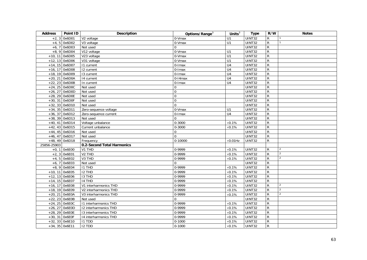| <b>Address</b> | Point ID         | Description                    | Options/Range <sup>3</sup> | Units $3$        | <b>Type</b> | R/W            | <b>Notes</b>   |
|----------------|------------------|--------------------------------|----------------------------|------------------|-------------|----------------|----------------|
| $+2, 3$        | 0x6D01           | V2 voltage                     | 0-Vmax                     | U1               | UINT32      | ${\sf R}$      |                |
|                | $+4, 5$ 0x6D02   | V3 voltage                     | $0-Vmax$                   | $\overline{U}$ 1 | UINT32      | $\mathsf{R}$   |                |
|                | $+6, 7$ 0x6D03   | Not used                       | $\Omega$                   |                  | UINT32      | $\overline{R}$ |                |
| $+8.9$         | 0x6D04           | V12 voltage                    | 0-Vmax                     | U1               | UINT32      | ${\sf R}$      |                |
|                | $+10, 11$ 0x6D05 | V23 voltage                    | 0-Vmax                     | $\overline{U}$ 1 | UINT32      | $\overline{R}$ |                |
|                | $+12, 13$ 0x6D06 | V31 voltage                    | 0-Vmax                     | $\overline{U}$ 1 | UINT32      | $\overline{R}$ |                |
|                | $+14, 15$ 0x6D07 | 11 current                     | 0-Imax                     | $\overline{U4}$  | UINT32      | $\overline{R}$ |                |
|                | $+16, 17$ 0x6D08 | 12 current                     | 0-Imax                     | $\overline{U4}$  | UINT32      | $\overline{R}$ |                |
|                | +18, 19 0x6D09   | 13 current                     | 0-Imax                     | $\overline{U4}$  | UINT32      | $\mathsf{R}$   |                |
|                | $+20, 21$ 0x6D0A | 14 current                     | $0-14$ max                 | $\overline{U4}$  | UINT32      | $\overline{R}$ |                |
|                | $+22, 23$ 0x6D0B | In current                     | $0$ -Imax                  | U <sub>4</sub>   | UINT32      | $\overline{R}$ |                |
|                | $+24, 25$ 0x6D0C | Not used                       | $\mathbf 0$                |                  | UINT32      | $\overline{R}$ |                |
|                | +26, 27 0x6D0D   | Not used                       | $\mathbf 0$                |                  | UINT32      | $\overline{R}$ |                |
|                | $+28, 29$ 0x6D0E | Not used                       | $\mathbf 0$                |                  | UINT32      | $\overline{R}$ |                |
|                | $+30, 31$ 0x6D0F | Not used                       | $\Omega$                   |                  | UINT32      | $\mathsf{R}$   |                |
|                | $+32, 33$ 0x6D10 | Not used                       | $\mathbf{0}$               |                  | UINT32      | $\overline{R}$ |                |
|                | $+34, 35$ 0x6D11 | Zero-sequence voltage          | 0-Vmax                     | U1               | UINT32      | $\mathsf{R}$   |                |
|                | $+36, 37$ 0x6D12 | Zero-sequence current          | $0$ -Imax                  | $\overline{U4}$  | UINT32      | $\overline{R}$ |                |
|                | +38, 39 0x6D13   | Not used                       | $\Omega$                   |                  | UINT32      | ${\sf R}$      |                |
|                | $+40, 41$ 0x6D14 | Voltage unbalance              | $0 - 3000$                 | $\times 0.1\%$   | UINT32      | $\mathsf{R}$   |                |
|                | $+42, 43$ 0x6D15 | Current unbalance              | $0 - 3000$                 | $\times 0.1\%$   | UINT32      | ${\sf R}$      |                |
|                | $+44, 45$ 0x6D16 | Not used                       | $\mathbf 0$                |                  | UINT32      | $\mathsf{R}$   |                |
|                | $+46, 47$ 0x6D17 | Not used                       | $\Omega$                   |                  | UINT32      | $\overline{R}$ |                |
|                | $+48, 49$ 0x6D18 | Frequency                      | $\overline{0}$ -10000      | $\times 0.01$ Hz | UINT32      | $\overline{R}$ |                |
| 25856-25903    |                  | 0.2-Second Total Harmonics     |                            |                  |             |                |                |
|                | $+0, 1$ 0x6E00   | V1 THD                         | 0-9999                     | $\times 0.1\%$   | UINT32      | $\mathsf{R}$   | $\overline{2}$ |
| $+2, 3$        | 0x6E01           | V <sub>2</sub> TH <sub>D</sub> | 0-9999                     | $\times 0.1\%$   | UINT32      | $\overline{R}$ | $\overline{2}$ |
|                | $+4, 5$ 0x6E02   | V3 THD                         | 0-9999                     | $\times 0.1\%$   | UINT32      | ${\sf R}$      | 2              |
| $+6, 7$        | 0x6E03           | Not used                       | $\Omega$                   |                  | UINT32      | $\mathsf{R}$   |                |
|                | $+8,9$ 0x6E04    | I1 THD                         | 0-9999                     | $\times 0.1\%$   | UINT32      | $\mathsf{R}$   |                |
|                | $+10, 11$ 0x6E05 | I2 THD                         | 0-9999                     | $\times 0.1\%$   | UINT32      | $\overline{R}$ |                |
|                | $+12, 13$ 0x6E06 | <b>I3 THD</b>                  | 0-9999                     | $\times 0.1\%$   | UINT32      | $\overline{R}$ |                |
|                | $+14, 15$ 0x6E07 | 14 THD                         | 0-9999                     | $\times 0.1\%$   | UINT32      | ${\sf R}$      |                |
|                | $+16, 17$ 0x6E08 | V1 interharmonics THD          | 0-9999                     | $\times 0.1\%$   | UINT32      | $\overline{R}$ | $\overline{2}$ |
|                | +18, 19 0x6E09   | V2 interharmonics THD          | 0-9999                     | $\times 0.1\%$   | UINT32      | $\mathsf{R}$   | $\overline{2}$ |
|                | +20, 21 0x6E0A   | V3 interharmonics THD          | 0-9999                     | $\times 0.1\%$   | UINT32      | $\mathsf{R}$   | 2              |
|                | $+22, 23$ 0x6E0B | Not used                       | $\Omega$                   |                  | UINT32      | $\overline{R}$ |                |
|                | +24, 25 0x6E0C   | 11 interharmonics THD          | 0-9999                     | $\times 0.1\%$   | UINT32      | ${\sf R}$      |                |
|                | $+26, 27$ 0x6E0D | 12 interharmonics THD          | 0-9999                     | $\times 0.1\%$   | UINT32      | ${\sf R}$      |                |
|                | $+28, 29$ 0x6E0E | 13 interharmonics THD          | 0-9999                     | $\times 0.1\%$   | UINT32      | $\mathsf{R}$   |                |
|                | $+30, 31$ Ox6E0F | 14 interharmonics THD          | 0-9999                     | $\times 0.1\%$   | UINT32      | $\overline{R}$ |                |
|                | $+32, 33$ 0x6E10 | I1 TDD                         | $0 - 1000$                 | $\times 0.1\%$   | UINT32      | $\mathsf{R}$   |                |
|                | $+34, 35$ 0x6E11 | <b>I2 TDD</b>                  | $0 - 1000$                 | $\times 0.1\%$   | UINT32      | ${\sf R}$      |                |
|                |                  |                                |                            |                  |             |                |                |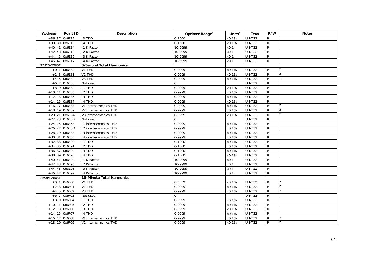| <b>Address</b>   | Point ID         | <b>Description</b>             | Options/Range <sup>3</sup> | Units $3$      | <b>Type</b>   | R/W            | <b>Notes</b>   |
|------------------|------------------|--------------------------------|----------------------------|----------------|---------------|----------------|----------------|
| $+36, 37$        | 0x6E12           | <b>I3 TDD</b>                  | $0 - 1000$                 | $\times 0.1\%$ | UINT32        | R              |                |
| $+38, 39$ 0x6E13 |                  | 14 TDD                         | $0 - 1000$                 | $\times 0.1\%$ | UINT32        | $\overline{R}$ |                |
| $+40.41$         | 0x6E14           | 11 K-Factor                    | 10-9999                    | $\times 0.1$   | <b>UINT32</b> | ${\sf R}$      |                |
| $+42, 43$ 0x6E15 |                  | 12 K-Factor                    | 10-9999                    | $\times 0.1$   | UINT32        | ${\sf R}$      |                |
|                  | $+44, 45$ 0x6E16 | 13 K-Factor                    | 10-9999                    | $\times 0.1$   | <b>UINT32</b> | $\overline{R}$ |                |
| $+46, 47$ 0x6E17 |                  | 14 K-Factor                    | 10-9999                    | $\times 0.1$   | UINT32        | $\mathsf{R}$   |                |
| 25920-25967      |                  | 3-Second Total Harmonics       |                            |                |               |                |                |
|                  | $+0, 1$ 0x6E80   | V1 THD                         | 0-9999                     | $\times 0.1\%$ | UINT32        | R              | $\overline{2}$ |
|                  | $+2, 3$ 0x6E81   | V <sub>2</sub> THD             | 0-9999                     | $\times 0.1\%$ | <b>UINT32</b> | ${\sf R}$      | $\overline{2}$ |
| $+4, 5$          | 0x6E82           | V <sub>3</sub> THD             | 0-9999                     | $\times 0.1\%$ | <b>UINT32</b> | ${\sf R}$      | 2              |
|                  | $+6, 7$ 0x6E83   | Not used                       | $\mathbf 0$                |                | UINT32        | ${\sf R}$      |                |
|                  | $+8, 9$ 0x6E84   | $I1$ THD                       | 0-9999                     | $\times0.1\%$  | <b>UINT32</b> | R              |                |
| $+10, 11$ 0x6E85 |                  | I2 THD                         | 0-9999                     | $\times$ 0.1%  | <b>UINT32</b> | ${\sf R}$      |                |
| $+12, 13$ 0x6E86 |                  | $13$ THD                       | 0-9999                     | $\times 0.1\%$ | UINT32        | ${\sf R}$      |                |
| $+14, 15$ 0x6E87 |                  | 14 THD                         | 0-9999                     | $\times 0.1\%$ | UINT32        | ${\sf R}$      |                |
| $+16, 17$ 0x6E88 |                  | V1 interharmonics THD          | 0-9999                     | $\times 0.1\%$ | UINT32        | $\overline{R}$ | 2              |
| +18, 19 0x6E89   |                  | V2 interharmonics THD          | 0-9999                     | $\times$ 0.1%  | UINT32        | $\overline{R}$ | $\overline{2}$ |
|                  | +20, 21 0x6E8A   | V3 interharmonics THD          | 0-9999                     | $\times 0.1\%$ | <b>UINT32</b> | ${\sf R}$      | $\overline{2}$ |
| $+22, 23$        | 0x6E8B           | Not used                       | $\Omega$                   |                | UINT32        | ${\sf R}$      |                |
|                  | $+24, 25$ 0x6E6E | 11 interharmonics THD          | 0-9999                     | $\times 0.1\%$ | <b>UINT32</b> | ${\sf R}$      |                |
| +26, 27 0x6E8D   |                  | 12 interharmonics THD          | 0-9999                     | $\times 0.1\%$ | <b>UINT32</b> | R              |                |
|                  | $+28, 29$ 0x6E8E | 13 interharmonics THD          | 0-9999                     | $\times 0.1\%$ | <b>UINT32</b> | $\overline{R}$ |                |
| $+30, 31$ 0x6E8F |                  | 14 interharmonics THD          | 0-9999                     | $\times 0.1\%$ | UINT32        | ${\sf R}$      |                |
| $+32, 33$ 0x6E90 |                  | 11 TDD                         | $0 - 1000$                 | $\times$ 0.1%  | <b>UINT32</b> | $\mathsf{R}$   |                |
| $+34, 35$ 0x6E91 |                  | I2 TDD                         | $0 - 1000$                 | $\times 0.1\%$ | <b>UINT32</b> | ${\sf R}$      |                |
|                  | $+36, 37$ 0x6E92 | <b>I3 TDD</b>                  | $0 - 1000$                 | $\times$ 0.1%  | UINT32        | ${\sf R}$      |                |
| +38, 39 0x6E93   |                  | 14 TDD                         | $0 - 1000$                 | $\times 0.1\%$ | <b>UINT32</b> | $\mathsf{R}$   |                |
| $+40, 41$ 0x6E94 |                  | <b>11 K-Factor</b>             | 10-9999                    | $\times 0.1$   | <b>UINT32</b> | $\mathsf{R}$   |                |
| $+42, 43$ 0x6E95 |                  | 12 K-Factor                    | 10-9999                    | $\times 0.1$   | <b>UINT32</b> | ${\sf R}$      |                |
| $+44, 45$ 0x6E96 |                  | 13 K-Factor                    | 10-9999                    | $\times 0.1$   | <b>UINT32</b> | R              |                |
| $+46, 47$ 0x6E97 |                  | 14 K-Factor                    | 10-9999                    | $\times 0.1$   | UINT32        | ${\sf R}$      |                |
| 25984-26031      |                  | 10-Minute Total Harmonics      |                            |                |               |                |                |
| $+0, 1$          | 0x6F00           | V1 THD                         | 0-9999                     | $\times 0.1\%$ | <b>UINT32</b> | R              | $\overline{2}$ |
|                  | $+2, 3$ 0x6F01   | V <sub>2</sub> TH <sub>D</sub> | 0-9999                     | $\times 0.1\%$ | UINT32        | $\overline{R}$ | $\overline{2}$ |
| $+4, 5$          | 0x6F02           | V <sub>3</sub> THD             | 0-9999                     | $\times$ 0.1%  | <b>UINT32</b> | ${\sf R}$      | $\overline{2}$ |
|                  | $+6, 7$ 0x6F03   | Not used                       | $\Omega$                   |                | <b>UINT32</b> | ${\sf R}$      |                |
|                  | $+8,9$ 0x6F04    | <b>I1 THD</b>                  | 0-9999                     | $\times 0.1\%$ | UINT32        | $\overline{R}$ |                |
| $+10, 11$ 0x6F05 |                  | <b>I2 THD</b>                  | 0-9999                     | $\times 0.1\%$ | UINT32        | ${\sf R}$      |                |
| $+12, 13$ 0x6F06 |                  | <b>I3 THD</b>                  | 0-9999                     | $\times$ 0.1%  | <b>UINT32</b> | ${\sf R}$      |                |
| $+14, 15$ 0x6F07 |                  | 14 THD                         | 0-9999                     | $\times 0.1\%$ | <b>UINT32</b> | ${\sf R}$      |                |
| $+16, 17$ 0x6F08 |                  | V1 interharmonics THD          | 0-9999                     | $\times 0.1\%$ | UINT32        | $\mathsf{R}$   | 2              |
| $+18, 19$ 0x6F09 |                  | V2 interharmonics THD          | 0-9999                     | $\times 0.1\%$ | UINT32        | ${\sf R}$      | $\overline{2}$ |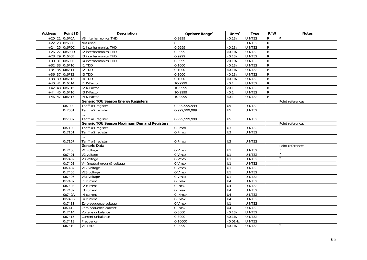| <b>Address</b>   | Point ID         | <b>Description</b>                                 | Options/Range <sup>3</sup> | Units $\overline{3}$             | <b>Type</b>                    | R/W            | <b>Notes</b>     |
|------------------|------------------|----------------------------------------------------|----------------------------|----------------------------------|--------------------------------|----------------|------------------|
|                  | $+20, 21$ 0x6F0A | V3 interharmonics THD                              | 0-9999                     | $\times 0.1\%$                   | UINT32                         | $\mathsf R$    | 2                |
|                  | $+22, 23$ 0x6F0B | Not used                                           | $\Omega$                   |                                  | UINT32                         | ${\sf R}$      |                  |
|                  | $+24, 25$ 0x6F0C | 11 interharmonics THD                              | 0-9999                     | $\times 0.1\%$                   | <b>UINT32</b>                  | ${\sf R}$      |                  |
|                  | $+26, 27$ 0x6F0D | 12 interharmonics THD                              | 0-9999                     | $\times 0.1\%$                   | <b>UINT32</b>                  | $\overline{R}$ |                  |
| $+28, 29$ 0x6F0E |                  | 13 interharmonics THD                              | 0-9999                     | $\times$ 0.1%                    | UINT32                         | ${\sf R}$      |                  |
| $+30, 31$ 0x6F0F |                  | 14 interharmonics THD                              | 0-9999                     | $\times 0.1\%$                   | <b>UINT32</b>                  | $\overline{R}$ |                  |
|                  | $+32, 33$ 0x6F10 | <b>I1 TDD</b>                                      | $0 - 1000$                 | $\times 0.1\%$                   | UINT32                         | $\overline{R}$ |                  |
| $+34, 35$ 0x6F11 |                  | I2 TDD                                             | $0 - 1000$                 | $\times 0.1\%$                   | <b>UINT32</b>                  | $\overline{R}$ |                  |
|                  | $+36, 37$ 0x6F12 | <b>I3 TDD</b>                                      | $0 - 1000$                 | $\times 0.1\%$                   | <b>UINT32</b>                  | ${\sf R}$      |                  |
|                  | $+38, 39$ 0x6F13 | 14 TDD                                             | $0 - 1000$                 | $\times 0.1\%$                   | <b>UINT32</b>                  | ${\sf R}$      |                  |
| $+40, 41$ 0x6F14 |                  | 11 K-Factor                                        | 10-9999                    | $\times 0.1$                     | <b>UINT32</b>                  | ${\sf R}$      |                  |
| $+42, 43$ 0x6F15 |                  | 12 K-Factor                                        | 10-9999                    | $\times 0.1$                     | <b>UINT32</b>                  | ${\sf R}$      |                  |
|                  | $+44, 45$ 0x6F16 | 13 K-Factor                                        | 10-9999                    | $\times 0.1$                     | <b>UINT32</b>                  | $\overline{R}$ |                  |
| $+46, 47$ 0x6F17 |                  | 14 K-Factor                                        | 10-9999                    | $\times$ 0.1                     | UINT32                         | $\overline{R}$ |                  |
|                  |                  | <b>Generic TOU Season Energy Registers</b>         |                            |                                  |                                |                | Point references |
|                  | 0x7000           | Tariff #1 register                                 | 0-999,999,999              | U <sub>5</sub>                   | <b>UINT32</b>                  |                |                  |
|                  | 0x7001           | Tariff #2 register                                 | 0-999,999,999              | U <sub>5</sub>                   | UINT32                         |                |                  |
|                  |                  |                                                    |                            |                                  |                                |                |                  |
|                  | 0x7007           | Tariff #8 register                                 | 0-999.999.999              | U <sub>5</sub>                   | <b>UINT32</b>                  |                |                  |
|                  |                  | <b>Generic TOU Season Maximum Demand Registers</b> |                            |                                  |                                |                | Point references |
|                  | 0x7100           | Tariff #1 register                                 | 0-Pmax                     | $\overline{U}$                   | UINT32                         |                |                  |
|                  | 0x7101           | Tariff #2 register                                 | 0-Pmax                     | U <sub>3</sub>                   | <b>UINT32</b>                  |                |                  |
|                  |                  |                                                    |                            |                                  |                                |                |                  |
|                  | 0x7107           | Tariff #8 register                                 | 0-Pmax                     | U <sub>3</sub>                   | <b>UINT32</b>                  |                |                  |
|                  |                  | <b>Generic Data</b>                                |                            |                                  |                                |                | Point references |
|                  | 0x7400           | V1 voltage                                         | 0-Vmax                     | U1                               | <b>UINT32</b>                  |                |                  |
|                  | 0x7401           | V2 voltage                                         | 0-Vmax                     | $\overline{U}$ 1                 | <b>UINT32</b>                  |                |                  |
|                  | 0x7402           | V3 voltage                                         | $0-Vmax$                   | $\overline{U}$ 1                 | UINT32                         |                |                  |
|                  | 0x7403           | V4 (neutral-ground) voltage                        | 0-Vmax                     | U1                               | UINT32                         |                |                  |
|                  | 0x7404           | V12 voltage                                        | 0-Vmax                     | $\overline{U}$                   | UINT32                         |                |                  |
|                  | 0x7405           | V23 voltage                                        | 0-Vmax                     | U1                               | <b>UINT32</b>                  |                |                  |
|                  | 0x7406           | V31 voltage                                        | 0-Vmax                     | $\overline{U}$ 1                 | <b>UINT32</b>                  |                |                  |
|                  | 0x7407           | 11 current                                         | 0-Imax                     | U <sub>4</sub>                   | UINT32                         |                |                  |
|                  | 0x7408           | 12 current                                         | $0$ -Imax                  | U <sub>4</sub>                   | <b>UINT32</b>                  |                |                  |
|                  | 0x7409           | 13 current                                         | $0$ -Imax                  | U <sub>4</sub>                   | UINT32                         |                |                  |
|                  | 0x740A           | 14 current                                         | $0-14$ max                 | U4                               | UINT32                         |                |                  |
|                  | 0x740B           | In current                                         | 0-Imax                     | U <sub>4</sub><br>U1             | <b>UINT32</b><br><b>UINT32</b> |                |                  |
|                  | 0x7411           | Zero-sequence voltage                              | 0-Vmax                     |                                  | UINT32                         |                |                  |
|                  | 0x7412<br>0x7414 | Zero-sequence current                              | 0-Imax<br>$0 - 3000$       | U <sub>4</sub>                   | UINT32                         |                |                  |
|                  | 0x7415           | Voltage unbalance                                  | $0 - 3000$                 | $\times 0.1\%$<br>$\times 0.1\%$ | UINT32                         |                |                  |
|                  |                  | Current unbalance                                  | 0-10000                    |                                  |                                |                |                  |
|                  | 0x7418           | Frequency                                          |                            | $\times 0.01$ Hz                 | UINT32                         |                | $\overline{2}$   |
|                  | 0x7419           | V1 THD                                             | 0-9999                     | $\times 0.1\%$                   | UINT32                         |                |                  |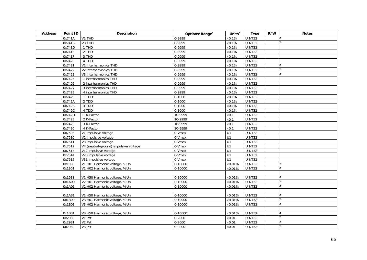| <b>Address</b> | Point ID | <b>Description</b>                    | Options/Range <sup>3</sup> | Units $3$       | <b>Type</b>   | R/W | <b>Notes</b>   |
|----------------|----------|---------------------------------------|----------------------------|-----------------|---------------|-----|----------------|
|                | 0x741A   | V <sub>2</sub> THD                    | 0-9999                     | $\times$ 0.1%   | <b>UINT32</b> |     | 2              |
|                | 0x741B   | V <sub>3</sub> THD                    | 0-9999                     | $\times 0.1\%$  | UINT32        |     | $\overline{2}$ |
|                | 0x741D   | <b>I1 THD</b>                         | 0-9999                     | $\times 0.1\%$  | UINT32        |     |                |
|                | 0x741E   | <b>I2 THD</b>                         | 0-9999                     | $\times 0.1\%$  | <b>UINT32</b> |     |                |
|                | 0x741F   | I3 THD                                | 0-9999                     | $\times 0.1\%$  | <b>UINT32</b> |     |                |
|                | 0x7420   | 14 THD                                | 0-9999                     | $\times 0.1\%$  | UINT32        |     |                |
|                | 0x7421   | V1 interharmonics THD                 | 0-9999                     | $\times 0.1\%$  | <b>UINT32</b> |     | 2              |
|                | 0x7422   | V2 interharmonics THD                 | 0-9999                     | $\times 0.1\%$  | <b>UINT32</b> |     | $\overline{2}$ |
|                | 0x7423   | V3 interharmonics THD                 | 0-9999                     | $\times 0.1\%$  | <b>UINT32</b> |     | 2              |
|                | 0x7425   | 11 interharmonics THD                 | 0-9999                     | $\times 0.1\%$  | <b>UINT32</b> |     |                |
|                | 0x7426   | 12 interharmonics THD                 | 0-9999                     | $\times 0.1\%$  | <b>UINT32</b> |     |                |
|                | 0x7427   | 13 interharmonics THD                 | 0-9999                     | $\times 0.1\%$  | <b>UINT32</b> |     |                |
|                | 0x7428   | 14 interharmonics THD                 | 0-9999                     | $\times 0.1\%$  | <b>UINT32</b> |     |                |
|                | 0x7429   | I1 TDD                                | $0 - 1000$                 | $\times 0.1\%$  | <b>UINT32</b> |     |                |
|                | 0x742A   | I <sub>2</sub> T <sub>D</sub>         | $0 - 1000$                 | $\times 0.1\%$  | <b>UINT32</b> |     |                |
|                | 0x742B   | 13 TDD                                | $0 - 1000$                 | $\times 0.1\%$  | <b>UINT32</b> |     |                |
|                | 0x742C   | 14 TDD                                | $0 - 1000$                 | $\times 0.1\%$  | UINT32        |     |                |
|                | 0x742D   | <b>11 K-Factor</b>                    | 10-9999                    | $\times 0.1$    | <b>UINT32</b> |     |                |
|                | 0x742E   | 12 K-Factor                           | 10-9999                    | $\times 0.1$    | <b>UINT32</b> |     |                |
|                | 0x742F   | 13 K-Factor                           | 10-9999                    | $\times$ 0.1    | <b>UINT32</b> |     |                |
|                | 0x7430   | 14 K-Factor                           | 10-9999                    | $\times$ 0.1    | <b>UINT32</b> |     |                |
|                | 0x750F   | $\overline{V1}$ impulsive voltage     | 0-Vmax                     | $\overline{U1}$ | <b>UINT32</b> |     |                |
|                | 0x7510   | V2 impulsive voltage                  | 0-Vmax                     | U1              | <b>UINT32</b> |     |                |
|                | 0x7511   | V3 impulsive voltage                  | 0-Vmax                     | $\overline{U}$  | UINT32        |     |                |
|                | 0x7512   | V4 (neutral-ground) impulsive voltage | 0-Vmax                     | $\overline{U}$  | <b>UINT32</b> |     |                |
|                | 0x7513   | V12 impulsive voltage                 | $0-Vmax$                   | $\overline{U}$  | UINT32        |     |                |
|                | 0x7514   | V23 impulsive voltage                 | 0-Vmax                     | U1              | <b>UINT32</b> |     |                |
|                | 0x7515   | V31 impulsive voltage                 | 0-Vmax                     | U1              | <b>UINT32</b> |     |                |
|                | 0x1900   | V1 H01 Harmonic voltage, %Un          | $0 - 10000$                | $\times$ 0.01%  | UINT32        |     | 2              |
|                | 0x1901   | V1 H02 Harmonic voltage, %Un          | $0 - 10000$                | $\times 0.01\%$ | <b>UINT32</b> |     | $\overline{2}$ |
|                |          |                                       |                            |                 |               |     |                |
|                | 0x1931   | V1 H50 Harmonic voltage, %Un          | 0-10000                    | $\times 0.01\%$ | <b>UINT32</b> |     | 2              |
|                | 0x1A00   | V2 H01 Harmonic voltage, %Un          | $0-10000$                  | $\times 0.01\%$ | <b>UINT32</b> |     | 2              |
|                | 0x1A01   | V2 H02 Harmonic voltage, %Un          | 0-10000                    | $\times 0.01\%$ | UINT32        |     | $\overline{2}$ |
|                |          |                                       |                            |                 |               |     |                |
|                | 0x1A31   | V2 H50 Harmonic voltage, %Un          | 0-10000                    | $\times 0.01\%$ | <b>UINT32</b> |     | 2              |
|                | 0x1B00   | V3 H01 Harmonic voltage, %Un          | $0-10000$                  | $\times 0.01\%$ | <b>UINT32</b> |     | 2              |
|                | 0x1B01   | V3 H02 Harmonic voltage, %Un          | $0 - 10000$                | $\times 0.01\%$ | UINT32        |     | 2              |
|                |          |                                       |                            |                 |               |     |                |
|                | 0x1B31   | V3 H50 Harmonic voltage, %Un          | 0-10000                    | $\times 0.01\%$ | <b>UINT32</b> |     | $\mathcal{P}$  |
|                | 0x2980   | V1 Pst                                | $0 - 2000$                 | $\times 0.01$   | <b>UINT32</b> |     | 2              |
|                | 0x2981   | V <sub>2</sub> Pst                    | $0 - 2000$                 | $\times 0.01$   | UINT32        |     | 2              |
|                | 0x2982   | V3 Pst                                | $0 - 2000$                 | $\times 0.01$   | UINT32        |     | $\overline{2}$ |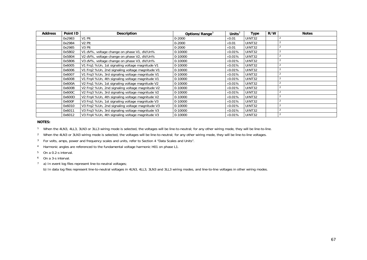| <b>Address</b> | Point ID | <b>Description</b>                                                                  | Options/Range <sup>3</sup> | Units $3$      | Type   | R/W | <b>Notes</b> |
|----------------|----------|-------------------------------------------------------------------------------------|----------------------------|----------------|--------|-----|--------------|
|                | 0x2983   | V1 Plt                                                                              | $0 - 2000$                 | $\times$ 0.01  | UINT32 |     |              |
|                | 0x2984   | V <sub>2</sub> Plt                                                                  | $0 - 2000$                 | $\times$ 0.01  | UINT32 |     |              |
|                | 0x2985   | V <sub>3</sub> Plt                                                                  | $0 - 2000$                 | $\times$ 0.01  | UINT32 |     |              |
|                | 0x5B02   | V1 dV%, voltage change on phase V1, dV/Un%                                          | 0-10000                    | $\times$ 0.01% | UINT32 |     |              |
|                | 0x5B04   | V2 dV%, voltage change on phase V2, dV/Un%                                          | 0-10000                    | $\times$ 0.01% | UINT32 |     |              |
|                | 0x5B06   | V3 dV%, voltage change on phase V3, dV/Un%                                          | 0-10000                    | $\times$ 0.01% | UINT32 |     |              |
|                | 0x6005   | V1 Frq1 %Un, 1st signaling voltage magnitude V1                                     | 0-10000                    | $\times$ 0.01% | UINT32 |     |              |
|                | 0x6006   | V1 Frq2 %Un, 2nd signaling voltage magnitude V1                                     | 0-10000                    | $\times$ 0.01% | UINT32 |     |              |
|                | 0x6007   | V1 Frq3 %Un, 3rd signaling voltage magnitude V1                                     | 0-10000                    | $\times$ 0.01% | UINT32 |     |              |
|                | 0x6008   | V1 Frq4 %Un, 4th signaling voltage magnitude V1                                     | 0-10000                    | $\times$ 0.01% | UINT32 |     |              |
|                | 0x600A   | V2 Frq1 %Un, 1st signaling voltage magnitude V2                                     | 0-10000                    | $\times$ 0.01% | UINT32 |     |              |
|                | 0x600B   | V <sub>2</sub> Frg <sub>2</sub> %Un, 2nd signaling voltage magnitude V <sub>2</sub> | 0-10000                    | $\times$ 0.01% | UINT32 |     |              |
|                | 0x600C   | V2 Frq3 %Un, 3rd signaling voltage magnitude V2                                     | 0-10000                    | $\times$ 0.01% | UINT32 |     |              |
|                | 0x600D   | V2 Frq4 %Un, 4th signaling voltage magnitude V2                                     | 0-10000                    | $\times$ 0.01% | UINT32 |     |              |
|                | 0x600F   | V3 Frq1 %Un, 1st signaling voltage magnitude V3                                     | 0-10000                    | $\times$ 0.01% | UINT32 |     |              |
|                | 0x6010   | V3 Frq2 %Un, 2nd signaling voltage magnitude V3                                     | 0-10000                    | $\times$ 0.01% | UINT32 |     |              |
|                | 0x6011   | V3 Frq3 %Un, 3rd signaling voltage magnitude V3                                     | 0-10000                    | $\times$ 0.01% | UINT32 |     |              |
|                | 0x6012   | V3 Frq4 %Un, 4th signaling voltage magnitude V3                                     | 0-10000                    | $\times$ 0.01% | UINT32 |     |              |

## **NOTES:**

1 When the 4LN3, 4LL3, 3LN3 or 3LL3 wiring mode is selected, the voltages will be line-to-neutral; for any other wiring mode, they will be line-to-line.

 $2$  When the 4LN3 or 3LN3 wiring mode is selected, the voltages will be line-to-neutral; for any other wiring mode, they will be line-to-line voltages.

<sup>3</sup> For volts, amps, power and frequency scales and units, refer to Section 4 "Data Scales and Units".

4 Harmonic angles are referenced to the fundamental voltage harmonic H01 on phase L1.

5 On a 0.2-s interval.

6 On a 3-s interval.

 $7$  a) In event log files represent line-to-neutral voltages;

b) In data log files represent line-to-neutral voltages in 4LN3, 4LL3, 3LN3 and 3LL3 wiring modes, and line-to-line voltages in other wiring modes.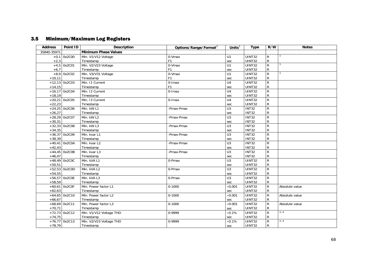## 3.5 Minimum/Maximum Log Registers

| <b>Address</b> | Point ID        | <b>Description</b>          | Options/Range/Format <sup>3</sup> | Units $3$        | <b>Type</b>   | R/W            | <b>Notes</b>   |
|----------------|-----------------|-----------------------------|-----------------------------------|------------------|---------------|----------------|----------------|
| 35840-35971    |                 | <b>Minimum Phase Values</b> |                                   |                  |               |                |                |
|                | $+0,1$ 0x2C00   | Min. V1/V12 Voltage         | 0-Vmax                            | U1               | UINT32        | $\mathsf{R}$   |                |
| $+2,3$         |                 | Timestamp                   | F <sub>1</sub>                    | sec              | UINT32        | ${\sf R}$      |                |
|                | $+4,5$ 0x2C01   | Min. V2/V23 Voltage         | 0-Vmax                            | U1               | <b>UINT32</b> | $\mathsf{R}$   |                |
| $+6,7$         |                 | Timestamp                   | F <sub>1</sub>                    | sec              | UINT32        | ${\sf R}$      |                |
|                | $+8,9$ 0x2C02   | Min. V3/V31 Voltage         | 0-Vmax                            | U1               | <b>UINT32</b> | $\overline{R}$ |                |
| $+10,11$       |                 | Timestamp                   | F <sub>1</sub>                    | sec              | <b>UINT32</b> | ${\sf R}$      |                |
|                | $+12,13$ 0x2C03 | Min. 11 Current             | 0-Imax                            | U <sub>4</sub>   | <b>UINT32</b> | $\overline{R}$ |                |
| $+14,15$       |                 | Timestamp                   | F <sub>1</sub>                    | sec              | UINT32        | ${\sf R}$      |                |
|                | $+16,17$ 0x2C04 | Min. 12 Current             | 0-Imax                            | $\overline{U4}$  | <b>UINT32</b> | $\overline{R}$ |                |
| $+18,19$       |                 | Timestamp                   |                                   | sec              | <b>UINT32</b> | ${\sf R}$      |                |
|                | $+20,21$ 0x2C05 | Min. 13 Current             | $0$ -Imax                         | U <sub>4</sub>   | UINT32        | $\overline{R}$ |                |
| $+22,23$       |                 | Timestamp                   |                                   | sec              | UINT32        | ${\sf R}$      |                |
|                | $+24,25$ 0x2C06 | Min. kW L1                  | -Pmax-Pmax                        | U3               | <b>INT32</b>  | $\mathsf{R}$   |                |
| $+26,27$       |                 | Timestamp                   |                                   | sec              | <b>INT32</b>  | $\mathsf{R}$   |                |
|                | $+28,29$ 0x2C07 | Min. kW L2                  | -Pmax-Pmax                        | $\overline{U}$ 3 | <b>INT32</b>  | $\overline{R}$ |                |
| $+30,31$       |                 | Timestamp                   |                                   | sec              | <b>INT32</b>  | ${\sf R}$      |                |
|                | $+32,33$ 0x2C08 | Min. kW L3                  | -Pmax-Pmax                        | U <sub>3</sub>   | <b>INT32</b>  | ${\sf R}$      |                |
| $+34,35$       |                 | Timestamp                   |                                   | sec              | <b>INT32</b>  | ${\sf R}$      |                |
|                | $+36,37$ 0x2C09 | Min. kvar L1                | -Pmax-Pmax                        | $\overline{U}$ 3 | <b>INT32</b>  | $\overline{R}$ |                |
| $+38,39$       |                 | Timestamp                   |                                   | sec              | <b>INT32</b>  | ${\sf R}$      |                |
|                | $+40,41$ 0x2C0A | Min. kvar L2                | -Pmax-Pmax                        | $\overline{U}$ 3 | <b>INT32</b>  | $\overline{R}$ |                |
| $+42,43$       |                 | Timestamp                   |                                   | sec              | <b>INT32</b>  | $\mathsf R$    |                |
|                | $+44,45$ 0x2C0B | Min. kvar L3                | -Pmax-Pmax                        | $\overline{U}$ 3 | <b>INT32</b>  | $\overline{R}$ |                |
| $+46,47$       |                 | Timestamp                   |                                   | sec              | INT32         | $\mathsf R$    |                |
|                | $+48,49$ 0x2COC | Min. kVA L1                 | 0-Pmax                            | $\overline{U}$ 3 | <b>UINT32</b> | $\overline{R}$ |                |
| $+50,51$       |                 | Timestamp                   |                                   | sec              | UINT32        | ${\sf R}$      |                |
|                | $+52,53$ 0x2COD | Min. kVA L2                 | 0-Pmax                            | U3               | <b>UINT32</b> | $\overline{R}$ |                |
| $+54,55$       |                 | Timestamp                   |                                   | sec              | UINT32        | ${\sf R}$      |                |
|                | $+56,57$ Ox2COE | Min. kVA L3                 | 0-Pmax                            | $\overline{U}$ 3 | UINT32        | $\overline{R}$ |                |
| $+58,59$       |                 | Timestamp                   |                                   | sec              | UINT32        | ${\sf R}$      |                |
|                | $+60,61$ 0x2C0F | Min. Power factor L1        | $0 - 1000$                        | $\times$ 0.001   | UINT32        | $\mathsf{R}$   | Absolute value |
| $+62,63$       |                 | Timestamp                   |                                   | sec              | UINT32        | R              |                |
|                | $+64,65$ 0x2C10 | Min. Power factor L2        | $0 - 1000$                        | $\times 0.001$   | <b>UINT32</b> | ${\sf R}$      | Absolute value |
| $+66,67$       |                 | Timestamp                   |                                   | sec              | UINT32        | ${\sf R}$      |                |
|                | $+68,69$ 0x2C11 | Min. Power factor L3        | $0 - 1000$                        | $\times 0.001$   | <b>UINT32</b> | $\overline{R}$ | Absolute value |
| $+70,71$       |                 | Timestamp                   |                                   | sec              | <b>UINT32</b> | $\mathsf{R}$   |                |
|                | $+72,73$ 0x2C12 | Min. V1/V12 Voltage THD     | 0-9999                            | $\times$ 0.1%    | UINT32        | $\overline{R}$ | 2, 4           |
| $+74,75$       |                 | Timestamp                   |                                   | sec              | UINT32        | ${\sf R}$      |                |
|                | $+76,77$ 0x2C13 | Min. V2/V23 Voltage THD     | 0-9999                            | $\times 0.1\%$   | UINT32        | ${\sf R}$      | 2, 4           |
| $+78,79$       |                 | Timestamp                   |                                   | sec              | UINT32        | $\mathsf{R}$   |                |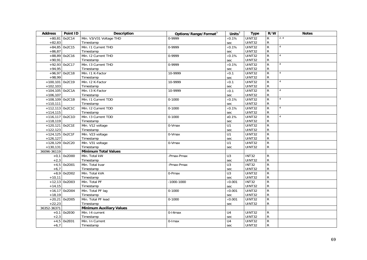| <b>Address</b>    | Point ID        | <b>Description</b>              | Options/Range/Format <sup>3</sup> | Units $3$             | <b>Type</b>                   | R/W                         | <b>Notes</b>   |
|-------------------|-----------------|---------------------------------|-----------------------------------|-----------------------|-------------------------------|-----------------------------|----------------|
| $+80,81$          | 0x2C14          | Min. V3/V31 Voltage THD         | 0-9999                            | $\times 0.1\%$        | <b>UINT32</b>                 | R                           | 2, 4           |
| $+82,83$          |                 | Timestamp                       |                                   | sec                   | <b>UINT32</b>                 | ${\sf R}$                   |                |
|                   | $+84,85$ 0x2C15 | Min. I1 Current THD             | 0-9999                            | $\times 0.1\%$        | <b>UINT32</b>                 | $\overline{R}$              | $\overline{4}$ |
| $+86,87$          |                 | Timestamp                       |                                   | sec                   | <b>UINT32</b>                 | ${\sf R}$                   |                |
|                   | $+88,89$ 0x2C16 | Min. I2 Current THD             | 0-9999                            | $\times 0.1\%$        | <b>UINT32</b>                 | $\overline{R}$              | $\overline{4}$ |
| $+90,91$          |                 | Timestamp                       |                                   | sec                   | UINT32                        | ${\sf R}$                   |                |
|                   | $+92,93$ 0x2C17 | Min. 13 Current THD             | 0-9999                            | $\times 0.1\%$        | UINT32                        | $\overline{R}$              | $\overline{4}$ |
| $+94,95$          |                 | Timestamp                       |                                   | sec                   | UINT32                        | ${\sf R}$                   |                |
|                   | $+96,97$ 0x2C18 | Min. I1 K-Factor                | 10-9999                           | $\times 0.1$          | <b>UINT32</b>                 | $\overline{R}$              | $\overline{4}$ |
| $+98,99$          |                 | Timestamp                       |                                   | sec                   | <b>UINT32</b>                 | ${\sf R}$                   |                |
| +100,101 0x2C19   |                 | Min. I2 K-Factor                | 10-9999                           | $\times 0.1$          | <b>UINT32</b>                 | $\overline{R}$              | $\overline{4}$ |
| $+102,103$        |                 | Timestamp                       |                                   | sec                   | <b>UINT32</b>                 | ${\sf R}$                   |                |
| $+104,105$ 0x2C1A |                 | Min. 13 K-Factor                | 10-9999                           | $\times$ 0.1          | <b>UINT32</b>                 | ${\sf R}$                   | $\overline{4}$ |
| $+106,107$        |                 | Timestamp                       |                                   | sec                   | <b>UINT32</b>                 | ${\sf R}$                   |                |
| $+108,109$ 0x2C1B |                 | Min. I1 Current TDD             | $0 - 1000$                        | $\times 0.1\%$        | <b>UINT32</b>                 | $\overline{R}$              | $\overline{A}$ |
| $+110,111$        |                 | Timestamp                       |                                   | sec                   | <b>UINT32</b>                 | ${\sf R}$                   |                |
| +112,113 0x2C1C   |                 | Min. 12 Current TDD             | $0 - 1000$                        | $\times 0.1\%$        | <b>UINT32</b>                 | $\overline{R}$              | $\overline{4}$ |
| $+114,115$        |                 | Timestamp                       |                                   | sec                   | <b>UINT32</b>                 | ${\sf R}$                   |                |
| $+116,117$ 0x2C1D |                 | Min. 13 Current TDD             | $0 - 1000$                        | x0.1%                 | <b>UINT32</b>                 | $\overline{R}$              | $\overline{4}$ |
| $+118,119$        |                 | Timestamp                       |                                   | sec                   | UINT32                        | ${\sf R}$                   |                |
| +120,121 0x2C1E   |                 | Min. V12 voltage                | 0-Vmax                            | U1                    | <b>UINT32</b>                 | $\mathsf{R}$                |                |
| $+122,123$        |                 | Timestamp                       |                                   | sec                   | <b>UINT32</b>                 | ${\sf R}$                   |                |
| +124,125 0x2C1F   |                 | Min. V23 voltage                | 0-Vmax                            | U1                    | <b>UINT32</b>                 | $\overline{R}$              |                |
| $+126,127$        |                 | Timestamp                       |                                   | sec                   | UINT32                        | ${\sf R}$                   |                |
| $+128,129$ 0x2C20 |                 | Min. V31 voltage                | 0-Vmax                            | $\overline{U}$        | <b>UINT32</b>                 | $\overline{R}$              |                |
| $+130,131$        |                 | Timestamp                       |                                   | sec                   | UINT32                        | ${\sf R}$                   |                |
| 36096-36119       |                 | <b>Minimum Total Values</b>     |                                   |                       |                               |                             |                |
|                   | $+0,1$ 0x2D00   | Min. Total kW                   | -Pmax-Pmax                        | U3                    | <b>INT32</b>                  | R                           |                |
| $+2,3$            |                 | Timestamp                       |                                   | sec                   | <b>UINT32</b>                 | ${\sf R}$                   |                |
|                   | $+4,5$ 0x2D01   | Min. Total kvar                 | -Pmax-Pmax                        | U3                    | <b>INT32</b>                  | $\overline{R}$              |                |
| $+6,7$            |                 | Timestamp                       |                                   | sec                   | <b>UINT32</b>                 | ${\sf R}$                   |                |
|                   | $+8,9$ 0x2D02   | Min. Total kVA                  | 0-Pmax                            | $\overline{U}$        | <b>UINT32</b>                 | $\overline{R}$              |                |
| $+10,11$          |                 | Timestamp                       |                                   | sec                   | <b>UINT32</b>                 | ${\sf R}$                   |                |
|                   | $+12,13$ 0x2D03 | Min. Total PF                   | $-1000 - 1000$                    | $\times 0.001$        | <b>INT32</b><br><b>UINT32</b> | $\overline{R}$              |                |
| $+14,15$          | $+16,17$ 0x2D04 | Timestamp                       |                                   | sec                   | <b>UINT32</b>                 | ${\sf R}$<br>$\overline{R}$ |                |
|                   |                 | Min. Total PF lag               | $0 - 1000$                        | $\times 0.001$        |                               | ${\sf R}$                   |                |
| $+18,19$          |                 | Timestamp                       |                                   | sec                   | UINT32                        |                             |                |
| $+22,23$          | $+20,21$ 0x2D05 | Min. Total PF lead<br>Timestamp | $0 - 1000$                        | $\times 0.001$        | <b>UINT32</b><br>UINT32       | $\overline{R}$<br>${\sf R}$ |                |
|                   |                 |                                 |                                   | sec                   |                               |                             |                |
| 36352-36371       |                 | <b>Minimum Auxiliary Values</b> |                                   |                       |                               |                             |                |
|                   | $+0,1$ 0x2E00   | Min. 14 current<br>Timestamp    | 0-14max                           | U4                    | UINT32<br><b>UINT32</b>       | R<br>${\sf R}$              |                |
| $+2,3$            |                 | Min. In Current                 |                                   | sec<br>U <sub>4</sub> |                               | $\overline{R}$              |                |
| $+6,7$            | $+4,5$ 0x2E01   |                                 | $0$ -Imax                         |                       | UINT32<br>UINT32              | ${\sf R}$                   |                |
|                   |                 | Timestamp                       |                                   | sec                   |                               |                             |                |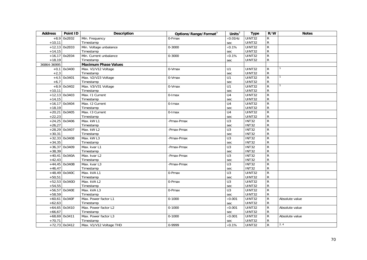| <b>Address</b> | Point ID        | <b>Description</b>          | Options/Range/Format <sup>3</sup> | Units $3$        | <b>Type</b>         | R/W            | <b>Notes</b>   |
|----------------|-----------------|-----------------------------|-----------------------------------|------------------|---------------------|----------------|----------------|
| $+8,9$         | 0x2E02          | Min. Frequency              | 0-Fmax                            | $\times 0.01$ Hz | UINT32              | R              |                |
| $+10,11$       |                 | Timestamp                   |                                   | sec              | UINT32              | ${\sf R}$      |                |
|                | $+12,13$ 0x2E03 | Min. Voltage unbalance      | $0 - 3000$                        | $\times 0.1\%$   | UINT32              | $\mathsf{R}$   |                |
| $+14,15$       |                 | Timestamp                   |                                   | sec              | UINT32              | ${\sf R}$      |                |
|                | $+16,17$ 0x2E04 | Min. Current unbalance      | 0-3000                            | $\times 0.1\%$   | UINT32              | ${\sf R}$      |                |
| $+18,19$       |                 | Timestamp                   |                                   | sec              | UINT32              | $\mathsf{R}$   |                |
| 36864-36995    |                 | <b>Maximum Phase Values</b> |                                   |                  |                     |                |                |
|                | $+0,1$ 0x3400   | Max. V1/V12 Voltage         | 0-Vmax                            | U1               | $\overline{UINT32}$ | ${\sf R}$      |                |
| $+2,3$         |                 | Timestamp                   |                                   | sec              | UINT32              | ${\sf R}$      |                |
|                | $+4,5$ 0x3401   | Max. V2/V23 Voltage         | 0-Vmax                            | U1               | UINT32              | $\overline{R}$ |                |
| $+6,7$         |                 | Timestamp                   |                                   | sec              | UINT32              | R              |                |
|                | $+8,9$ 0x3402   | Max. V3/V31 Voltage         | 0-Vmax                            | U1               | UINT32              | ${\sf R}$      |                |
| $+10,11$       |                 | Timestamp                   |                                   | sec              | UINT32              | ${\sf R}$      |                |
|                | $+12,13$ 0x3403 | Max. 11 Current             | 0-Imax                            | U <sub>4</sub>   | UINT32              | ${\sf R}$      |                |
| $+14,15$       |                 | Timestamp                   |                                   | sec              | UINT32              | ${\sf R}$      |                |
|                | $+16,17$ 0x3404 | Max. I2 Current             | 0-Imax                            | U4               | <b>UINT32</b>       | ${\sf R}$      |                |
| $+18,19$       |                 | Timestamp                   |                                   | sec              | UINT32              | ${\sf R}$      |                |
|                | $+20,21$ 0x3405 | Max. 13 Current             | 0-Imax                            | $\overline{U4}$  | UINT32              | $\overline{R}$ |                |
| $+22,23$       |                 | Timestamp                   |                                   | sec              | UINT32              | ${\sf R}$      |                |
|                | $+24,25$ 0x3406 | Max. kW L1                  | -Pmax-Pmax                        | U3               | <b>INT32</b>        | $\overline{R}$ |                |
| $+26,27$       |                 | Timestamp                   |                                   | sec              | <b>INT32</b>        | ${\sf R}$      |                |
|                | $+28,29$ 0x3407 | Max. kW L2                  | -Pmax-Pmax                        | $\overline{U}$ 3 | <b>INT32</b>        | ${\sf R}$      |                |
| $+30,31$       |                 | Timestamp                   |                                   | sec              | <b>INT32</b>        | ${\sf R}$      |                |
|                | $+32,33$ 0x3408 | Max. kW L3                  | -Pmax-Pmax                        | $\overline{U}$   | <b>INT32</b>        | $\overline{R}$ |                |
| $+34,35$       |                 | Timestamp                   |                                   | sec              | <b>INT32</b>        | ${\sf R}$      |                |
|                | $+36,37$ 0x3409 | Max. kvar L1                | -Pmax-Pmax                        | U3               | <b>INT32</b>        | ${\sf R}$      |                |
| $+38,39$       |                 | Timestamp                   |                                   | sec              | <b>INT32</b>        | ${\sf R}$      |                |
|                | $+40,41$ 0x340A | Max. kvar L2                | -Pmax-Pmax                        | $\overline{U3}$  | <b>INT32</b>        | $\overline{R}$ |                |
| $+42,43$       |                 | Timestamp                   |                                   | sec              | <b>INT32</b>        | ${\sf R}$      |                |
|                | $+44,45$ 0x340B | Max. kvar L3                | -Pmax-Pmax                        | $\overline{U}$ 3 | <b>INT32</b>        | $\overline{R}$ |                |
| $+46,47$       |                 | Timestamp                   |                                   | sec              | <b>INT32</b>        | ${\sf R}$      |                |
|                | $+48,49$ 0x340C | Max. kVA L1                 | 0-Pmax                            | U3               | UINT32              | $\mathsf{R}$   |                |
| $+50,51$       |                 | Timestamp                   |                                   | sec              | <b>UINT32</b>       | ${\sf R}$      |                |
|                | $+52,53$ 0x340D | Max. kVA L2                 | 0-Pmax                            | $\overline{U3}$  | <b>UINT32</b>       | ${\sf R}$      |                |
| $+54,55$       |                 | Timestamp                   |                                   | sec              | UINT32              | ${\sf R}$      |                |
|                | $+56,57$ 0x340E | Max. kVA L3                 | 0-Pmax                            | U3               | <b>UINT32</b>       | $\overline{R}$ |                |
| $+58,59$       |                 | Timestamp                   |                                   | sec              | UINT32              | $\mathsf{R}$   |                |
|                | $+60,61$ 0x340F | Max. Power factor L1        | $0 - 1000$                        | $\times 0.001$   | UINT32              | $\overline{R}$ | Absolute value |
| $+62,63$       |                 | Timestamp                   |                                   | sec              | UINT32              | ${\sf R}$      |                |
|                | $+64,65$ 0x3410 | Max. Power factor L2        | $0 - 1000$                        | $\times 0.001$   | <b>UINT32</b>       | ${\sf R}$      | Absolute value |
| $+66,67$       |                 | Timestamp                   |                                   | sec              | UINT32              | ${\sf R}$      |                |
|                | $+68,69$ 0x3411 | Max. Power factor L3        | $0 - 1000$                        | $\times 0.001$   | <b>UINT32</b>       | $\overline{R}$ | Absolute value |
| $+70,71$       |                 | Timestamp                   |                                   | sec              | UINT32              | ${\sf R}$      |                |
|                | $+72,73$ 0x3412 | Max. V1/V12 Voltage THD     | 0-9999                            | $\times 0.1\%$   | UINT32              | $\overline{R}$ | 2, 4           |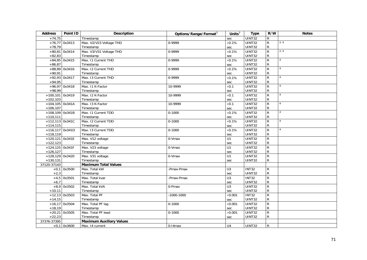| <b>Address</b>    | Point ID        | <b>Description</b>              | Options/Range/Format <sup>3</sup> | Units $3$        | <b>Type</b>   | R/W            | <b>Notes</b>   |
|-------------------|-----------------|---------------------------------|-----------------------------------|------------------|---------------|----------------|----------------|
| $+74,75$          |                 | Timestamp                       |                                   | sec              | UINT32        | ${\sf R}$      |                |
|                   | $+76,77$ 0x3413 | Max. V2/V23 Voltage THD         | 0-9999                            | $\times$ 0.1%    | UINT32        | ${\sf R}$      | 2, 4           |
| $+78,79$          |                 | Timestamp                       |                                   | sec              | UINT32        | ${\sf R}$      |                |
|                   | $+80,81$ 0x3414 | Max. V3/V31 Voltage THD         | 0-9999                            | $\times 0.1\%$   | UINT32        | $\mathsf{R}$   | 2, 4           |
| $+82,83$          |                 | Timestamp                       |                                   | sec              | UINT32        | ${\sf R}$      |                |
|                   | $+84,85$ 0x3415 | Max. 11 Current THD             | 0-9999                            | $\times 0.1\%$   | <b>UINT32</b> | $\overline{R}$ | $\overline{4}$ |
| $+86,87$          |                 | Timestamp                       |                                   | sec              | UINT32        | ${\sf R}$      |                |
|                   | $+88,89$ 0x3416 | Max. 12 Current THD             | 0-9999                            | $\times 0.1\%$   | <b>UINT32</b> | $\overline{R}$ | $\overline{4}$ |
| $+90,91$          |                 | Timestamp                       |                                   | sec              | UINT32        | ${\sf R}$      |                |
|                   | $+92,93$ 0x3417 | Max. 13 Current THD             | 0-9999                            | $\times 0.1\%$   | <b>UINT32</b> | ${\sf R}$      | $\overline{4}$ |
| $+94,95$          |                 | Timestamp                       |                                   | sec              | UINT32        | R              |                |
|                   | $+96,97$ 0x3418 | Max. 11 K-Factor                | 10-9999                           | $\times 0.1$     | <b>UINT32</b> | $\overline{R}$ |                |
| $+98,99$          |                 | Timestamp                       |                                   | sec              | <b>UINT32</b> | ${\sf R}$      |                |
| $+100,101$ 0x3419 |                 | Max. 12 K-Factor                | 10-9999                           | $\times 0.1$     | UINT32        | $\overline{R}$ | $\overline{4}$ |
| $+102,103$        |                 | Timestamp                       |                                   | sec              | UINT32        | ${\sf R}$      |                |
| $+104,105$ 0x341A |                 | Max. 13 K-Factor                | 10-9999                           | $\times 0.1$     | <b>UINT32</b> | $\mathsf R$    | $\overline{4}$ |
| $+106,107$        |                 | Timestamp                       |                                   | sec              | UINT32        | ${\sf R}$      |                |
| $+108,109$ 0x341B |                 | Max. 11 Current TDD             | $0 - 1000$                        | $\times 0.1\%$   | <b>UINT32</b> | $\overline{R}$ | $\overline{A}$ |
| $+110,111$        |                 | Timestamp                       |                                   | sec              | UINT32        | ${\sf R}$      |                |
| $+112,113$ 0x341C |                 | Max. 12 Current TDD             | $0 - 1000$                        | $\times$ 0.1%    | <b>UINT32</b> | $\overline{R}$ | $\overline{A}$ |
| $+114,115$        |                 | Timestamp                       |                                   | sec              | UINT32        | ${\sf R}$      |                |
| $+116,117$ 0x341D |                 | Max. 13 Current TDD             | $0 - 1000$                        | $\times 0.1\%$   | <b>UINT32</b> | $\overline{R}$ | $\overline{4}$ |
| $+118,119$        |                 | Timestamp                       |                                   | sec              | UINT32        | $\mathsf R$    |                |
| $+120,121$ 0x341E |                 | Max. V12 voltage                | 0-Vmax                            | $\overline{U}$   | <b>UINT32</b> | $\overline{R}$ |                |
| $+122,123$        |                 | Timestamp                       |                                   | sec              | UINT32        | ${\sf R}$      |                |
| $+124,125$ 0x341F |                 | Max. V23 voltage                | 0-Vmax                            | $\overline{U}$   | <b>UINT32</b> | $\overline{R}$ |                |
| $+126,127$        |                 | Timestamp                       |                                   | sec              | <b>UINT32</b> | ${\sf R}$      |                |
| $+128,129$ 0x3420 |                 | Max. V31 voltage                | 0-Vmax                            | U1               | <b>UINT32</b> | $\overline{R}$ |                |
| $+130,131$        |                 | Timestamp                       |                                   | sec              | UINT32        | $\mathsf{R}$   |                |
| 37120-37143       |                 | <b>Maximum Total Values</b>     |                                   |                  |               |                |                |
| $+0,1$            | 0x3500          | Max. Total kW                   | -Pmax-Pmax                        | U <sub>3</sub>   | <b>INT32</b>  | $\mathsf{R}$   |                |
| $+2,3$            |                 | Timestamp                       |                                   | sec              | <b>UINT32</b> | ${\sf R}$      |                |
| $+4,5$            | 0x3501          | Max. Total kvar                 | -Pmax-Pmax                        | U3               | <b>INT32</b>  | $\overline{R}$ |                |
| $+6,7$            |                 | Timestamp                       |                                   | sec              | UINT32        | ${\sf R}$      |                |
|                   | $+8,9$ 0x3502   | Max. Total kVA                  | 0-Pmax                            | $\overline{U}$ 3 | <b>UINT32</b> | $\overline{R}$ |                |
| $+10,11$          |                 | Timestamp                       |                                   | sec              | <b>UINT32</b> | ${\sf R}$      |                |
|                   | $+12,13$ 0x3503 | Max. Total PF                   | $-1000 - 1000$                    | $\times 0.001$   | <b>INT32</b>  | $\overline{R}$ |                |
| $+14,15$          |                 | Timestamp                       |                                   | sec              | UINT32        | ${\sf R}$      |                |
|                   | $+16,17$ 0x3504 | Max. Total PF lag               | $0 - 1000$                        | $\times 0.001$   | <b>UINT32</b> | $\overline{R}$ |                |
| $+18,19$          |                 | Timestamp                       |                                   | sec              | UINT32        | $\mathsf R$    |                |
|                   | $+20,21$ 0x3505 | Max. Total PF lead              | $0 - 1000$                        | $\times 0.001$   | <b>UINT32</b> | $\overline{R}$ |                |
| $+22,23$          |                 | Timestamp                       |                                   | sec              | UINT32        | $\mathsf{R}$   |                |
| 37376-37395       |                 | <b>Maximum Auxiliary Values</b> |                                   |                  |               |                |                |
|                   | $+0,1$ 0x3600   | Max. 14 current                 | 0-14max                           | U <sub>4</sub>   | <b>UINT32</b> | ${\sf R}$      |                |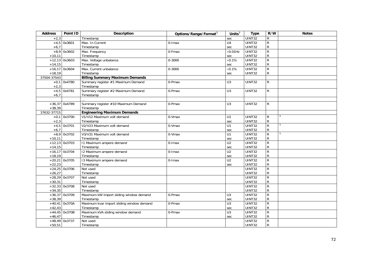| <b>Address</b> | Point ID        | <b>Description</b>                        | Options/Range/Format <sup>3</sup> | Units $3$       | <b>Type</b>   | R/W            | <b>Notes</b> |
|----------------|-----------------|-------------------------------------------|-----------------------------------|-----------------|---------------|----------------|--------------|
| $+2,3$         |                 | Timestamp                                 |                                   | sec             | UINT32        | R              |              |
|                | $+4,5$ 0x3601   | Max. In Current                           | 0-Imax                            | U <sub>4</sub>  | <b>UINT32</b> | $\overline{R}$ |              |
| $+6,7$         |                 | Timestamp                                 |                                   | sec             | UINT32        | R              |              |
| $+8,9$         | 0x3602          | Max. Frequency                            | 0-Fmax                            | $\times$ 0.01Hz | UINT32        | $\overline{R}$ |              |
| $+10,11$       |                 | Timestamp                                 |                                   | sec             | <b>UINT32</b> | R              |              |
|                | $+12,13$ 0x3603 | Max. Voltage unbalance                    | 0-3000                            | $\times 0.1\%$  | <b>UINT32</b> | $\overline{R}$ |              |
| $+14,15$       |                 | Timestamp                                 |                                   | sec             | <b>UINT32</b> | $\mathsf{R}$   |              |
|                | $+16,17$ 0x3604 | Max. Current unbalance                    | $0 - 3000$                        | $\times 0.1\%$  | UINT32        | ${\sf R}$      |              |
| $+18,19$       |                 | Timestamp                                 |                                   | sec             | UINT32        | R              |              |
| 37504-37543    |                 | <b>Billing Summary Maximum Demands</b>    |                                   |                 |               |                |              |
|                | $+0,1$ 0x4780   | Summary register #1 Maximum Demand        | 0-Pmax                            | U <sub>3</sub>  | <b>UINT32</b> | $\mathsf{R}$   |              |
| $+2,3$         |                 | Timestamp                                 |                                   |                 |               |                |              |
| $+4,5$         | 0x4781          | Summary register #2 Maximum Demand        | 0-Pmax                            | U3              | <b>UINT32</b> | $\mathsf{R}$   |              |
| $+6,7$         |                 | Timestamp                                 |                                   |                 |               |                |              |
|                |                 |                                           |                                   |                 |               |                |              |
|                | $+36,37$ 0x4789 | Summary register #10 Maximum Demand       | 0-Pmax                            | U3              | <b>UINT32</b> | $\mathsf{R}$   |              |
| $+38,39$       |                 | Timestamp                                 |                                   |                 |               |                |              |
| 37632-37715    |                 | <b>Engineering Maximum Demands</b>        |                                   |                 |               |                |              |
|                | $+0.1$ 0x3700   | V1/V12 Maximum volt demand                | 0-Vmax                            | U1              | <b>UINT32</b> | R              |              |
| $+2,3$         |                 | Timestamp                                 |                                   | sec             | UINT32        | ${\sf R}$      |              |
|                | $+4,5$ 0x3701   | V2/V23 Maximum volt demand                | 0-Vmax                            | U1              | <b>UINT32</b> | $\mathsf{R}$   |              |
| $+6,7$         |                 | Timestamp                                 |                                   | sec             | <b>UINT32</b> | R              |              |
|                | $+8,9$ 0x3702   | V3/V31 Maximum volt demand                | 0-Vmax                            | U1              | UINT32        | $\overline{R}$ |              |
| $+10,11$       |                 | Timestamp                                 |                                   | sec             | <b>UINT32</b> | $\mathsf{R}$   |              |
|                | $+12,13$ 0x3703 | 11 Maximum ampere demand                  | 0-Imax                            | $\overline{U2}$ | <b>UINT32</b> | $\overline{R}$ |              |
| $+14,15$       |                 | Timestamp                                 |                                   | sec             | UINT32        | R              |              |
|                | $+16,17$ 0x3704 | 12 Maximum ampere demand                  | 0-Imax                            | U <sub>2</sub>  | <b>UINT32</b> | $\overline{R}$ |              |
| $+18,19$       |                 | Timestamp                                 |                                   | sec             | <b>UINT32</b> | R              |              |
|                | $+20,21$ 0x3705 | 13 Maximum ampere demand                  | $0$ -Imax                         | U <sub>2</sub>  | <b>UINT32</b> | $\overline{R}$ |              |
| $+22,23$       |                 | Timestamp                                 |                                   | sec             | <b>UINT32</b> | R              |              |
|                | $+24,25$ 0x3706 | Not used                                  |                                   |                 | <b>UINT32</b> | $\overline{R}$ |              |
| $+26,27$       |                 | Timestamp                                 |                                   |                 | UINT32        | ${\sf R}$      |              |
|                | $+28,29$ 0x3707 | Not used                                  |                                   |                 | <b>UINT32</b> | $\overline{R}$ |              |
| $+30,31$       |                 | Timestamp                                 |                                   |                 | UINT32        | R              |              |
|                | $+32,33$ 0x3708 | Not used                                  |                                   |                 | <b>UINT32</b> | $\overline{R}$ |              |
| $+34,35$       |                 | Timestamp                                 |                                   |                 | UINT32        | R              |              |
|                | $+36,37$ 0x3709 | Maximum kW import sliding window demand   | 0-Pmax                            | U <sub>3</sub>  | <b>UINT32</b> | $\overline{R}$ |              |
| $+38,39$       |                 | Timestamp                                 |                                   | sec             | UINT32        | R              |              |
|                | $+40,41$ 0x370A | Maximum kvar import sliding window demand | 0-Pmax                            | U <sub>3</sub>  | UINT32        | $\overline{R}$ |              |
| $+42,43$       |                 | Timestamp                                 |                                   | sec             | UINT32        | R              |              |
|                | $+44,45$ 0x370B | Maximum kVA sliding window demand         | 0-Pmax                            | U3              | <b>UINT32</b> | ${\sf R}$      |              |
| $+46,47$       |                 | Timestamp                                 |                                   | sec             | UINT32        | R              |              |
|                | $+48,49$ 0x3737 | Not used                                  |                                   |                 | <b>UINT32</b> | $\mathsf{R}$   |              |
| $+50,51$       |                 | Timestamp                                 |                                   |                 | UINT32        | $\mathsf{R}$   |              |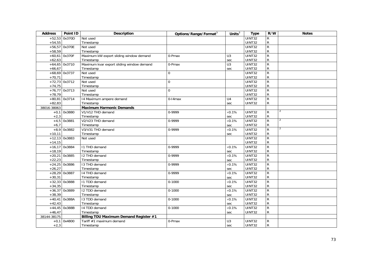| <b>Address</b> | Point ID        | <b>Description</b>                        | Options/Range/Format <sup>3</sup> | Units $3$      | <b>Type</b>   | R/W            | <b>Notes</b>   |
|----------------|-----------------|-------------------------------------------|-----------------------------------|----------------|---------------|----------------|----------------|
|                | $+52,53$ 0x370D | Not used                                  |                                   |                | UINT32        | R              |                |
| $+54,55$       |                 | Timestamp                                 |                                   |                | UINT32        | ${\sf R}$      |                |
|                | $+56,57$ 0x370E | Not used                                  |                                   |                | UINT32        | $\overline{R}$ |                |
| $+58,59$       |                 | Timestamp                                 |                                   |                | <b>UINT32</b> | ${\sf R}$      |                |
|                | $+60,61$ 0x370F | Maximum kW export sliding window demand   | 0-Pmax                            | U3             | UINT32        | $\overline{R}$ |                |
| $+62,63$       |                 | Timestamp                                 |                                   | sec            | UINT32        | $\mathsf{R}$   |                |
|                | $+64,65$ 0x3710 | Maximum kvar export sliding window demand | 0-Pmax                            | U3             | UINT32        | $\overline{R}$ |                |
| $+66,67$       |                 | Timestamp                                 |                                   | sec            | UINT32        | ${\sf R}$      |                |
|                | $+68,69$ 0x3737 | Not used                                  | $\Omega$                          |                | UINT32        | $\overline{R}$ |                |
| $+70,71$       |                 | Timestamp                                 |                                   |                | UINT32        | ${\sf R}$      |                |
|                | $+72,73$ 0x3712 | Not used                                  | $\Omega$                          |                | UINT32        | $\overline{R}$ |                |
| $+74,75$       |                 | Timestamp                                 |                                   |                | UINT32        | ${\sf R}$      |                |
|                | $+76,77$ 0x3713 | Not used                                  | $\Omega$                          |                | <b>UINT32</b> | $\overline{R}$ |                |
| $+78,79$       |                 | Timestamp                                 |                                   |                | UINT32        | $\mathsf{R}$   |                |
|                | $+80,81$ 0x3714 | 14 Maximum ampere demand                  | $0-14$ max                        | U <sub>4</sub> | UINT32        | $\overline{R}$ |                |
| $+82,83$       |                 | Timestamp                                 |                                   | sec            | UINT32        | ${\sf R}$      |                |
| 38016-38063    |                 | <b>Maximum Harmonic Demands</b>           |                                   |                |               |                |                |
|                | $+0,1$ 0x3880   | V1/V12 THD demand                         | 0-9999                            | $\times 0.1\%$ | UINT32        | ${\sf R}$      | 2              |
| $+2,3$         |                 | Timestamp                                 |                                   | sec            | UINT32        | ${\sf R}$      |                |
|                | $+4,5$ 0x3881   | V2/V23 THD demand                         | 0-9999                            | $\times 0.1\%$ | UINT32        | $\overline{R}$ | $\overline{2}$ |
| $+6,7$         |                 | Timestamp                                 |                                   | sec            | UINT32        | ${\sf R}$      |                |
|                | $+8,9$ 0x3882   | V3/V31 THD demand                         | 0-9999                            | $\times$ 0.1%  | UINT32        | $\overline{R}$ | 2              |
| $+10,11$       |                 | Timestamp                                 |                                   | sec            | UINT32        | $\mathsf{R}$   |                |
|                | $+12,13$ 0x3883 | Not used                                  |                                   |                | UINT32        | $\overline{R}$ |                |
| $+14,15$       |                 |                                           |                                   |                | UINT32        | ${\sf R}$      |                |
|                | $+16,17$ 0x3884 | I1 THD demand                             | 0-9999                            | $\times$ 0.1%  | UINT32        | $\overline{R}$ |                |
| $+18,19$       |                 | Timestamp                                 |                                   | sec            | UINT32        | ${\sf R}$      |                |
|                | $+20,21$ 0x3885 | I2 THD demand                             | 0-9999                            | $\times$ 0.1%  | UINT32        | $\overline{R}$ |                |
| $+22,23$       |                 | Timestamp                                 |                                   | sec            | <b>UINT32</b> | ${\sf R}$      |                |
|                | $+24,25$ 0x3886 | 13 THD demand                             | 0-9999                            | $\times 0.1\%$ | <b>UINT32</b> | $\overline{R}$ |                |
| $+26,27$       |                 | Timestamp                                 |                                   | sec            | UINT32        | ${\sf R}$      |                |
|                | +28,29 0x3887   | 14 THD demand                             | 0-9999                            | $\times$ 0.1%  | UINT32        | $\overline{R}$ |                |
| $+30,31$       |                 | Timestamp                                 |                                   | sec            | <b>UINT32</b> | ${\sf R}$      |                |
|                | $+32,33$ 0x3888 | I1 TDD demand                             | $0 - 1000$                        | $\times 0.1\%$ | UINT32        | $\overline{R}$ |                |
| $+34,35$       |                 | Timestamp                                 |                                   | sec            | <b>UINT32</b> | $\mathsf{R}$   |                |
|                | $+36,37$ 0x3889 | I2 TDD demand                             | $0 - 1000$                        | $\times 0.1\%$ | UINT32        | ${\sf R}$      |                |
| $+38,39$       |                 | Timestamp                                 |                                   | sec            | <b>UINT32</b> | ${\sf R}$      |                |
|                | $+40,41$ 0x388A | 13 TDD demand                             | $0 - 1000$                        | $\times 0.1\%$ | <b>UINT32</b> | $\overline{R}$ |                |
| $+42,43$       |                 | Timestamp                                 |                                   | sec            | <b>UINT32</b> | ${\sf R}$      |                |
|                | $+44,45$ 0x388B | 14 TDD demand                             | $0 - 1000$                        | $\times 0.1\%$ | UINT32        | $\overline{R}$ |                |
| $+46,47$       |                 | Timestamp                                 |                                   | sec            | UINT32        | $\mathsf{R}$   |                |
| 38144-38175    |                 | Billing TOU Maximum Demand Register #1    |                                   |                |               |                |                |
|                | $+0,1$ 0x4800   | Tariff #1 maximum demand                  | 0-Pmax                            | U3             | UINT32        | ${\sf R}$      |                |
| $+2,3$         |                 | Timestamp                                 |                                   | sec            | UINT32        | ${\sf R}$      |                |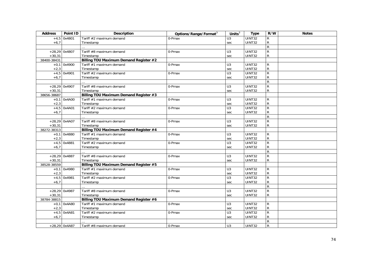| <b>Address</b> | Point ID        | <b>Description</b>                            | Options/Range/Format <sup>3</sup> | Units $3$      | <b>Type</b>   | R/W            | <b>Notes</b> |
|----------------|-----------------|-----------------------------------------------|-----------------------------------|----------------|---------------|----------------|--------------|
|                | $+4,5$ 0x4801   | Tariff #2 maximum demand                      | 0-Pmax                            | U <sub>3</sub> | UINT32        | $\mathsf{R}$   |              |
| $+6,7$         |                 | Timestamp                                     |                                   | sec            | UINT32        | ${\sf R}$      |              |
|                |                 |                                               |                                   |                |               | $\overline{R}$ |              |
|                | $+28,29$ 0x4807 | Tariff #8 maximum demand                      | 0-Pmax                            | U <sub>3</sub> | <b>UINT32</b> | $\overline{R}$ |              |
| $+30,31$       |                 | Timestamp                                     |                                   | sec            | UINT32        | $\mathsf{R}$   |              |
| 38400-38431    |                 | Billing TOU Maximum Demand Register #2        |                                   |                |               |                |              |
|                | $+0,1$ 0x4900   | Tariff #1 maximum demand                      | 0-Pmax                            | U3             | UINT32        | ${\sf R}$      |              |
| $+2,3$         |                 | Timestamp                                     |                                   | sec            | UINT32        | $\mathsf{R}$   |              |
|                | $+4,5$ 0x4901   | Tariff #2 maximum demand                      | 0-Pmax                            | U3             | UINT32        | $\overline{R}$ |              |
| $+6,7$         |                 | Timestamp                                     |                                   | sec            | UINT32        | ${\sf R}$      |              |
|                |                 |                                               |                                   |                |               | $\overline{R}$ |              |
|                | $+28,29$ 0x4907 | Tariff #8 maximum demand                      | 0-Pmax                            | U <sub>3</sub> | UINT32        | $\overline{R}$ |              |
| $+30,31$       |                 | Timestamp                                     |                                   | sec            | UINT32        | ${\sf R}$      |              |
| 38656-38687    |                 | Billing TOU Maximum Demand Register #3        |                                   |                |               |                |              |
|                | $+0,1$ 0x4A00   | Tariff #1 maximum demand                      | 0-Pmax                            | U3             | UINT32        | R              |              |
| $+2,3$         |                 | Timestamp                                     |                                   | sec            | UINT32        | ${\sf R}$      |              |
|                | $+4,5$ 0x4A01   | Tariff #2 maximum demand                      | 0-Pmax                            | U3             | UINT32        | $\mathsf{R}$   |              |
| $+6,7$         |                 | Timestamp                                     |                                   | sec            | <b>UINT32</b> | ${\sf R}$      |              |
|                |                 |                                               |                                   |                |               | $\overline{R}$ |              |
|                | +28,29 0x4A07   | Tariff #8 maximum demand                      | 0-Pmax                            | U3             | UINT32        | $\mathsf{R}$   |              |
| $+30,31$       |                 | Timestamp                                     |                                   | sec            | <b>UINT32</b> | $\mathsf{R}$   |              |
| 38272-38313    |                 | <b>Billing TOU Maximum Demand Register #4</b> |                                   |                |               |                |              |
|                | $+0,1$ 0x4880   | Tariff #1 maximum demand                      | 0-Pmax                            | U3             | UINT32        | R              |              |
| $+2,3$         |                 | Timestamp                                     |                                   | sec            | UINT32        | ${\sf R}$      |              |
|                | $+4,5$ 0x4881   | Tariff #2 maximum demand                      | 0-Pmax                            | U3             | UINT32        | $\mathsf{R}$   |              |
| $+6,7$         |                 | Timestamp                                     |                                   | sec            | UINT32        | ${\sf R}$      |              |
|                |                 |                                               |                                   |                |               | ${\sf R}$      |              |
|                | $+28,29$ 0x4887 | Tariff #8 maximum demand                      | 0-Pmax                            | U <sub>3</sub> | UINT32        | $\overline{R}$ |              |
| $+30,31$       |                 | Timestamp                                     |                                   | sec            | UINT32        | $\mathsf{R}$   |              |
| 38528-38559    |                 | <b>Billing TOU Maximum Demand Register #5</b> |                                   |                |               |                |              |
|                | $+0,1$ 0x4980   | Tariff #1 maximum demand                      | 0-Pmax                            | U3             | UINT32        | R              |              |
| $+2,3$         |                 | Timestamp                                     |                                   | sec            | UINT32        | ${\sf R}$      |              |
|                | $+4,5$ 0x4981   | Tariff #2 maximum demand                      | 0-Pmax                            | U <sub>3</sub> | <b>UINT32</b> | $\overline{R}$ |              |
| $+6,7$         |                 | Timestamp                                     |                                   | sec            | UINT32        | R              |              |
|                |                 |                                               |                                   |                |               | ${\sf R}$      |              |
|                | $+28,29$ 0x4987 | Tariff #8 maximum demand                      | 0-Pmax                            | U <sub>3</sub> | UINT32        | $\overline{R}$ |              |
| $+30,31$       |                 | Timestamp                                     |                                   | sec            | UINT32        | $\mathsf{R}$   |              |
| 38784-38815    |                 | Billing TOU Maximum Demand Register #6        |                                   |                |               |                |              |
|                | $+0,1$ 0x4A80   | Tariff #1 maximum demand                      | 0-Pmax                            | U3             | UINT32        | R              |              |
| $+2,3$         |                 | Timestamp                                     |                                   | sec            | UINT32        | $\mathsf{R}$   |              |
|                | $+4,5$ 0x4A81   | Tariff #2 maximum demand                      | 0-Pmax                            | U3             | <b>UINT32</b> | $\overline{R}$ |              |
| $+6,7$         |                 | Timestamp                                     |                                   | sec            | UINT32        | ${\sf R}$      |              |
|                |                 |                                               |                                   |                |               | $\mathsf{R}$   |              |
|                | $+28,29$ 0x4A87 | Tariff #8 maximum demand                      | 0-Pmax                            | U <sub>3</sub> | UINT32        | $\overline{R}$ |              |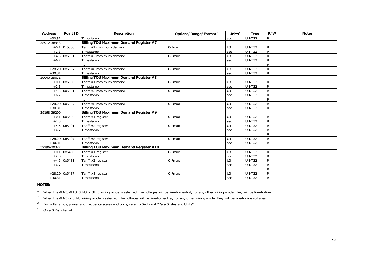| <b>Address</b> | Point ID        | <b>Description</b>                      | Options/Range/Format <sup>3</sup> | Units $\overline{3}$ | <b>Type</b>   | R/W            | <b>Notes</b> |
|----------------|-----------------|-----------------------------------------|-----------------------------------|----------------------|---------------|----------------|--------------|
| $+30,31$       |                 | Timestamp                               |                                   | sec                  | UINT32        | R              |              |
| 38912-38943    |                 | Billing TOU Maximum Demand Register #7  |                                   |                      |               |                |              |
|                | $+0.1$ 0x5300   | Tariff #1 maximum demand                | 0-Pmax                            | U <sub>3</sub>       | <b>UINT32</b> | R              |              |
| $+2,3$         |                 | Timestamp                               |                                   | sec                  | UINT32        | ${\sf R}$      |              |
|                | $+4,5$ 0x5301   | Tariff #2 maximum demand                | 0-Pmax                            | U <sub>3</sub>       | <b>UINT32</b> | ${\sf R}$      |              |
| $+6,7$         |                 | Timestamp                               |                                   | sec                  | UINT32        | ${\sf R}$      |              |
|                |                 |                                         |                                   |                      |               | ${\sf R}$      |              |
|                | $+28,29$ 0x5307 | Tariff #8 maximum demand                | 0-Pmax                            | U <sub>3</sub>       | <b>UINT32</b> | ${\sf R}$      |              |
| $+30,31$       |                 | Timestamp                               |                                   | sec                  | <b>UINT32</b> | ${\sf R}$      |              |
| 39040-39071    |                 | Billing TOU Maximum Demand Register #8  |                                   |                      |               |                |              |
|                | $+0,1$ 0x5380   | Tariff #1 maximum demand                | 0-Pmax                            | U <sub>3</sub>       | <b>UINT32</b> | R              |              |
| $+2,3$         |                 | Timestamp                               |                                   | sec                  | <b>UINT32</b> | ${\sf R}$      |              |
|                | $+4,5$ 0x5381   | Tariff #2 maximum demand                | 0-Pmax                            | U3                   | <b>UINT32</b> | ${\sf R}$      |              |
| $+6,7$         |                 | Timestamp                               |                                   | sec                  | UINT32        | ${\sf R}$      |              |
|                |                 |                                         |                                   |                      |               | $\mathsf{R}$   |              |
|                | $+28,29$ 0x5387 | Tariff #8 maximum demand                | 0-Pmax                            | U <sub>3</sub>       | <b>UINT32</b> | ${\sf R}$      |              |
| $+30,31$       |                 | Timestamp                               |                                   | sec                  | <b>UINT32</b> | ${\sf R}$      |              |
| 39168-39299    |                 | Billing TOU Maximum Demand Register #9  |                                   |                      |               |                |              |
|                | $+0,1$ 0x5400   | Tariff #1 register                      | 0-Pmax                            | U <sub>3</sub>       | <b>UINT32</b> | R              |              |
| $+2,3$         |                 | Timestamp                               |                                   | sec                  | <b>UINT32</b> | ${\sf R}$      |              |
|                | $+4,5$ 0x5401   | Tariff #2 register                      | 0-Pmax                            | U <sub>3</sub>       | <b>UINT32</b> | $\mathsf{R}$   |              |
| $+6,7$         |                 | Timestamp                               |                                   | sec                  | UINT32        | ${\sf R}$      |              |
|                |                 |                                         |                                   |                      |               | $\overline{R}$ |              |
|                | $+28,29$ 0x5407 | Tariff #8 register                      | 0-Pmax                            | U <sub>3</sub>       | UINT32        | $\mathsf{R}$   |              |
| $+30,31$       |                 | Timestamp                               |                                   | sec                  | UINT32        | ${\sf R}$      |              |
| 39296-39327    |                 | Billing TOU Maximum Demand Register #10 |                                   |                      |               |                |              |
|                | $+0.1$ 0x5480   | Tariff #1 register                      | 0-Pmax                            | U <sub>3</sub>       | <b>UINT32</b> | ${\sf R}$      |              |
| $+2,3$         |                 | Timestamp                               |                                   | sec                  | UINT32        | ${\sf R}$      |              |
|                | $+4,5$ 0x5481   | Tariff #2 register                      | 0-Pmax                            | U <sub>3</sub>       | <b>UINT32</b> | ${\sf R}$      |              |
| $+6,7$         |                 | Timestamp                               |                                   | sec                  | UINT32        | ${\sf R}$      |              |
|                |                 |                                         |                                   |                      |               | $\overline{R}$ |              |
|                | +28,29 0x5487   | Tariff #8 register                      | 0-Pmax                            | U <sub>3</sub>       | <b>UINT32</b> | ${\sf R}$      |              |
| $+30,31$       |                 | Timestamp                               |                                   | sec                  | <b>UINT32</b> | ${\sf R}$      |              |

## **NOTES:**

1 When the 4LN3, 4LL3, 3LN3 or 3LL3 wiring mode is selected, the voltages will be line-to-neutral; for any other wiring mode, they will be line-to-line.

<sup>2</sup> When the 4LN3 or 3LN3 wiring mode is selected, the voltages will be line-to-neutral; for any other wiring mode, they will be line-to-line voltages.

<sup>3</sup> For volts, amps, power and frequency scales and units, refer to Section 4 "Data Scales and Units".

 $4$  On a 0.2-s interval.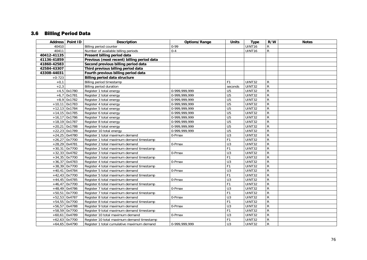## 3.6 Billing Period Data

|                 | Address Point ID | <b>Description</b>                         | Options/Range        | <b>Units</b>     | <b>Type</b>          | R/W            | <b>Notes</b> |
|-----------------|------------------|--------------------------------------------|----------------------|------------------|----------------------|----------------|--------------|
| 40410           |                  | Billing period counter                     | $0 - 99$             |                  | UINT16               | R              |              |
| 40411           |                  | Number of available billing periods        | $0 - 4$              |                  | UINT16               | ${\sf R}$      |              |
| 40412-41135     |                  | Present billing period data                |                      |                  |                      |                |              |
| 41136-41859     |                  | Previous (most recent) billing period data |                      |                  |                      |                |              |
| 41860-42583     |                  | Second previous billing period data        |                      |                  |                      |                |              |
| 42584-43307     |                  | Third previous billing period data         |                      |                  |                      |                |              |
| 43308-44031     |                  | Fourth previous billing period data        |                      |                  |                      |                |              |
| $+0-723$        |                  | <b>Billing period data structure</b>       |                      |                  |                      |                |              |
| $+0,1$          |                  | Billing period timestamp                   |                      | F <sub>1</sub>   | UINT32               | R              |              |
| $+2,3$          |                  | Billing period duration                    |                      | seconds          | UINT32               | ${\sf R}$      |              |
|                 | $+4,5$ 0x1780    | Register 1 total energy                    | 0-999,999,999        | $\overline{U5}$  | UINT32               | $\overline{R}$ |              |
|                 | $+6,7$ 0x1781    | Register 2 total energy                    | 0-999, 999, 999      | U <sub>5</sub>   | UINT32               | $\overline{R}$ |              |
|                 | $+8,9$ 0x1782    | Register 3 total energy                    | 0-999, 999, 999      | U <sub>5</sub>   | UINT32               | $\overline{R}$ |              |
| $+10,11$ 0x1783 |                  | Register 4 total energy                    | 0-999, 999, 999      | U <sub>5</sub>   | $\overline{UINT}$ 32 | $\overline{R}$ |              |
|                 | $+12,13$ 0x1784  | Register 5 total energy                    | 0-999,999,999        | U <sub>5</sub>   | UINT32               | $\overline{R}$ |              |
| $+14,15$ 0x1785 |                  | Register 6 total energy                    | 0-999,999,999        | $\overline{U5}$  | <b>UINT32</b>        | $\overline{R}$ |              |
|                 | $+16,17$ 0x1786  | Register 7 total energy                    | 0-999,999,999        | U <sub>5</sub>   | UINT32               | $\overline{R}$ |              |
| $+18,19$ 0x1787 |                  | Register 8 total energy                    | 0-999,999,999        | $\overline{U5}$  | UINT32               | $\overline{R}$ |              |
|                 | $+20,21$ 0x1788  | Register 9 total energy                    | 0-999, 999, 999      | U <sub>5</sub>   | <b>UINT32</b>        | $\overline{R}$ |              |
|                 | $+22,23$ 0x1789  | Register 10 total energy                   | 0-999,999,999        | $\overline{U5}$  | UINT32               | $\overline{R}$ |              |
|                 | $+24,25$ 0x4780  | Register 1 total maximum demand            | 0-Pmax               | U <sub>3</sub>   | UINT32               | $\mathsf R$    |              |
|                 | $+26,27$ 0x7700  | Register 1 total maximum demand timestamp  |                      | F1               | UINT32               | $\overline{R}$ |              |
| $+28,29$ 0x4781 |                  | Register 2 total maximum demand            | 0-Pmax               | U3               | UINT32               | $\overline{R}$ |              |
|                 | $+30,31$ 0x7700  | Register 2 total maximum demand timestamp  |                      | F1               | <b>UINT32</b>        | $\overline{R}$ |              |
|                 | $+32,33$ 0x4782  | Register 3 total maximum demand            | 0-Pmax               | U3               | <b>UINT32</b>        | $\overline{R}$ |              |
|                 | $+34,35$ 0x7700  | Register 3 total maximum demand timestamp  |                      | F1               | UINT32               | ${\sf R}$      |              |
|                 | $+36,37$ 0x4783  | Register 4 total maximum demand            | 0-Pmax               | $\overline{U}$ 3 | UINT32               | $\overline{R}$ |              |
|                 | $+38,39$ 0x7700  | Register 4 total maximum demand timestamp  |                      | F1               | UINT32               | $\overline{R}$ |              |
|                 | $+40,41$ 0x4784  | Register 5 total maximum demand            | $\overline{0}$ -Pmax | $\overline{U}$ 3 | UINT32               | $\overline{R}$ |              |
|                 | $+42,43$ 0x7700  | Register 5 total maximum demand timestamp  |                      | F <sub>1</sub>   | UINT32               | $\overline{R}$ |              |
|                 | $+44,45$ 0x4785  | Register 6 total maximum demand            | 0-Pmax               | U3               | UINT32               | $\overline{R}$ |              |
|                 | $+46,47$ 0x7700  | Register 6 total maximum demand timestamp  |                      | F1               | UINT32               | $\overline{R}$ |              |
|                 | $+48,49$ 0x4786  | Register 7 total maximum demand            | 0-Pmax               | U3               | <b>UINT32</b>        | $\overline{R}$ |              |
|                 | $+50,51$ 0x7700  | Register 7 total maximum demand timestamp  |                      | F1               | UINT32               | ${\sf R}$      |              |
| $+52,53$ 0x4787 |                  | Register 8 total maximum demand            | 0-Pmax               | $\overline{U}$ 3 | UINT32               | $\overline{R}$ |              |
|                 | $+54,55$ 0x7700  | Register 8 total maximum demand timestamp  |                      | F1               | UINT32               | $\overline{R}$ |              |
|                 | $+56,57$ 0x4788  | Register 9 total maximum demand            | $\overline{0}$ -Pmax | U3               | UINT32               | $\overline{R}$ |              |
|                 | $+58,59$ 0x7700  | Register 9 total maximum demand timestamp  |                      | F1               | UINT32               | $\overline{R}$ |              |
|                 | $+60,61$ 0x4789  | Register 10 total maximum demand           | 0-Pmax               | U3               | UINT32               | ${\sf R}$      |              |
|                 | $+62,63$ 0x7700  | Register 10 total maximum demand timestamp |                      | F1               | UINT32               | $\overline{R}$ |              |
|                 | $+64,65$ 0x4790  | Register 1 total cumulative maximum demand | 0-999,999,999        | U <sub>3</sub>   | UINT32               | $\overline{R}$ |              |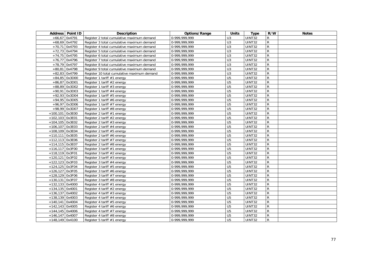|                   | Address   Point ID | Description                                 | Options/Range | <b>Units</b>    | <b>Type</b>   | R/W            | <b>Notes</b> |
|-------------------|--------------------|---------------------------------------------|---------------|-----------------|---------------|----------------|--------------|
| $+66,67$ 0x4791   |                    | Register 2 total cumulative maximum demand  | 0-999,999,999 | U <sub>3</sub>  | UINT32        | R              |              |
| $+68,69$ 0x4792   |                    | Register 3 total cumulative maximum demand  | 0-999,999,999 | U3              | <b>UINT32</b> | R              |              |
| $+70,71$ 0x4793   |                    | Register 4 total cumulative maximum demand  | 0-999,999,999 | U3              | UINT32        | $\mathsf{R}$   |              |
| $+72,73$ 0x4794   |                    | Register 5 total cumulative maximum demand  | 0-999,999,999 | $\overline{U}$  | UINT32        | ${\sf R}$      |              |
| +74,75 0x4795     |                    | Register 6 total cumulative maximum demand  | 0-999,999,999 | U3              | UINT32        | ${\sf R}$      |              |
| $+76,77$ 0x4796   |                    | Register 7 total cumulative maximum demand  | 0-999,999,999 | U <sub>3</sub>  | UINT32        | ${\sf R}$      |              |
| $+78,79$ 0x4797   |                    | Register 8 total cumulative maximum demand  | 0-999,999,999 | U3              | UINT32        | ${\sf R}$      |              |
| $+80,81$ 0x4798   |                    | Register 9 total cumulative maximum demand  | 0-999,999,999 | $\overline{U}$  | <b>UINT32</b> | $\overline{R}$ |              |
| $+82,83$ 0x4799   |                    | Register 10 total cumulative maximum demand | 0-999,999,999 | U3              | <b>UINT32</b> | $\overline{R}$ |              |
|                   | $+84,85$ 0x3D00    | Register 1 tariff #1 energy                 | 0-999,999,999 | $\overline{U5}$ | UINT32        | ${\sf R}$      |              |
| $+86,87$ 0x3D01   |                    | Register 1 tariff #2 energy                 | 0-999,999,999 | U <sub>5</sub>  | UINT32        | ${\sf R}$      |              |
|                   | +88,89 0x3D02      | Register 1 tariff #3 energy                 | 0-999,999,999 | U <sub>5</sub>  | <b>UINT32</b> | $\overline{R}$ |              |
|                   | $+90,91$ 0x3D03    | Register 1 tariff #4 energy                 | 0-999,999,999 | $\overline{U5}$ | <b>UINT32</b> | $\overline{R}$ |              |
| $+92,93$ 0x3D04   |                    | Register 1 tariff #5 energy                 | 0-999,999,999 | U <sub>5</sub>  | UINT32        | $\mathsf{R}$   |              |
|                   | +94,95 0x3D05      | Register 1 tariff #6 energy                 | 0-999,999,999 | U <sub>5</sub>  | UINT32        | ${\sf R}$      |              |
|                   | $+96,97$ 0x3D06    | Register 1 tariff #7 energy                 | 0-999,999,999 | $\overline{U5}$ | UINT32        | ${\sf R}$      |              |
| +98,99 0x3D07     |                    | Register 1 tariff #8 energy                 | 0-999,999,999 | $\overline{U5}$ | <b>UINT32</b> | $\overline{R}$ |              |
| $+100,101$ 0x3E00 |                    | Register 2 tariff #1 energy                 | 0-999,999,999 | U <sub>5</sub>  | UINT32        | $\mathsf{R}$   |              |
| $+102,103$ 0x3E01 |                    | Register 2 tariff #2 energy                 | 0-999,999,999 | U <sub>5</sub>  | UINT32        | ${\sf R}$      |              |
| +104,105 0x3E02   |                    | Register 2 tariff #3 energy                 | 0-999,999,999 | $\overline{U5}$ | <b>UINT32</b> | $\mathsf{R}$   |              |
| $+106,107$ 0x3E03 |                    | Register 2 tariff #4 energy                 | 0-999,999,999 | U <sub>5</sub>  | UINT32        | ${\sf R}$      |              |
| +108,109 0x3E04   |                    | Register 2 tariff #5 energy                 | 0-999,999,999 | $\overline{U5}$ | UINT32        | ${\sf R}$      |              |
| $+110,111$ 0x3E05 |                    | Register 2 tariff #6 energy                 | 0-999,999,999 | $\overline{U5}$ | UINT32        | ${\sf R}$      |              |
| +112,113 0x3E06   |                    | Register 2 tariff #7 energy                 | 0-999,999,999 | U <sub>5</sub>  | <b>UINT32</b> | ${\sf R}$      |              |
| +114,115 0x3E07   |                    | Register 2 tariff #8 energy                 | 0-999,999,999 | $\overline{U5}$ | <b>UINT32</b> | ${\sf R}$      |              |
| +116,117 0x3F00   |                    | Register 3 tariff #1 energy                 | 0-999,999,999 | $\overline{U5}$ | UINT32        | ${\sf R}$      |              |
| $+118,119$ 0x3F01 |                    | Register 3 tariff #2 energy                 | 0-999,999,999 | U <sub>5</sub>  | UINT32        | ${\sf R}$      |              |
| +120,121 0x3F02   |                    | Register 3 tariff #3 energy                 | 0-999,999,999 | $\overline{U5}$ | <b>UINT32</b> | ${\sf R}$      |              |
| +122,123 0x3F03   |                    | Register 3 tariff #4 energy                 | 0-999,999,999 | U <sub>5</sub>  | UINT32        | ${\sf R}$      |              |
| +124,125 0x3F04   |                    | Register 3 tariff #5 energy                 | 0-999,999,999 | $\overline{U5}$ | <b>UINT32</b> | ${\sf R}$      |              |
| $+126,127$ 0x3F05 |                    | Register 3 tariff #6 energy                 | 0-999,999,999 | $\overline{U5}$ | UINT32        | ${\sf R}$      |              |
| $+128,129$ 0x3F06 |                    | Register 3 tariff #7 energy                 | 0-999,999,999 | U <sub>5</sub>  | UINT32        | ${\sf R}$      |              |
| +130,131 0x3F07   |                    | Register 3 tariff #8 energy                 | 0-999.999.999 | U <sub>5</sub>  | <b>UINT32</b> | ${\sf R}$      |              |
| $+132,133$ 0x4000 |                    | Register 4 tariff #1 energy                 | 0-999,999,999 | $\overline{U5}$ | UINT32        | ${\sf R}$      |              |
| $+134,135$ 0x4001 |                    | Register 4 tariff #2 energy                 | 0-999,999,999 | $\overline{U5}$ | UINT32        | ${\sf R}$      |              |
| $+136,137$ 0x4002 |                    | Register 4 tariff #3 energy                 | 0-999,999,999 | U <sub>5</sub>  | UINT32        | ${\sf R}$      |              |
| +138,139 0x4003   |                    | Register 4 tariff #4 energy                 | 0-999,999,999 | $\overline{U5}$ | UINT32        | ${\sf R}$      |              |
| $+140,141$ 0x4004 |                    | Register 4 tariff #5 energy                 | 0-999,999,999 | $\overline{U5}$ | <b>UINT32</b> | ${\sf R}$      |              |
| $+142,143$ 0x4005 |                    | Register 4 tariff #6 energy                 | 0-999,999,999 | $\overline{U5}$ | <b>UINT32</b> | $\overline{R}$ |              |
| $+144.145$ 0x4006 |                    | Register 4 tariff #7 energy                 | 0-999,999,999 | U <sub>5</sub>  | UINT32        | ${\sf R}$      |              |
| $+146,147$ 0x4007 |                    | Register 4 tariff #8 energy                 | 0-999.999.999 | U <sub>5</sub>  | UINT32        | $\mathsf{R}$   |              |
| $+148,149$ 0x4100 |                    | Register 5 tariff #1 energy                 | 0-999,999,999 | U <sub>5</sub>  | UINT32        | ${\sf R}$      |              |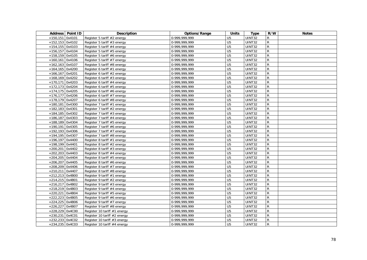|                    | Address Point ID | <b>Description</b>             | Options/Range   | <b>Units</b>    | <b>Type</b>   | R/W            | <b>Notes</b> |
|--------------------|------------------|--------------------------------|-----------------|-----------------|---------------|----------------|--------------|
| $+150.151$ 0x4101  |                  | Register 5 tariff #2 energy    | 0-999,999,999   | U <sub>5</sub>  | UINT32        | $\mathsf{R}$   |              |
| +152,153 0x4102    |                  | Register 5 tariff #3 energy    | 0-999.999.999   | $\overline{U5}$ | <b>UINT32</b> | ${\sf R}$      |              |
| $+154,155$ 0x4103  |                  | Register 5 tariff #4 energy    | 0-999,999,999   | $\overline{U5}$ | <b>UINT32</b> | $\overline{R}$ |              |
| $+156,157$ 0x4104  |                  | Register 5 tariff #5 energy    | 0-999, 999, 999 | U <sub>5</sub>  | <b>UINT32</b> | $\overline{R}$ |              |
| +158,159 0x4105    |                  | Register 5 tariff #6 energy    | 0-999,999,999   | $\overline{U5}$ | UINT32        | ${\sf R}$      |              |
| $+160,161$ 0x4106  |                  | Register 5 tariff #7 energy    | 0-999,999,999   | $\overline{U5}$ | UINT32        | ${\sf R}$      |              |
| $+162,163$ 0x4107  |                  | Register 5 tariff #8 energy    | 0-999,999,999   | U <sub>5</sub>  | UINT32        | $\overline{R}$ |              |
| $+164,165$ 0x4200  |                  | Register 6 tariff #1 energy    | 0-999.999.999   | $\overline{U5}$ | UINT32        | $\overline{R}$ |              |
| $+166, 167$ 0x4201 |                  | Register 6 tariff #2 energy    | 0-999,999,999   | U <sub>5</sub>  | UINT32        | ${\sf R}$      |              |
| +168,169 0x4202    |                  | Register 6 tariff #3 energy    | 0-999,999,999   | $\overline{U5}$ | UINT32        | ${\sf R}$      |              |
| +170,171 0x4203    |                  | Register 6 tariff #4 energy    | 0-999,999,999   | $\overline{U5}$ | UINT32        | ${\sf R}$      |              |
| +172,173 0x4204    |                  | Register 6 tariff #5 energy    | 0-999,999,999   | U <sub>5</sub>  | UINT32        | ${\sf R}$      |              |
| +174,175 0x4205    |                  | Register 6 tariff #6 energy    | 0-999,999,999   | U <sub>5</sub>  | UINT32        | ${\sf R}$      |              |
| +176,177 0x4206    |                  | Register 6 tariff #7 energy    | 0-999,999,999   | $\overline{U5}$ | UINT32        | ${\sf R}$      |              |
| +178,179 0x4207    |                  | Register 6 tariff #8 energy    | 0-999,999,999   | U <sub>5</sub>  | UINT32        | ${\sf R}$      |              |
| +180,181 0x4300    |                  | Register 7 tariff #1 energy    | 0-999,999,999   | U <sub>5</sub>  | <b>UINT32</b> | ${\sf R}$      |              |
| +182,183 0x4301    |                  | Register 7 tariff #2 energy    | 0-999,999,999   | U <sub>5</sub>  | UINT32        | ${\sf R}$      |              |
| +184,185 0x4302    |                  | Register 7 tariff #3 energy    | 0-999,999,999   | U <sub>5</sub>  | UINT32        | ${\sf R}$      |              |
| +186,187 0x4303    |                  | Register 7 tariff #4 energy    | 0-999,999,999   | U <sub>5</sub>  | UINT32        | $\mathsf{R}$   |              |
| +188,189 0x4304    |                  | Register 7 tariff #5 energy    | 0-999,999,999   | $\overline{U5}$ | UINT32        | $\mathsf{R}$   |              |
| $+190,191$ 0x4305  |                  | Register 7 tariff #6 energy    | 0-999, 999, 999 | U <sub>5</sub>  | UINT32        | $\overline{R}$ |              |
| +192,193 0x4306    |                  | Register 7 tariff #7 energy    | 0-999,999,999   | $\overline{U5}$ | UINT32        | $\overline{R}$ |              |
| +194,195 0x4307    |                  | Register 7 tariff #8 energy    | 0-999,999,999   | $\overline{U5}$ | UINT32        | $\overline{R}$ |              |
| +196,197 0x4400    |                  | Register 8 tariff #1 energy    | 0-999.999.999   | $\overline{U5}$ | <b>UINT32</b> | $\mathsf{R}$   |              |
| +198,199 0x4401    |                  | Register 8 tariff #2 energy    | 0-999,999,999   | $\overline{U5}$ | UINT32        | ${\sf R}$      |              |
| $+200,201$ 0x4402  |                  | Register 8 tariff #3 energy    | 0-999,999,999   | $\overline{U5}$ | <b>UINT32</b> | $\overline{R}$ |              |
| $+202,203$ 0x4403  |                  | Register 8 tariff #4 energy    | 0-999, 999, 999 | $\overline{U5}$ | <b>UINT32</b> | $\overline{R}$ |              |
| $+204,205$ 0x4404  |                  | Register 8 tariff #5 energy    | 0-999,999,999   | $\overline{U5}$ | UINT32        | ${\sf R}$      |              |
| $+206,207$ 0x4405  |                  | Register 8 tariff #6 energy    | 0-999,999,999   | $\overline{U5}$ | UINT32        | ${\sf R}$      |              |
| $+208,209$ 0x4406  |                  | Register 8 tariff #7 energy    | 0-999,999,999   | U <sub>5</sub>  | UINT32        | $\overline{R}$ |              |
| +210,211 0x4407    |                  | Register 8 tariff #8 energy    | 0-999,999,999   | U <sub>5</sub>  | UINT32        | ${\sf R}$      |              |
| +212,213 0x4B00    |                  | Register 9 tariff #1 energy    | 0-999, 999, 999 | U <sub>5</sub>  | UINT32        | ${\sf R}$      |              |
| $+214,215$ 0x4B01  |                  | Register 9 tariff #2 energy    | 0-999,999,999   | $\overline{U5}$ | UINT32        | ${\sf R}$      |              |
| +216,217 0x4B02    |                  | Register 9 tariff #3 energy    | 0-999,999,999   | $\overline{U5}$ | UINT32        | ${\sf R}$      |              |
| +218,219 0x4B03    |                  | Register 9 tariff #4 energy    | 0-999,999,999   | $\overline{U5}$ | UINT32        | ${\sf R}$      |              |
| +220,221 0x4B04    |                  | Register 9 tariff #5 energy    | 0-999,999,999   | U <sub>5</sub>  | <b>UINT32</b> | ${\sf R}$      |              |
| +222,223 0x4B05    |                  | Register 9 tariff #6 energy    | 0-999,999,999   | $\overline{U5}$ | UINT32        | ${\sf R}$      |              |
| $+224,225$ 0x4B06  |                  | Register 9 tariff #7 energy    | 0-999,999,999   | U <sub>5</sub>  | UINT32        | $\mathsf{R}$   |              |
| +226,227 0x4B07    |                  | Register 9 tariff #8 energy    | 0-999,999,999   | U <sub>5</sub>  | <b>UINT32</b> | ${\sf R}$      |              |
| $+228,229$ 0x4C00  |                  | Register 10 tariff #1 energy   | 0-999,999,999   | U <sub>5</sub>  | UINT32        | ${\sf R}$      |              |
| +230,231 0x4C01    |                  | Register 10 tariff #2 energy   | 0-999,999,999   | U <sub>5</sub>  | UINT32        | ${\sf R}$      |              |
| +232,233 0x4C02    |                  | Register 10 tariff $#3$ energy | 0-999,999,999   | U <sub>5</sub>  | UINT32        | $\mathsf{R}$   |              |
| $+234,235$ 0x4C03  |                  | Register 10 tariff #4 energy   | 0-999,999,999   | U <sub>5</sub>  | UINT32        | $\mathsf{R}$   |              |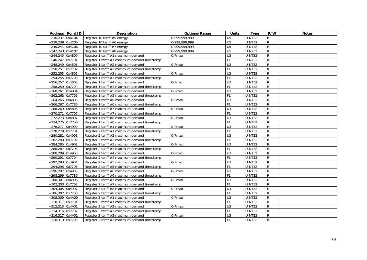|                   | Address Point ID | <b>Description</b>                            | Options/Range | <b>Units</b>   | <b>Type</b>   | R/W            | <b>Notes</b> |
|-------------------|------------------|-----------------------------------------------|---------------|----------------|---------------|----------------|--------------|
| $+236,237$ 0x4C04 |                  | Register 10 tariff #5 energy                  | 0-999,999,999 | U <sub>5</sub> | UINT32        | R              |              |
| $+238,239$ 0x4C05 |                  | Register 10 tariff #6 energy                  | 0-999.999.999 | U <sub>5</sub> | <b>UINT32</b> | $\mathsf{R}$   |              |
| $+240,241$ 0x4C06 |                  | Register 10 tariff #7 energy                  | 0-999,999,999 | U <sub>5</sub> | UINT32        | ${\sf R}$      |              |
| $+242,243$ 0x4C07 |                  | Register 10 tariff #8 energy                  | 0-999,999,999 | U <sub>5</sub> | <b>UINT32</b> | $\overline{R}$ |              |
| $+244,245$ 0x4800 |                  | Register 1 tariff #1 maximum demand           | 0-Pmax        | U3             | UINT32        | ${\sf R}$      |              |
| $+246,247$ 0x7701 |                  | Register 1 tariff #1 maximum demand timestamp |               | F <sub>1</sub> | UINT32        | ${\sf R}$      |              |
| $+248,249$ 0x4801 |                  | Register 1 tariff #2 maximum demand           | 0-Pmax        | U3             | UINT32        | ${\sf R}$      |              |
| $+250,251$ 0x7702 |                  | Register 1 tariff #2 maximum demand timestamp |               | F <sub>1</sub> | UINT32        | $\mathsf{R}$   |              |
| $+252,253$ 0x4802 |                  | Register 1 tariff #3 maximum demand           | $0$ -Pmax     | U <sub>3</sub> | UINT32        | $\mathsf{R}$   |              |
| $+254,255$ 0x7703 |                  | Register 1 tariff #3 maximum demand timestamp |               | F1             | UINT32        | $\overline{R}$ |              |
| $+256,257$ 0x4803 |                  | Register 1 tariff #4 maximum demand           | 0-Pmax        | U3             | UINT32        | $\mathsf{R}$   |              |
| +258,259 0x7704   |                  | Register 1 tariff #4 maximum demand timestamp |               | F <sub>1</sub> | UINT32        | R              |              |
| $+260,261$ 0x4804 |                  | Register 1 tariff #5 maximum demand           | 0-Pmax        | U <sub>3</sub> | <b>UINT32</b> | $\mathsf{R}$   |              |
| $+262,263$ 0x7705 |                  | Register 1 tariff #5 maximum demand timestamp |               | F <sub>1</sub> | UINT32        | ${\sf R}$      |              |
| $+264,265$ 0x4805 |                  | Register 1 tariff #6 maximum demand           | 0-Pmax        | U <sub>3</sub> | UINT32        | R              |              |
| $+266,267$ 0x7786 |                  | Register 1 tariff #6 maximum demand timestamp |               | F1             | <b>UINT32</b> | $\mathsf{R}$   |              |
| $+268,269$ 0x4806 |                  | Register 1 tariff #7 maximum demand           | 0-Pmax        | U3             | <b>UINT32</b> | ${\sf R}$      |              |
| +270,271 0x7707   |                  | Register 1 tariff #7 maximum demand timestamp |               | F <sub>1</sub> | UINT32        | ${\sf R}$      |              |
| +272,273 0x4807   |                  | Register 1 tariff #8 maximum demand           | 0-Pmax        | U <sub>3</sub> | <b>UINT32</b> | R              |              |
| +274,275 0x7708   |                  | Register 1 tariff #8 maximum demand timestamp |               | F <sub>1</sub> | UINT32        | R              |              |
| $+276,277$ 0x4900 |                  | Register 2 tariff #1 maximum demand           | 0-Pmax        | U3             | UINT32        | $\mathsf{R}$   |              |
| $+278,279$ 0x7701 |                  | Register 2 tariff #1 maximum demand timestamp |               | F <sub>1</sub> | UINT32        | $\mathsf{R}$   |              |
| +280,281 0x4901   |                  | Register 2 tariff #2 maximum demand           | 0-Pmax        | U <sub>3</sub> | UINT32        | $\mathsf{R}$   |              |
| +282,283 0x7702   |                  | Register 2 tariff #2 maximum demand timestamp |               | F <sub>1</sub> | UINT32        | ${\sf R}$      |              |
| $+284,285$ 0x4902 |                  | Register 2 tariff #3 maximum demand           | 0-Pmax        | U3             | <b>UINT32</b> | $\mathsf{R}$   |              |
| +286,287 0x7703   |                  | Register 2 tariff #3 maximum demand timestamp |               | F <sub>1</sub> | UINT32        | $\mathsf{R}$   |              |
| +288,289 0x4903   |                  | Register 2 tariff #4 maximum demand           | 0-Pmax        | U <sub>3</sub> | UINT32        | ${\sf R}$      |              |
| $+290,291$ 0x7704 |                  | Register 2 tariff #4 maximum demand timestamp |               | F <sub>1</sub> | <b>UINT32</b> | $\overline{R}$ |              |
| +292,293 0x4904   |                  | Register 2 tariff #5 maximum demand           | 0-Pmax        | U3             | UINT32        | $\mathsf{R}$   |              |
| $+294,295$ 0x7705 |                  | Register 2 tariff #5 maximum demand timestamp |               | F <sub>1</sub> | UINT32        | R              |              |
| +296,297 0x4905   |                  | Register 2 tariff #6 maximum demand           | 0-Pmax        | U <sub>3</sub> | UINT32        | ${\sf R}$      |              |
| $+298,299$ 0x7786 |                  | Register 2 tariff #6 maximum demand timestamp |               | F1             | UINT32        | $\overline{R}$ |              |
| $+300,301$ 0x4906 |                  | Register 2 tariff #7 maximum demand           | 0-Pmax        | U3             | UINT32        | R              |              |
| $+302,303$ 0x7707 |                  | Register 2 tariff #7 maximum demand timestamp |               | F <sub>1</sub> | UINT32        | R              |              |
| +304,305 0x4907   |                  | Register 2 tariff #8 maximum demand           | 0-Pmax        | U3             | UINT32        | R              |              |
| +306,307 0x7708   |                  | Register 2 tariff #8 maximum demand timestamp |               | F <sub>1</sub> | <b>UINT32</b> | $\mathsf{R}$   |              |
| $+308,309$ 0x4A00 |                  | Register 3 tariff #1 maximum demand           | 0-Pmax        | U <sub>3</sub> | <b>UINT32</b> | R              |              |
| $+310,311$ 0x7701 |                  | Register 3 tariff #1 maximum demand timestamp |               | F1             | UINT32        | $\mathsf{R}$   |              |
| +312,313 0x4A01   |                  | Register 3 tariff #2 maximum demand           | 0-Pmax        | U <sub>3</sub> | <b>UINT32</b> | ${\sf R}$      |              |
| +314,315 0x7702   |                  | Register 3 tariff #2 maximum demand timestamp |               | F <sub>1</sub> | UINT32        | $\mathsf{R}$   |              |
| +316,317 0x4A02   |                  | Register 3 tariff #3 maximum demand           | 0-Pmax        | U <sub>3</sub> | UINT32        | R              |              |
| +318,319 0x7703   |                  | Register 3 tariff #3 maximum demand timestamp |               | F <sub>1</sub> | UINT32        | ${\sf R}$      |              |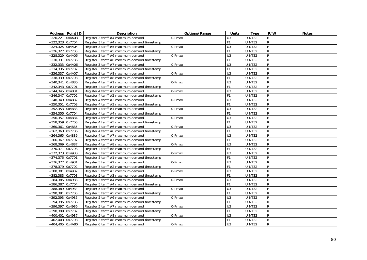|                   | Address   Point ID | <b>Description</b>                            | Options/Range        | <b>Units</b>   | <b>Type</b>   | R/W            | <b>Notes</b> |
|-------------------|--------------------|-----------------------------------------------|----------------------|----------------|---------------|----------------|--------------|
| $+320.221$ 0x4A03 |                    | Register 3 tariff #4 maximum demand           | 0-Pmax               | U3             | <b>UINT32</b> | $\mathsf{R}$   |              |
| +322,323 0x7704   |                    | Register 3 tariff #4 maximum demand timestamp |                      | F <sub>1</sub> | UINT32        | $\mathsf{R}$   |              |
| $+324,325$ 0x4A04 |                    | Register 3 tariff #5 maximum demand           | 0-Pmax               | $\overline{U}$ | <b>UINT32</b> | $\overline{R}$ |              |
| $+326,327$ 0x7705 |                    | Register 3 tariff #5 maximum demand timestamp |                      | F <sub>1</sub> | UINT32        | $\mathsf{R}$   |              |
| +328,329 0x4A05   |                    | Register 3 tariff #6 maximum demand           | 0-Pmax               | U3             | UINT32        | $\overline{R}$ |              |
| +330,331 0x7786   |                    | Register 3 tariff #6 maximum demand timestamp |                      | F <sub>1</sub> | UINT32        | ${\sf R}$      |              |
| +332,333 0x4A06   |                    | Register 3 tariff #7 maximum demand           | 0-Pmax               | $\overline{U}$ | UINT32        | $\overline{R}$ |              |
| +334,335 0x7707   |                    | Register 3 tariff #7 maximum demand timestamp |                      | F1             | UINT32        | $\overline{R}$ |              |
| $+336,337$ 0x4A07 |                    | Register 3 tariff #8 maximum demand           | 0-Pmax               | U3             | UINT32        | $\mathsf{R}$   |              |
| +338,339 0x7708   |                    | Register 3 tariff #8 maximum demand timestamp |                      | F <sub>1</sub> | UINT32        | $\overline{R}$ |              |
| $+340,341$ 0x4880 |                    | Register 4 tariff #1 maximum demand           | 0-Pmax               | U3             | UINT32        | $\mathsf{R}$   |              |
| $+342,343$ 0x7701 |                    | Register 4 tariff #1 maximum demand timestamp |                      | F1             | UINT32        | $\mathsf{R}$   |              |
| $+344,345$ 0x4881 |                    | Register 4 tariff #2 maximum demand           | 0-Pmax               | U3             | UINT32        | $\mathsf{R}$   |              |
| $+346,347$ 0x7702 |                    | Register 4 tariff #2 maximum demand timestamp |                      | F <sub>1</sub> | UINT32        | $\overline{R}$ |              |
| $+348,349$ 0x4882 |                    | Register 4 tariff #3 maximum demand           | 0-Pmax               | U3             | UINT32        | ${\sf R}$      |              |
| +350,351 0x7703   |                    | Register 4 tariff #3 maximum demand timestamp |                      | F1             | UINT32        | ${\sf R}$      |              |
| $+352,353$ 0x4883 |                    | Register 4 tariff #4 maximum demand           | 0-Pmax               | U3             | UINT32        | $\mathsf{R}$   |              |
| +354,355 0x7704   |                    | Register 4 tariff #4 maximum demand timestamp |                      | F1             | UINT32        | ${\sf R}$      |              |
| +356,357 0x4884   |                    | Register 4 tariff #5 maximum demand           | 0-Pmax               | U3             | UINT32        | ${\sf R}$      |              |
| +358,359 0x7705   |                    | Register 4 tariff #5 maximum demand timestamp |                      | F <sub>1</sub> | UINT32        | ${\sf R}$      |              |
| $+360,361$ 0x4885 |                    | Register 4 tariff #6 maximum demand           | $\overline{0}$ -Pmax | $\overline{U}$ | UINT32        | $\mathsf{R}$   |              |
| $+362,363$ 0x7786 |                    | Register 4 tariff #6 maximum demand timestamp |                      | F1             | UINT32        | $\mathsf{R}$   |              |
| $+364,365$ 0x4886 |                    | Register 4 tariff #7 maximum demand           | 0-Pmax               | $\overline{U}$ | UINT32        | $\overline{R}$ |              |
| +366,367 0x7707   |                    | Register 4 tariff #7 maximum demand timestamp |                      | F <sub>1</sub> | UINT32        | ${\sf R}$      |              |
| +368,369 0x4887   |                    | Register 4 tariff #8 maximum demand           | 0-Pmax               | U3             | UINT32        | $\overline{R}$ |              |
| +370,371 0x7708   |                    | Register 4 tariff #8 maximum demand timestamp |                      | F <sub>1</sub> | <b>UINT32</b> | $\overline{R}$ |              |
| +372,373 0x4980   |                    | Register 5 tariff #1 maximum demand           | 0-Pmax               | $\overline{U}$ | UINT32        | $\overline{R}$ |              |
| +374,375 0x7701   |                    | Register 5 tariff #1 maximum demand timestamp |                      | F <sub>1</sub> | UINT32        | $\overline{R}$ |              |
| +376,377 0x4981   |                    | Register 5 tariff #2 maximum demand           | 0-Pmax               | $\overline{U}$ | UINT32        | ${\sf R}$      |              |
| +378,379 0x7702   |                    | Register 5 tariff #2 maximum demand timestamp |                      | F <sub>1</sub> | <b>UINT32</b> | $\overline{R}$ |              |
| +380,381 0x4982   |                    | Register 5 tariff #3 maximum demand           | 0-Pmax               | U3             | UINT32        | $\mathsf{R}$   |              |
| $+382,383$ 0x7703 |                    | Register 5 tariff #3 maximum demand timestamp |                      | F <sub>1</sub> | UINT32        | $\mathsf{R}$   |              |
| +384,385 0x4983   |                    | Register 5 tariff #4 maximum demand           | 0-Pmax               | $\overline{U}$ | UINT32        | $\overline{R}$ |              |
| +386,387 0x7704   |                    | Register 5 tariff #4 maximum demand timestamp |                      | F <sub>1</sub> | UINT32        | $\overline{R}$ |              |
| +388,389 0x4984   |                    | Register 5 tariff #5 maximum demand           | 0-Pmax               | U3             | UINT32        | ${\sf R}$      |              |
| +390,391 0x7705   |                    | Register 5 tariff #5 maximum demand timestamp |                      | F1             | UINT32        | $\mathsf{R}$   |              |
| +392,393 0x4985   |                    | Register 5 tariff #6 maximum demand           | 0-Pmax               | U3             | UINT32        | ${\sf R}$      |              |
| +394,395 0x7786   |                    | Register 5 tariff #6 maximum demand timestamp |                      | F <sub>1</sub> | UINT32        | ${\sf R}$      |              |
| +396,397 0x4986   |                    | Register 5 tariff #7 maximum demand           | 0-Pmax               | U3             | UINT32        | ${\sf R}$      |              |
| +398,399 0x7707   |                    | Register 5 tariff #7 maximum demand timestamp |                      | F1             | UINT32        | $\mathsf{R}$   |              |
| $+400,401$ 0x4987 |                    | Register 5 tariff #8 maximum demand           | 0-Pmax               | U3             | UINT32        | ${\sf R}$      |              |
| +402,403 0x7708   |                    | Register 5 tariff #8 maximum demand timestamp |                      | F1             | UINT32        | ${\sf R}$      |              |
| +404,405 0x4A80   |                    | Register 6 tariff #1 maximum demand           | 0-Pmax               | U <sub>3</sub> | UINT32        | $\mathsf{R}$   |              |
|                   |                    |                                               |                      |                |               |                |              |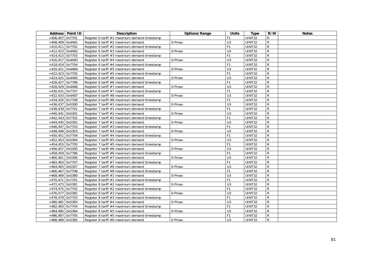|                   | Address   Point ID | <b>Description</b>                            | Options/Range | <b>Units</b>   | Type          | R/W            | <b>Notes</b> |
|-------------------|--------------------|-----------------------------------------------|---------------|----------------|---------------|----------------|--------------|
| $+406,407$ 0x7701 |                    | Register 6 tariff #1 maximum demand timestamp |               | F <sub>1</sub> | UINT32        | R              |              |
| $+408,409$ 0x4A81 |                    | Register 6 tariff #2 maximum demand           | 0-Pmax        | U3             | UINT32        | R              |              |
| $+410,411$ 0x7702 |                    | Register 6 tariff #2 maximum demand timestamp |               | F <sub>1</sub> | UINT32        | $\mathsf{R}$   |              |
| $+412,413$ 0x4A82 |                    | Register 6 tariff #3 maximum demand           | 0-Pmax        | $\overline{U}$ | UINT32        | $\overline{R}$ |              |
| $+414,415$ 0x7703 |                    | Register 6 tariff #3 maximum demand timestamp |               | F <sub>1</sub> | UINT32        | $\overline{R}$ |              |
| $+416,417$ 0x4A83 |                    | Register 6 tariff #4 maximum demand           | 0-Pmax        | U <sub>3</sub> | UINT32        | R              |              |
| $+418,419$ 0x7704 |                    | Register 6 tariff #4 maximum demand timestamp |               | F <sub>1</sub> | UINT32        | ${\sf R}$      |              |
| $+420,421$ 0x4A84 |                    | Register 6 tariff #5 maximum demand           | 0-Pmax        | U3             | <b>UINT32</b> | ${\sf R}$      |              |
| $+422,423$ 0x7705 |                    | Register 6 tariff #5 maximum demand timestamp |               | F <sub>1</sub> | UINT32        | $\overline{R}$ |              |
| $+424,425$ 0x4A85 |                    | Register 6 tariff #6 maximum demand           | 0-Pmax        | U3             | UINT32        | $\overline{R}$ |              |
| +426,427 0x7786   |                    | Register 6 tariff #6 maximum demand timestamp |               | F <sub>1</sub> | UINT32        | ${\sf R}$      |              |
| $+428,429$ 0x4A86 |                    | Register 6 tariff #7 maximum demand           | 0-Pmax        | U3             | <b>UINT32</b> | ${\sf R}$      |              |
| +430,431 0x7707   |                    | Register 6 tariff #7 maximum demand timestamp |               | F1             | UINT32        | ${\sf R}$      |              |
| $+432,433$ 0x4A87 |                    | Register 6 tariff #8 maximum demand           | 0-Pmax        | U3             | UINT32        | $\mathsf{R}$   |              |
| +434,435 0x7708   |                    | Register 6 tariff #8 maximum demand timestamp |               | F <sub>1</sub> | UINT32        | $\mathsf{R}$   |              |
| $+436,437$ 0x5300 |                    | Register 7 tariff #1 maximum demand           | 0-Pmax        | U3             | <b>UINT32</b> | ${\sf R}$      |              |
| +438,439 0x7701   |                    | Register 7 tariff #1 maximum demand timestamp |               | F1             | <b>UINT32</b> | $\mathsf{R}$   |              |
| $+440,441$ 0x5301 |                    | Register 7 tariff #2 maximum demand           | 0-Pmax        | U3             | UINT32        | ${\sf R}$      |              |
| $+442,443$ 0x7702 |                    | Register 7 tariff #2 maximum demand timestamp |               | F1             | UINT32        | $\mathsf{R}$   |              |
| $+444.445$ 0x5302 |                    | Register 7 tariff #3 maximum demand           | 0-Pmax        | U3             | UINT32        | $\mathsf{R}$   |              |
| $+446,447$ 0x7703 |                    | Register 7 tariff #3 maximum demand timestamp |               | F <sub>1</sub> | <b>UINT32</b> | R              |              |
| $+448,449$ 0x5303 |                    | Register 7 tariff #4 maximum demand           | 0-Pmax        | U3             | UINT32        | $\mathsf{R}$   |              |
| $+450,451$ 0x7704 |                    | Register 7 tariff #4 maximum demand timestamp |               | F <sub>1</sub> | UINT32        | $\mathsf{R}$   |              |
| $+452,453$ 0x5304 |                    | Register 7 tariff #5 maximum demand           | 0-Pmax        | $\overline{U}$ | UINT32        | $\overline{R}$ |              |
| $+454,455$ 0x7705 |                    | Register 7 tariff #5 maximum demand timestamp |               | F <sub>1</sub> | <b>UINT32</b> | $\mathsf{R}$   |              |
| +456,457 0x5305   |                    | Register 7 tariff #6 maximum demand           | 0-Pmax        | U3             | UINT32        | $\mathsf{R}$   |              |
| +458,459 0x7786   |                    | Register 7 tariff #6 maximum demand timestamp |               | F1             | <b>UINT32</b> | $\mathsf{R}$   |              |
| $+460,461$ 0x5306 |                    | Register 7 tariff #7 maximum demand           | 0-Pmax        | U3             | UINT32        | $\mathsf{R}$   |              |
| $+462,463$ 0x7707 |                    | Register 7 tariff #7 maximum demand timestamp |               | F1             | UINT32        | $\overline{R}$ |              |
| +464,465 0x5307   |                    | Register 7 tariff #8 maximum demand           | 0-Pmax        | U <sub>3</sub> | UINT32        | $\mathsf{R}$   |              |
| $+466,467$ 0x7708 |                    | Register 7 tariff #8 maximum demand timestamp |               | F <sub>1</sub> | <b>UINT32</b> | $\overline{R}$ |              |
| $+468,469$ 0x5380 |                    | Register 8 tariff #1 maximum demand           | 0-Pmax        | U3             | UINT32        | ${\sf R}$      |              |
| +470,471 0x7701   |                    | Register 8 tariff #1 maximum demand timestamp |               | F1             | UINT32        | $\overline{R}$ |              |
| +472,473 0x5381   |                    | Register 8 tariff #2 maximum demand           | 0-Pmax        | U3             | UINT32        | $\mathsf{R}$   |              |
| +474,475 0x7702   |                    | Register 8 tariff #2 maximum demand timestamp |               | F <sub>1</sub> | UINT32        | $\mathsf{R}$   |              |
| +476,477 0x5382   |                    | Register 8 tariff #3 maximum demand           | 0-Pmax        | U3             | UINT32        | $\mathsf{R}$   |              |
| +478,479 0x7703   |                    | Register 8 tariff #3 maximum demand timestamp |               | F <sub>1</sub> | UINT32        | ${\sf R}$      |              |
| +480,481 0x5383   |                    | Register 8 tariff #4 maximum demand           | 0-Pmax        | U3             | UINT32        | $\mathsf{R}$   |              |
| +482,483 0x7704   |                    | Register 8 tariff #4 maximum demand timestamp |               | F <sub>1</sub> | UINT32        | ${\sf R}$      |              |
| +484,485 0x5384   |                    | Register 8 tariff #5 maximum demand           | 0-Pmax        | U <sub>3</sub> | UINT32        | $\mathsf{R}$   |              |
| +486,487 0x7705   |                    | Register 8 tariff #5 maximum demand timestamp |               | F1             | UINT32        | ${\sf R}$      |              |
| +488,489 0x5385   |                    | Register 8 tariff #6 maximum demand           | 0-Pmax        | U <sub>3</sub> | UINT32        | $\mathsf{R}$   |              |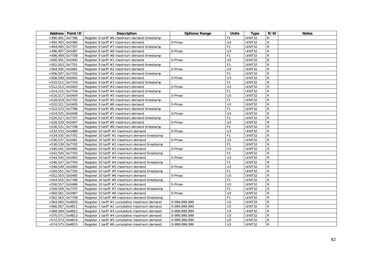|                   | Address   Point ID | <b>Description</b>                             | Options/Range | <b>Units</b>   | <b>Type</b>   | R/W            | <b>Notes</b> |
|-------------------|--------------------|------------------------------------------------|---------------|----------------|---------------|----------------|--------------|
| $+490.491$ 0x7786 |                    | Register 8 tariff #6 maximum demand timestamp  |               | F <sub>1</sub> | <b>UINT32</b> | $\mathsf{R}$   |              |
| +492,493 0x5386   |                    | Register 8 tariff #7 maximum demand            | 0-Pmax        | U3             | UINT32        | $\mathsf{R}$   |              |
| +494,495 0x7707   |                    | Register 8 tariff #7 maximum demand timestamp  |               | F <sub>1</sub> | <b>UINT32</b> | ${\sf R}$      |              |
| +496,497 0x5387   |                    | Register 8 tariff #8 maximum demand            | 0-Pmax        | U3             | <b>UINT32</b> | $\mathsf{R}$   |              |
| +498,499 0x7708   |                    | Register 8 tariff #8 maximum demand timestamp  |               | F1             | <b>UINT32</b> | ${\sf R}$      |              |
| +500,501 0x5400   |                    | Register 9 tariff #1 maximum demand            | 0-Pmax        | U3             | UINT32        | ${\sf R}$      |              |
| +502,503 0x7701   |                    | Register 9 tariff #1 maximum demand timestamp  |               | F <sub>1</sub> | <b>UINT32</b> | ${\sf R}$      |              |
| +504,505 0x5401   |                    | Register 9 tariff #2 maximum demand            | 0-Pmax        | U <sub>3</sub> | UINT32        | ${\sf R}$      |              |
| +506,507 0x7702   |                    | Register 9 tariff #2 maximum demand timestamp  |               | F <sub>1</sub> | UINT32        | $\mathsf{R}$   |              |
| +508,509 0x5402   |                    | Register 9 tariff #3 maximum demand            | 0-Pmax        | U3             | UINT32        | ${\sf R}$      |              |
| +510,511 0x7703   |                    | Register 9 tariff #3 maximum demand timestamp  |               | F <sub>1</sub> | UINT32        | ${\sf R}$      |              |
| $+512,513$ 0x5403 |                    | Register 9 tariff #4 maximum demand            | 0-Pmax        | U3             | UINT32        | $\mathsf{R}$   |              |
| $+514,215$ 0x7704 |                    | Register 9 tariff #4 maximum demand timestamp  |               | F <sub>1</sub> | UINT32        | ${\sf R}$      |              |
| +516,517 0x5404   |                    | Register 9 tariff #5 maximum demand            | 0-Pmax        | U3             | UINT32        | ${\sf R}$      |              |
| +518,519 0x7705   |                    | Register 9 tariff #5 maximum demand timestamp  |               | F1             | UINT32        | ${\sf R}$      |              |
| +520,521 0x5405   |                    | Register 9 tariff #6 maximum demand            | 0-Pmax        | U3             | UINT32        | ${\sf R}$      |              |
| +522,523 0x7786   |                    | Register 9 tariff #6 maximum demand timestamp  |               | F <sub>1</sub> | <b>UINT32</b> | $\mathsf{R}$   |              |
| +524,525 0x5406   |                    | Register 9 tariff #7 maximum demand            | 0-Pmax        | U3             | UINT32        | $\mathsf{R}$   |              |
| +526,527 0x7707   |                    | Register 9 tariff #7 maximum demand timestamp  |               | F <sub>1</sub> | UINT32        | ${\sf R}$      |              |
| +528,529 0x5407   |                    | Register 9 tariff #8 maximum demand            | 0-Pmax        | U3             | UINT32        | $\overline{R}$ |              |
| +530,531 0x7708   |                    | Register 9 tariff #8 maximum demand timestamp  |               | F <sub>1</sub> | <b>UINT32</b> | ${\sf R}$      |              |
| +532,533 0x5480   |                    | Register 10 tariff #1 maximum demand           | 0-Pmax        | U3             | UINT32        | $\mathsf{R}$   |              |
| +534,535 0x7701   |                    | Register 10 tariff #1 maximum demand timestamp |               | F <sub>1</sub> | UINT32        | ${\sf R}$      |              |
| +536,537 0x5481   |                    | Register 10 tariff #2 maximum demand           | 0-Pmax        | $\overline{U}$ | <b>UINT32</b> | $\mathsf{R}$   |              |
| +538,539 0x7702   |                    | Register 10 tariff #2 maximum demand timestamp |               | F <sub>1</sub> | UINT32        | ${\sf R}$      |              |
| +540,541 0x5482   |                    | Register 10 tariff #3 maximum demand           | 0-Pmax        | U3             | UINT32        | ${\sf R}$      |              |
| $+542,543$ 0x7703 |                    | Register 10 tariff #3 maximum demand timestamp |               | F <sub>1</sub> | UINT32        | ${\sf R}$      |              |
| +544,545 0x5483   |                    | Register 10 tariff #4 maximum demand           | 0-Pmax        | U3             | UINT32        | ${\sf R}$      |              |
| +546,547 0x7704   |                    | Register 10 tariff #4 maximum demand timestamp |               | F <sub>1</sub> | UINT32        | ${\sf R}$      |              |
| +548,549 0x5484   |                    | Register 10 tariff #5 maximum demand           | 0-Pmax        | U3             | UINT32        | ${\sf R}$      |              |
| +550,551 0x7705   |                    | Register 10 tariff #5 maximum demand timestamp |               | F <sub>1</sub> | UINT32        | $\mathsf{R}$   |              |
| +552,553 0x5485   |                    | Register 10 tariff #6 maximum demand           | 0-Pmax        | U3             | UINT32        | $\mathsf{R}$   |              |
| +554,555 0x7786   |                    | Register 10 tariff #6 maximum demand timestamp |               | F <sub>1</sub> | <b>UINT32</b> | $\overline{R}$ |              |
| +556,557 0x5486   |                    | Register 10 tariff #7 maximum demand           | 0-Pmax        | U3             | <b>UINT32</b> | $\overline{R}$ |              |
| +558,559 0x7707   |                    | Register 10 tariff #7 maximum demand timestamp |               | F <sub>1</sub> | UINT32        | $\overline{R}$ |              |
| +560,561 0x5487   |                    | Register 10 tariff #8 maximum demand           | 0-Pmax        | U3             | UINT32        | $\mathsf{R}$   |              |
| +562,563 0x7708   |                    | Register 10 tariff #8 maximum demand timestamp |               | F <sub>1</sub> | <b>UINT32</b> | $\mathsf{R}$   |              |
| +564,565 0x4810   |                    | Register 1 tariff #1 cumulative maximum demand | 0-999,999,999 | U3             | UINT32        | ${\sf R}$      |              |
| +566,567 0x4811   |                    | Register 1 tariff #2 cumulative maximum demand | 0-999,999,999 | U3             | UINT32        | ${\sf R}$      |              |
| +568,569 0x4812   |                    | Register 1 tariff #3 cumulative maximum demand | 0-999,999,999 | U3             | UINT32        | ${\sf R}$      |              |
| +570,571 0x4813   |                    | Register 1 tariff #4 cumulative maximum demand | 0-999,999,999 | U3             | UINT32        | ${\sf R}$      |              |
| +572,573 0x4814   |                    | Register 1 tariff #5 cumulative maximum demand | 0-999,999,999 | U3             | UINT32        | $\mathsf{R}$   |              |
| +574,575 0x4815   |                    | Register 1 tariff #6 cumulative maximum demand | 0-999,999,999 | U <sub>3</sub> | UINT32        | $\mathsf{R}$   |              |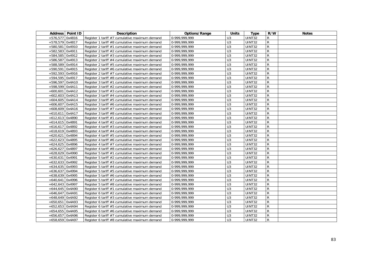|                   | Address   Point ID | <b>Description</b>                             | Options/Range   | <b>Units</b>     | <b>Type</b>   | R/W            | <b>Notes</b> |
|-------------------|--------------------|------------------------------------------------|-----------------|------------------|---------------|----------------|--------------|
| +576,577 0x4816   |                    | Register 1 tariff #7 cumulative maximum demand | $0-999,999,999$ | U <sub>3</sub>   | UINT32        | R              |              |
| +578,579 0x4817   |                    | Register 1 tariff #8 cumulative maximum demand | 0-999,999,999   | U <sub>3</sub>   | UINT32        | $\mathsf{R}$   |              |
| +580,581 0x4910   |                    | Register 2 tariff #1 cumulative maximum demand | 0-999,999,999   | U <sub>3</sub>   | UINT32        | $\mathsf{R}$   |              |
| +582,583 0x4911   |                    | Register 2 tariff #2 cumulative maximum demand | 0-999,999,999   | $\overline{U}$ 3 | UINT32        | $\overline{R}$ |              |
| +584,585 0x4912   |                    | Register 2 tariff #3 cumulative maximum demand | 0-999,999,999   | U <sub>3</sub>   | UINT32        | $\mathsf{R}$   |              |
| +586,587   0x4913 |                    | Register 2 tariff #4 cumulative maximum demand | 0-999,999,999   | U <sub>3</sub>   | UINT32        | R              |              |
| +588,589 0x4914   |                    | Register 2 tariff #5 cumulative maximum demand | 0-999,999,999   | U <sub>3</sub>   | UINT32        | $\mathsf{R}$   |              |
| +590,591 0x4915   |                    | Register 2 tariff #6 cumulative maximum demand | 0-999,999,999   | $\overline{U}$   | UINT32        | ${\sf R}$      |              |
| +592,593 0x4916   |                    | Register 2 tariff #7 cumulative maximum demand | 0-999, 999, 999 | U3               | UINT32        | $\mathsf{R}$   |              |
| +594,595 0x4917   |                    | Register 2 tariff #8 cumulative maximum demand | 0-999,999,999   | U <sub>3</sub>   | UINT32        | R              |              |
| +596,597 0x4A10   |                    | Register 3 tariff #1 cumulative maximum demand | 0-999,999,999   | $\overline{U}$ 3 | UINT32        | $\mathsf{R}$   |              |
| +598,599 0x4A11   |                    | Register 3 tariff #2 cumulative maximum demand | 0-999,999,999   | $\overline{U}$ 3 | UINT32        | ${\sf R}$      |              |
| $+600,601$ 0x4A12 |                    | Register 3 tariff #3 cumulative maximum demand | 0-999,999,999   | $\overline{U}$ 3 | UINT32        | $\mathsf{R}$   |              |
| $+602,603$ 0x4A13 |                    | Register 3 tariff #4 cumulative maximum demand | 0-999,999,999   | U <sub>3</sub>   | UINT32        | R              |              |
| $+604,605$ 0x4A14 |                    | Register 3 tariff #5 cumulative maximum demand | 0-999,999,999   | $\overline{U}$ 3 | UINT32        | $\mathsf{R}$   |              |
| +606,607 0x4A15   |                    | Register 3 tariff #6 cumulative maximum demand | 0-999,999,999   | $\overline{U}$   | UINT32        | ${\sf R}$      |              |
| +608,609 0x4A16   |                    | Register 3 tariff #7 cumulative maximum demand | 0-999,999,999   | $\overline{U}$ 3 | UINT32        | $\overline{R}$ |              |
| $+610,611$ 0x4A17 |                    | Register 3 tariff #8 cumulative maximum demand | 0-999,999,999   | U <sub>3</sub>   | UINT32        | $\mathsf{R}$   |              |
| $+612,613$ 0x4890 |                    | Register 4 tariff #1 cumulative maximum demand | 0-999,999,999   | U <sub>3</sub>   | UINT32        | $\mathsf{R}$   |              |
| $+614,615$ 0x4891 |                    | Register 4 tariff #2 cumulative maximum demand | 0-999,999,999   | U <sub>3</sub>   | <b>UINT32</b> | $\mathsf{R}$   |              |
| +616,617 0x4892   |                    | Register 4 tariff #3 cumulative maximum demand | 0-999,999,999   | U3               | UINT32        | $\mathsf{R}$   |              |
| $+618,619$ 0x4893 |                    | Register 4 tariff #4 cumulative maximum demand | 0-999,999,999   | U3               | UINT32        | $\mathsf{R}$   |              |
| $+620,621$ 0x4894 |                    | Register 4 tariff #5 cumulative maximum demand | 0-999,999,999   | U <sub>3</sub>   | UINT32        | $\mathsf{R}$   |              |
| $+622,623$ 0x4895 |                    | Register 4 tariff #6 cumulative maximum demand | 0-999,999,999   | $\overline{U}$ 3 | UINT32        | $\mathsf{R}$   |              |
| $+624,625$ 0x4896 |                    | Register 4 tariff #7 cumulative maximum demand | 0-999,999,999   | $\overline{U}$   | UINT32        | ${\sf R}$      |              |
| +626,627 0x4897   |                    | Register 4 tariff #8 cumulative maximum demand | 0-999,999,999   | $\overline{U}$   | UINT32        | $\overline{R}$ |              |
| $+628,629$ 0x4990 |                    | Register 5 tariff #1 cumulative maximum demand | 0-999,999,999   | $\overline{U}$ 3 | UINT32        | $\mathsf{R}$   |              |
| $+630,631$ 0x4991 |                    | Register 5 tariff #2 cumulative maximum demand | 0-999,999,999   | U <sub>3</sub>   | UINT32        | $\mathsf{R}$   |              |
| +632,633 0x4992   |                    | Register 5 tariff #3 cumulative maximum demand | 0-999,999,999   | $\overline{U}$   | UINT32        | ${\sf R}$      |              |
| $+634,635$ 0x4993 |                    | Register 5 tariff #4 cumulative maximum demand | 0-999,999,999   | $\overline{U}$   | UINT32        | ${\sf R}$      |              |
| $+636,637$ 0x4994 |                    | Register 5 tariff #5 cumulative maximum demand | 0-999,999,999   | U3               | UINT32        | ${\sf R}$      |              |
| $+638,639$ 0x4995 |                    | Register 5 tariff #6 cumulative maximum demand | 0-999,999,999   | U3               | UINT32        | $\mathsf{R}$   |              |
| $+640,641$ 0x4996 |                    | Register 5 tariff #7 cumulative maximum demand | 0-999,999,999   | $\overline{U}$ 3 | UINT32        | $\mathsf{R}$   |              |
| $+642,643$ 0x4997 |                    | Register 5 tariff #8 cumulative maximum demand | 0-999,999,999   | $\overline{U}$   | UINT32        | $\overline{R}$ |              |
| $+644,645$ 0x4A90 |                    | Register 6 tariff #1 cumulative maximum demand | 0-999,999,999   | U <sub>3</sub>   | UINT32        | $\mathsf{R}$   |              |
| $+646,647$ 0x4A91 |                    | Register 6 tariff #2 cumulative maximum demand | 0-999,999,999   | U <sub>3</sub>   | UINT32        | $\mathsf{R}$   |              |
| $+648,649$ 0x4A92 |                    | Register 6 tariff #3 cumulative maximum demand | 0-999.999.999   | U <sub>3</sub>   | UINT32        | $\mathsf{R}$   |              |
| +650,651 0x4A93   |                    | Register 6 tariff #4 cumulative maximum demand | 0-999,999,999   | $\overline{U}$   | UINT32        | $\overline{R}$ |              |
| $+652,653$ 0x4A94 |                    | Register 6 tariff #5 cumulative maximum demand | 0-999,999,999   | $\overline{U}$ 3 | UINT32        | $\overline{R}$ |              |
| $+654,655$ 0x4A95 |                    | Register 6 tariff #6 cumulative maximum demand | 0-999,999,999   | U <sub>3</sub>   | UINT32        | $\mathsf{R}$   |              |
| $+656,657$ 0x4A96 |                    | Register 6 tariff #7 cumulative maximum demand | 0-999,999,999   | U <sub>3</sub>   | UINT32        | $\mathsf{R}$   |              |
| +658,659 0x4A97   |                    | Register 6 tariff #8 cumulative maximum demand | 0-999,999,999   | U3               | UINT32        | $\mathsf{R}$   |              |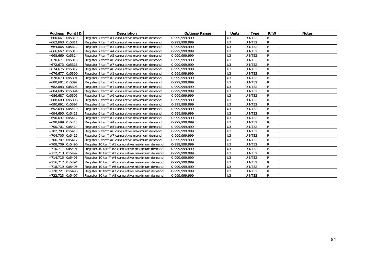|                   | Address   Point ID | <b>Description</b>                              | <b>Options/Range</b> | <b>Units</b>   | Type          | R/W          | <b>Notes</b> |
|-------------------|--------------------|-------------------------------------------------|----------------------|----------------|---------------|--------------|--------------|
| $+660,661$ 0x5310 |                    | Register 7 tariff #1 cumulative maximum demand  | 0-999,999,999        | U <sub>3</sub> | <b>UINT32</b> | R            |              |
| +662,663 0x5311   |                    | Register 7 tariff #2 cumulative maximum demand  | 0-999,999,999        | U <sub>3</sub> | UINT32        | $\mathsf{R}$ |              |
| $+664,665$ 0x5312 |                    | Register 7 tariff #3 cumulative maximum demand  | 0-999,999,999        | U <sub>3</sub> | UINT32        | R            |              |
| $+666,667$ 0x5313 |                    | Register 7 tariff #4 cumulative maximum demand  | 0-999,999,999        | U <sub>3</sub> | UINT32        | R            |              |
| $+668,669$ 0x5314 |                    | Register 7 tariff #5 cumulative maximum demand  | 0-999,999,999        | U <sub>3</sub> | UINT32        | R            |              |
| $+670,671$ 0x5315 |                    | Register 7 tariff #6 cumulative maximum demand  | 0-999,999,999        | U3             | UINT32        | R            |              |
| $+672,673$ 0x5316 |                    | Register 7 tariff #7 cumulative maximum demand  | 0-999,999,999        | U <sub>3</sub> | UINT32        | R            |              |
| $+674,675$ 0x5317 |                    | Register 7 tariff #8 cumulative maximum demand  | 0-999,999,999        | U <sub>3</sub> | <b>UINT32</b> | $\mathsf{R}$ |              |
| $+676,677$ 0x5390 |                    | Register 8 tariff #1 cumulative maximum demand  | 0-999,999,999        | U <sub>3</sub> | <b>UINT32</b> | R            |              |
| +678,679 0x5391   |                    | Register 8 tariff #2 cumulative maximum demand  | 0-999,999,999        | U <sub>3</sub> | UINT32        | ${\sf R}$    |              |
| +680,681 0x5392   |                    | Register 8 tariff #3 cumulative maximum demand  | 0-999,999,999        | U <sub>3</sub> | UINT32        | $\mathsf{R}$ |              |
| +682,683 0x5393   |                    | Register 8 tariff #4 cumulative maximum demand  | 0-999,999,999        | U <sub>3</sub> | <b>UINT32</b> | $\mathsf{R}$ |              |
| +684,685 0x5394   |                    | Register 8 tariff #5 cumulative maximum demand  | 0-999,999,999        | U <sub>3</sub> | <b>UINT32</b> | $\mathsf{R}$ |              |
| +686,687 0x5395   |                    | Register 8 tariff #6 cumulative maximum demand  | 0-999,999,999        | U3             | UINT32        | ${\sf R}$    |              |
| +688,689 0x5396   |                    | Register 8 tariff #7 cumulative maximum demand  | 0-999,999,999        | U <sub>3</sub> | UINT32        | $\mathsf{R}$ |              |
| $+690,691$ 0x5397 |                    | Register 8 tariff #8 cumulative maximum demand  | 0-999,999,999        | U <sub>3</sub> | <b>UINT32</b> | $\mathsf{R}$ |              |
| $+692,693$ 0x5410 |                    | Register 9 tariff #1 cumulative maximum demand  | 0-999,999,999        | U <sub>3</sub> | UINT32        | $\mathsf{R}$ |              |
| $+694,695$ 0x5411 |                    | Register 9 tariff #2 cumulative maximum demand  | 0-999,999,999        | U3             | UINT32        | ${\sf R}$    |              |
| +696,697 0x5412   |                    | Register 9 tariff #3 cumulative maximum demand  | 0-999,999,999        | U <sub>3</sub> | UINT32        | R            |              |
| $+698,699$ 0x5413 |                    | Register 9 tariff #4 cumulative maximum demand  | 0-999,999,999        | U <sub>3</sub> | UINT32        | R            |              |
| +700,701 0x5414   |                    | Register 9 tariff #5 cumulative maximum demand  | 0-999,999,999        | U <sub>3</sub> | UINT32        | R            |              |
| +702,703 0x5415   |                    | Register 9 tariff #6 cumulative maximum demand  | 0-999,999,999        | U <sub>3</sub> | <b>UINT32</b> | $\mathsf{R}$ |              |
| +704,705 0x5416   |                    | Register 9 tariff #7 cumulative maximum demand  | 0-999,999,999        | U <sub>3</sub> | UINT32        | R            |              |
| +706,707 0x5417   |                    | Register 9 tariff #8 cumulative maximum demand  | 0-999,999,999        | U <sub>3</sub> | UINT32        | $\mathsf{R}$ |              |
| +708,709 0x5490   |                    | Register 10 tariff #1 cumulative maximum demand | 0-999,999,999        | U <sub>3</sub> | UINT32        | $\mathsf{R}$ |              |
| +710,711 0x5491   |                    | Register 10 tariff #2 cumulative maximum demand | 0-999,999,999        | U <sub>3</sub> | UINT32        | R            |              |
| $+712,713$ 0x5492 |                    | Register 10 tariff #3 cumulative maximum demand | 0-999,999,999        | U <sub>3</sub> | UINT32        | $\mathsf{R}$ |              |
| +714,715 0x5493   |                    | Register 10 tariff #4 cumulative maximum demand | 0-999,999,999        | U <sub>3</sub> | UINT32        | R            |              |
| $+716,717$ 0x5494 |                    | Register 10 tariff #5 cumulative maximum demand | 0-999,999,999        | U <sub>3</sub> | UINT32        | $\mathsf{R}$ |              |
| +718,719 0x5495   |                    | Register 10 tariff #6 cumulative maximum demand | 0-999,999,999        | U <sub>3</sub> | UINT32        | R            |              |
| +720,721 0x5496   |                    | Register 10 tariff #7 cumulative maximum demand | 0-999,999,999        | U <sub>3</sub> | UINT32        | R            |              |
| +722,723 0x5497   |                    | Register 10 tariff #8 cumulative maximum demand | 0-999,999,999        | U <sub>3</sub> | <b>UINT32</b> | ${\sf R}$    |              |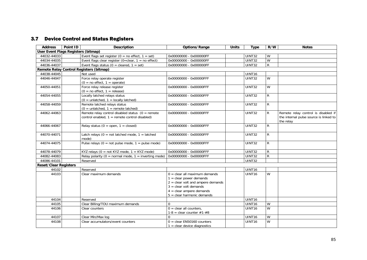## 3.7 Device Control and Status Registers

| <b>Address</b>               | Point ID<br><b>Description</b>                                                                        | Options/Range                                                                                                                                                                                 | <b>Units</b> | <b>Type</b>        | R/W            | <b>Notes</b>                                                                               |
|------------------------------|-------------------------------------------------------------------------------------------------------|-----------------------------------------------------------------------------------------------------------------------------------------------------------------------------------------------|--------------|--------------------|----------------|--------------------------------------------------------------------------------------------|
|                              | User Event Flags Registers (bitmap)                                                                   |                                                                                                                                                                                               |              |                    |                |                                                                                            |
| 44032-44033                  | Event flags set register ( $0 =$ no effect, $1 =$ set)                                                | 0x00000000 - 0x000000FF                                                                                                                                                                       |              | UINT32             | $\overline{W}$ |                                                                                            |
| 44034-44035                  | Event flags clear register (0=clear, $1 =$ no effect)                                                 | 0x00000000 - 0x000000FF                                                                                                                                                                       |              | UINT32             | W              |                                                                                            |
| 44036-44037                  | Event flags status ( $0 = \text{cleaned}, 1 = \text{set}$ )                                           | 0x00000000 - 0x000000FF                                                                                                                                                                       |              | <b>UINT32</b>      | $\overline{R}$ |                                                                                            |
|                              | Remote Relay Control Registers (bitmap)                                                               |                                                                                                                                                                                               |              |                    |                |                                                                                            |
| 44038-44045                  | Not used                                                                                              |                                                                                                                                                                                               |              | UINT <sub>16</sub> |                |                                                                                            |
| 44046-44047                  | Force relay operate register<br>$(0 = no effect, 1 = operate)$                                        | 0x00000000 - 0x00000FFF                                                                                                                                                                       |              | <b>UINT32</b>      | W              |                                                                                            |
| 44050-44051                  | Force relay release register<br>$(0 = no effect, 1 = release)$                                        | 0x00000000 - 0x00000FFF                                                                                                                                                                       |              | <b>UINT32</b>      | $\overline{W}$ |                                                                                            |
| 44054-44055                  | Locally latched relays status<br>$(0 = \text{unlatched}, 1 = \text{locally latched})$                 | 0x00000000 - 0x00000FFF                                                                                                                                                                       |              | UINT32             | $\overline{R}$ |                                                                                            |
| 44058-44059                  | Remote latched relays status<br>$(0 = \text{unlatched}, 1 = \text{remote latched})$                   | 0x00000000 - 0x00000FFF                                                                                                                                                                       |              | UINT32             | $\mathsf{R}$   |                                                                                            |
| 44062-44063                  | Remote relay control disabled status $(0 =$ remote<br>control enabled, $1 =$ remote control disabled) | 0x00000000 - 0x00000FFF                                                                                                                                                                       |              | UINT32             | R              | Remote relay control is disabled if<br>the internal pulse source is linked to<br>the relay |
| 44066-44067                  | Relay status ( $0 =$ open, $1 =$ closed)                                                              | 0x00000000 - 0x00000FFF                                                                                                                                                                       |              | <b>UINT32</b>      | $\mathsf{R}$   |                                                                                            |
| 44070-44071                  | Latch relays ( $0 = not$ latched mode, $1 =$ latched<br>mode)                                         | 0x00000000 - 0x00000FFF                                                                                                                                                                       |              | <b>UINT32</b>      | $\mathsf{R}$   |                                                                                            |
| 44074-44075                  | Pulse relays ( $0 = not pulse mode$ , $1 = pulse mode$ )                                              | 0x00000000 - 0x00000FFF                                                                                                                                                                       |              | <b>UINT32</b>      | $\mathsf{R}$   |                                                                                            |
| 44078-44079                  | KYZ relays (0 = not KYZ mode, 1 = KYZ mode)                                                           | 0x00000000 - 0x00000FFF                                                                                                                                                                       |              | UINT32             | ${\sf R}$      |                                                                                            |
| 44082-44083                  | Relay polarity ( $0 =$ normal mode, $1 =$ inverting mode)                                             | 0x00000000 - 0x00000FFF                                                                                                                                                                       |              | UINT32             | $\overline{R}$ |                                                                                            |
| 44086-44101                  | Reserved                                                                                              |                                                                                                                                                                                               |              | <b>UINT32</b>      |                |                                                                                            |
| <b>Reset/Clear Registers</b> |                                                                                                       |                                                                                                                                                                                               |              |                    |                |                                                                                            |
| 44102                        | Reserved                                                                                              |                                                                                                                                                                                               |              | UINT16             |                |                                                                                            |
| 44103                        | Clear maximum demands                                                                                 | $0 =$ clear all maximum demands<br>$1 =$ clear power demands<br>$2 =$ clear volt and ampere demands<br>$3 =$ clear volt demands<br>$4 =$ clear ampere demands<br>$5 =$ clear harmonic demands |              | UINT16             | W              |                                                                                            |
| 44104                        | Reserved                                                                                              |                                                                                                                                                                                               |              | UINT16             |                |                                                                                            |
| 44105                        | Clear Billing/TOU maximum demands                                                                     | $\Omega$                                                                                                                                                                                      |              | UINT <sub>16</sub> | $\overline{W}$ |                                                                                            |
| 44106                        | Clear counters                                                                                        | $0 =$ clear all counters.<br>$1-8$ = clear counter $#1-#8$                                                                                                                                    |              | UINT16             | $\overline{W}$ |                                                                                            |
| 44107                        | Clear Min/Max log                                                                                     | $\Omega$                                                                                                                                                                                      |              | UINT16             | W              |                                                                                            |
| 44108                        | Clear accumulators/event counters                                                                     | $0 = clear EN50160 counters$<br>$1 =$ clear device diagnostics                                                                                                                                |              | UINT16             | $\overline{W}$ |                                                                                            |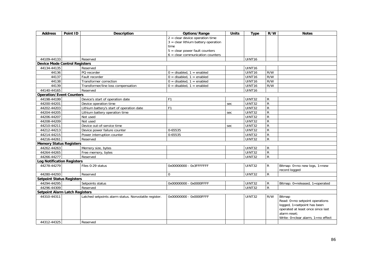| <b>Address</b>                        | Point ID | <b>Description</b>                                    | Options/Range                         | <b>Units</b> | <b>Type</b>   | R/W            | <b>Notes</b>                                                  |
|---------------------------------------|----------|-------------------------------------------------------|---------------------------------------|--------------|---------------|----------------|---------------------------------------------------------------|
|                                       |          |                                                       | $2 =$ clear device operation time     |              |               |                |                                                               |
|                                       |          |                                                       | $3 =$ clear lithium battery operation |              |               |                |                                                               |
|                                       |          |                                                       | time                                  |              |               |                |                                                               |
|                                       |          |                                                       | $5 =$ clear power fault counters      |              |               |                |                                                               |
|                                       |          |                                                       | $6 =$ clear communication counters    |              |               |                |                                                               |
| 44109-44133                           |          | Reserved                                              |                                       |              | UINT16        |                |                                                               |
| <b>Device Mode Control Registers</b>  |          |                                                       |                                       |              |               |                |                                                               |
| 44134-44135                           |          | Reserved                                              |                                       |              | UINT16        |                |                                                               |
| 44136                                 |          | PQ recorder                                           | $0 =$ disabled, $1 =$ enabled         |              | UINT16        | R/W            |                                                               |
| 44137                                 |          | Fault recorder                                        | $0 =$ disabled, $1 =$ enabled         |              | UINT16        | R/W            |                                                               |
| 44138                                 |          | Transformer correction                                | $0 =$ disabled, $1 =$ enabled         |              | UINT16        | R/W            |                                                               |
| 44139                                 |          | Transformer/line loss compensation                    | $0 =$ disabled, $1 =$ enabled         |              | UINT16        | R/W            |                                                               |
| 44140-44165                           |          | Reserved                                              |                                       |              | UINT16        |                |                                                               |
| <b>Operation/Event Counters</b>       |          |                                                       |                                       |              |               |                |                                                               |
| 44198-44199                           |          | Device's start of operation date                      | F <sub>1</sub>                        |              | <b>UINT32</b> | $\mathsf{R}$   |                                                               |
| 44200-44201                           |          | Device operation time                                 |                                       | sec          | UINT32        | ${\sf R}$      |                                                               |
| 44202-44203                           |          | Lithium battery's start of operation date             | F <sub>1</sub>                        |              | UINT32        | R              |                                                               |
| 44204-44205                           |          | Lithium battery operation time                        |                                       | sec          | UINT32        | $\overline{R}$ |                                                               |
| 44206-44207                           |          | Not used                                              |                                       |              | <b>UINT32</b> | $\overline{R}$ |                                                               |
| 44208-44209                           |          | Not used                                              |                                       |              | <b>UINT32</b> | $\mathsf{R}$   |                                                               |
| 44210-44211                           |          | Device out-of-service time                            |                                       | sec          | UINT32        | $\overline{R}$ |                                                               |
| 44212-44213                           |          | Device power failure counter                          | 0-65535                               |              | UINT32        | R              |                                                               |
| 44214-44215                           |          | Power interruption counter                            | 0-65535                               |              | UINT32        | ${\sf R}$      |                                                               |
| 44216-44261                           |          | Reserved                                              |                                       |              | UINT32        | ${\sf R}$      |                                                               |
| <b>Memory Status Registers</b>        |          |                                                       |                                       |              |               |                |                                                               |
| 44262-44263                           |          | Memory size, bytes                                    |                                       |              | <b>UINT32</b> | R              |                                                               |
| 44264-44265                           |          | Free memory, bytes                                    |                                       |              | UINT32        | ${\sf R}$      |                                                               |
| 44266-44277                           |          | Reserved                                              |                                       |              | <b>UINT32</b> | R              |                                                               |
| <b>Log Notification Registers</b>     |          |                                                       |                                       |              |               |                |                                                               |
| 44278-44279                           |          | Files 0-29 status                                     | 0x00000000 - 0x3FFFFFFF               |              | <b>UINT32</b> | $\mathsf{R}$   | Bitmap: $0 = no new logs$ , $1 = new$                         |
|                                       |          |                                                       |                                       |              |               |                | record logged                                                 |
| 44280-44293                           |          | Reserved                                              | $\mathbf 0$                           |              | <b>UINT32</b> | $\mathsf{R}$   |                                                               |
| <b>Setpoint Status Registers</b>      |          |                                                       |                                       |              |               |                |                                                               |
| 44294-44295                           |          | Setpoints status                                      | 0x00000000 - 0x0000FFFF               |              | UINT32        | $\mathsf{R}$   | Bitmap: 0=released, 1=operated                                |
| 44296-44309                           |          | Reserved                                              |                                       |              | UINT32        | R              |                                                               |
| <b>Setpoint Alarm Latch Registers</b> |          |                                                       |                                       |              |               |                |                                                               |
| 44310-44311                           |          | Latched setpoints alarm status. Nonvolatile register. | 0x00000000 - 0x0000FFFF               |              | <b>UINT32</b> | R/W            | Bitmap                                                        |
|                                       |          |                                                       |                                       |              |               |                | Read: 0=no setpoint operations<br>logged, 1=setpoint has been |
|                                       |          |                                                       |                                       |              |               |                | operated at least once since last                             |
|                                       |          |                                                       |                                       |              |               |                | alarm reset:                                                  |
|                                       |          |                                                       |                                       |              |               |                | Write: 0=clear alarm, 1=no effect                             |
| 44312-44325                           |          | Reserved                                              |                                       |              |               |                |                                                               |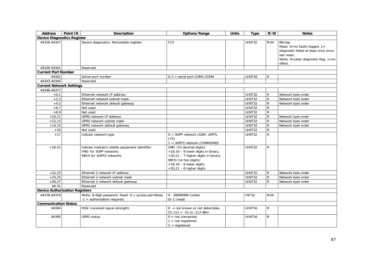| <b>Address</b>                        | Point ID | <b>Description</b>                                                                                  | Options/Range                                                                                                                                                                                 | <b>Units</b> | <b>Type</b>   | R/W            | <b>Notes</b>                                                                                                                                      |
|---------------------------------------|----------|-----------------------------------------------------------------------------------------------------|-----------------------------------------------------------------------------------------------------------------------------------------------------------------------------------------------|--------------|---------------|----------------|---------------------------------------------------------------------------------------------------------------------------------------------------|
| <b>Device Diagnostics Register</b>    |          |                                                                                                     |                                                                                                                                                                                               |              |               |                |                                                                                                                                                   |
| 44326-44327                           |          | Device diagnostics. Nonvolatile register.                                                           | F <sub>23</sub>                                                                                                                                                                               |              | <b>UINT32</b> | R/W            | Bitmap<br>Read: 0=no faults logged, 1=<br>diagnostic failed at least once since<br>last reset:<br>Write: 0=clear diagnostic flag, 1=no<br>effect. |
| 44328-44341                           |          | Reserved                                                                                            |                                                                                                                                                                                               |              |               |                |                                                                                                                                                   |
| <b>Current Port Number</b>            |          |                                                                                                     |                                                                                                                                                                                               |              |               |                |                                                                                                                                                   |
| 44342                                 |          | Active port number                                                                                  | $0-3$ = serial port COM1-COM4                                                                                                                                                                 |              | UINT16        | $\mathsf{R}$   |                                                                                                                                                   |
| 44343-44345                           |          | Reserved                                                                                            |                                                                                                                                                                                               |              |               |                |                                                                                                                                                   |
| <b>Current Network Settings</b>       |          |                                                                                                     |                                                                                                                                                                                               |              |               |                |                                                                                                                                                   |
| 44346-44377                           |          |                                                                                                     |                                                                                                                                                                                               |              |               |                |                                                                                                                                                   |
| $+0,1$                                |          | Ethernet network IP address                                                                         |                                                                                                                                                                                               |              | <b>UINT32</b> | R              | Network byte order                                                                                                                                |
| $+2,3$                                |          | Ethernet network subnet mask                                                                        |                                                                                                                                                                                               |              | <b>UINT32</b> | ${\sf R}$      | Network byte order                                                                                                                                |
| $+4,5$                                |          | Ethernet network default gateway                                                                    |                                                                                                                                                                                               |              | <b>UINT32</b> | $\mathsf{R}$   | Network byte order                                                                                                                                |
| $+6,7$                                |          | Not used                                                                                            |                                                                                                                                                                                               |              | <b>UINT32</b> | ${\sf R}$      |                                                                                                                                                   |
| $+8,9$                                |          | Not used                                                                                            |                                                                                                                                                                                               |              | <b>UINT32</b> | ${\sf R}$      |                                                                                                                                                   |
| $+10,11$                              |          | <b>GPRS network IP Address</b>                                                                      |                                                                                                                                                                                               |              | <b>UINT32</b> | ${\sf R}$      | Network byte order                                                                                                                                |
| $+12,13$                              |          | <b>GPRS network subnet mask</b>                                                                     |                                                                                                                                                                                               |              | <b>UINT32</b> | $\mathsf R$    | Network byte order                                                                                                                                |
| $+14,15$                              |          | GPRS network default gateway                                                                        |                                                                                                                                                                                               |              | <b>UINT32</b> | $\mathsf{R}$   | Network byte order                                                                                                                                |
| $+16$                                 |          | Not used                                                                                            |                                                                                                                                                                                               |              | <b>UINT32</b> | $\overline{R}$ |                                                                                                                                                   |
| $+17$                                 |          | Cellular network type                                                                               | $0 = 3GPP$ network (GSM, UMTS,<br>LTE)<br>$1 = 3GPP2$ network (CDMA2000)                                                                                                                      |              | <b>UINT32</b> | $\mathsf R$    |                                                                                                                                                   |
| $+18-21$                              |          | Cellular module's mobile equipment identifier:<br>IMEI for 3GPP networks<br>MEID for 3GPP2 networks | IMEI (15 decimal digits):<br>$+18,19 - 8$ lower digits in binary,<br>+20,21 - 7 higher digits in binary;<br>MEID (14 hex digits):<br>$+18,19 - 8$ lower digits,<br>$+20,21 - 6$ higher digits |              | UINT32        | $\mathsf{R}$   |                                                                                                                                                   |
| $+22,23$                              |          | Ethernet 2 network IP address                                                                       |                                                                                                                                                                                               |              | UINT32        | R              | Network byte order                                                                                                                                |
| $+24,25$                              |          | Ethernet 2 network subnet mask                                                                      |                                                                                                                                                                                               |              | <b>UINT32</b> | ${\sf R}$      | Network byte order                                                                                                                                |
| $+26,27$                              |          | Ethernet 2 network default gateway                                                                  |                                                                                                                                                                                               |              | <b>UINT32</b> | R              | Network byte order                                                                                                                                |
| 28-31                                 |          | Reserved                                                                                            |                                                                                                                                                                                               |              |               |                |                                                                                                                                                   |
| <b>Device Authorization Registers</b> |          |                                                                                                     |                                                                                                                                                                                               |              |               |                |                                                                                                                                                   |
| 44378-44379                           |          | Write: 8-digit password. Read: $0 =$ access permitted,<br>$-1$ = authorization required.            | 0 - 99999999 (write)<br>$0/-1$ (read)                                                                                                                                                         |              | <b>INT32</b>  | R/W            |                                                                                                                                                   |
| <b>Communication Status</b>           |          |                                                                                                     |                                                                                                                                                                                               |              |               |                |                                                                                                                                                   |
| 44394                                 |          | RSSI (received signal strength)                                                                     | $0 = not$ known or not detectable.<br>$51-113 = -51$ to $-113$ dBm                                                                                                                            |              | <b>UINT16</b> | R              |                                                                                                                                                   |
| 44395                                 |          | <b>GPRS</b> status                                                                                  | $0 = not connected.$<br>$1 = not registered$ ,<br>$2 =$ registered                                                                                                                            |              | <b>UINT16</b> | R              |                                                                                                                                                   |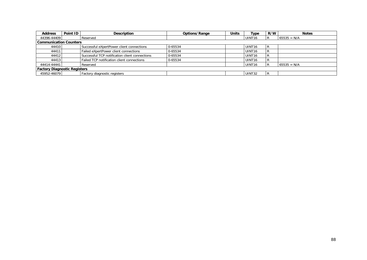| <b>Address</b>                | Point ID | Description                                    | Options/Range | Units | Type               | R/W    | <b>Notes</b>  |  |  |
|-------------------------------|----------|------------------------------------------------|---------------|-------|--------------------|--------|---------------|--|--|
| 44396-44409                   |          | Reserved                                       |               |       | UINT <sub>16</sub> | R      | $65535 = N/A$ |  |  |
| <b>Communication Counters</b> |          |                                                |               |       |                    |        |               |  |  |
| 44410                         |          | Successful eXpertPower client connections      | 0-65534       |       | UINT <sub>16</sub> | R      |               |  |  |
| 44411                         |          | Failed eXpertPower client connections          | 0-65534       |       | UINT <sub>16</sub> | R      |               |  |  |
| 44412                         |          | Successful TCP notification client connections | 0-65534       |       | UINT <sub>16</sub> | R      |               |  |  |
| 44413                         |          | Failed TCP notification client connections     | 0-65534       |       | UINT <sub>16</sub> | D<br>B |               |  |  |
| 44414-44441                   |          | Reserved                                       |               |       | UINT <sub>16</sub> |        | $65535 = N/A$ |  |  |
| Factory Diagnostic Registers  |          |                                                |               |       |                    |        |               |  |  |
| 45952-46079                   |          | Factory diagnostic registers                   |               |       | UINT32             | R      |               |  |  |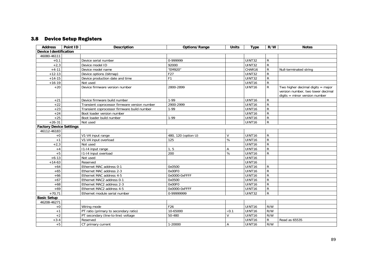## 3.8 Device Setup Registers

| <b>Address</b>                 | Point ID | <b>Description</b>                            | Options/Range       | <b>Units</b>   | <b>Type</b>        | R/W            | <b>Notes</b>                                                                                                |
|--------------------------------|----------|-----------------------------------------------|---------------------|----------------|--------------------|----------------|-------------------------------------------------------------------------------------------------------------|
| <b>Device Identification</b>   |          |                                               |                     |                |                    |                |                                                                                                             |
| 46080-46111                    |          |                                               |                     |                |                    |                |                                                                                                             |
| $+0,1$                         |          | Device serial number                          | 0-999999            |                | <b>UINT32</b>      | $\mathsf{R}$   |                                                                                                             |
| $+2,3$                         |          | Device model ID                               | 92000               |                | <b>UINT32</b>      | ${\sf R}$      |                                                                                                             |
| $+4-11$                        |          | Device model name                             | "EM920"             |                | CHAR16             | $\overline{R}$ | Null-terminated string                                                                                      |
| $+12-13$                       |          | Device options (bitmap)                       | F27                 |                | <b>UINT32</b>      | $\mathsf{R}$   |                                                                                                             |
| $+14-15$                       |          | Device production date and time               | F1                  |                | UINT32             | $\overline{R}$ |                                                                                                             |
| $+16-19$                       |          | Not used                                      |                     |                | UINT16             | $\overline{R}$ |                                                                                                             |
| $+20$                          |          | Device firmware version number                | 2800-2899           |                | UINT <sub>16</sub> | $\mathsf{R}$   | Two higher decimal digits $=$ major<br>version number, two lower decimal<br>$digits = minor version number$ |
| $+21$                          |          | Device firmware build number                  | $1-99$              |                | UINT16             | $\mathsf{R}$   |                                                                                                             |
| $+22$                          |          | Transient coprocessor firmware version number | 2900-2999           |                | UINT <sub>16</sub> | $\mathsf{R}$   |                                                                                                             |
| $+23$                          |          | Transient coprocessor firmware build number   | $1-99$              |                | UINT16             | $\mathsf{R}$   |                                                                                                             |
| $+24$                          |          | Boot loader version number                    |                     |                | UINT16             | ${\sf R}$      |                                                                                                             |
| $+25$                          |          | Boot loader build number                      | 1-99                |                | UINT16             | $\overline{R}$ |                                                                                                             |
| $+26-31$                       |          | Not used                                      |                     |                | UINT16             | $\overline{R}$ |                                                                                                             |
| <b>Factory Device Settings</b> |          |                                               |                     |                |                    |                |                                                                                                             |
| 46112-46183                    |          |                                               |                     |                |                    |                |                                                                                                             |
| $+0$                           |          | V1-V4 input range                             | 480, 120 (option U) | $\mathsf{V}$   | UINT16             | R              |                                                                                                             |
| $+1$                           |          | V1-V4 input overload                          | 125                 | %              | UINT16             | $\mathsf{R}$   |                                                                                                             |
| $+2,3$                         |          | Not used                                      |                     |                | UINT <sub>16</sub> | ${\sf R}$      |                                                                                                             |
| $+4$                           |          | I1-I4 input range                             | 1, 5                | A              | UINT16             | ${\sf R}$      |                                                                                                             |
| $+5$                           |          | I1-I4 input overload                          | 200                 | %              | UINT16             | $\overline{R}$ |                                                                                                             |
| $+6-13$                        |          | Not used                                      |                     |                | UINT16             |                |                                                                                                             |
| $+14-63$                       |          | Reserved                                      |                     |                | UINT16             |                |                                                                                                             |
| $+64$                          |          | Ethernet MAC address 0-1                      | 0x0500              |                | UINT16             | $\mathsf{R}$   |                                                                                                             |
| $+65$                          |          | Ethernet MAC address 2-3                      | 0x00F0              |                | UINT16             | $\mathsf{R}$   |                                                                                                             |
| $+66$                          |          | Ethernet MAC address 4-5                      | 0x0000-0xFFFF       |                | UINT16             | ${\sf R}$      |                                                                                                             |
| $+67$                          |          | Ethernet MAC2 address 0-1                     | 0x0500              |                | UINT16             | $\mathsf{R}$   |                                                                                                             |
| $+68$                          |          | Ethernet MAC2 address 2-3                     | 0x00F0              |                | UINT16             | $\overline{R}$ |                                                                                                             |
| $+69$                          |          | Ethernet MAC2 address 4-5                     | 0x0000-0xFFFF       |                | UINT16             | $\mathsf{R}$   |                                                                                                             |
| $+70,71$                       |          | Ethernet module serial number                 | 0-99999999          |                | UINT32             | $\overline{R}$ |                                                                                                             |
| <b>Basic Setup</b>             |          |                                               |                     |                |                    |                |                                                                                                             |
| 46208-46271                    |          |                                               |                     |                |                    |                |                                                                                                             |
| $+0$                           |          | Wiring mode                                   | F26                 |                | UINT16             | R/W            |                                                                                                             |
| $+1$                           |          | PT ratio (primary to secondary ratio)         | 10-65000            | $\times 0.1$   | UINT16             | R/W            |                                                                                                             |
| $+2$                           |          | PT secondary (line-to-line) voltage           | 50-480              | V              | UINT16             | R/W            |                                                                                                             |
| $+3-4$                         |          | Reserved                                      |                     |                | UINT16             | R              | Read as 65535                                                                                               |
| $+5$                           |          | CT primary current                            | 1-20000             | $\overline{A}$ | UINT16             | R/W            |                                                                                                             |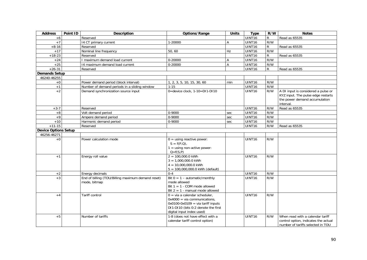| <b>Address</b>              | Point ID | <b>Description</b>                                                | Options/Range                                                                                                                                                                | <b>Units</b> | <b>Type</b>        | R/W          | <b>Notes</b>                                                                                                            |
|-----------------------------|----------|-------------------------------------------------------------------|------------------------------------------------------------------------------------------------------------------------------------------------------------------------------|--------------|--------------------|--------------|-------------------------------------------------------------------------------------------------------------------------|
| $+6$                        |          | Reserved                                                          |                                                                                                                                                                              |              | UINT16             | R            | Read as 65535                                                                                                           |
| $+7$                        |          | 14 CT primary current                                             | 1-20000                                                                                                                                                                      | Α            | <b>UINT16</b>      | R/W          |                                                                                                                         |
| $+8-16$                     |          | Reserved                                                          |                                                                                                                                                                              |              | UINT16             | R            | Read as 65535                                                                                                           |
| $+17$                       |          | Nominal line frequency                                            | 50,60                                                                                                                                                                        | Hz           | UINT16             | R/W          |                                                                                                                         |
| $+18-23$                    |          | Reserved                                                          |                                                                                                                                                                              |              | UINT16             | $\mathsf{R}$ | Read as 65535                                                                                                           |
| $+24$                       |          | I maximum demand load current                                     | 0-20000                                                                                                                                                                      | А            | UINT16             | R/W          |                                                                                                                         |
| $+25$                       |          | 14 maximum demand load current                                    | 0-20000                                                                                                                                                                      | Α            | UINT16             | R/W          |                                                                                                                         |
| $+26-31$                    |          | Reserved                                                          |                                                                                                                                                                              |              | UINT16             | R            | Read as 65535                                                                                                           |
| <b>Demands Setup</b>        |          |                                                                   |                                                                                                                                                                              |              |                    |              |                                                                                                                         |
| 46240-46255                 |          |                                                                   |                                                                                                                                                                              |              |                    |              |                                                                                                                         |
| $+0$                        |          | Power demand period (block interval)                              | 1, 2, 3, 5, 10, 15, 30, 60                                                                                                                                                   | min          | UINT16             | R/W          |                                                                                                                         |
| $+1$                        |          | Number of demand periods in a sliding window                      | $1 - 15$                                                                                                                                                                     |              | UINT <sub>16</sub> | R/W          |                                                                                                                         |
| $+2$                        |          | Demand synchronization source input                               | 0=device clock, 1-10=DI1-DI10                                                                                                                                                |              | UINT16             | R/W          | A DI input is considered a pulse or<br>KYZ input. The pulse edge restarts<br>the power demand accumulation<br>interval. |
| $+3-7$                      |          | Reserved                                                          |                                                                                                                                                                              |              | UINT16             | R/W          | Read as 65535                                                                                                           |
| $+8$                        |          | Volt demand period                                                | 0-9000                                                                                                                                                                       | sec          | UINT16             | R/W          |                                                                                                                         |
| $+9$                        |          | Ampere demand period                                              | $0 - 9000$                                                                                                                                                                   | sec          | <b>UINT16</b>      | R/W          |                                                                                                                         |
| $+10$                       |          | Harmonic demand period                                            | 0-9000                                                                                                                                                                       | sec          | UINT16             | R/W          |                                                                                                                         |
| $+11-15$                    |          | Reserved                                                          |                                                                                                                                                                              |              | UINT16             | R/W          | Read as 65535                                                                                                           |
| <b>Device Options Setup</b> |          |                                                                   |                                                                                                                                                                              |              |                    |              |                                                                                                                         |
| 46256-46271                 |          |                                                                   |                                                                                                                                                                              |              |                    |              |                                                                                                                         |
| $+0$                        |          | Power calculation mode                                            | $0 =$ using reactive power:<br>$S = f(P,Q)$ .<br>$1 =$ using non-active power:<br>$Q = f(S, P)$                                                                              |              | UINT16             | R/W          |                                                                                                                         |
| $+1$                        |          | Energy roll value                                                 | $2 = 100,000.0$ kWh<br>$3 = 1,000,000.0$ kWh<br>$4 = 10,000,000.0$ kWh<br>$5 = 100,000,000.0$ kWh (default)                                                                  |              | UINT16             | R/W          |                                                                                                                         |
| $+2$                        |          | Energy decimals                                                   | $0 - 4$                                                                                                                                                                      |              | UINT16             | R/W          |                                                                                                                         |
| $+3$                        |          | End of billing (TOU/Billing maximum demand reset)<br>mode, bitmap | Bit $0 = 1 -$ automatic/monthly<br>mode allowed<br>Bit $1 = 1$ - COM mode allowed<br>Bit $2 = 1$ - manual mode allowed                                                       |              | <b>UINT16</b>      | R/W          |                                                                                                                         |
| $+4$                        |          | <b>Tariff control</b>                                             | $0 = via a calendar scheduler$ .<br>$0x4000 = via communication.$<br>$0x0100-0x0109 = via tariff inputs$<br>DI1-DI10 (bits 0:2 denote the first<br>digital input index used) |              | <b>UINT16</b>      | R/W          |                                                                                                                         |
| $+5$                        |          | Number of tariffs                                                 | 1-8 (does not have effect with a<br>calendar tariff control option)                                                                                                          |              | <b>UINT16</b>      | R/W          | When read with a calendar tariff<br>control option, indicates the actual<br>number of tariffs selected in TOU           |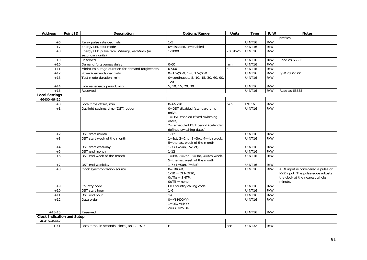| <b>Address</b>                    | Point ID | <b>Description</b>                             | Options/Range                         | <b>Units</b>    | <b>Type</b>        | R/W | <b>Notes</b>                        |
|-----------------------------------|----------|------------------------------------------------|---------------------------------------|-----------------|--------------------|-----|-------------------------------------|
|                                   |          |                                                |                                       |                 |                    |     | profiles                            |
| $+6$                              |          | Relay pulse rate decimals                      | $1 - 5$                               |                 | <b>UINT16</b>      | R/W |                                     |
| $+7$                              |          | Energy LED test mode                           | $0 =$ disabled, $1 =$ enabled         |                 | UINT16             | R/W |                                     |
| $+8$                              |          | Energy LED pulse rate, Wh/imp, varh/imp (in    | $1 - 1000$                            | $\times 0.01Wh$ | <b>UINT16</b>      | R/W |                                     |
|                                   |          | secondary units)                               |                                       |                 |                    |     |                                     |
| $+9$                              |          | Reserved                                       |                                       |                 | UINT16             | R/W | Read as 65535                       |
| $+10$                             |          | Demand forgiveness delay                       | $0 - 60$                              | min             | <b>UINT16</b>      | R/W |                                     |
| $+11$                             |          | Minimum outage duration for demand forgiveness | $0 - 900$                             | $\mathsf{S}$    | UINT16             | R/W |                                     |
| $+12$                             |          | Power/demands decimals                         | $0=1$ W/kW, $1=0.1$ W/kW              |                 | <b>UINT16</b>      | R/W | F/W 28.X2.XX                        |
| $+13$                             |          | Test mode duration, min                        | 0=continuous, 5, 10, 15, 30, 60, 90,  |                 | UINT16             | R/W |                                     |
|                                   |          |                                                | 120                                   |                 |                    |     |                                     |
| $+14$                             |          | Interval energy period, min                    | 5, 10, 15, 20, 30                     |                 | UINT16             | R/W |                                     |
| $+15$                             |          | Reserved                                       |                                       |                 | <b>UINT16</b>      | R/W | Read as 65535                       |
| Local Settings                    |          |                                                |                                       |                 |                    |     |                                     |
| 46400-46415                       |          |                                                |                                       |                 |                    |     |                                     |
| $+0$                              |          | Local time offset, min                         | $0-+/720$                             | min             | <b>INT16</b>       | R/W |                                     |
| $+1$                              |          | Daylight savings time (DST) option             | 0=DST disabled (standard time         |                 | UINT16             | R/W |                                     |
|                                   |          |                                                | only),                                |                 |                    |     |                                     |
|                                   |          |                                                | 1=DST enabled (fixed switching        |                 |                    |     |                                     |
|                                   |          |                                                | dates),                               |                 |                    |     |                                     |
|                                   |          |                                                | 2= scheduled DST period (calendar     |                 |                    |     |                                     |
|                                   |          | DST start month                                | defined switching dates)<br>$1 - 12$  |                 | UINT <sub>16</sub> | R/W |                                     |
| $+2$<br>$+3$                      |          | DST start week of the month                    | $1 = 1$ st, 2=2nd, 3=3rd, 4=4th week, |                 | UINT16             | R/W |                                     |
|                                   |          |                                                | 5=the last week of the month          |                 |                    |     |                                     |
|                                   |          | DST start weekday                              |                                       |                 | UINT16             | R/W |                                     |
| $+4$<br>$+5$                      |          | DST end month                                  | 1-7 $(1 = Sun, 7 = Sat)$<br>$1 - 12$  |                 | UINT16             | R/W |                                     |
| $+6$                              |          | DST end week of the month                      | 1=1st, 2=2nd, 3=3rd, 4=4th week,      |                 | UINT16             | R/W |                                     |
|                                   |          |                                                | 5=the last week of the month          |                 |                    |     |                                     |
| $+7$                              |          | DST end weekday                                | $\overline{1\cdot 7}$ (1=Sun, 7=Sat)  |                 | UINT16             | R/W |                                     |
| $+8$                              |          | Clock synchronization source                   | $0=IRIG-B$                            |                 | UINT16             | R/W | A DI input is considered a pulse or |
|                                   |          |                                                | $1-10 = D11-D110$ ,                   |                 |                    |     | KYZ input. The pulse edge adjusts   |
|                                   |          |                                                | $Oxfffe = SNTP$                       |                 |                    |     | the clock at the nearest whole      |
|                                   |          |                                                | $0x$ ffff = none                      |                 |                    |     | minute.                             |
| $+9$                              |          | Country code                                   | ITU country calling code              |                 | <b>UINT16</b>      | R/W |                                     |
| $+10$                             |          | DST start hour                                 | $1-6$                                 |                 | UINT16             | R/W |                                     |
| $+11$                             |          | DST end hour                                   | $1-6$                                 |                 | UINT16             | R/W |                                     |
| $+12$                             |          | Date order                                     | $0 = MM/DD/YY$                        |                 | UINT16             | R/W |                                     |
|                                   |          |                                                | $1 = DD/MM/YY$                        |                 |                    |     |                                     |
|                                   |          |                                                | $2 = YY/MM/DD$                        |                 |                    |     |                                     |
| $+13-15$                          |          | Reserved                                       |                                       |                 | UINT16             | R/W |                                     |
| <b>Clock Indication and Setup</b> |          |                                                |                                       |                 |                    |     |                                     |
| 46416-46447                       |          |                                                |                                       |                 |                    |     |                                     |
| $+0,1$                            |          | Local time, in seconds, since Jan 1, 1970      | F <sub>1</sub>                        | sec             | UINT32             | R/W |                                     |
|                                   |          |                                                |                                       |                 |                    |     |                                     |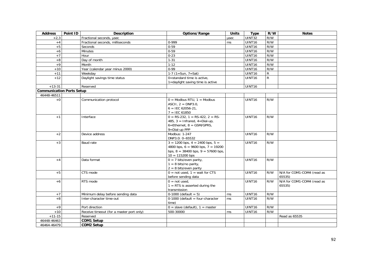| <b>Address</b>                   | Point ID | <b>Description</b>                       | Options/Range                           | <b>Units</b>  | <b>Type</b>        | R/W          | <b>Notes</b>               |
|----------------------------------|----------|------------------------------------------|-----------------------------------------|---------------|--------------------|--------------|----------------------------|
| $+2,3$                           |          | Fractional seconds, usec                 |                                         | usec          | UINT32             | R/W          |                            |
| $+4$                             |          | Fractional seconds, milliseconds         | 0-999                                   | ms            | UINT16             | R/W          |                            |
| $+5$                             |          | Seconds                                  | $0 - 59$                                |               | UINT16             | R/W          |                            |
| $+6$                             |          | Minutes                                  | $0 - 59$                                |               | UINT16             | R/W          |                            |
| $+7$                             |          | Hour                                     | $0 - 23$                                |               | UINT16             | R/W          |                            |
| $\bf +8$                         |          | Day of month                             | $1 - 31$                                |               | UINT16             | R/W          |                            |
| $+9$                             |          | Month                                    | $1 - 12$                                |               | UINT16             | R/W          |                            |
| $+10$                            |          | Year (calendar year minus 2000)          | $0 - 99$                                |               | UINT <sub>16</sub> | R/W          |                            |
| $+11$                            |          | Weekday                                  | 1-7 $(1 = Sun, 7 = Sat)$                |               | UINT16             | R            |                            |
| $+12$                            |          | Daylight savings time status             | 0=standard time is active,              |               | UINT16             | $\mathsf{R}$ |                            |
|                                  |          |                                          | 1=daylight saving time is active        |               |                    |              |                            |
| $+13-31$                         |          | Reserved                                 |                                         |               | UINT16             |              |                            |
| <b>Communication Ports Setup</b> |          |                                          |                                         |               |                    |              |                            |
| 46448-46511                      |          |                                          |                                         |               |                    |              |                            |
| $+0$                             |          | Communication protocol                   | $0 =$ Modbus RTU, $1 =$ Modbus          |               | <b>UINT16</b>      | R/W          |                            |
|                                  |          |                                          | ASCII, $2 = DNP3.0$ ,                   |               |                    |              |                            |
|                                  |          |                                          | $6 =$ IEC 62056-21.                     |               |                    |              |                            |
|                                  |          |                                          | $7 = IEC 61850$                         |               |                    |              |                            |
| $+1$                             |          | Interface                                | $0 = RS-232$ , $1 = RS-422$ , $2 = RS-$ |               | <b>UINT16</b>      | R/W          |                            |
|                                  |          |                                          | 485, $3 = Infrared, 4 = Dial-up,$       |               |                    |              |                            |
|                                  |          |                                          | $6$ =Ethernet, $8$ = GSM/GPRS,          |               |                    |              |                            |
|                                  |          |                                          | 9=Dial-up PPP                           |               |                    |              |                            |
| $+2$                             |          | Device address                           | Modbus: 1-247                           |               | UINT16             | R/W          |                            |
|                                  |          |                                          | DNP3.0: 0-65532                         |               |                    |              |                            |
| $+3$                             |          | Baud rate                                | $3 = 1200$ bps, $4 = 2400$ bps, $5 =$   |               | <b>UINT16</b>      | R/W          |                            |
|                                  |          |                                          | 4800 bps, $6 = 9600$ bps, $7 = 19200$   |               |                    |              |                            |
|                                  |          |                                          | bps, $8 = 38400$ bps, $9 = 57600$ bps,  |               |                    |              |                            |
|                                  |          |                                          | $10 = 115200$ bps                       |               |                    |              |                            |
| $+4$                             |          | Data format                              | $0 = 7$ bits/even parity,               |               | <b>UINT16</b>      | R/W          |                            |
|                                  |          |                                          | $1 = 8$ bits/no parity,                 |               |                    |              |                            |
|                                  |          |                                          | $2 = 8$ bits/even parity                |               |                    |              |                            |
| $+5$                             |          | CTS mode                                 | $0 = not used$ , $1 = wait for CTS$     |               | <b>UINT16</b>      | R/W          | N/A for COM1-COM4 (read as |
|                                  |          |                                          | before sending data                     |               |                    |              | 65535)                     |
| $+6$                             |          | RTS mode                                 | $0 = not used$                          |               | UINT16             | R/W          | N/A for COM1-COM4 (read as |
|                                  |          |                                          | $1 =$ RTS is asserted during the        |               |                    |              | 65535)                     |
|                                  |          |                                          | transmission                            |               |                    |              |                            |
| $+7$                             |          | Minimum delay before sending data        | $0-1000$ (default = 5)                  | ms            | UINT16             | R/W          |                            |
| $+8$                             |          | Inter-character time-out                 | $0-1000$ (default = four-character      | <b>ms</b>     | <b>UINT16</b>      | R/W          |                            |
|                                  |          |                                          | time)                                   |               |                    |              |                            |
| $+9$                             |          | Port direction                           | $0 =$ slave (default), $1 =$ master     |               | UINT <sub>16</sub> | R/W          |                            |
| $+10$                            |          | Receive timeout (for a master port only) | 500-30000                               | <sub>ms</sub> | UINT16             | R/W          |                            |
| $+11-15$                         |          | Reserved                                 |                                         |               |                    |              | Read as 65535              |
| 46448-46463                      |          | <b>COM1 Setup</b>                        |                                         |               |                    |              |                            |
| 46464-46479                      |          | <b>COM2 Setup</b>                        |                                         |               |                    |              |                            |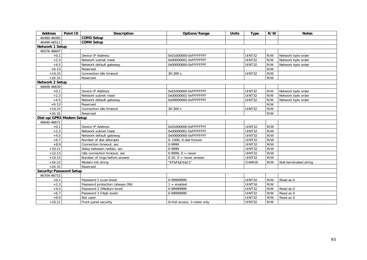| <b>Address</b>           | Point ID | <b>Description</b>              | Options/Range                      | <b>Units</b> | <b>Type</b>   | R/W | <b>Notes</b>           |
|--------------------------|----------|---------------------------------|------------------------------------|--------------|---------------|-----|------------------------|
| 46480-46495              |          | <b>COM3 Setup</b>               |                                    |              |               |     |                        |
| 46496-46511              |          | <b>COM4 Setup</b>               |                                    |              |               |     |                        |
| <b>Network 1 Setup</b>   |          |                                 |                                    |              |               |     |                        |
| 46576-46607              |          |                                 |                                    |              |               |     |                        |
| $+0,1$                   |          | Device IP Address               | 0x01000000-0xFFFFFFFF              |              | <b>UINT32</b> | R/W | Network byte order     |
| $+2,3$                   |          | Network subnet mask             | 0x00000001-0xFFFFFFFF              |              | UINT32        | R/W | Network byte order     |
| $+4,5$                   |          | Network default gateway         | 0x00000000-0xFFFFFFFF              |              | UINT32        | R/W | Network byte order     |
| $+6-13$                  |          | Reserved                        |                                    |              |               | R/W |                        |
| $+14,15$                 |          | Connection idle timeout         | 30-300 s                           |              | UINT32        | R/W |                        |
| $+16-31$                 |          | Reserved                        |                                    |              |               | R/W |                        |
| Network 2 Setup          |          |                                 |                                    |              |               |     |                        |
| 46608-46639              |          |                                 |                                    |              |               |     |                        |
| $+0,1$                   |          | Device IP Address               | 0x01000000-0xFFFFFFFF              |              | <b>UINT32</b> | R/W | Network byte order     |
| $+2,3$                   |          | Network subnet mask             | 0x00000001-0xFFFFFFFF              |              | UINT32        | R/W | Network byte order     |
| $+4,5$                   |          | Network default gateway         | 0x00000000-0xFFFFFFFF              |              | <b>UINT32</b> | R/W | Network byte order     |
| $+6-13$                  |          | Reserved                        |                                    |              |               | R/W |                        |
| $+14,15$                 |          | Connection idle timeout         | 30-300 s                           |              | <b>UINT32</b> | R/W |                        |
| $+16-31$                 |          | Reserved                        |                                    |              |               | R/W |                        |
| Dial-up/GPRS Modem Setup |          |                                 |                                    |              |               |     |                        |
| 46640-46671              |          |                                 |                                    |              |               |     |                        |
| $+0,1$                   |          | Device IP Address               | 0x01000000-0xFFFFFFFF              |              | UINT32        | R/W |                        |
| $+2,3$                   |          | Network subnet mask             | 0x00000001-0xFFFFFFFF              |              | <b>UINT32</b> | R/W |                        |
| $+4,5$                   |          | Network default gateway         | 0x00000000-0xFFFFFFFF              |              | UINT32        | R/W |                        |
| $+6.7$                   |          | Number of dial attempts         | 0-1000, 0-dial forever             |              | <b>UINT32</b> | R/W |                        |
| $+8,9$                   |          | Connection timeout, sec         | 0-9999                             |              | UINT32        | R/W |                        |
| $+10,11$                 |          | Delay between redials, sec      | 0-9999                             |              | UINT32        | R/W |                        |
| $+12,13$                 |          | Idle connection timeout, sec    | $0-9999, 0 = never$                |              | UINT32        | R/W |                        |
| $+14,15$                 |          | Number of rings before answer   | $0-20$ , $0 =$ never answer        |              | <b>UINT32</b> | R/W |                        |
| $+16-23$                 |          | Modem init string               | "AT&F&D1&C1"                       |              | CHAR16        | R/W | Null-terminated string |
| $+24-31$                 |          | Reserved                        |                                    |              |               |     |                        |
| Security/Password Setup  |          |                                 |                                    |              |               |     |                        |
| 46704-46715              |          |                                 |                                    |              |               |     |                        |
| $+0,1$                   |          | Password 1 (Low level)          | 0-99999999                         |              | UINT32        | R/W | Read as 0              |
| $+2,3$                   |          | Password protection (always ON) | $1 =$ enabled                      |              | UINT16        | R/W |                        |
| $+4,5$                   |          | Password 2 (Medium level)       | 0-99999999                         |              | UINT32        | R/W | Read as 0              |
| $+6,7$                   |          | Password 3 (High level)         | 0-99999999                         |              | UINT32        | R/W | Read as 0              |
| $+8,9$                   |          | Not used                        |                                    |              | UINT32        | R/W | Read as 0              |
| $+10,11$                 |          | Front panel security            | $0 = full$ access, $1 = view$ only |              | UINT32        | R/W |                        |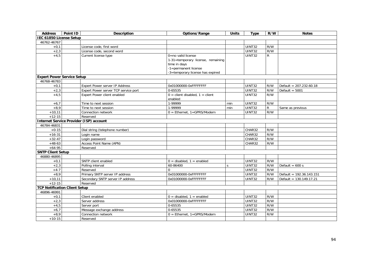| <b>Address</b>                       | Point ID | <b>Description</b>                             | Options/Range                                                                                                                       | <b>Units</b> | <b>Type</b>         | R/W       | <b>Notes</b>               |
|--------------------------------------|----------|------------------------------------------------|-------------------------------------------------------------------------------------------------------------------------------------|--------------|---------------------|-----------|----------------------------|
| IEC 61850 License Setup              |          |                                                |                                                                                                                                     |              |                     |           |                            |
| 46762-46767                          |          |                                                |                                                                                                                                     |              |                     |           |                            |
| $+0,1$                               |          | License code, first word                       |                                                                                                                                     |              | UINT32              | R/W       |                            |
| $+2,3$                               |          | License code, second word                      |                                                                                                                                     |              | <b>UINT32</b>       | R/W       |                            |
| $+4,5$                               |          | Current license type                           | 0=no valid license<br>1-31=temporary license, remaining<br>time in days<br>-1=permanent license<br>-3=temporary license has expired |              | <b>UINT32</b>       | ${\sf R}$ |                            |
| <b>Expert Power Service Setup</b>    |          |                                                |                                                                                                                                     |              |                     |           |                            |
| 46768-46783                          |          |                                                |                                                                                                                                     |              |                     |           |                            |
| $+0,1$                               |          | <b>Expert Power server IP Address</b>          | 0x01000000-0xFFFFFFFF                                                                                                               |              | <b>UINT32</b>       | R/W       | Default = $207.232.60.18$  |
| $+2,3$                               |          | Expert Power server TCP service port           | 0-65535                                                                                                                             |              | UINT32              | R/W       | Default = $5001$           |
| $+4,5$                               |          | Expert Power client enabled                    | $0 =$ client disabled, $1 =$ client<br>enabled                                                                                      |              | <b>UINT32</b>       | R/W       |                            |
| $+6,7$                               |          | Time to next session                           | 1-99999                                                                                                                             | min          | UINT32              | R/W       |                            |
| $+8,9$                               |          | Time to next session                           | 1-99999                                                                                                                             | min          | <b>UINT32</b>       | ${\sf R}$ | Same as previous           |
| $+10,11$                             |          | Connection network                             | $0 = Ethernet, 1 = GPRS/Modem$                                                                                                      |              | <b>UINT32</b>       | R/W       |                            |
| $+12-15$                             |          | Reserved                                       |                                                                                                                                     |              |                     |           |                            |
|                                      |          | <b>Internet Service Provider (ISP) account</b> |                                                                                                                                     |              |                     |           |                            |
| 46784-46831                          |          |                                                |                                                                                                                                     |              |                     |           |                            |
| $+0-15$                              |          | Dial string (telephone number)                 |                                                                                                                                     |              | CHAR32              | R/W       |                            |
| $+16-31$                             |          | Login name                                     |                                                                                                                                     |              | CHAR32              | R/W       |                            |
| $+32-47$                             |          | Login password                                 |                                                                                                                                     |              | CHAR32              | R/W       |                            |
| $+48-63$                             |          | Access Point Name (APN)                        |                                                                                                                                     |              | CHAR32              | R/W       |                            |
| $+64-95$                             |          | Reserved                                       |                                                                                                                                     |              |                     |           |                            |
| <b>SNTP Client Setup</b>             |          |                                                |                                                                                                                                     |              |                     |           |                            |
| 46880-46895                          |          |                                                |                                                                                                                                     |              |                     |           |                            |
| $+0,1$                               |          | SNTP client enabled                            | $0 =$ disabled, $1 =$ enabled                                                                                                       |              | <b>UINT32</b>       | R/W       |                            |
| $+2,3$                               |          | Polling interval                               | 60-86400                                                                                                                            | $\varsigma$  | <b>UINT32</b>       | R/W       | Default = $600 s$          |
| $+4-7$                               |          | Reserved                                       | $\Omega$                                                                                                                            |              | <b>UINT32</b>       | R/W       |                            |
| $+8,9$                               |          | Primary SNTP server IP address                 | 0x01000000-0xFFFFFFFF                                                                                                               |              | <b>UINT32</b>       | R/W       | Default = $192.36.143.151$ |
| $+10,11$                             |          | Secondary SNTP server IP address               | 0x01000000-0xFFFFFFFF                                                                                                               |              | UINT32              | R/W       | Default = $130.149.17.21$  |
| $+12-15$                             |          | Reserved                                       |                                                                                                                                     |              |                     |           |                            |
| <b>TCP Notification Client Setup</b> |          |                                                |                                                                                                                                     |              |                     |           |                            |
| 46896-46991                          |          |                                                |                                                                                                                                     |              |                     |           |                            |
| $+0,1$                               |          | Client enabled                                 | $0 =$ disabled, $1 =$ enabled                                                                                                       |              | $\overline{UINT32}$ | R/W       |                            |
| $+2,3$                               |          | Server address                                 | 0x01000000-0xFFFFFFFF                                                                                                               |              | <b>UINT32</b>       | R/W       |                            |
| $+4,5$                               |          | Server port                                    | 0-65535                                                                                                                             |              | <b>UINT32</b>       | R/W       |                            |
| $+6,7$                               |          | Message exchange address                       | 0-65535                                                                                                                             |              | <b>UINT32</b>       | R/W       |                            |
| $+8,9$                               |          | Connection network                             | $0 =$ Ethernet, 1=GPRS/Modem                                                                                                        |              | <b>UINT32</b>       | R/W       |                            |
| $+10-15$                             |          | Reserved                                       |                                                                                                                                     |              |                     |           |                            |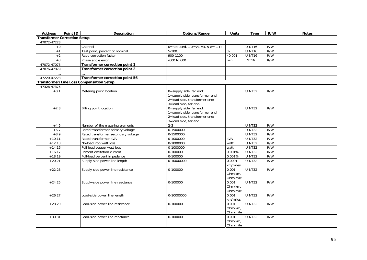| <b>Address</b>                      | Point ID | <b>Description</b>                              | Options/Range                                              | <b>Units</b>        | <b>Type</b>          | R/W | <b>Notes</b> |
|-------------------------------------|----------|-------------------------------------------------|------------------------------------------------------------|---------------------|----------------------|-----|--------------|
| <b>Transformer Correction Setup</b> |          |                                                 |                                                            |                     |                      |     |              |
| 47072-47223                         |          |                                                 |                                                            |                     |                      |     |              |
| $+0$                                |          | Channel                                         | 0=not used, $1-3=V1-V3$ , $5-8=11-14$                      |                     | UINT16               | R/W |              |
| $+1$                                |          | Test point, percent of nominal                  | $5 - 200$                                                  | %                   | UINT16               | R/W |              |
| $+2$                                |          | Ratio correction factor                         | 900-1100                                                   | $\times$ 0.001      | UINT16               | R/W |              |
| $+3$                                |          | Phase angle error                               | -600 to 600                                                | min                 | <b>INT16</b>         | R/W |              |
| 47072-47075                         |          | Transformer correction point 1                  |                                                            |                     |                      |     |              |
| 47076-47079                         |          | Transformer correction point 2                  |                                                            |                     |                      |     |              |
|                                     |          |                                                 |                                                            |                     |                      |     |              |
| 47220-47223                         |          | Transformer correction point 56                 |                                                            |                     |                      |     |              |
|                                     |          | <b>Transformer/Line Loss Compensation Setup</b> |                                                            |                     |                      |     |              |
| 47328-47375                         |          |                                                 |                                                            |                     |                      |     |              |
| $+0,1$                              |          | Metering point location                         | 0=supply side, far end;<br>1=supply side, transformer end; |                     | <b>UINT32</b>        | R/W |              |
|                                     |          |                                                 | 2=load side, transformer end;                              |                     |                      |     |              |
|                                     |          |                                                 | 3=load side, far end.                                      |                     |                      |     |              |
| $+2,3$                              |          | Billing point location                          | 0=supply side, far end;                                    |                     | UINT32               | R/W |              |
|                                     |          |                                                 | 1=supply side, transformer end;                            |                     |                      |     |              |
|                                     |          |                                                 | 2=load side, transformer end;                              |                     |                      |     |              |
|                                     |          |                                                 | 3=load side, far end.                                      |                     |                      |     |              |
| $+4,5$                              |          | Number of the metering elements                 | $2 - 3$                                                    |                     | UINT32               | R/W |              |
| $+6,7$                              |          | Rated transformer primary voltage               | 0-1500000                                                  |                     | UINT32               | R/W |              |
| $+8,9$                              |          | Rated transformer secondary voltage             | 0-1500000                                                  |                     | UINT32               | R/W |              |
| $+10,11$                            |          | Rated transformer kVA                           | 0-1000000                                                  | kVA                 | UINT32               | R/W |              |
| $+12,13$                            |          | No-load iron watt loss                          | $0-1000000$                                                | watt                | UINT32               | R/W |              |
| $+14,15$                            |          | Full-load copper watt loss                      | 0-1000000                                                  | watt                | UINT32               | R/W |              |
| $+16,17$                            |          | Percent excitation current                      | 0-100000                                                   | 0.001%              | UINT32               | R/W |              |
| $+18,19$                            |          | Full-load percent impedance                     | 0-100000                                                   | 0.001%              | UINT32               | R/W |              |
| $+20,21$                            |          | Supply-side power line length                   | 0-10000000                                                 | 0.0001              | UINT32               | R/W |              |
|                                     |          |                                                 |                                                            | km/miles            |                      |     |              |
| $+22,23$                            |          | Supply-side power line resistance               | 0-100000                                                   | 0.001               | UINT32               | R/W |              |
|                                     |          |                                                 |                                                            | Ohm/km.             |                      |     |              |
|                                     |          |                                                 |                                                            | Ohm/mile            |                      |     |              |
| $+24,25$                            |          | Supply-side power line reactance                | 0-100000                                                   | 0.001               | <b>UINT32</b>        | R/W |              |
|                                     |          |                                                 |                                                            | Ohm/km.             |                      |     |              |
|                                     |          |                                                 |                                                            | Ohm/mile            |                      |     |              |
| $+26,27$                            |          | Load-side power line length                     | 0-10000000                                                 | 0.001               | UINT32               | R/W |              |
|                                     |          |                                                 |                                                            | km/miles            |                      |     |              |
| $+28,29$                            |          | Load-side power line resistance                 | 0-100000                                                   | 0.001               | $\overline{U}$ INT32 | R/W |              |
|                                     |          |                                                 |                                                            | Ohm/km.             |                      |     |              |
|                                     |          |                                                 |                                                            | Ohm/mile            |                      |     |              |
| $+30,31$                            |          | Load-side power line reactance                  | 0-100000                                                   | 0.001               | UINT32               | R/W |              |
|                                     |          |                                                 |                                                            | Ohm/km.<br>Ohm/mile |                      |     |              |
|                                     |          |                                                 |                                                            |                     |                      |     |              |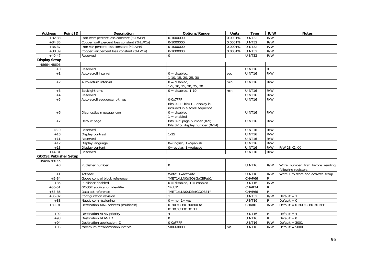| <b>Address</b>               | Point ID | <b>Description</b>                        | Options/Range                                                                        | <b>Units</b> | <b>Type</b>        | R/W            | <b>Notes</b>                                             |
|------------------------------|----------|-------------------------------------------|--------------------------------------------------------------------------------------|--------------|--------------------|----------------|----------------------------------------------------------|
| $+32,33$                     |          | Iron watt percent loss constant (%LWFe)   | 0-1000000                                                                            | 0.0001%      | UINT32             | R/W            |                                                          |
| $+34,35$                     |          | Copper watt percent loss constant (%LWCu) | $0-1000000$                                                                          | 0.0001%      | UINT32             | R/W            |                                                          |
| $+36,37$                     |          | Iron var percent loss constant (%LVFe)    | 0-1000000                                                                            | 0.0001%      | <b>UINT32</b>      | R/W            |                                                          |
| $+38,39$                     |          | Copper var percent loss constant (%LVCu)  | 0-1000000                                                                            | 0.0001%      | <b>UINT32</b>      | R/W            |                                                          |
| $+40-47$                     |          | Reserved                                  | $\Omega$                                                                             |              | <b>UINT32</b>      | R/W            |                                                          |
| <b>Display Setup</b>         |          |                                           |                                                                                      |              |                    |                |                                                          |
| 48664-48695                  |          |                                           |                                                                                      |              |                    |                |                                                          |
| $\pm 0$                      |          | Reserved                                  |                                                                                      |              | UINT16             | ${\sf R}$      |                                                          |
| $+1$                         |          | Auto-scroll interval                      | $0 =$ disabled,<br>1-10, 15, 20, 25, 30                                              | sec          | UINT16             | R/W            |                                                          |
| $+2$                         |          | Auto-return interval                      | $0 =$ disabled,<br>1-5, 10, 15, 20, 25, 30                                           | min          | UINT16             | R/W            |                                                          |
| $+3$                         |          | Backlight time                            | $0 =$ disabled, 1-10                                                                 | min          | UINT16             | R/W            |                                                          |
| $+4$                         |          | Reserved                                  |                                                                                      |              | UINT16             | R/W            |                                                          |
| $+5$                         |          | Auto-scroll sequence, bitmap              | 0-0x7FFF<br>Bits 0-11: $bit=1 - display$ display is<br>included in a scroll sequence |              | UINT16             | R/W            |                                                          |
| $+6$                         |          | Diagnostics message icon                  | $0 =$ disabled<br>$1 =$ enabled                                                      |              | <b>UINT16</b>      | R/W            |                                                          |
| $+7$                         |          | Default page                              | Bits 0-7: page number (0-9)<br>Bits 8-15: display number (0-14)                      |              | UINT <sub>16</sub> | R/W            |                                                          |
| $+8-9$                       |          | Reserved                                  |                                                                                      |              | UINT16             | R/W            |                                                          |
| $+10$                        |          | Display contrast                          | $1 - 25$                                                                             |              | UINT16             | R/W            |                                                          |
| $+11$                        |          | Reserved                                  |                                                                                      |              | UINT16             | R/W            |                                                          |
| $+12$                        |          | Display language                          | 0=English, 1=Spanish                                                                 |              | UINT16             | R/W            |                                                          |
| $+13$                        |          | Display content                           | $0 =$ regular, $1 =$ reduced                                                         |              | UINT16             | R/W            | F/W 28.X2.XX                                             |
| $+14-31$                     |          | Reserved                                  |                                                                                      |              | UINT16             | R/W            |                                                          |
| <b>GOOSE Publisher Setup</b> |          |                                           |                                                                                      |              |                    |                |                                                          |
| 49046-49145                  |          |                                           |                                                                                      |              |                    |                |                                                          |
| $+0$                         |          | Publisher number                          | $\Omega$                                                                             |              | UINT16             | R/W            | Write number first before reading<br>following registers |
| $+1$                         |          | Activate                                  | Write: 1=activate                                                                    |              | UINT16             | R/W            | Write 1 to store and activate setup                      |
| $+2-34$                      |          | Goose control block reference             | "MET1/LLN0\$GO\$GoCBPub1"                                                            |              | CHAR66             | R              |                                                          |
| $+35$                        |          | Publisher enabled                         | $0 =$ disabled, $1 =$ enabled                                                        |              | <b>UINT16</b>      | R/W            |                                                          |
| $+36 - 51$                   |          | <b>GOOSE</b> application identifier       | "Pub1"                                                                               |              | CHAR34             | $\mathsf{R}$   |                                                          |
| $+53-85$                     |          | Data set reference                        | "MET1/LLN0\$DSetGOOSE1"                                                              |              | CHAR66             | $\overline{R}$ |                                                          |
| $+86-87$                     |          | Configuration revision                    | 1                                                                                    |              | <b>UINT32</b>      | R/W            | Default $= 1$                                            |
| $+88$                        |          | Needs commissioning                       | $0 = no$ , $1 = yes$                                                                 |              | UINT16             | $\mathsf{R}$   | Default = $0$                                            |
| $+89-91$                     |          | Destination MAC address (multicast)       | 01:0C:CD:01:00:00 to<br>01:0C:CD:01:01:FF                                            |              | CHAR6              | R/W            | Default = $01:0C:CD:01:01:FF$                            |
| $+92$                        |          | Destination VLAN priority                 | $\overline{4}$                                                                       |              | UINT16             | R              | Default $= 4$                                            |
| $+93$                        |          | <b>Destination VLAN ID</b>                | $\Omega$                                                                             |              | UINT16             | $\mathsf{R}$   | Default = $0$                                            |
| $+94$                        |          | Destination application ID                | 0-0xFFFF                                                                             |              | UINT16             | R/W            | Default = $3001$                                         |
| $+95$                        |          | Maximum retransmission interval           | 500-60000                                                                            | ms           | UINT16             | R/W            | Default = $5000$                                         |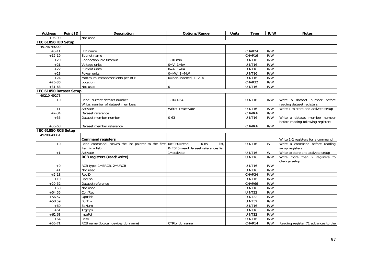| <b>Address</b>          | Point ID | <b>Description</b>                                            | Options/Range                                         | <b>Units</b> | <b>Type</b>        | R/W | <b>Notes</b>                                                        |
|-------------------------|----------|---------------------------------------------------------------|-------------------------------------------------------|--------------|--------------------|-----|---------------------------------------------------------------------|
| $+96-99$                |          | Not used                                                      |                                                       |              |                    |     |                                                                     |
| IEC 61850 IED Setup     |          |                                                               |                                                       |              |                    |     |                                                                     |
| 49146-49209             |          |                                                               |                                                       |              |                    |     |                                                                     |
| $+0-11$                 |          | IED name                                                      |                                                       |              | CHAR24             | R/W |                                                                     |
| $+12-19$                |          | Subnet name                                                   |                                                       |              | CHAR16             | R/W |                                                                     |
| $+20$                   |          | Connection idle timeout                                       | $1-10$ min                                            |              | UINT <sub>16</sub> | R/W |                                                                     |
| $+21$                   |          | Voltage units                                                 | $0=V, 1=KV$                                           |              | UINT16             | R/W |                                                                     |
| $+22$                   |          | Current units                                                 | $0=A$ , $1=KA$                                        |              | UINT16             | R/W |                                                                     |
| $+23$                   |          | Power units                                                   | $0=$ kW, $1=$ MW                                      |              | UINT16             | R/W |                                                                     |
| $+24$                   |          | Maximum instances/clients per RCB                             | $\overline{0}$ =non-indexed, 1, 2, 4                  |              | UINT16             | R/W |                                                                     |
| $+25-30$                |          | Location                                                      |                                                       |              | CHAR32             | R/W |                                                                     |
| $+31-63$                |          | Not used                                                      | $\Omega$                                              |              | UINT16             | R/W |                                                                     |
| IEC 61850 Dataset Setup |          |                                                               |                                                       |              |                    |     |                                                                     |
| 49210-49278             |          |                                                               |                                                       |              |                    |     |                                                                     |
| $+0$                    |          | Read: current dataset number                                  | $1-16/1-64$                                           |              | UINT16             | R/W | Write a dataset number<br>before                                    |
|                         |          | Write: number of dataset members                              |                                                       |              |                    |     | reading dataset registers                                           |
| $+1$                    |          | Activate                                                      | Write: 1=activate                                     |              | UINT16             | R/W | Write 1 to store and activate setup                                 |
| $+2-34$                 |          | Dataset reference                                             |                                                       |              | CHAR66             | R/W |                                                                     |
| $+35$                   |          | Dataset member number                                         | $0 - 63$                                              |              | UINT16             | R/W | Write a dataset member number                                       |
|                         |          |                                                               |                                                       |              |                    |     | before reading following registers                                  |
| $+36-68$                |          | Dataset member reference                                      |                                                       |              | CHAR66             | R/W |                                                                     |
| IEC 61850 RCB Setup     |          |                                                               |                                                       |              |                    |     |                                                                     |
| 49280-49351             |          |                                                               |                                                       |              |                    |     |                                                                     |
|                         |          | <b>Command registers</b>                                      |                                                       |              |                    |     | Write 1-2 registers for a command                                   |
| $+0$                    |          | Read command (moves the list pointer to the first OxFOFO=read | <b>RCBs</b><br>list.                                  |              | UINT16             | W   | Write a command before reading                                      |
|                         |          | item in a list)<br>Activate                                   | OxE0E0=read dataset references list<br>$1 =$ activate |              | UINT16             | W   | setup registers                                                     |
| $+1$                    |          |                                                               |                                                       |              | UINT16             | R/W | Write to store and activate setup<br>Write more than 2 registers to |
|                         |          | RCB registers (read/write)                                    |                                                       |              |                    |     | change setup                                                        |
| $+0$                    |          | RCB type: 1=BRCB, 2=URCB                                      |                                                       |              | UINT16             | R/W |                                                                     |
| $+1$                    |          | Not used                                                      |                                                       |              | UINT16             | R/W |                                                                     |
| $+2-18$                 |          | RptID                                                         |                                                       |              | CHAR34             | R/W |                                                                     |
| $+19$                   |          | RptEna                                                        |                                                       |              | UINT16             | R/W |                                                                     |
| $+20-52$                |          | Dataset reference                                             |                                                       |              | CHAR66             | R/W |                                                                     |
| $+53$                   |          | Not used                                                      |                                                       |              | UINT16             | R/W |                                                                     |
| $+54,55$                |          | ConfRev                                                       |                                                       |              | UINT32             | R/W |                                                                     |
| $+56,57$                |          | OptFlds                                                       |                                                       |              | <b>UINT32</b>      | R/W |                                                                     |
| $+58,59$                |          | <b>BufTm</b>                                                  |                                                       |              | UINT32             | R/W |                                                                     |
| $+60$                   |          | SqNum                                                         |                                                       |              | UINT16             | R/W |                                                                     |
| $+61$                   |          | <b>TrgOps</b>                                                 |                                                       |              | UINT16             | R/W |                                                                     |
| $+62,63$                |          | IntgPd                                                        |                                                       |              | UINT32             | R/W |                                                                     |
| $+64$                   |          | Resv                                                          |                                                       |              | UINT16             | R/W |                                                                     |
| $+65-71$                |          | RCB name (logical_device/rcb_name)                            | CTRL/rcb_name                                         |              | CHAR14             | R/W | Reading register 71 advances to the                                 |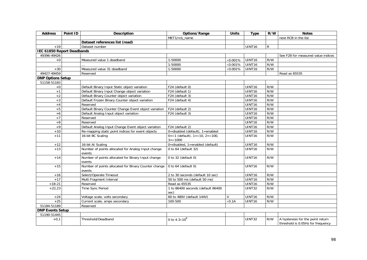| <b>Address</b>                    | Point ID | Description                                                    | Options/Range                                                     | <b>Units</b>     | <b>Type</b>        | R/W | <b>Notes</b>                                                           |
|-----------------------------------|----------|----------------------------------------------------------------|-------------------------------------------------------------------|------------------|--------------------|-----|------------------------------------------------------------------------|
|                                   |          |                                                                | MET1/rcb name                                                     |                  |                    |     | next RCB in the list                                                   |
|                                   |          | Dataset references list (read)                                 |                                                                   |                  |                    |     |                                                                        |
| $+19$                             |          | Dataset number                                                 |                                                                   |                  | UINT16             | R   |                                                                        |
| <b>IEC 61850 Report Deadbands</b> |          |                                                                |                                                                   |                  |                    |     |                                                                        |
| 49396-49426                       |          |                                                                |                                                                   |                  |                    |     | See F28 for measured value indices                                     |
| $+0$                              |          | Measured value 1 deadband                                      | 1-50000                                                           | $\times 0.001\%$ | UINT <sub>16</sub> | R/W |                                                                        |
|                                   |          |                                                                | 1-50000                                                           | $\times 0.001\%$ | <b>UINT16</b>      | R/W |                                                                        |
| $+30$                             |          | Measured value 31 deadband                                     | 1-50000                                                           | $\times 0.001\%$ | <b>UINT16</b>      | R/W |                                                                        |
| 49427-49459                       |          | Reserved                                                       |                                                                   |                  |                    |     | Read as 65535                                                          |
| <b>DNP Options Setup</b>          |          |                                                                |                                                                   |                  |                    |     |                                                                        |
| 51158-51183                       |          |                                                                |                                                                   |                  |                    |     |                                                                        |
| $+0$                              |          | Default Binary Input Static object variation                   | F24 (default 0)                                                   |                  | UINT16             | R/W |                                                                        |
| $+1$                              |          | Default Binary Input Change object variation                   | F24 (default 1)                                                   |                  | UINT16             | R/W |                                                                        |
| $+2$                              |          | Default Binary Counter object variation                        | F24 (default 3)                                                   |                  | UINT16             | R/W |                                                                        |
| $+3$                              |          | Default Frozen Binary Counter object variation                 | F24 (default 4)                                                   |                  | UINT16             | R/W |                                                                        |
| $+4$                              |          | Reserved                                                       |                                                                   |                  | UINT16             | R/W |                                                                        |
| $+5$                              |          | Default Binary Counter Change Event object variation           | F24 (default 2)                                                   |                  | UINT16             | R/W |                                                                        |
| $+6$                              |          | Default Analog Input object variation                          | F24 (default 3)                                                   |                  | UINT16             | R/W |                                                                        |
| $+7$                              |          | Reserved                                                       |                                                                   |                  | <b>UINT16</b>      | R/W |                                                                        |
| $+8$                              |          | Reserved                                                       |                                                                   |                  | UINT16             | R/W |                                                                        |
| $+9$                              |          | Default Analog Input Change Event object variation             | F24 (default 2)                                                   |                  | UINT16             | R/W |                                                                        |
| $+10$                             |          | Re-mapping static point indices for event objects              | 0=disabled (default), 1=enabled                                   |                  | UINT16             | R/W |                                                                        |
| $+11$                             |          | 16-bit BC Scaling                                              | $0 = x1$ (default), $1 = x10$ , $2 = x100$ ,<br>$3 = \times 1000$ |                  | UINT16             | R/W |                                                                        |
| $+12$                             |          | 16-bit AI Scaling                                              | $0 =$ disabled, 1=enabled (default)                               |                  | UINT <sub>16</sub> | R/W |                                                                        |
| $+13$                             |          | Number of points allocated for Analog Input change<br>events   | 0 to 64 (default 32)                                              |                  | UINT16             | R/W |                                                                        |
| $+14$                             |          | Number of points allocated for Binary Input change<br>events   | 0 to 32 (default $0$ )                                            |                  | UINT16             | R/W |                                                                        |
| $+15$                             |          | Number of points allocated for Binary Counter change<br>events | 0 to $64$ (default 0)                                             |                  | UINT16             | R/W |                                                                        |
| $+16$                             |          | Select/Operate Timeout                                         | 2 to 30 seconds (default 10 sec)                                  |                  | UINT16             | R/W |                                                                        |
| $+17$                             |          | Multi Fragment Interval                                        | 50 to 500 ms (default 50 ms)                                      |                  | UINT16             | R/W |                                                                        |
| $+18-21$                          |          | Reserved                                                       | Read as 65535                                                     |                  | UINT16             | R/W |                                                                        |
| $+22,23$                          |          | Time Sync Period                                               | 1 to 86400 seconds (default 86400<br>sec)                         |                  | <b>UINT32</b>      | R/W |                                                                        |
| $+24$                             |          | Voltage scale, volts secondary                                 | 60 to 480V (default 144V)                                         | $\vee$           | UINT16             | R/W |                                                                        |
| $+25$                             |          | Current scale, amps secondary                                  | 100-500                                                           | $\times$ 0.1A    | UINT16             | R/W |                                                                        |
| 51184-51189                       |          | Reserved                                                       |                                                                   |                  |                    |     |                                                                        |
| <b>DNP Events Setup</b>           |          |                                                                |                                                                   |                  |                    |     |                                                                        |
| 51190-51445                       |          |                                                                |                                                                   |                  |                    |     |                                                                        |
| $+0,1$                            |          | Threshold/Deadband                                             | 0 to $4.3 \times 10^9$                                            |                  | <b>UINT32</b>      | R/W | A hysteresis for the point return<br>threshold is 0.05Hz for frequency |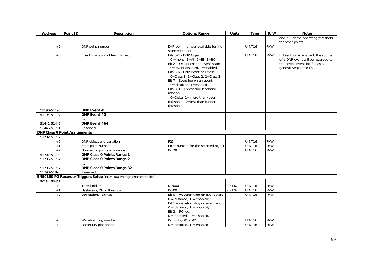| <b>Address</b>                       | Point ID | Description                                                          | Options/Range                                                        | <b>Units</b>   | <b>Type</b>        | R/W | <b>Notes</b>                        |
|--------------------------------------|----------|----------------------------------------------------------------------|----------------------------------------------------------------------|----------------|--------------------|-----|-------------------------------------|
|                                      |          |                                                                      |                                                                      |                |                    |     | and 2% of the operating threshold   |
|                                      |          |                                                                      |                                                                      |                |                    |     | for other points                    |
| $+2$                                 |          | DNP point number                                                     | DNP point number available for the                                   |                | UINT <sub>16</sub> | R/W |                                     |
|                                      |          |                                                                      | selected object                                                      |                |                    |     |                                     |
| $+3$                                 |          | Event scan control field (bitmap)                                    | Bits 0-1 - DNP Object:                                               |                | UINT <sub>16</sub> | R/W | If Event log is enabled, the source |
|                                      |          |                                                                      | $0 = none$ , 1=Al, 2=Bl, 3=BC                                        |                |                    |     | of a DNP event will be recorded to  |
|                                      |          |                                                                      | Bit 2 - Object change event scan:                                    |                |                    |     | the device Event log file as a      |
|                                      |          |                                                                      | 0= event disabled, 1=enabled<br>Bits 5-6 - DNP event poll class:     |                |                    |     | general Setpoint #17.               |
|                                      |          |                                                                      | 0=Class 1, 1=Class 2, 2=Class 3                                      |                |                    |     |                                     |
|                                      |          |                                                                      | Bit 7 - Event log on an event:                                       |                |                    |     |                                     |
|                                      |          |                                                                      | 0= disabled, 1=enabled                                               |                |                    |     |                                     |
|                                      |          |                                                                      | Bits 8-9 - Threshold/Deadband                                        |                |                    |     |                                     |
|                                      |          |                                                                      | relation:                                                            |                |                    |     |                                     |
|                                      |          |                                                                      | $0 =$ Delta, $1 =$ more than (over                                   |                |                    |     |                                     |
|                                      |          |                                                                      | threshold), 2=less than (under                                       |                |                    |     |                                     |
|                                      |          |                                                                      | threshold)                                                           |                |                    |     |                                     |
| 51190-51193                          |          | DNP Event #1                                                         |                                                                      |                |                    |     |                                     |
| 51194-51197                          |          | DNP Event #2                                                         |                                                                      |                |                    |     |                                     |
| 51442-51445                          |          | DNP Event #64                                                        |                                                                      |                |                    |     |                                     |
| 51446-51701                          |          | Reserved                                                             |                                                                      |                |                    |     |                                     |
| <b>DNP Class 0 Point Assignments</b> |          |                                                                      |                                                                      |                |                    |     |                                     |
| 51702-51797                          |          |                                                                      |                                                                      |                |                    |     |                                     |
| $+0$                                 |          | DNP object and variation                                             | F25                                                                  |                | UINT16             | R/W |                                     |
| $+1$                                 |          | Start point number                                                   | Point number for the selected object                                 |                | UINT <sub>16</sub> | R/W |                                     |
| $+2$                                 |          | Number of points in a range                                          | $0 - 128$                                                            |                | UINT16             | R/W |                                     |
| 51702-51704                          |          | <b>DNP Class 0 Points Range 1</b>                                    |                                                                      |                |                    |     |                                     |
| 51705-51707                          |          | <b>DNP Class 0 Points Range 2</b>                                    |                                                                      |                |                    |     |                                     |
|                                      |          |                                                                      |                                                                      |                |                    |     |                                     |
| 51795-51797                          |          | DNP Class 0 Points Range 32                                          |                                                                      |                |                    |     |                                     |
| 51798-51893                          |          | Reserved                                                             |                                                                      |                |                    |     |                                     |
|                                      |          | EN50160 PQ Recorder Triggers Setup (EN50160 voltage characteristics) |                                                                      |                |                    |     |                                     |
| 50134-50453                          |          |                                                                      |                                                                      |                |                    |     |                                     |
| $+0$                                 |          | Threshold, %                                                         | $0 - 2000$                                                           | $\times 0.1\%$ | UINT16             | R/W |                                     |
| $+1$                                 |          | Hysteresis, % of threshold                                           | $0 - 500$                                                            | $\times$ 0.1%  | UINT16             | R/W |                                     |
| $+2$                                 |          | Log options, bitmap                                                  | Bit 0 - waveform log on event start:                                 |                | UINT16             | R/W |                                     |
|                                      |          |                                                                      | $0 =$ disabled, $1 =$ enabled;                                       |                |                    |     |                                     |
|                                      |          |                                                                      | Bit 1 - waveform log on event end:<br>$0 =$ disabled, $1 =$ enabled; |                |                    |     |                                     |
|                                      |          |                                                                      | Bit $2 - PQ$ log:                                                    |                |                    |     |                                     |
|                                      |          |                                                                      | $0 =$ enabled, $1 =$ disabled.                                       |                |                    |     |                                     |
| $+3$                                 |          | Waveform log number                                                  | $0-1 = \log #1 - #2$                                                 |                | UINT16             | R/W |                                     |
| $+4$                                 |          | Data/RMS plot option                                                 | $0 =$ disabled, $1 =$ enabled                                        |                | UINT16             | R/W |                                     |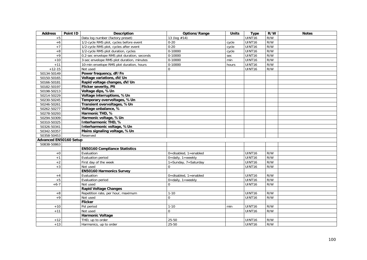| <b>Address</b>         | Point ID | <b>Description</b>                          | Options/Range             | <b>Units</b> | <b>Type</b>        | R/W | <b>Notes</b> |
|------------------------|----------|---------------------------------------------|---------------------------|--------------|--------------------|-----|--------------|
| $+5$                   |          | Data log number (factory preset)            | 13 (log #14)              |              | UINT16             | R/W |              |
| $+6$                   |          | 1/2-cycle RMS plot, cycles before event     | $0 - 20$                  | cycle        | UINT16             | R/W |              |
| $+7$                   |          | 1/2-cycle RMS plot, cycles after event      | $0 - 20$                  | cycle        | UINT16             | R/W |              |
| $+8$                   |          | 1/2-cycle RMS plot duration, cycles         | 0-10000                   | cycle        | UINT16             | R/W |              |
| $+9$                   |          | 0.2-sec envelope RMS plot duration, seconds | 0-10000                   | sec          | UINT16             | R/W |              |
| $+10$                  |          | 3-sec envelope RMS plot duration, minutes   | 0-10000                   | min          | UINT16             | R/W |              |
| $+11$                  |          | 10-min envelope RMS plot duration, hours    | 0-10000                   | hours        | UINT16             | R/W |              |
| $+12-15$               |          | Not used                                    | $\mathbf 0$               |              | UINT16             | R/W |              |
| 50134-50149            |          | Power frequency, dF/Fn                      |                           |              |                    |     |              |
| 50150-50165            |          | Voltage variations, dV/Un                   |                           |              |                    |     |              |
| 50166-50181            |          | Rapid voltage changes, dV/Un                |                           |              |                    |     |              |
| 50182-50197            |          | Flicker severity, Plt                       |                           |              |                    |     |              |
| 50198-50213            |          | Voltage dips, %Un                           |                           |              |                    |     |              |
| 50214-50229            |          | Voltage interruptions, %Un                  |                           |              |                    |     |              |
| 50230-50245            |          | Temporary overvoltages, %Un                 |                           |              |                    |     |              |
| 50246-50261            |          | Transient overvoltages, %Un                 |                           |              |                    |     |              |
| 50262-50277            |          | Voltage unbalance, %                        |                           |              |                    |     |              |
| 50278-50293            |          | Harmonic THD, %                             |                           |              |                    |     |              |
| 50294-50309            |          | Harmonic voltage, %Un                       |                           |              |                    |     |              |
| 50310-50325            |          | Interharmonic THD, %                        |                           |              |                    |     |              |
| 50326-50341            |          | Interharmonic voltage, %Un                  |                           |              |                    |     |              |
| 50342-50357            |          | Mains signaling voltage, %Un                |                           |              |                    |     |              |
| 50358-50453            |          | Reserved                                    |                           |              |                    |     |              |
| Advanced EN50160 Setup |          |                                             |                           |              |                    |     |              |
| 50838-50863            |          |                                             |                           |              |                    |     |              |
|                        |          | <b>EN50160 Compliance Statistics</b>        |                           |              |                    |     |              |
| $+0$                   |          | Evaluation                                  | 0=disabled, 1=enabled     |              | UINT16             | R/W |              |
| $+1$                   |          | Evaluation period                           | 0=daily, 1=weekly         |              | UINT16             | R/W |              |
| $+2$                   |          | First day of the week                       | 1=Sunday, 7=Saturday      |              | UINT16             | R/W |              |
| $+3$                   |          | Not used                                    | $\mathbf 0$               |              | UINT16             | R/W |              |
|                        |          | <b>EN50160 Harmonics Survey</b>             |                           |              |                    |     |              |
| $+4$                   |          | Evaluation                                  | 0=disabled, 1=enabled     |              | UINT16             | R/W |              |
| $+5$                   |          | Evaluation period                           | $0 =$ daily, $1 =$ weekly |              | <b>UINT16</b>      | R/W |              |
| $+6-7$                 |          | Not used                                    | $\Omega$                  |              | UINT16             | R/W |              |
|                        |          | <b>Rapid Voltage Changes</b>                |                           |              |                    |     |              |
| $+8$                   |          | Repetition rate, per hour, maximum          | $1 - 10$                  |              | UINT <sub>16</sub> | R/W |              |
| $+9$                   |          | Not used                                    | $\mathbf 0$               |              | UINT16             | R/W |              |
|                        |          | Flicker                                     |                           |              |                    |     |              |
| $+10$                  |          | Pst period                                  | $1 - 10$                  | min          | UINT <sub>16</sub> | R/W |              |
| $+11$                  |          | Not used                                    | $\mathbf 0$               |              | UINT16             | R/W |              |
|                        |          | <b>Harmonic Voltage</b>                     |                           |              |                    |     |              |
| $+12$                  |          | THD, up to order                            | 25-50                     |              | UINT16             | R/W |              |
| $+13$                  |          | Harmonics, up to order                      | $25 - 50$                 |              | UINT16             | R/W |              |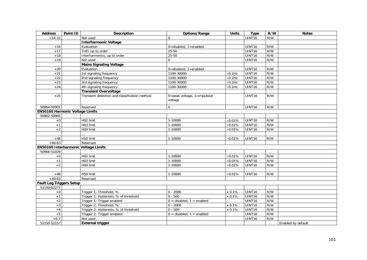| <b>Address</b>                         | Point ID | <b>Description</b>                            | Options/Range                          | <b>Units</b>    | <b>Type</b>        | R/W | <b>Notes</b>       |
|----------------------------------------|----------|-----------------------------------------------|----------------------------------------|-----------------|--------------------|-----|--------------------|
| $+14-15$                               |          | Not used                                      | $\Omega$                               |                 | UINT <sub>16</sub> | R/W |                    |
|                                        |          | <b>Interharmonic Voltage</b>                  |                                        |                 |                    |     |                    |
| $+16$                                  |          | Evaluation                                    | 0=disabled, 1=enabled                  |                 | UINT <sub>16</sub> | R/W |                    |
| $+17$                                  |          | THD, up to order                              | $25 - 50$                              |                 | UINT16             | R/W |                    |
| $+18$                                  |          | Interharmonics, up to order                   | $25 - 50$                              |                 | UINT16             | R/W |                    |
| $+19$                                  |          | Not used                                      | $\mathbf 0$                            |                 | UINT16             | R/W |                    |
|                                        |          | <b>Mains Signaling Voltage</b>                |                                        |                 |                    |     |                    |
| $+20$                                  |          | Evaluation                                    | $0 =$ disabled, $1 =$ enabled          |                 | UINT16             | R/W |                    |
| $+21$                                  |          | 1st signaling frequency                       | 1100-30000                             | $\times$ 0.1Hz  | UINT16             | R/W |                    |
| $+22$                                  |          | 2nd signaling frequency                       | 1100-30000                             | $\times$ 0.1Hz  | UINT16             | R/W |                    |
| $+23$                                  |          | 3rd signaling frequency                       | 1100-30000                             | $\times$ 0.1Hz  | UINT16             | R/W |                    |
| $+24$                                  |          | 4th signaling frequency                       | 1100-30000                             | $\times 0.1$ Hz | UINT16             | R/W |                    |
|                                        |          | <b>Transient Overvoltage</b>                  |                                        |                 |                    |     |                    |
| $+25$                                  |          | Transient detection and classification method | 0=peak voltage, 1=impulsive<br>voltage |                 | UINT <sub>16</sub> | R/W |                    |
| 50864-50901                            |          | Reserved                                      | $\mathbf 0$                            |                 | UINT16             | R/W |                    |
| <b>EN50160 Harmonic Voltage Limits</b> |          |                                               |                                        |                 |                    |     |                    |
| 50902-50965                            |          |                                               |                                        |                 |                    |     |                    |
| $+0$                                   |          | H02 limit                                     | 1-10000                                | $\times 0.01\%$ | <b>UINT16</b>      | R/W |                    |
| $+1$                                   |          | H03 limit                                     | 1-10000                                | $\times 0.01\%$ | UINT16             | R/W |                    |
| $+2$                                   |          | H04 limit                                     | 1-10000                                | $\times 0.01\%$ | UINT16             | R/W |                    |
|                                        |          |                                               |                                        |                 |                    |     |                    |
| $+48$                                  |          | H50 limit                                     | 1-10000                                | $\times 0.01\%$ | UINT16             | R/W |                    |
| $+49-63$                               |          | Reserved                                      |                                        |                 |                    |     |                    |
|                                        |          | EN50160 Interharmonic Voltage Limits          |                                        |                 |                    |     |                    |
| 50966-51029                            |          |                                               |                                        |                 |                    |     |                    |
| $+0$                                   |          | H02 limit                                     | 1-10000                                | $\times 0.01\%$ | UINT16             | R/W |                    |
| $+1$                                   |          | H03 limit                                     | 1-10000                                | $\times 0.01\%$ | UINT16             | R/W |                    |
| $+2$                                   |          | H04 limit                                     | 1-10000                                | $\times 0.01\%$ | UINT <sub>16</sub> | R/W |                    |
|                                        |          |                                               |                                        |                 |                    |     |                    |
| $+48$                                  |          | H50 limit                                     | 1-10000                                | $\times 0.01\%$ | UINT16             | R/W |                    |
| $+49-63$                               |          | Reserved                                      |                                        |                 |                    |     |                    |
| <b>Fault Log Triggers Setup</b>        |          |                                               |                                        |                 |                    |     |                    |
| 52150-52277                            |          |                                               |                                        |                 |                    |     |                    |
| $+0$                                   |          | Trigger 1: Threshold, %                       | $0 - 2000$                             | x 0.1%          | UINT16             | R/W |                    |
| $+1$                                   |          | Trigger 1: Hysteresis, % of threshold         | $0 - 500$                              | x 0.1%          | UINT16             | R/W |                    |
| $+2$                                   |          | Trigger 1: Trigger enabled                    | $0 =$ disabled, $1 =$ enabled          |                 | UINT16             | R/W |                    |
| $+3$                                   |          | Trigger 2: Threshold, %                       | $0 - 2000$                             | x 0.1%          | UINT16             | R/W |                    |
| $+4$                                   |          | Trigger 2: Hysteresis, % of threshold         | $0 - 500$                              | x 0.1%          | UINT16             | R/W |                    |
| $+5$                                   |          | Trigger 2: Trigger enabled                    | $0 =$ disabled, $1 =$ enabled          |                 | UINT16             | R/W |                    |
| $+6-7$                                 |          | Not used                                      |                                        |                 | UINT16             | R/W |                    |
| 52150-52157                            |          | <b>External trigger</b>                       |                                        |                 |                    |     | Enabled by default |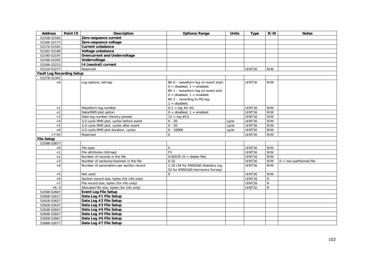| <b>Address</b>                   | Point ID | <b>Description</b>                         | Options/Range                                                                                                                                                                                     | <b>Units</b> | <b>Type</b>        | R/W          | <b>Notes</b>               |
|----------------------------------|----------|--------------------------------------------|---------------------------------------------------------------------------------------------------------------------------------------------------------------------------------------------------|--------------|--------------------|--------------|----------------------------|
| 52158-52165                      |          | Zero-sequence current                      |                                                                                                                                                                                                   |              |                    |              |                            |
| 52166-52173                      |          | Zero-sequence voltage                      |                                                                                                                                                                                                   |              |                    |              |                            |
| 52174-52181                      |          | <b>Current unbalance</b>                   |                                                                                                                                                                                                   |              |                    |              |                            |
| 52182-52189                      |          | Voltage unbalance                          |                                                                                                                                                                                                   |              |                    |              |                            |
| 52190-52197                      |          | <b>Overcurrent and Undervoltage</b>        |                                                                                                                                                                                                   |              |                    |              |                            |
| 52198-52205                      |          | Undervoltage                               |                                                                                                                                                                                                   |              |                    |              |                            |
| 52206-52213                      |          | 14 (neutral) current                       |                                                                                                                                                                                                   |              |                    |              |                            |
| 52214-52277                      |          | Reserved                                   |                                                                                                                                                                                                   |              | UINT <sub>16</sub> | R/W          |                            |
| <b>Fault Log Recording Setup</b> |          |                                            |                                                                                                                                                                                                   |              |                    |              |                            |
| 52278-52341                      |          |                                            |                                                                                                                                                                                                   |              |                    |              |                            |
| $+0$                             |          | Log options, bitmap                        | Bit 0 - waveform log on event start:<br>$0 =$ disabled, $1 =$ enabled;<br>Bit 1 - waveform log on event end:<br>$0 =$ disabled, $1 =$ enabled;<br>Bit 2 - recording to PQ log:<br>$1 =$ disabled. |              | UINT16             | R/W          |                            |
| $+1$                             |          | Waveform log number                        | $0-1 = \log #1-#2$                                                                                                                                                                                |              | UINT <sub>16</sub> | R/W          |                            |
| $+2$                             |          | Data/RMS plot option                       | $0 =$ disabled, $1 =$ enabled                                                                                                                                                                     |              | UINT16             | R/W          |                            |
| $+3$                             |          | Data log number (factory preset)           | $12 = log #13$                                                                                                                                                                                    |              | <b>UINT16</b>      | R/W          |                            |
| $+4$                             |          | 1/2-cycle RMS plot, cycles before event    | $0 - 20$                                                                                                                                                                                          | cycle        | UINT16             | R/W          |                            |
| $+5$                             |          | 1/2-cycle RMS plot, cycles after event     | $0 - 20$                                                                                                                                                                                          | cycle        | UINT16             | R/W          |                            |
| $+6$                             |          | 1/2-cycle RMS plot duration, cycles        | $0 - 10000$                                                                                                                                                                                       | cycle        | <b>UINT16</b>      | R/W          |                            |
| $+7-63$                          |          | Reserved                                   | $\mathbf 0$                                                                                                                                                                                       |              | UINT16             | R/W          |                            |
| <b>File Setup</b>                |          |                                            |                                                                                                                                                                                                   |              |                    |              |                            |
| 52598-53877                      |          |                                            |                                                                                                                                                                                                   |              |                    |              |                            |
| $+0$                             |          | File type                                  | $\Omega$                                                                                                                                                                                          |              | UINT <sub>16</sub> | R/W          |                            |
| $+1$                             |          | File attributes (bitmap)                   | F <sub>3</sub>                                                                                                                                                                                    |              | UINT16             | R/W          |                            |
| $+2$                             |          | Number of records in the file              | $0-65535$ (0 = delete file)                                                                                                                                                                       |              | UINT16             | R/W          |                            |
| $+3$                             |          | Number of sections/channels in the file    | $0 - 32$                                                                                                                                                                                          |              | UINT16             | R/W          | $0 = non-partitioned file$ |
| $+4$                             |          | Number of parameters per section record    | 1-16 (34 for EN50160 Statistics log,<br>52 for EN50160 Harmonics Survey)                                                                                                                          |              | UINT16             | R/W          |                            |
| $+5$                             |          | Not used                                   | $\Omega$                                                                                                                                                                                          |              | UINT16             | R/W          |                            |
| $+6$                             |          | Section record size, bytes (for info only) |                                                                                                                                                                                                   |              | <b>UINT16</b>      | $\mathsf{R}$ |                            |
| $+7$                             |          | File record size, bytes (for info only)    |                                                                                                                                                                                                   |              | UINT16             | ${\sf R}$    |                            |
| $+8, 9$                          |          | Allocated file size, bytes (for info only) |                                                                                                                                                                                                   |              | UINT32             | $\mathsf{R}$ |                            |
| 52598-52607                      |          | <b>Event Log File Setup</b>                |                                                                                                                                                                                                   |              |                    |              |                            |
| 52608-52617                      |          | Data Log #1 File Setup                     |                                                                                                                                                                                                   |              |                    |              |                            |
| 52618-52627                      |          | Data Log #2 File Setup                     |                                                                                                                                                                                                   |              |                    |              |                            |
| 52628-52637                      |          | Data Log #3 File Setup                     |                                                                                                                                                                                                   |              |                    |              |                            |
| 52638-52647                      |          | Data Log #4 File Setup                     |                                                                                                                                                                                                   |              |                    |              |                            |
| 52648-52657                      |          | Data Log #5 File Setup                     |                                                                                                                                                                                                   |              |                    |              |                            |
| 52658-52667                      |          | Data Log #6 File Setup                     |                                                                                                                                                                                                   |              |                    |              |                            |
| 52668-52677                      |          | Data Log #7 File Setup                     |                                                                                                                                                                                                   |              |                    |              |                            |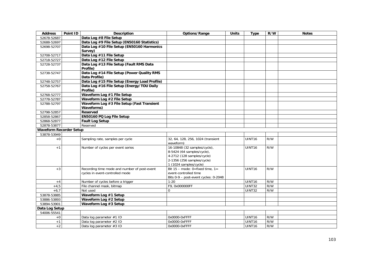| <b>Address</b>                 | Point ID | <b>Description</b>                                                              | Options/Range                                                                                                                                    | <b>Units</b> | <b>Type</b>        | R/W | <b>Notes</b> |
|--------------------------------|----------|---------------------------------------------------------------------------------|--------------------------------------------------------------------------------------------------------------------------------------------------|--------------|--------------------|-----|--------------|
| 52678-52687                    |          | Data Log #8 File Setup                                                          |                                                                                                                                                  |              |                    |     |              |
| 52688-52697                    |          | Data Log #9 File Setup (EN50160 Statistics)                                     |                                                                                                                                                  |              |                    |     |              |
| 52698-52707                    |          | Data Log #10 File Setup (EN50160 Harmonics                                      |                                                                                                                                                  |              |                    |     |              |
|                                |          | Survey)                                                                         |                                                                                                                                                  |              |                    |     |              |
| 52708-52717                    |          | Data Log #11 File Setup                                                         |                                                                                                                                                  |              |                    |     |              |
| 52718-52727                    |          | Data Log #12 File Setup                                                         |                                                                                                                                                  |              |                    |     |              |
| 52728-52737                    |          | Data Log #13 File Setup (Fault RMS Data<br>Profile)                             |                                                                                                                                                  |              |                    |     |              |
| 52738-52747                    |          | Data Log #14 File Setup (Power Quality RMS<br>Data Profile)                     |                                                                                                                                                  |              |                    |     |              |
| 52748-52757                    |          | Data Log #15 File Setup (Energy Load Profile)                                   |                                                                                                                                                  |              |                    |     |              |
| 52758-52767                    |          | Data Log #16 File Setup (Energy/TOU Daily<br>Profile)                           |                                                                                                                                                  |              |                    |     |              |
| 52768-52777                    |          | Waveform Log #1 File Setup                                                      |                                                                                                                                                  |              |                    |     |              |
| 52778-52787                    |          | Waveform Log #2 File Setup                                                      |                                                                                                                                                  |              |                    |     |              |
| 52788-52797                    |          | Waveform Log #3 File Setup (Fast Transient<br><b>Waveforms)</b>                 |                                                                                                                                                  |              |                    |     |              |
| 52798-52857                    |          | Reserved                                                                        |                                                                                                                                                  |              |                    |     |              |
| 52858-52867                    |          | EN50160 PQ Log File Setup                                                       |                                                                                                                                                  |              |                    |     |              |
| 52868-52877                    |          | <b>Fault Log Setup</b>                                                          |                                                                                                                                                  |              |                    |     |              |
| 52878-53877                    |          | Reserved                                                                        |                                                                                                                                                  |              |                    |     |              |
| <b>Waveform Recorder Setup</b> |          |                                                                                 |                                                                                                                                                  |              |                    |     |              |
| 53878-53949                    |          |                                                                                 |                                                                                                                                                  |              |                    |     |              |
| $+0$                           |          | Sampling rate, samples per cycle                                                | 32, 64, 128, 256, 1024 (transient<br>waveform)                                                                                                   |              | <b>UINT16</b>      | R/W |              |
| $+1$                           |          | Number of cycles per event series                                               | 16-10848 (32 samples/cycle),<br>8-5424 (64 samples/cycle),<br>4-2712 (128 samples/cycle)<br>2-1356 (256 samples/cycle)<br>1 (1024 samples/cycle) |              | UINT16             | R/W |              |
| $+3$                           |          | Recording time mode and number of post-event<br>cycles in event-controlled mode | Bit $15$ – mode: 0=fixed time, $1=$<br>event-controlled time<br>Bits 0-9 - post-event cycles: 0-2048                                             |              | UINT16             | R/W |              |
| $+4$                           |          | Number of cycles before a trigger                                               | $1 - 20$                                                                                                                                         |              | UINT16             | R/W |              |
| $+4,5$                         |          | File channel mask, bitmap                                                       | F9, 0x000000FF                                                                                                                                   |              | UINT32             | R/W |              |
| $+6,7$                         |          | Not used                                                                        | $\Omega$                                                                                                                                         |              | <b>UINT32</b>      | R/W |              |
| 53878-53885                    |          | Waveform Log #1 Setup                                                           |                                                                                                                                                  |              |                    |     |              |
| 53886-53893                    |          | Waveform Log #2 Setup                                                           |                                                                                                                                                  |              |                    |     |              |
| 53894-53901                    |          | Waveform Log #3 Setup                                                           |                                                                                                                                                  |              |                    |     |              |
| Data Log Setup                 |          |                                                                                 |                                                                                                                                                  |              |                    |     |              |
| 54006-55541                    |          |                                                                                 |                                                                                                                                                  |              |                    |     |              |
| $+0$                           |          | Data log parameter #1 ID                                                        | 0x0000-0xFFFF                                                                                                                                    |              | UINT <sub>16</sub> | R/W |              |
| $+1$                           |          | Data log parameter #2 ID                                                        | 0x0000-0xFFFF                                                                                                                                    |              | UINT16             | R/W |              |
| $+2$                           |          | Data log parameter #3 ID                                                        | 0x0000-0xFFFF                                                                                                                                    |              | UINT16             | R/W |              |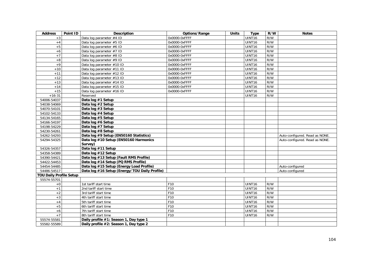| <b>Address</b>                 | Point ID | <b>Description</b>                            | Options/Range     | <b>Units</b> | <b>Type</b>        | R/W | <b>Notes</b>                   |
|--------------------------------|----------|-----------------------------------------------|-------------------|--------------|--------------------|-----|--------------------------------|
| $+3$                           |          | Data log parameter #4 ID                      | $0x0000-0xF$ FFFF |              | <b>UINT16</b>      | R/W |                                |
| $+4$                           |          | Data log parameter #5 ID                      | 0x0000-0xFFFF     |              | <b>UINT16</b>      | R/W |                                |
| $+5$                           |          | Data log parameter #6 ID                      | 0x0000-0xFFFF     |              | <b>UINT16</b>      | R/W |                                |
| $+6$                           |          | Data log parameter #7 ID                      | 0x0000-0xFFFF     |              | <b>UINT16</b>      | R/W |                                |
| $+7$                           |          | Data log parameter #8 ID                      | 0x0000-0xFFFF     |              | UINT16             | R/W |                                |
| $+8$                           |          | Data log parameter #9 ID                      | 0x0000-0xFFFF     |              | UINT16             | R/W |                                |
| $+9$                           |          | Data log parameter #10 ID                     | 0x0000-0xFFFF     |              | UINT <sub>16</sub> | R/W |                                |
| $+10$                          |          | Data log parameter #11 ID                     | 0x0000-0xFFFF     |              | <b>UINT16</b>      | R/W |                                |
| $+11$                          |          | Data log parameter #12 ID                     | 0x0000-0xFFFF     |              | UINT <sub>16</sub> | R/W |                                |
| $+12$                          |          | Data log parameter #13 ID                     | 0x0000-0xFFFF     |              | UINT16             | R/W |                                |
| $+13$                          |          | Data log parameter #14 ID                     | 0x0000-0xFFFF     |              | UINT <sub>16</sub> | R/W |                                |
| $+14$                          |          | Data log parameter #15 ID                     | 0x0000-0xFFFF     |              | UINT16             | R/W |                                |
| $+15$                          |          | Data log parameter #16 ID                     | 0x0000-0xFFFF     |              | UINT16             | R/W |                                |
| $+16-31$                       |          | Reserved                                      |                   |              | UINT16             | R/W |                                |
| 54006-54037                    |          | Data log #1 Setup                             |                   |              |                    |     |                                |
| 54038-54069                    |          | Data log #2 Setup                             |                   |              |                    |     |                                |
| 54070-54101                    |          | Data log #3 Setup                             |                   |              |                    |     |                                |
| 54102-54133                    |          | Data log #4 Setup                             |                   |              |                    |     |                                |
| 54134-54165                    |          | Data log #5 Setup                             |                   |              |                    |     |                                |
| 54166-54197                    |          | Data log #6 Setup                             |                   |              |                    |     |                                |
| 54198-54229                    |          | Data log #7 Setup                             |                   |              |                    |     |                                |
| 54230-54261                    |          | Data log #8 Setup                             |                   |              |                    |     |                                |
| 54262-54293                    |          | Data log #9 Setup (EN50160 Statistics)        |                   |              |                    |     | Auto-configured. Read as NONE. |
| 54294-54325                    |          | Data log #10 Setup (EN50160 Harmonics         |                   |              |                    |     | Auto-configured. Read as NONE. |
|                                |          | Survey)                                       |                   |              |                    |     |                                |
| 54326-54357                    |          | Data log #11 Setup                            |                   |              |                    |     |                                |
| 54358-54389                    |          | Data log #12 Setup                            |                   |              |                    |     |                                |
| 54390-54421                    |          | Data log #13 Setup (Fault RMS Profile)        |                   |              |                    |     |                                |
| 54422-54453                    |          | Data log #14 Setup (PQ RMS Profile)           |                   |              |                    |     |                                |
| 54454-54485                    |          | Data log #15 Setup (Energy Load Profile)      |                   |              |                    |     | Auto-configured                |
| 54486-54517                    |          | Data log #16 Setup (Energy/TOU Daily Profile) |                   |              |                    |     | Auto-configured                |
| <b>TOU Daily Profile Setup</b> |          |                                               |                   |              |                    |     |                                |
| 55574-55701                    |          |                                               |                   |              |                    |     |                                |
| $+0$                           |          | 1st tariff start time                         | F10               |              | UINT <sub>16</sub> | R/W |                                |
| $+1$                           |          | 2nd tariff start time                         | F10               |              | UINT16             | R/W |                                |
| $+2$                           |          | 3rd tariff start time                         | F10               |              | UINT16             | R/W |                                |
| $+3$                           |          | 4th tariff start time                         | F10               |              | <b>UINT16</b>      | R/W |                                |
| $+4$                           |          | 5th tariff start time                         | F10               |              | <b>UINT16</b>      | R/W |                                |
| $+5$                           |          | 6th tariff start time                         | F10               |              | UINT16             | R/W |                                |
| $+6$                           |          | 7th tariff start time                         | F10               |              | UINT16             | R/W |                                |
| $+7$                           |          | 8th tariff start time                         | F10               |              | UINT16             | R/W |                                |
| 55574-55581                    |          | Daily profile #1: Season 1, Day type 1        |                   |              |                    |     |                                |
| 55582-55589                    |          | Daily profile #2: Season 1, Day type 2        |                   |              |                    |     |                                |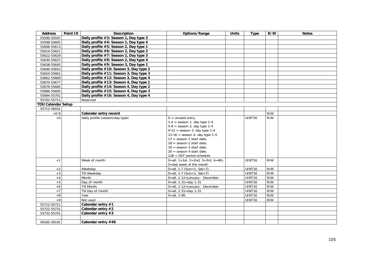| <b>Address</b>            | Point ID | <b>Description</b>                      | Options/Range                                                    | <b>Units</b> | <b>Type</b>      | R/W        | <b>Notes</b> |
|---------------------------|----------|-----------------------------------------|------------------------------------------------------------------|--------------|------------------|------------|--------------|
| 55590-55597               |          | Daily profile #3: Season 1, Day type 3  |                                                                  |              |                  |            |              |
| 55598-55605               |          | Daily profile #4: Season 1, Day type 4  |                                                                  |              |                  |            |              |
| 55606-55613               |          | Daily profile #5: Season 2, Day type 1  |                                                                  |              |                  |            |              |
| 55614-55621               |          | Daily profile #6: Season 2, Day type 2  |                                                                  |              |                  |            |              |
| 55622-55629               |          | Daily profile #7: Season 2, Day type 3  |                                                                  |              |                  |            |              |
| 55630-55637               |          | Daily profile #8: Season 2, Day type 4  |                                                                  |              |                  |            |              |
| 55638-55645               |          | Daily profile #9: Season 3, Day type 1  |                                                                  |              |                  |            |              |
| 55646-55653               |          | Daily profile #10: Season 3, Day type 2 |                                                                  |              |                  |            |              |
| 55654-55661               |          | Daily profile #11: Season 3, Day type 3 |                                                                  |              |                  |            |              |
| 55662-55669               |          | Daily profile #12: Season 3, Day type 4 |                                                                  |              |                  |            |              |
| 55670-55677               |          | Daily profile #13: Season 4, Day type 1 |                                                                  |              |                  |            |              |
| 55678-55685               |          | Daily profile #14: Season 4, Day type 2 |                                                                  |              |                  |            |              |
| 55686-55693               |          | Daily profile #15: Season 4, Day type 3 |                                                                  |              |                  |            |              |
| 55694-55701               |          | Daily profile #16: Season 4, Day type 4 |                                                                  |              |                  |            |              |
| 55702-55711               |          | Reserved                                |                                                                  |              |                  |            |              |
| <b>TOU Calendar Setup</b> |          |                                         |                                                                  |              |                  |            |              |
| 55712-56031               |          |                                         |                                                                  |              |                  |            |              |
| $+0-9$                    |          | Calendar entry record                   |                                                                  |              |                  | R/W        |              |
| $+0$                      |          | Daily profile (season/day type)         | $0 =$ unused entry,                                              |              | UINT16           | R/W        |              |
|                           |          |                                         | $1-4$ = season 1, day type 1-4                                   |              |                  |            |              |
|                           |          |                                         | $5-8$ = season 2, day type 1-4                                   |              |                  |            |              |
|                           |          |                                         | $9-12$ = season 3, day type 1-4                                  |              |                  |            |              |
|                           |          |                                         | 13-16 = season 4, day type $1-4$                                 |              |                  |            |              |
|                           |          |                                         | $17 =$ season 1 start date.                                      |              |                  |            |              |
|                           |          |                                         | $18 =$ season 2 start date.                                      |              |                  |            |              |
|                           |          |                                         | $19 =$ season 3 start date.                                      |              |                  |            |              |
|                           |          |                                         | $20 =$ season 4 start date,                                      |              |                  |            |              |
|                           |          |                                         | $128 =$ DST period schedule                                      |              |                  |            |              |
| $+1$                      |          | Week of month                           | $\overline{0}$ =all, 1=1st, 2=2nd, 3=3rd, 4=4th,                 |              | UINT16           | R/W        |              |
|                           |          |                                         | 5=last week of the month                                         |              |                  |            |              |
| $+2$                      |          | Weekday                                 | $0 = all, 1 - 7$ (Sun=1, Sat=7)                                  |              | UINT16           | R/W<br>R/W |              |
| $+3$                      |          | Till Weekday<br>Month                   | $0 = all, 1 - 7$ (Sun=1, Sat=7)                                  |              | UINT16<br>UINT16 | R/W        |              |
| $+4$<br>$+5$              |          | Day of month                            | 0=all, 1-12=January - December<br>$0 = all, 1 - 31 = day 1 - 31$ |              | UINT16           | R/W        |              |
|                           |          | <b>Till Month</b>                       |                                                                  |              | UINT16           | R/W        |              |
| $+6$<br>$+7$              |          |                                         | 0=all, 1-12=January - December                                   |              |                  | R/W        |              |
|                           |          | Till Day of month                       | $0 = all, 1 - 31 = day 1 - 31$                                   |              | UINT16           |            |              |
| $+8$                      |          | Year                                    | $0 = all, 1-99$                                                  |              | UINT16           | R/W        |              |
| $+9$                      |          | Not used                                |                                                                  |              | UINT16           | R/W        |              |
| 55712-55721               |          | Calendar entry #1                       |                                                                  |              |                  |            |              |
| 55722-55731               |          | Calendar entry #2                       |                                                                  |              |                  |            |              |
| 55732-55741               |          | Calendar entry #3                       |                                                                  |              |                  |            |              |
|                           |          |                                         |                                                                  |              |                  |            |              |
| 56182-56191               |          | Calendar entry #48                      |                                                                  |              |                  |            |              |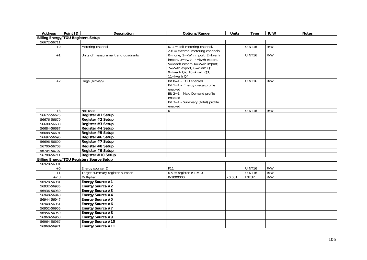| <b>Address</b>                            | Point ID | <b>Description</b>                               | Options/Range                                                                                                                                                             | <b>Units</b>   | <b>Type</b>   | R/W | <b>Notes</b> |
|-------------------------------------------|----------|--------------------------------------------------|---------------------------------------------------------------------------------------------------------------------------------------------------------------------------|----------------|---------------|-----|--------------|
| <b>Billing Energy/TOU Registers Setup</b> |          |                                                  |                                                                                                                                                                           |                |               |     |              |
| 56672-56711                               |          |                                                  |                                                                                                                                                                           |                |               |     |              |
| $+0$                                      |          | Metering channel                                 | $0, 1$ = self-metering channel,<br>$2-6$ = external metering channels                                                                                                     |                | <b>UINT16</b> | R/W |              |
| $+1$                                      |          | Units of measurement and quadrants               | 0=none, 1=kWh import, 2=kvarh<br>import, 3=kVAh, 4=kWh export,<br>5=kvarh export, 6=kVAh import,<br>7=kVAh export, 8=kvarh Q1,<br>9=kvarh Q2, 10=kvarh Q3,<br>11=kvarh Q4 |                | UINT16        | R/W |              |
| $+2$                                      |          | Flags (bitmap)                                   | Bit 0=1 - TOU enabled<br>Bit $1=1$ – Energy usage profile<br>enabled<br>Bit 2=1 - Max. Demand profile<br>enabled<br>Bit 3=1 - Summary (total) profile<br>enabled          |                | <b>UINT16</b> | R/W |              |
| $+3$                                      |          | Not used                                         | $\Omega$                                                                                                                                                                  |                | UINT16        | R/W |              |
| 56672-56675                               |          | Register #1 Setup                                |                                                                                                                                                                           |                |               |     |              |
| 56676-56679                               |          | Register #2 Setup                                |                                                                                                                                                                           |                |               |     |              |
| 56680-56683                               |          | Register #3 Setup                                |                                                                                                                                                                           |                |               |     |              |
| 56684-56687                               |          | Register #4 Setup                                |                                                                                                                                                                           |                |               |     |              |
| 56688-56691                               |          | Register #5 Setup                                |                                                                                                                                                                           |                |               |     |              |
| 56692-56695                               |          | Register #6 Setup                                |                                                                                                                                                                           |                |               |     |              |
| 56696-56699                               |          | Register #7 Setup                                |                                                                                                                                                                           |                |               |     |              |
| 56700-56703                               |          | Register #8 Setup                                |                                                                                                                                                                           |                |               |     |              |
| 56704-56707                               |          | Register #9 Setup                                |                                                                                                                                                                           |                |               |     |              |
| 56708-56711                               |          | Register #10 Setup                               |                                                                                                                                                                           |                |               |     |              |
|                                           |          | <b>Billing Energy/TOU Registers Source Setup</b> |                                                                                                                                                                           |                |               |     |              |
| 56928-56991                               |          |                                                  |                                                                                                                                                                           |                |               |     |              |
| $+0$                                      |          | Energy source ID                                 | F11                                                                                                                                                                       |                | UINT16        | R/W |              |
| $+1$                                      |          | Target summary register number                   | $0-9$ = register #1-#10                                                                                                                                                   |                | UINT16        | R/W |              |
| $+2,3$                                    |          | Multiplier                                       | 0-1000000                                                                                                                                                                 | $\times$ 0.001 | <b>INT32</b>  | R/W |              |
| 56928-56931                               |          | Energy Source #1                                 |                                                                                                                                                                           |                |               |     |              |
| 56932-56935                               |          | Energy Source #2                                 |                                                                                                                                                                           |                |               |     |              |
| 56936-56939                               |          | Energy Source #3                                 |                                                                                                                                                                           |                |               |     |              |
| 56940-56943                               |          | Energy Source #4                                 |                                                                                                                                                                           |                |               |     |              |
| 56944-56947                               |          | Energy Source #5                                 |                                                                                                                                                                           |                |               |     |              |
| 56948-56951                               |          | Energy Source #6                                 |                                                                                                                                                                           |                |               |     |              |
| 56952-56955                               |          | Energy Source #7                                 |                                                                                                                                                                           |                |               |     |              |
| 56956-56959                               |          | Energy Source #8                                 |                                                                                                                                                                           |                |               |     |              |
| 56960-56963                               |          | Energy Source #9                                 |                                                                                                                                                                           |                |               |     |              |
| 56964-56967                               |          | Energy Source #10                                |                                                                                                                                                                           |                |               |     |              |
| 56968-56971                               |          | Energy Source #11                                |                                                                                                                                                                           |                |               |     |              |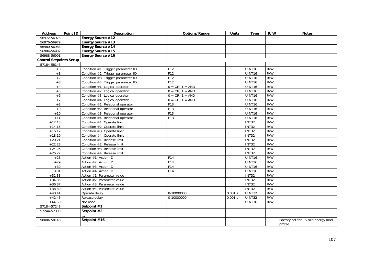| <b>Address</b>                 | Point ID | <b>Description</b>                 | Options/Range     | <b>Units</b> | <b>Type</b>        | R/W | <b>Notes</b>                                  |
|--------------------------------|----------|------------------------------------|-------------------|--------------|--------------------|-----|-----------------------------------------------|
| 56972-56975                    |          | Energy Source #12                  |                   |              |                    |     |                                               |
| 56976-56979                    |          | Energy Source #13                  |                   |              |                    |     |                                               |
| 56980-56983                    |          | Energy Source #14                  |                   |              |                    |     |                                               |
| 56984-56987                    |          | Energy Source #15                  |                   |              |                    |     |                                               |
| 56988-56991                    |          | Energy Source #16                  |                   |              |                    |     |                                               |
| <b>Control Setpoints Setup</b> |          |                                    |                   |              |                    |     |                                               |
| 57184-58143                    |          |                                    |                   |              |                    |     |                                               |
| $+0$                           |          | Condition #1: Trigger parameter ID | F12               |              | UINT <sub>16</sub> | R/W |                                               |
| $+1$                           |          | Condition #2: Trigger parameter ID | F12               |              | <b>UINT16</b>      | R/W |                                               |
| $+2$                           |          | Condition #3: Trigger parameter ID | F12               |              | UINT16             | R/W |                                               |
| $+3$                           |          | Condition #4: Trigger parameter ID | F12               |              | <b>UINT16</b>      | R/W |                                               |
| $+4$                           |          | Condition #1: Logical operator     | $0 = OR, 1 = AND$ |              | UINT16             | R/W |                                               |
| $+5$                           |          | Condition #2: Logical operator     | $0 = OR, 1 = AND$ |              | UINT16             | R/W |                                               |
| $+6$                           |          | Condition #3: Logical operator     | $0 = OR, 1 = AND$ |              | UINT16             | R/W |                                               |
| $+7$                           |          | Condition #4: Logical operator     | $0 = OR, 1 = AND$ |              | <b>UINT16</b>      | R/W |                                               |
| $+8$                           |          | Condition #1: Relational operator  | F13               |              | UINT16             | R/W |                                               |
| $+9$                           |          | Condition #2: Relational operator  | F13               |              | <b>UINT16</b>      | R/W |                                               |
| $+10$                          |          | Condition #3: Relational operator  | F13               |              | <b>UINT16</b>      | R/W |                                               |
| $+11$                          |          | Condition #4: Relational operator  | F13               |              | <b>UINT16</b>      | R/W |                                               |
| $+12,13$                       |          | Condition #1: Operate limit        |                   |              | <b>INT32</b>       | R/W |                                               |
| $+14,15$                       |          | Condition #2: Operate limit        |                   |              | <b>INT32</b>       | R/W |                                               |
| $+16,17$                       |          | Condition #3: Operate limit        |                   |              | <b>INT32</b>       | R/W |                                               |
| $+18,19$                       |          | Condition #4: Operate limit        |                   |              | <b>INT32</b>       | R/W |                                               |
| $+20,21$                       |          | Condition #1: Release limit        |                   |              | <b>INT32</b>       | R/W |                                               |
| $+22,23$                       |          | Condition #2: Release limit        |                   |              | <b>INT32</b>       | R/W |                                               |
| $+24,25$                       |          | Condition #3: Release limit        |                   |              | <b>INT32</b>       | R/W |                                               |
| $+26,27$                       |          | Condition #4: Release limit        |                   |              | <b>INT32</b>       | R/W |                                               |
| $+28$                          |          | Action #1: Action ID               | F14               |              | <b>UINT16</b>      | R/W |                                               |
| $+29$                          |          | Action #2: Action ID               | F14               |              | UINT <sub>16</sub> | R/W |                                               |
| $+30$                          |          | Action #3: Action ID               | F14               |              | <b>UINT16</b>      | R/W |                                               |
| $+31$                          |          | Action #4: Action ID               | F14               |              | UINT16             | R/W |                                               |
| $+32,33$                       |          | Action #1: Parameter value         |                   |              | <b>INT32</b>       | R/W |                                               |
| $+34,35$                       |          | Action #2: Parameter value         |                   |              | <b>INT32</b>       | R/W |                                               |
| $+36,37$                       |          | Action #3: Parameter value         |                   |              | <b>INT32</b>       | R/W |                                               |
| $+38,39$                       |          | Action #4: Parameter value         |                   |              | INT32              | R/W |                                               |
| $+40,41$                       |          | Operate delay                      | 0-10000000        | 0.001 s      | <b>UINT32</b>      | R/W |                                               |
| $+42,43$                       |          | Release delay                      | 0-10000000        | 0.001 s      | <b>UINT32</b>      | R/W |                                               |
| $+44-59$                       |          | Not used                           |                   |              | UINT16             | R/W |                                               |
| 57184-57243                    |          | Setpoint #1                        |                   |              |                    |     |                                               |
| 57244-57303                    |          | Setpoint #2                        |                   |              |                    |     |                                               |
|                                |          |                                    |                   |              |                    |     |                                               |
| 58084-58143                    |          | Setpoint #16                       |                   |              |                    |     | Factory set for 15-min energy load<br>profile |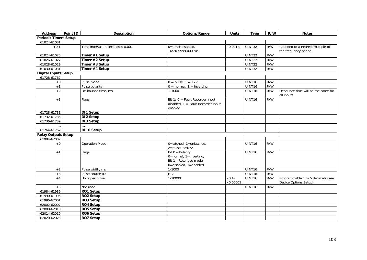| <b>Address</b>               | Point ID | <b>Description</b>                       | Options/Range                                                                                        | <b>Units</b>                | <b>Type</b>   | R/W | <b>Notes</b>                                               |
|------------------------------|----------|------------------------------------------|------------------------------------------------------------------------------------------------------|-----------------------------|---------------|-----|------------------------------------------------------------|
| <b>Periodic Timers Setup</b> |          |                                          |                                                                                                      |                             |               |     |                                                            |
| 61024-61031                  |          |                                          |                                                                                                      |                             |               |     |                                                            |
| $+0,1$                       |          | Time interval, in seconds $\times$ 0.001 | 0=timer disabled,<br>16/20-9999,000 ms                                                               | $\times$ 0.001 s            | UINT32        | R/W | Rounded to a nearest multiple of<br>the frequency period.  |
| 61024-61025                  |          | Timer #1 Setup                           |                                                                                                      |                             | <b>UINT32</b> | R/W |                                                            |
| 61026-61027                  |          | Timer #2 Setup                           |                                                                                                      |                             | UINT32        | R/W |                                                            |
| 61028-61029                  |          | Timer #3 Setup                           |                                                                                                      |                             | UINT32        | R/W |                                                            |
| 61030-61031                  |          | Timer #4 Setup                           |                                                                                                      |                             | <b>UINT32</b> | R/W |                                                            |
| <b>Digital Inputs Setup</b>  |          |                                          |                                                                                                      |                             |               |     |                                                            |
| 61728-61767                  |          |                                          |                                                                                                      |                             |               |     |                                                            |
| $+0$                         |          | Pulse mode                               | $0 = pulse, 1 = KYZ$                                                                                 |                             | UINT16        | R/W |                                                            |
| $+1$                         |          | Pulse polarity                           | $0 = normal, 1 = inverting$                                                                          |                             | UINT16        | R/W |                                                            |
| $+2$                         |          | De-bounce time, ms                       | $1 - 1000$                                                                                           |                             | UINT16        | R/W | Debounce time will be the same for<br>all inputs           |
| $+3$                         |          | Flags                                    | Bit 1: $0 =$ Fault Recorder input<br>disabled, $1 =$ Fault Recorder input<br>enabled                 |                             | UINT16        | R/W |                                                            |
| 61728-61731                  |          | DI1 Setup                                |                                                                                                      |                             |               |     |                                                            |
| 61732-61735                  |          | DI2 Setup                                |                                                                                                      |                             |               |     |                                                            |
| 61736-61739                  |          | DI3 Setup                                |                                                                                                      |                             |               |     |                                                            |
|                              |          |                                          |                                                                                                      |                             |               |     |                                                            |
| 61764-61767                  |          | DI10 Setup                               |                                                                                                      |                             |               |     |                                                            |
| <b>Relay Outputs Setup</b>   |          |                                          |                                                                                                      |                             |               |     |                                                            |
| 61984-62007                  |          |                                          |                                                                                                      |                             |               |     |                                                            |
| $+0$                         |          | <b>Operation Mode</b>                    | 0=latched, 1=unlatched,<br>$2 = pulse, 3 = KYZ$                                                      |                             | UINT16        | R/W |                                                            |
| $+1$                         |          | Flags                                    | Bit 0 - Polarity:<br>$0 = normal$ , 1=inverting,<br>Bit 1 - Retentive mode:<br>0=disabled, 1=enabled |                             | UINT16        | R/W |                                                            |
| $+2$                         |          | Pulse width, ms                          | $1-1000$                                                                                             |                             | UINT16        | R/W |                                                            |
| $+3$                         |          | Pulse source ID                          | F17                                                                                                  |                             | UINT16        | R/W |                                                            |
| $+4$                         |          | Units per pulse                          | 1-10000                                                                                              | $×0.1-$<br>$\times 0.00001$ | UINT16        | R/W | Programmable 1 to 5 decimals (see<br>Device Options Setup) |
| $+5$                         |          | Not used                                 |                                                                                                      |                             | UINT16        | R/W |                                                            |
| 61984-61989                  |          | RO1 Setup                                |                                                                                                      |                             |               |     |                                                            |
| 61990-61995                  |          | RO2 Setup                                |                                                                                                      |                             |               |     |                                                            |
| 61996-62001                  |          | RO3 Setup                                |                                                                                                      |                             |               |     |                                                            |
| 62002-62007                  |          | RO4 Setup                                |                                                                                                      |                             |               |     |                                                            |
| 62008-62013                  |          | RO5 Setup                                |                                                                                                      |                             |               |     |                                                            |
| 62014-62019                  |          | RO6 Setup                                |                                                                                                      |                             |               |     |                                                            |
| 62020-62025                  |          | RO7 Setup                                |                                                                                                      |                             |               |     |                                                            |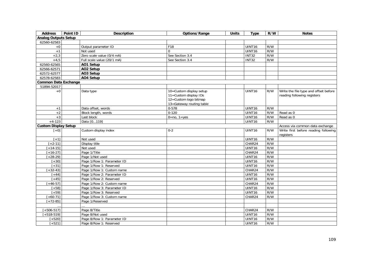| <b>Address</b>              | Point ID | <b>Description</b>         | Options/Range                                                                                         | <b>Units</b> | <b>Type</b>        | R/W | <b>Notes</b>                                                         |
|-----------------------------|----------|----------------------------|-------------------------------------------------------------------------------------------------------|--------------|--------------------|-----|----------------------------------------------------------------------|
| <b>Analog Outputs Setup</b> |          |                            |                                                                                                       |              |                    |     |                                                                      |
| 62560-62583                 |          |                            |                                                                                                       |              |                    |     |                                                                      |
| $+0$                        |          | Output parameter ID        | F18                                                                                                   |              | UINT16             | R/W |                                                                      |
| $+1$                        |          | Not used                   | $\mathbf 0$                                                                                           |              | UINT16             | R/W |                                                                      |
| $+2,3$                      |          | Zero scale value (0/4 mA)  | See Section 3.4                                                                                       |              | <b>INT32</b>       | R/W |                                                                      |
| $+4,5$                      |          | Full scale value (20/1 mA) | See Section 3.4                                                                                       |              | <b>INT32</b>       | R/W |                                                                      |
| 62560-62565                 |          | AO1 Setup                  |                                                                                                       |              |                    |     |                                                                      |
| 62566-62571                 |          | AO2 Setup                  |                                                                                                       |              |                    |     |                                                                      |
| 62572-62577                 |          | AO3 Setup                  |                                                                                                       |              |                    |     |                                                                      |
| 62578-62583                 |          | AO4 Setup                  |                                                                                                       |              |                    |     |                                                                      |
| <b>Common Data Exchange</b> |          |                            |                                                                                                       |              |                    |     |                                                                      |
| 51894-52017                 |          |                            |                                                                                                       |              |                    |     |                                                                      |
| $+0$                        |          | Data type                  | 10=Custom display setup<br>11=Custom display IDs<br>12=Custom logo bitmap<br>13=Gateway routing table |              | UINT16             | R/W | Write the file type and offset before<br>reading following registers |
| $+1$                        |          | Data offset, words         | $0 - 578$                                                                                             |              | UINT <sub>16</sub> | R/W |                                                                      |
| $+2$                        |          | Block length, words        | $0 - 120$                                                                                             |              | UINT16             | R/W | Read as 0                                                            |
| $+3$                        |          | Last block                 | $0 = no, 1 = yes$                                                                                     |              | UINT16             | R/W | Read as 0                                                            |
| $+4-123$                    |          | Data [0119]                |                                                                                                       |              | UINT16             | R/W |                                                                      |
| <b>Custom Display Setup</b> |          |                            |                                                                                                       |              |                    |     | Access via common data exchange                                      |
| $[+0]$                      |          | Custom display index       | $0 - 2$                                                                                               |              | UINT16             | R/W | Write first before reading following<br>registers                    |
| $\boxed{+1}$                |          | Not used                   |                                                                                                       |              | UINT16             | R/W |                                                                      |
| $[+2-11]$                   |          | Display title              |                                                                                                       |              | CHAR24             | R/W |                                                                      |
| $[-14-15]$                  |          | Not used                   |                                                                                                       |              | UINT16             | R/W |                                                                      |
| $[+16-27]$                  |          | Page 1/Title               |                                                                                                       |              | CHAR24             | R/W |                                                                      |
| $[-28-29]$                  |          | Page 1/Not used            |                                                                                                       |              | UINT16             | R/W |                                                                      |
| $+30]$                      |          | Page 1/Row 1: Parameter ID |                                                                                                       |              | UINT16             | R/W |                                                                      |
| $[-31]$                     |          | Page 1/Row 1: Reserved     |                                                                                                       |              | UINT16             | R/W |                                                                      |
| $[-32-43]$                  |          | Page 1/Row 1: Custom name  |                                                                                                       |              | CHAR24             | R/W |                                                                      |
| $[+44]$                     |          | Page 1/Row 2: Parameter ID |                                                                                                       |              | UINT16             | R/W |                                                                      |
| $[-45]$                     |          | Page 1/Row 2: Reserved     |                                                                                                       |              | UINT16             | R/W |                                                                      |
| $[+46-57]$                  |          | Page 1/Row 2: Custom name  |                                                                                                       |              | CHAR24             | R/W |                                                                      |
| $+58$ ]                     |          | Page 1/Row 3: Parameter ID |                                                                                                       |              | UINT16             | R/W |                                                                      |
| $+59]$                      |          | Page 1/Row 3: Reserved     |                                                                                                       |              | UINT16             | R/W |                                                                      |
| $[-60-71]$                  |          | Page 1/Row 3: Custom name  |                                                                                                       |              | CHAR24             | R/W |                                                                      |
| $[-72-85]$                  |          | Page 1/Reserved            |                                                                                                       |              |                    |     |                                                                      |
|                             |          |                            |                                                                                                       |              |                    |     |                                                                      |
| $[+506-517]$                |          | Page 8/Title               |                                                                                                       |              | CHAR24             | R/W |                                                                      |
| $[-518-519]$                |          | Page 8/Not used            |                                                                                                       |              | UINT16             | R/W |                                                                      |
| $[+520]$                    |          | Page 8/Row 1: Parameter ID |                                                                                                       |              | UINT16             | R/W |                                                                      |
| $[+521]$                    |          | Page 8/Row 1: Reserved     |                                                                                                       |              | UINT16             | R/W |                                                                      |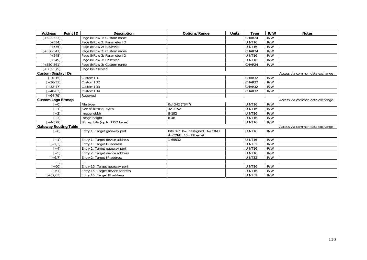| <b>Address</b>               | Point ID | <b>Description</b>              | Options/Range                                                   | <b>Units</b> | <b>Type</b>        | R/W | <b>Notes</b>                    |
|------------------------------|----------|---------------------------------|-----------------------------------------------------------------|--------------|--------------------|-----|---------------------------------|
| $[+522-533]$                 |          | Page 8/Row 1: Custom name       |                                                                 |              | CHAR24             | R/W |                                 |
| $[-534]$                     |          | Page 8/Row 2: Parameter ID      |                                                                 |              | UINT16             | R/W |                                 |
| $[-535]$                     |          | Page 8/Row 2: Reserved          |                                                                 |              | UINT <sub>16</sub> | R/W |                                 |
| $[-536 - 547]$               |          | Page 8/Row 2: Custom name       |                                                                 |              | CHAR24             | R/W |                                 |
| $[-548]$                     |          | Page 8/Row 3: Parameter ID      |                                                                 |              | UINT <sub>16</sub> | R/W |                                 |
| $[-549]$                     |          | Page 8/Row 3: Reserved          |                                                                 |              | UINT <sub>16</sub> | R/W |                                 |
| $+550 - 5611$                |          | Page 8/Row 3: Custom name       |                                                                 |              | CHAR24             | R/W |                                 |
| $[-562-575]$                 |          | Page 8/Reserved                 |                                                                 |              |                    |     |                                 |
| <b>Custom Display IDs</b>    |          |                                 |                                                                 |              |                    |     | Access via common data exchange |
| $[+0.15]$                    |          | Custom ID1                      |                                                                 |              | CHAR32             | R/W |                                 |
| $[-16-31]$                   |          | Custom ID2                      |                                                                 |              | CHAR32             | R/W |                                 |
| $[-32-47]$                   |          | Custom ID3                      |                                                                 |              | CHAR32             | R/W |                                 |
| $+48-63$ ]                   |          | Custom ID4                      |                                                                 |              | CHAR32             | R/W |                                 |
| $[-64-79]$                   |          | Reserved                        |                                                                 |              |                    |     |                                 |
| <b>Custom Logo Bitmap</b>    |          |                                 |                                                                 |              |                    |     | Access via common data exchange |
| $[-6]$                       |          | File type                       | 0x4D42 ("BM")                                                   |              | UINT16             | R/W |                                 |
| $[+1]$                       |          | Size of bitmap, bytes           | 32-1152                                                         |              | UINT <sub>16</sub> | R/W |                                 |
| $[-2]$                       |          | Image width                     | 8-192                                                           |              | UINT <sub>16</sub> | R/W |                                 |
| $[+3]$                       |          | Image height                    | $8 - 48$                                                        |              | UINT <sub>16</sub> | R/W |                                 |
| $[-4-579]$                   |          | Bitmap bits (up to 1152 bytes)  |                                                                 |              | UINT <sub>16</sub> | R/W |                                 |
| <b>Gateway Routing Table</b> |          |                                 |                                                                 |              |                    |     | Access via common data exchange |
| $[+0]$                       |          | Entry 1: Target gateway port    | Bits 0-7: 0=unassigned, 3=COM3,<br>$4 = COM4$ , $15 = Ethernet$ |              | UINT <sub>16</sub> | R/W |                                 |
| $[+1]$                       |          | Entry 1: Target device address  | 1-65532                                                         |              | UINT <sub>16</sub> | R/W |                                 |
| $[-2,3]$                     |          | Entry 1: Target IP address      |                                                                 |              | UINT32             | R/W |                                 |
| $[+4]$                       |          | Entry 2: Target gateway port    |                                                                 |              | UINT <sub>16</sub> | R/W |                                 |
| $[-5]$                       |          | Entry 2: Target device address  |                                                                 |              | UINT16             | R/W |                                 |
| $[-6, 7]$                    |          | Entry 2: Target IP address      |                                                                 |              | UINT32             | R/W |                                 |
| $\ddotsc$                    |          |                                 |                                                                 |              |                    |     |                                 |
| $+601$                       |          | Entry 16: Target gateway port   |                                                                 |              | UINT <sub>16</sub> | R/W |                                 |
| $+611$                       |          | Entry 16: Target device address |                                                                 |              | UINT16             | R/W |                                 |
| $+62,63]$                    |          | Entry 16: Target IP address     |                                                                 |              | <b>UINT32</b>      | R/W |                                 |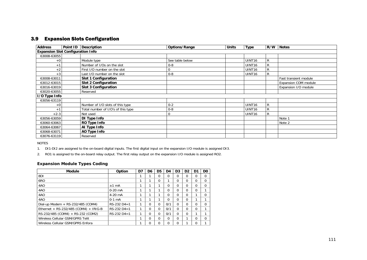# 3.9 Expansion Slots Configuration

| <b>Address</b>                           | Point ID   Description             | Options/Range   | <b>Units</b> | <b>Type</b>        | R/W          | <b>Notes</b>          |
|------------------------------------------|------------------------------------|-----------------|--------------|--------------------|--------------|-----------------------|
| <b>Expansion Slot Configuration Info</b> |                                    |                 |              |                    |              |                       |
| 63008-63055                              |                                    |                 |              |                    |              |                       |
| $+0$                                     | Module type                        | See table below |              | UINT <sub>16</sub> | R            |                       |
| $+1$                                     | Number of I/Os on the slot         | $0 - 8$         |              | UINT <sub>16</sub> | $\mathsf{R}$ |                       |
| $+2$                                     | First I/O number on the slot       |                 |              | UINT16             | R            |                       |
| $+3$                                     | Last I/O number on the slot        | $0 - 8$         |              | UINT <sub>16</sub> | R            |                       |
| 63008-63011                              | Slot 1 Configuration               |                 |              |                    |              | Fast transient module |
| 63012-63015                              | <b>Slot 2 Configuration</b>        |                 |              |                    |              | Expansion COM module  |
| 63016-63019                              | Slot 3 Configuration               |                 |              |                    |              | Expansion I/O module  |
| 63020-63055                              | Reserved                           |                 |              |                    |              |                       |
| I/O Type Info                            |                                    |                 |              |                    |              |                       |
| 63056-63119                              |                                    |                 |              |                    |              |                       |
| $+0$                                     | Number of I/O slots of this type   | $0 - 2$         |              | UINT <sub>16</sub> | $\mathsf{R}$ |                       |
| $+1$                                     | Total number of I/O's of this type | $0 - 8$         |              | UINT <sub>16</sub> | $\mathsf{R}$ |                       |
| $+2-3$                                   | Not used                           |                 |              | <b>UINT16</b>      | $\mathsf{R}$ |                       |
| 63056-63059                              | DI Type Info                       |                 |              |                    |              | Note <sup>-</sup>     |
| 63060-63063                              | RO Type Info                       |                 |              |                    |              | Note 2                |
| 63064-63067                              | Al Type Info                       |                 |              |                    |              |                       |
| 63068-63071                              | AO Type Info                       |                 |              |                    |              |                       |
| 63076-63119                              | Reserved                           |                 |              |                    |              |                       |

NOTES

1. DI1-DI2 are assigned to the on-board digital inputs. The first digital input on the expansion I/O module is assigned DI3.

2. RO1 is assigned to the on-board relay output. The first relay output on the expansion I/O module is assigned RO2.

### **Expansion Module Types Coding**

| <b>Module</b>                         | Option        | D7 | D6       | D <sub>5</sub> | D4  | D <sub>3</sub> | D <sub>2</sub>       | D1       | D <sub>0</sub> |
|---------------------------------------|---------------|----|----------|----------------|-----|----------------|----------------------|----------|----------------|
| 8DI                                   |               |    |          | 0              | 0   | 0              | 0                    | $\Omega$ | $\Omega$       |
| 6RO                                   |               |    |          | 0              | 1   | 0              | 0                    | $\Omega$ | $\Omega$       |
| 4AO                                   | $±1$ mA       |    |          |                | 0   | 0              | 0                    | $\Omega$ | $\Omega$       |
| 4AO                                   | $0-20$ mA     | ◢  |          |                | 0   | 0              | 0                    | $\Omega$ | 1              |
| 4AO                                   | $4-20$ mA     |    |          |                | 0   | 0              | 0                    |          | $\Omega$       |
| 4AO                                   | $0-1$ mA      |    |          |                | 0   | 0              | 0                    |          |                |
| Dial-up Modem $+$ RS-232/485 (COM4)   | $RS-232 D4=1$ |    | 0        | 0              | 0/1 | 0              | 0                    | 0        | $\Omega$       |
| Ethernet + RS-232/485 (COM4) + IRIG-B | $RS-232 D4=1$ |    | $\Omega$ | 0              | 0/1 | 0              | $\Omega$             | $\Omega$ | 1              |
| RS-232/485 (COM4) + RS-232 (COM2)     | $RS-232 D4=1$ |    | $\Omega$ | $\Omega$       | 0/1 | 0              | $\Omega$             | <b>1</b> | 1              |
| Wireless Cellular GSM/GPRS Telit      |               | ٠  | $\Omega$ | $\Omega$       | 0   | 0              | $\blacktriangleleft$ | $\Omega$ | $\Omega$       |
| Wireless Cellular GSM/GPRS Enfora     |               |    | 0        | $\Omega$       | 0   | 0              |                      | $\Omega$ | 1              |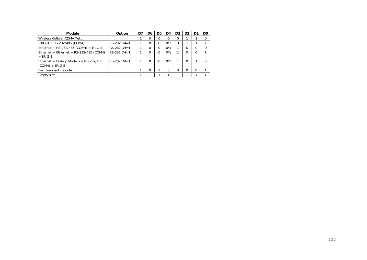| <b>Module</b>                                                | Option        | D7 | D6       | D5       | D4  | D <sub>3</sub> | D <sub>2</sub> | D1 | D <sub>0</sub> |
|--------------------------------------------------------------|---------------|----|----------|----------|-----|----------------|----------------|----|----------------|
| Wireless Cellular CDMA Telit                                 |               |    | 0        |          |     | 0              |                |    |                |
| IRIG-B + RS-232/485 (COM4)                                   | $RS-232 D4=1$ |    | 0        | 0        | 0/1 | $\Omega$       |                |    |                |
| Ethernet + RS-232/485 (COM4) + IRIG-B                        | $RS-232 D4=1$ |    | $\Omega$ | $\Omega$ | 0/1 |                |                | 0  | 0              |
| Ethernet + Ethernet + RS-232/485 (COM4)<br>$+$ IRIG-B        | $RS-232 D4=1$ |    | $\Omega$ | $\Omega$ | 0/1 |                | 0              | O  |                |
| Ethernet + Dial-up Modem + $RS-232/485$<br>$(COM4) + IRIG-B$ | $RS-232 D4=1$ |    | $\Omega$ | $\Omega$ | 0/1 |                | 0              |    |                |
| Fast transient module                                        |               |    | $\Omega$ |          |     | $\Omega$       | 0              | 0  |                |
| Empty slot                                                   |               |    |          |          |     |                |                |    |                |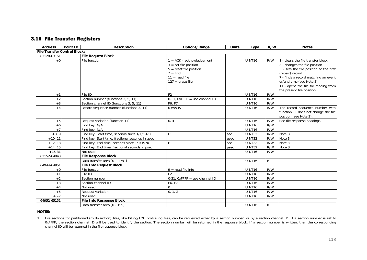## 3.10 File Transfer Registers

| <b>Address</b>                      | Point ID | <b>Description</b>                               | Options/Range                                                                                                                              | <b>Units</b> | <b>Type</b>        | R/W          | <b>Notes</b>                                                                                                                                                                                                                                                               |
|-------------------------------------|----------|--------------------------------------------------|--------------------------------------------------------------------------------------------------------------------------------------------|--------------|--------------------|--------------|----------------------------------------------------------------------------------------------------------------------------------------------------------------------------------------------------------------------------------------------------------------------------|
| <b>File Transfer Control Blocks</b> |          |                                                  |                                                                                                                                            |              |                    |              |                                                                                                                                                                                                                                                                            |
| 63120-63151                         |          | <b>File Request Block</b>                        |                                                                                                                                            |              |                    |              |                                                                                                                                                                                                                                                                            |
| $+0$                                |          | File function                                    | $1 = ACK - acknowledgment$<br>$3 = set file position$<br>$5 =$ reset file position<br>$7 = find$<br>$11 = read file$<br>$127$ = erase file |              | <b>UINT16</b>      | R/W          | 1 - clears the file transfer block<br>3 - changes the file position<br>5 - sets the file position at the first<br>(oldest) record<br>7 - finds a record matching an event<br>or/and time (see Note 3)<br>11 - opens the file for reading from<br>the present file position |
| $+1$                                |          | File ID                                          | F <sub>2</sub>                                                                                                                             |              | UINT16             | R/W          |                                                                                                                                                                                                                                                                            |
| $+2$                                |          | Section number (functions 3, 5, 11)              | $0-31$ , OxFFFF = use channel ID                                                                                                           |              | UINT16             | R/W          |                                                                                                                                                                                                                                                                            |
| $+3$                                |          | Section channel ID (functions 3, 5, 11)          | F6. F7                                                                                                                                     |              | UINT16             | R/W          |                                                                                                                                                                                                                                                                            |
| $+4$                                |          | Record sequence number (functions 3, 11)         | 0-65535                                                                                                                                    |              | UINT16             | R/W          | The record sequence number with<br>function 11 does not change the file<br>position (see Note 2).                                                                                                                                                                          |
| $+5$                                |          | Request variation (function 11)                  | 0.4                                                                                                                                        |              | UINT16             | R/W          | See file response headings                                                                                                                                                                                                                                                 |
| $+6$                                |          | Find key: N/A                                    |                                                                                                                                            |              | UINT16             | R/W          |                                                                                                                                                                                                                                                                            |
| $+7$                                |          | Find key: N/A                                    |                                                                                                                                            |              | UINT16             | R/W          |                                                                                                                                                                                                                                                                            |
| $+8, 9$                             |          | Find key: Start time, seconds since 1/1/1970     | F <sub>1</sub>                                                                                                                             | sec          | <b>UINT32</b>      | R/W          | Note 3                                                                                                                                                                                                                                                                     |
| $+10, 11$                           |          | Find key: Start time, fractional seconds in usec |                                                                                                                                            | usec         | UINT32             | R/W          | $\overline{\text{Note}}$ 3                                                                                                                                                                                                                                                 |
| $+12, 13$                           |          | Find key: End time, seconds since 1/1/1970       | F <sub>1</sub>                                                                                                                             | sec          | UINT32             | R/W          | $\overline{\text{Note}}$ 3                                                                                                                                                                                                                                                 |
| $+14, 15$                           |          | Find key: End time, fractional seconds in usec   |                                                                                                                                            | usec         | UINT32             | R/W          | Note 3                                                                                                                                                                                                                                                                     |
| $+16-31$                            |          | Not used                                         |                                                                                                                                            |              | UINT16             | R/W          |                                                                                                                                                                                                                                                                            |
| 63152-64943                         |          | <b>File Response Block</b>                       |                                                                                                                                            |              |                    |              |                                                                                                                                                                                                                                                                            |
|                                     |          | Data transfer area [0 - 1791]                    |                                                                                                                                            |              | UINT16             | R            |                                                                                                                                                                                                                                                                            |
| 64944-64951                         |          | <b>File Info Request Block</b>                   |                                                                                                                                            |              |                    |              |                                                                                                                                                                                                                                                                            |
| $+0$                                |          | File function                                    | $9 = read file info$                                                                                                                       |              | UINT <sub>16</sub> | R/W          |                                                                                                                                                                                                                                                                            |
| $+1$                                |          | File ID                                          | F <sub>2</sub>                                                                                                                             |              | UINT <sub>16</sub> | R/W          |                                                                                                                                                                                                                                                                            |
| $+2$                                |          | Section number                                   | $0-31$ , OxFFFF = use channel ID                                                                                                           |              | UINT16             | R/W          |                                                                                                                                                                                                                                                                            |
| $+3$                                |          | Section channel ID                               | F6, F7                                                                                                                                     |              | UINT <sub>16</sub> | R/W          |                                                                                                                                                                                                                                                                            |
| $+4$                                |          | Not used                                         | $\Omega$                                                                                                                                   |              | UINT <sub>16</sub> | R/W          |                                                                                                                                                                                                                                                                            |
| $+5$                                |          | Request variation                                | 0, 1, 2                                                                                                                                    |              | UINT16             | R/W          |                                                                                                                                                                                                                                                                            |
| $+6-7$                              |          | Not used                                         |                                                                                                                                            |              | UINT <sub>16</sub> | R/W          |                                                                                                                                                                                                                                                                            |
| 64952-65151                         |          | <b>File Info Response Block</b>                  |                                                                                                                                            |              |                    |              |                                                                                                                                                                                                                                                                            |
|                                     |          | Data transfer area [0 - 199]                     |                                                                                                                                            |              | UINT16             | $\mathsf{R}$ |                                                                                                                                                                                                                                                                            |

#### **NOTES:**

1. File sections for partitioned (multi-section) files, like Billing/TOU profile log files, can be requested either by a section number, or by a section channel ID. If a section number is set to OxFFFF, the section channel ID will be used to identify the section. The section number will be returned in the response block. If a section number is written, then the corresponding channel ID will be returned in the file response block.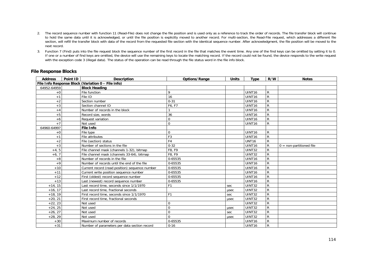- 2. The record sequence number with function 11 (Read-File) does not change the file position and is used only as a reference to track the order of records. The file transfer block will continue to hold the same data until it is acknowledged, or until the file position is explicitly moved to another record. For multi-section, the Read-File request, which addresses a different file section, will refill the transfer block with data of the record from the requested file section with the identical sequence number. After acknowledgment, the file position will be moved to the next record.
- 3. Function 7 (Find) puts into the file request block the sequence number of the first record in the file that matches the event time. Any one of the find keys can be omitted by setting it to 0. If one or a number of find keys are omitted, the device will use the remaining keys to locate the matching record. If the record could not be found, the device responds to the write request with the exception code 3 (illegal data). The status of the operation can be read through the file status word in the file info block.

| <b>Address</b> | Point ID | <b>Description</b>                                 | Options/Range  | <b>Units</b> | Type               | R/W          | <b>Notes</b>               |
|----------------|----------|----------------------------------------------------|----------------|--------------|--------------------|--------------|----------------------------|
|                |          | File Info Response Block (Variation 0 - File info) |                |              |                    |              |                            |
| 64952-64959    |          | <b>Block Heading</b>                               |                |              |                    |              |                            |
| $+0$           |          | File function                                      | 9              |              | UINT <sub>16</sub> | $\mathsf{R}$ |                            |
| $+1$           |          | File ID                                            | 16             |              | UINT <sub>16</sub> | $\mathsf{R}$ |                            |
| $+2$           |          | Section number                                     | $0 - 31$       |              | UINT <sub>16</sub> | $\mathsf{R}$ |                            |
| $+3$           |          | Section channel ID                                 | F6, F7         |              | UINT <sub>16</sub> | $\mathsf{R}$ |                            |
| $+4$           |          | Number of records in the block                     |                |              | UINT <sub>16</sub> | $\mathsf{R}$ |                            |
| $+5$           |          | Record size, words                                 | 36             |              | UINT <sub>16</sub> | $\mathsf{R}$ |                            |
| $+6$           |          | Request variation                                  | $\Omega$       |              | UINT <sub>16</sub> | $\mathsf R$  |                            |
| $+7$           |          | Not used                                           | $\Omega$       |              | UINT <sub>16</sub> | R            |                            |
| 64960-64997    |          | <b>File Info</b>                                   |                |              |                    |              |                            |
| $+0$           |          | File type                                          | $\Omega$       |              | UINT <sub>16</sub> | $\mathsf{R}$ |                            |
| $+1$           |          | File attributes                                    | F <sub>3</sub> |              | UINT <sub>16</sub> | $\mathsf{R}$ |                            |
| $+2$           |          | File (section) status                              | F <sub>4</sub> |              | <b>UNT16</b>       | $\mathsf{R}$ |                            |
| $+3$           |          | Number of sections in the file                     | $0 - 32$       |              | UINT <sub>16</sub> | R            | $0 =$ non-partitioned file |
| $+4, 5$        |          | File channel mask (channels 1-32), bitmap          | F8, F9         |              | <b>UINT32</b>      | R            |                            |
| $+6, 7$        |          | File channel mask (channels 33-64), bitmap         | F8, F9         |              | UINT32             | $\mathsf{R}$ |                            |
| $+8$           |          | Number of records in the file                      | 0-65535        |              | UINT <sub>16</sub> | $\mathsf{R}$ |                            |
| $+9$           |          | Number of records until the end of the file        | 0-65535        |              | UINT <sub>16</sub> | $\mathsf{R}$ |                            |
| $+10$          |          | Current record (read position) sequence number     | 0-65535        |              | UINT <sub>16</sub> | $\mathsf{R}$ |                            |
| $+11$          |          | Current write position sequence number             | 0-65535        |              | UINT16             | $\mathsf{R}$ |                            |
| $+12$          |          | First (oldest) record sequence number              | 0-65535        |              | <b>UINT16</b>      | $\mathsf R$  |                            |
| $+13$          |          | Last (newest) record sequence number               | 0-65535        |              | UINT <sub>16</sub> | $\mathsf{R}$ |                            |
| $+14, 15$      |          | Last record time, seconds since 1/1/1970           | F <sub>1</sub> | sec          | <b>UINT32</b>      | $\mathsf{R}$ |                            |
| $+16, 17$      |          | Last record time, fractional seconds               |                | usec         | <b>UINT32</b>      | $\mathsf R$  |                            |
| $+18, 19$      |          | First record time, seconds since 1/1/1970          | F <sub>1</sub> | sec          | <b>UINT32</b>      | $\mathsf R$  |                            |
| $+20, 21$      |          | First record time, fractional seconds              |                | usec         | <b>UINT32</b>      | $\mathsf{R}$ |                            |
| $+22, 23$      |          | Not used                                           | $\Omega$       |              | <b>UINT32</b>      | $\mathsf{R}$ |                            |
| $+24, 25$      |          | Not used                                           | $\Omega$       | usec         | <b>UINT32</b>      | $\mathsf{R}$ |                            |
| $+26, 27$      |          | Not used                                           | $\Omega$       | sec          | UINT32             | ${\sf R}$    |                            |
| $+28, 29$      |          | Not used                                           | $\Omega$       | usec         | UINT32             | ${\sf R}$    |                            |
| $+30$          |          | Maximum number of records                          | 0-65535        |              | UINT16             | $\mathsf R$  |                            |
| $+31$          |          | Number of parameters per data section record       | $0 - 16$       |              | UINT <sub>16</sub> | $\mathsf{R}$ |                            |

### **File Response Blocks**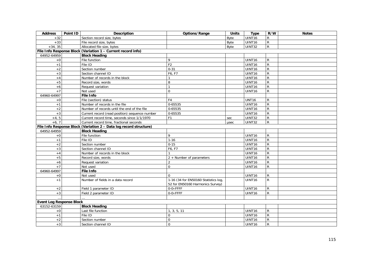| <b>Address</b>                  | Point ID | <b>Description</b>                                                 | Options/Range                                                            | <b>Units</b> | <b>Type</b>   | R/W            | <b>Notes</b> |
|---------------------------------|----------|--------------------------------------------------------------------|--------------------------------------------------------------------------|--------------|---------------|----------------|--------------|
| $+32$                           |          | Section record size, bytes                                         |                                                                          | Byte         | UINT16        | $\mathsf{R}$   |              |
| $+33$                           |          | File record size, bytes                                            |                                                                          | Byte         | UINT16        | ${\sf R}$      |              |
| $+34, 35$                       |          | Allocated file size, bytes                                         |                                                                          | <b>Byte</b>  | UINT32        | ${\sf R}$      |              |
|                                 |          | File Info Response Block (Variation 1 - Current record info)       |                                                                          |              |               |                |              |
| 64952-64959                     |          | <b>Block Heading</b>                                               |                                                                          |              |               |                |              |
| $+0$                            |          | File function                                                      | 9                                                                        |              | UINT16        | $\mathsf{R}$   |              |
| $+1$                            |          | File ID                                                            | F <sub>2</sub>                                                           |              | UINT16        | ${\sf R}$      |              |
| $+2$                            |          | Section number                                                     | $0 - 31$                                                                 |              | UINT16        | ${\sf R}$      |              |
| $+3$                            |          | Section channel ID                                                 | F6, F7                                                                   |              | UINT16        | $\mathsf{R}$   |              |
| $+4$                            |          | Number of records in the block                                     |                                                                          |              | UINT16        | ${\sf R}$      |              |
| $+5$                            |          | Record size, words                                                 | 8                                                                        |              | UINT16        | ${\sf R}$      |              |
| $+6$                            |          | Request variation                                                  |                                                                          |              | UINT16        | ${\sf R}$      |              |
| $+7$                            |          | Not used                                                           | $\Omega$                                                                 |              | UINT16        | ${\sf R}$      |              |
| 64960-64997                     |          | <b>File Info</b>                                                   |                                                                          |              |               |                |              |
| $+0$                            |          | File (section) status                                              | F <sub>4</sub>                                                           |              | <b>UNT16</b>  | $\mathsf{R}$   |              |
| $+1$                            |          | Number of records in the file                                      | 0-65535                                                                  |              | UINT16        | $\overline{R}$ |              |
| $+2$                            |          | Number of records until the end of the file                        | 0-65535                                                                  |              | UINT16        | $\mathsf{R}$   |              |
| $+3$                            |          | Current record (read position) sequence number                     | 0-65535                                                                  |              | UINT16        | ${\sf R}$      |              |
| $+4, 5$                         |          | Current record time, seconds since 1/1/1970                        | F <sub>1</sub>                                                           | sec          | <b>UINT32</b> | ${\sf R}$      |              |
| $+6, 7$                         |          | Current record time, fractional seconds                            |                                                                          | usec         | UINT32        | ${\sf R}$      |              |
|                                 |          | File Info Response Block (Variation 2 - Data log record structure) |                                                                          |              |               |                |              |
| 64952-64959                     |          | <b>Block Heading</b>                                               |                                                                          |              |               |                |              |
| $+0$                            |          | File function                                                      | 9                                                                        |              | UINT16        | $\mathsf{R}$   |              |
| $+1$                            |          | File ID                                                            | $1 - 16$                                                                 |              | UINT16        | $\mathsf{R}$   |              |
| $+2$                            |          | Section number                                                     | $0 - 15$                                                                 |              | UINT16        | $\overline{R}$ |              |
| $+3$                            |          | Section channel ID                                                 | F6, F7                                                                   |              | UINT16        | $\overline{R}$ |              |
| $+4$                            |          | Number of records in the block                                     |                                                                          |              | UINT16        | ${\sf R}$      |              |
| $+5$                            |          | Record size, words                                                 | 2 + Number of parameters                                                 |              | UINT16        | ${\sf R}$      |              |
| $+6$                            |          | Request variation                                                  | $\overline{2}$                                                           |              | UINT16        | ${\sf R}$      |              |
| $+7$                            |          | Not used                                                           | $\Omega$                                                                 |              | UINT16        | $\mathsf{R}$   |              |
| 64960-64997                     |          | <b>File Info</b>                                                   |                                                                          |              |               |                |              |
| $+0$                            |          | Not used                                                           | $\Omega$                                                                 |              | UINT16        | $\mathsf{R}$   |              |
| $+1$                            |          | Number of fields in a data record                                  | 1-16 (34 for EN50160 Statistics log,<br>52 for EN50160 Harmonics Survey) |              | UINT16        | $\mathsf{R}$   |              |
| $+2$                            |          | Field 1 parameter ID                                               | $0-0\times$ FFFF                                                         |              | UINT16        | R              |              |
| $+3$                            |          | Field 2 parameter ID                                               | $0-0\times$ FFFF                                                         |              | <b>UINT16</b> | $\mathsf{R}$   |              |
|                                 |          |                                                                    |                                                                          |              |               |                |              |
| <b>Event Log Response Block</b> |          |                                                                    |                                                                          |              |               |                |              |
| 63152-63159                     |          | <b>Block Heading</b>                                               |                                                                          |              |               |                |              |
| $+0$                            |          | Last file function                                                 | 1, 3, 5, 11                                                              |              | UINT16        | $\mathsf{R}$   |              |
| $+1$                            |          | File ID                                                            | $\Omega$                                                                 |              | UINT16        | ${\sf R}$      |              |
| $+2$                            |          | Section number                                                     | $\Omega$                                                                 |              | UINT16        | $\overline{R}$ |              |
| $+3$                            |          | Section channel ID                                                 | $\Omega$                                                                 |              | UINT16        | ${\sf R}$      |              |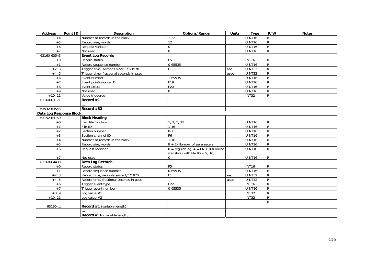| <b>Address</b>          | Point ID | Description                              | Options/Range                                                                   | <b>Units</b> | <b>Type</b>        | R/W            | <b>Notes</b> |
|-------------------------|----------|------------------------------------------|---------------------------------------------------------------------------------|--------------|--------------------|----------------|--------------|
| $+4$                    |          | Number of records in the block           | $1 - 32$                                                                        |              | UINT16             | $\mathsf{R}$   |              |
| $+5$                    |          | Record size, words                       | 12                                                                              |              | <b>UINT16</b>      | ${\sf R}$      |              |
| $+6$                    |          | Request variation                        | $\Omega$                                                                        |              | UINT16             | ${\sf R}$      |              |
| $+7$                    |          | Not used                                 | $\mathbf 0$                                                                     |              | UINT16             | ${\sf R}$      |              |
| 63160-63543             |          | <b>Event Log Records</b>                 |                                                                                 |              |                    |                |              |
| $+0$                    |          | Record status                            | F <sub>5</sub>                                                                  |              | <b>INT16</b>       | $\mathsf{R}$   |              |
| $+1$                    |          | Record sequence number                   | 0-65535                                                                         |              | UINT16             | $\mathsf{R}$   |              |
| $+2, 3$                 |          | Trigger time, seconds since 1/1/1970     | F <sub>1</sub>                                                                  | sec          | UINT32             | $\mathsf{R}$   |              |
| $+4, 5$                 |          | Trigger time, fractional seconds in usec |                                                                                 | usec         | <b>UINT32</b>      | ${\sf R}$      |              |
| $+6$                    |          | Event number                             | 1-65535                                                                         |              | UINT16             | ${\sf R}$      |              |
| $+7$                    |          | Event point/source ID                    | F19                                                                             |              | UINT16             | ${\sf R}$      |              |
| $+8$                    |          | Event effect                             | F20                                                                             |              | UINT16             | $\overline{R}$ |              |
| $+9$                    |          | Not used                                 | 0                                                                               |              | UINT16             | ${\sf R}$      |              |
| $+10, 11$               |          | Value triggered                          |                                                                                 |              | <b>INT32</b>       | ${\sf R}$      |              |
| 63160-63171             |          | Record $#1$                              |                                                                                 |              |                    |                |              |
|                         |          |                                          |                                                                                 |              |                    |                |              |
| 63532-63543             |          | Record #32                               |                                                                                 |              |                    |                |              |
| Data Log Response Block |          |                                          |                                                                                 |              |                    |                |              |
| 63152-63159             |          | <b>Block Heading</b>                     |                                                                                 |              |                    |                |              |
| $+0$                    |          | Last file function                       | 1, 3, 5, 11                                                                     |              | UINT <sub>16</sub> | ${\sf R}$      |              |
| $+1$                    |          | File ID                                  | $1 - 16$                                                                        |              | UINT16             | $\mathsf{R}$   |              |
| $+2$                    |          | Section number                           | $0 - 7$                                                                         |              | UINT16             | $\mathsf{R}$   |              |
| $+3$                    |          | Section channel ID                       | F6                                                                              |              | UINT16             | $\mathsf{R}$   |              |
| $+4$                    |          | Number of records in the block           | $1 - 16$                                                                        |              | UINT16             | ${\sf R}$      |              |
| $+5$                    |          | Record size, words                       | $8 + 2 \times$ Number of parameters                                             |              | UINT16             | $\mathsf{R}$   |              |
| $+6$                    |          | Request variation                        | $0 =$ regular log, $4 =$ EN50160 online<br>statistics (with file $ID = 9, 10$ ) |              | UINT <sub>16</sub> | $\mathsf{R}$   |              |
| $+7$                    |          | Not used                                 | $\Omega$                                                                        |              | UINT16             | $\mathsf{R}$   |              |
| 63160-64439             |          | Data Log Records                         |                                                                                 |              |                    |                |              |
| $+0$                    |          | Record status                            | F <sub>5</sub>                                                                  |              | <b>INT16</b>       | $\mathsf{R}$   |              |
| $+1$                    |          | Record sequence number                   | 0-65535                                                                         |              | UINT16             | $\overline{R}$ |              |
| $+2, 3$                 |          | Record time, seconds since 1/1/1970      | F <sub>1</sub>                                                                  | sec          | <b>UINT32</b>      | ${\sf R}$      |              |
| $+4, 5$                 |          | Record time, fractional seconds in usec  |                                                                                 | usec         | <b>UINT32</b>      | $\mathsf{R}$   |              |
| $+6$                    |          | Trigger event type                       | F <sub>22</sub>                                                                 |              | <b>INT16</b>       | ${\sf R}$      |              |
| $+7$                    |          | Trigger event number                     | 0-65535                                                                         |              | UINT16             | $\mathsf{R}$   |              |
| $+8, \overline{9}$      |          | Log value $#1$                           |                                                                                 |              | <b>INT32</b>       | ${\sf R}$      |              |
| $+10, 11$               |          | Log value $#2$                           |                                                                                 |              | <b>INT32</b>       | ${\sf R}$      |              |
|                         |          |                                          |                                                                                 |              |                    | $\mathsf{R}$   |              |
| 63160-                  |          | Record #1 (variable length)              |                                                                                 |              |                    |                |              |
|                         |          |                                          |                                                                                 |              |                    |                |              |
|                         |          | Record #16 (variable length)             |                                                                                 |              |                    |                |              |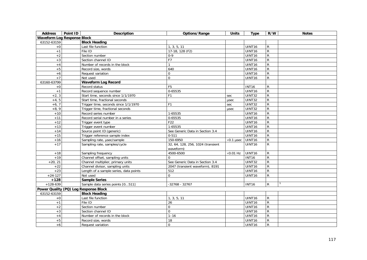| <b>Address</b>                     | Point ID | <b>Description</b>                     | Options/Range                     | <b>Units</b>      | <b>Type</b>        | R/W            | <b>Notes</b> |
|------------------------------------|----------|----------------------------------------|-----------------------------------|-------------------|--------------------|----------------|--------------|
| <b>Waveform Log Response Block</b> |          |                                        |                                   |                   |                    |                |              |
| 63152-63159                        |          | <b>Block Heading</b>                   |                                   |                   |                    |                |              |
| $+0$                               |          | Last file function                     | 1, 3, 5, 11                       |                   | UINT16             | R              |              |
| $+1$                               |          | File ID                                | 17-18, 128 (F2)                   |                   | UINT16             | $\mathsf{R}$   |              |
| $+2$                               |          | Section number                         | $0 - 9$                           |                   | UINT16             | $\overline{R}$ |              |
| $+3$                               |          | Section channel ID                     | F7                                |                   | UINT16             | $\mathsf{R}$   |              |
| $+4$                               |          | Number of records in the block         | 1                                 |                   | UINT16             | $\mathsf{R}$   |              |
| $+5$                               |          | Record size, words                     | 640                               |                   | UINT16             | $\overline{R}$ |              |
| $+6$                               |          | Request variation                      | $\Omega$                          |                   | UINT16             | $\overline{R}$ |              |
| $+7$                               |          | Not used                               | $\Omega$                          |                   | UINT16             | $\mathsf{R}$   |              |
| 63160-63799                        |          | <b>Waveform Log Record</b>             |                                   |                   |                    |                |              |
| $+0$                               |          | Record status                          | F <sub>5</sub>                    |                   | <b>INT16</b>       | R              |              |
| $+1$                               |          | Record sequence number                 | 0-65535                           |                   | UINT16             | $\overline{R}$ |              |
| $+2, 3$                            |          | Start time, seconds since 1/1/1970     | F <sub>1</sub>                    | sec               | UINT32             | ${\sf R}$      |              |
| $+4, 5$                            |          | Start time, fractional seconds         |                                   | usec              | <b>UINT32</b>      | $\mathsf{R}$   |              |
| $+6, 7$                            |          | Trigger time, seconds since 1/1/1970   | F <sub>1</sub>                    | sec               | UINT32             | ${\sf R}$      |              |
| $+8,9$                             |          | Trigger time, fractional seconds       |                                   | usec              | UINT32             | $\overline{R}$ |              |
| $+10$                              |          | Record series number                   | 1-65535                           |                   | UINT16             | $\mathsf{R}$   |              |
| $+11$                              |          | Record serial number in a series       | 0-65535                           |                   | UINT16             | $\mathsf{R}$   |              |
| $+12$                              |          | Trigger event type                     | F22                               |                   | UINT16             | $\overline{R}$ |              |
| $+13$                              |          | Trigger event number                   | 1-65535                           |                   | UINT <sub>16</sub> | $\overline{R}$ |              |
| $+14$                              |          | Source point ID (generic)              | See Generic Data in Section 3.4   |                   | UINT16             | $\overline{R}$ |              |
| $+15$                              |          | Trigger reference sample index         | $0 - 511$                         |                   | UINT16             | $\mathsf{R}$   |              |
| $+16$                              |          | Sampling rate, usec/sample             | 150-6950                          | $\times$ 0.1 µsec | UINT16             | $\overline{R}$ |              |
| $+17$                              |          | Sampling rate, samples/cycle           | 32, 64, 128, 256, 1024 (transient |                   | UINT16             | $\mathsf{R}$   |              |
|                                    |          |                                        | waveform)                         |                   |                    |                |              |
| $+18$                              |          | Sampling frequency                     | 4500-6500                         | $\times 0.01$ Hz  | <b>UINT16</b>      | $\mathsf{R}$   |              |
| $+19$                              |          | Channel offset, sampling units         | $\Omega$                          |                   | <b>INT16</b>       | $\mathsf{R}$   |              |
| $+20, 21$                          |          | Channel multiplier, primary units      | See Generic Data in Section 3.4   |                   | UINT32             | $\mathsf{R}$   |              |
| $+22$                              |          | Channel divisor, sampling units        | 2047 (transient waveform), 8191   |                   | UINT16             | $\overline{R}$ |              |
| $+23$                              |          | Length of a sample series, data points | 512                               |                   | UINT16             | $\mathsf{R}$   |              |
| $+24-127$                          |          | Not used                               | $\Omega$                          |                   | UINT16             | $\mathsf{R}$   |              |
| $+128$                             |          | <b>Sample Series</b>                   |                                   |                   |                    |                |              |
| $+128-639$                         |          | Sample data series points [0511]       | $-32768 - 32767$                  |                   | <b>INT16</b>       | $\mathsf{R}$   |              |
|                                    |          | Power Quality (PQ) Log Response Block  |                                   |                   |                    |                |              |
| 63152-63159                        |          | <b>Block Heading</b>                   |                                   |                   |                    |                |              |
| $+0$                               |          | Last file function                     | 1, 3, 5, 11                       |                   | UINT16             | $\mathsf{R}$   |              |
| $+1$                               |          | File ID                                | 26                                |                   | UINT16             | $\mathsf{R}$   |              |
| $+2$                               |          | Section number                         | $\Omega$                          |                   | UINT16             | $\mathsf{R}$   |              |
| $+3$                               |          | Section channel ID                     | $\Omega$                          |                   | UINT16             | $\mathsf{R}$   |              |
| $+4$                               |          | Number of records in the block         | $1 - 16$                          |                   | UINT16             | $\mathsf{R}$   |              |
| $+5$                               |          | Record size, words                     | 18                                |                   | UINT16             | $\overline{R}$ |              |
| $+6$                               |          | Request variation                      | $\Omega$                          |                   | UINT16             | ${\sf R}$      |              |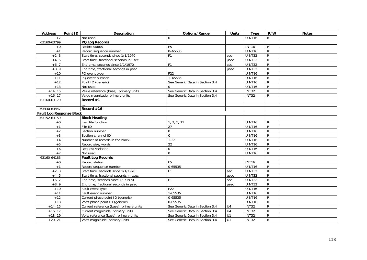| <b>Address</b>                  | Point ID | Description                             | Options/Range                   | <b>Units</b>   | <b>Type</b>        | R/W            | <b>Notes</b> |
|---------------------------------|----------|-----------------------------------------|---------------------------------|----------------|--------------------|----------------|--------------|
| $+7$                            |          | Not used                                | $\Omega$                        |                | UINT <sub>16</sub> | R              |              |
| 63160-63799                     |          | PQ Log Records                          |                                 |                |                    |                |              |
| $+0$                            |          | Record status                           | F <sub>5</sub>                  |                | <b>INT16</b>       | R              |              |
| $+1$                            |          | Record sequence number                  | $0 - 65535$                     |                | UINT16             | $\mathsf{R}$   |              |
| $+2, 3$                         |          | Start time, seconds since 1/1/1970      | F <sub>1</sub>                  | sec            | UINT32             | $\mathsf{R}$   |              |
| $+4, 5$                         |          | Start time, fractional seconds in usec  |                                 | usec           | UINT32             | $\mathsf{R}$   |              |
| $+6, 7$                         |          | End time, seconds since 1/1/1970        | F <sub>1</sub>                  | sec            | <b>UINT32</b>      | $\mathsf{R}$   |              |
| $+8, 9$                         |          | End time, fractional seconds in usec    |                                 | usec           | UINT32             | ${\sf R}$      |              |
| $+10$                           |          | PQ event type                           | F <sub>22</sub>                 |                | UINT <sub>16</sub> | $\mathsf{R}$   |              |
| $+11$                           |          | PQ event number                         | $\overline{1-65535}$            |                | UINT16             | R              |              |
| $+12$                           |          | Point ID (generic)                      | See Generic Data in Section 3.4 |                | UINT16             | $\mathsf{R}$   |              |
| $+13$                           |          | Not used                                | $\Omega$                        |                | UINT16             | R              |              |
| $+14, 15$                       |          | Value reference (base), primary units   | See Generic Data in Section 3.4 |                | <b>INT32</b>       | $\mathsf{R}$   |              |
| $+16, 17$                       |          | Value magnitude, primary units          | See Generic Data in Section 3.4 |                | <b>INT32</b>       | R              |              |
| 63160-63179                     |          | Record #1                               |                                 |                |                    |                |              |
|                                 |          |                                         |                                 |                |                    |                |              |
| 63430-63447                     |          | Record #16                              |                                 |                |                    |                |              |
| <b>Fault Log Response Block</b> |          |                                         |                                 |                |                    |                |              |
| 63152-63159                     |          | <b>Block Heading</b>                    |                                 |                |                    |                |              |
| $+0$                            |          | Last file function                      | 1, 3, 5, 11                     |                | UINT <sub>16</sub> | R              |              |
| $+1$                            |          | File ID                                 | 27                              |                | UINT <sub>16</sub> | $\mathsf{R}$   |              |
| $+2$                            |          | Section number                          | $\Omega$                        |                | UINT16             | R.             |              |
| $+3$                            |          | Section channel ID                      | $\Omega$                        |                | UINT16             | R              |              |
| $+4$                            |          | Number of records in the block          | $1 - 32$                        |                | UINT16             | R              |              |
| $+5$                            |          | Record size, words                      | 22                              |                | UINT16             | $\mathsf{R}$   |              |
| $+6$                            |          | Request variation                       | $\mathbf 0$                     |                | UINT16             | $\mathsf{R}$   |              |
| $+7$                            |          | Not used                                | $\Omega$                        |                | UINT16             | $\mathsf{R}$   |              |
| 63160-64183                     |          | <b>Fault Log Records</b>                |                                 |                |                    |                |              |
| $+0$                            |          | Record status                           | F <sub>5</sub>                  |                | <b>INT16</b>       | R              |              |
| $+1$                            |          | Record sequence number                  | 0-65535                         |                | UINT16             | ${\sf R}$      |              |
| $+2, 3$                         |          | Start time, seconds since 1/1/1970      | F <sub>1</sub>                  | sec            | UINT32             | ${\sf R}$      |              |
| $+4, 5$                         |          | Start time, fractional seconds in usec  |                                 | usec           | UINT32             | R              |              |
| $+6, 7$                         |          | End time, seconds since 1/1/1970        | F <sub>1</sub>                  | sec            | <b>UINT32</b>      | R              |              |
| $+8, 9$                         |          | End time, fractional seconds in usec    |                                 | usec           | <b>UINT32</b>      | ${\sf R}$      |              |
| $+10$                           |          | Fault event type                        | F22                             |                | UINT16             | ${\sf R}$      |              |
| $+11$                           |          | Fault event number                      | 1-65535                         |                | UINT <sub>16</sub> | R.             |              |
| $+12$                           |          | Current phase point ID (generic)        | 0-65535                         |                | UINT16             | $\mathsf{R}$   |              |
| $+13$                           |          | Volts phase point ID (generic)          | 0-65535                         |                | UINT16             | R              |              |
| $+14, 15$                       |          | Current reference (base), primary units | See Generic Data in Section 3.4 | U <sub>4</sub> | <b>INT32</b>       | $\overline{R}$ |              |
| $+16, 17$                       |          | Current magnitude, primary units        | See Generic Data in Section 3.4 | U <sub>4</sub> | <b>INT32</b>       | R.             |              |
| $+18, 19$                       |          | Volts reference (base), primary units   | See Generic Data in Section 3.4 | U1             | <b>INT32</b>       | R              |              |
| $+20, 21$                       |          | Volts magnitude, primary units          | See Generic Data in Section 3.4 | U1             | <b>INT32</b>       | $\mathsf{R}$   |              |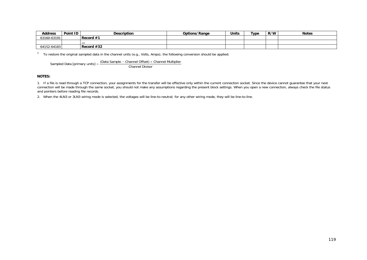| <b>Address</b> | Point ID | <b>Description</b> | Options/Range | Units | Type | R/W | <b>Notes</b> |
|----------------|----------|--------------------|---------------|-------|------|-----|--------------|
| 63160-63191    |          | Record $#1$        |               |       |      |     |              |
|                |          | $\cdots$           |               |       |      |     |              |
| 64152-64183    |          | Record $#32$       |               |       |      |     |              |

 $1$  To restore the original sampled data in the channel units (e.g., Volts, Amps), the following conversion should be applied:

Sampled Data [primary units] = (Data Sample – Channel Offset) × Channel Multiplier<br>Channel Divisor

#### **NOTES:**

1. If a file is read through a TCP connection, your assignments for the transfer will be effective only within the current connection socket. Since the device cannot guarantee that your next connection will be made through the same socket, you should not make any assumptions regarding the present block settings. When you open a new connection, always check the file status and pointers before reading file records.

2. When the 4LN3 or 3LN3 wiring mode is selected, the voltages will be line-to-neutral; for any other wiring mode, they will be line-to-line.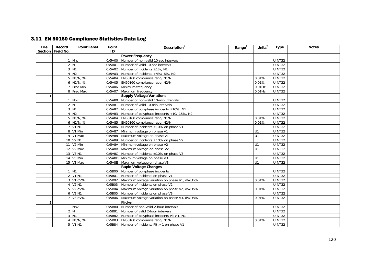# 3.11 EN 50160 Compliance Statistics Data Log

| <b>File</b>    | Record    | <b>Point Label</b> | Point  | Description                                            | Range $2$ | Units $2$ | <b>Type</b>   | <b>Notes</b> |
|----------------|-----------|--------------------|--------|--------------------------------------------------------|-----------|-----------|---------------|--------------|
| <b>Section</b> | Field No. |                    | ID     |                                                        |           |           |               |              |
| 0              |           |                    |        | <b>Power Frequency</b>                                 |           |           |               |              |
|                |           | 1 Nnv              | 0x5A00 | Number of non-valid 10-sec intervals                   |           |           | UINT32        |              |
|                |           | 2N                 | 0x5A01 | Number of valid 10-sec intervals                       |           |           | <b>UINT32</b> |              |
|                |           | 3 N1               |        | 0x5A02 Number of incidents $\pm 1\%$ , N1              |           |           | <b>UINT32</b> |              |
|                |           | 4 N <sub>2</sub>   |        | $0x5A03$ Number of incidents $+4\%$ /-6%, N2           |           |           | <b>UINT32</b> |              |
|                |           | 5 N1/N, %          |        | 0x5A04   EN50160 compliance ratio, N1/N                |           | 0.01%     | <b>UINT32</b> |              |
|                |           | $6$ N2/N, %        |        | 0x5A05   EN50160 compliance ratio, N2/N                |           | 0.01%     | <b>UINT32</b> |              |
|                |           | 7 Freq Min         |        | 0x5A06 Minimum frequency                               |           | $0.01$ Hz | UINT32        |              |
|                |           | 8 Freq Max         |        | 0x5A07 Maximum frequency                               |           | $0.01$ Hz | UINT32        |              |
| $\mathbf{1}$   |           |                    |        | <b>Supply Voltage Variations</b>                       |           |           |               |              |
|                |           | 1 Nnv              |        | 0x5A80 Number of non-valid 10-min intervals            |           |           | UINT32        |              |
|                |           | 2 N                | 0x5A81 | Number of valid 10-min intervals                       |           |           | UINT32        |              |
|                |           | $3$ $N1$           |        | 0x5A82 Number of polyphase incidents $\pm 10\%$ , N1   |           |           | <b>UINT32</b> |              |
|                |           | 4 N2               |        | 0x5A83 Number of polyphase incidents +10/-15%, N2      |           |           | <b>UINT32</b> |              |
|                |           | 5 N1/N, %          |        | 0x5A84   EN50160 compliance ratio, N1/N                |           | 0.01%     | <b>UINT32</b> |              |
|                |           | 6 N2/N, %          |        | 0x5A85   EN50160 compliance ratio, N2/N                |           | 0.01%     | UINT32        |              |
|                |           | 7 V1 N1            |        | 0x5A86 Number of incidents ±10% on phase V1            |           |           | <b>UINT32</b> |              |
|                |           | 8 V1 Min           |        | 0x5A87 Minimum voltage on phase V1                     |           | U1        | <b>UINT32</b> |              |
|                |           | 9 V1 Max           |        | 0x5A88 Maximum voltage on phase V1                     |           | U1        | <b>UINT32</b> |              |
|                |           | 10 V2 N1           |        | $Ox5A89$ Number of incidents $\pm 10\%$ on phase V2    |           |           | <b>UINT32</b> |              |
|                |           | 11 V2 Min          |        | 0x5A8A Minimum voltage on phase V2                     |           | U1        | <b>UINT32</b> |              |
|                |           | 12 V2 Max          |        | 0x5A8B   Maximum voltage on phase V2                   |           | U1        | <b>UINT32</b> |              |
|                |           | 13 V3 N1           |        | $0x5A8C$ Number of incidents $\pm 10\%$ on phase V3    |           |           | <b>UINT32</b> |              |
|                |           | 14 V3 Min          |        | 0x5A8D Minimum voltage on phase V3                     |           | U1        | <b>UINT32</b> |              |
|                |           | 15 V3 Max          |        | 0x5A8E   Maximum voltage on phase V3                   |           | U1        | UINT32        |              |
| 2              |           |                    |        | <b>Rapid Voltage Changes</b>                           |           |           |               |              |
|                |           | 1 N1               |        | 0x5B00 Number of polyphase incidents                   |           |           | <b>UINT32</b> |              |
|                |           | 2 V1 N1            | 0x5B01 | Number of incidents on phase V1                        |           |           | <b>UINT32</b> |              |
|                |           | 3 V1 dV%           |        | 0x5B02   Maximum voltage variation on phase V1, dV/Un% |           | 0.01%     | UINT32        |              |
|                |           | <b>V2 N1</b>       |        | 0x5B03 Number of incidents on phase V2                 |           |           | <b>UINT32</b> |              |
|                |           | 5 V2 dV%           | 0x5B04 | Maximum voltage variation on phase V2, dV/Un%          |           | 0.01%     | <b>UINT32</b> |              |
|                |           | 6 V3 N1            | 0x5B05 | Number of incidents on phase V3                        |           |           | UINT32        |              |
|                |           | 7 V3 dV%           |        | 0x5B06 Maximum voltage variation on phase V3, dV/Un%   |           | 0.01%     | UINT32        |              |
| 3              |           |                    |        | <b>Flicker</b>                                         |           |           |               |              |
|                |           | 1 Nnv              | 0x5B80 | Number of non-valid 2-hour intervals                   |           |           | <b>UINT32</b> |              |
|                |           | 2 N                | 0x5B81 | Number of valid 2-hour intervals                       |           |           | UINT32        |              |
|                |           | $3$ N <sub>1</sub> |        | $0x5B82$ Number of polyphase incidents PIt >1, N1      |           |           | <b>UINT32</b> |              |
|                |           | 4 N1/N, %          |        | 0x5B83   EN50160 compliance ratio, N1/N                |           | 0.01%     | UINT32        |              |
|                |           | 5 V1 N1            |        | $0x5B84$ Number of incidents PIt > 1 on phase V1       |           |           | UINT32        |              |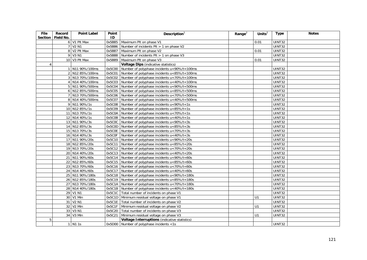| <b>File</b><br><b>Section</b> | Record<br>Field No. | <b>Point Label</b> | Point<br>ID | Description $1$                                  | Range $2$ | Units $2$ | <b>Type</b>         | <b>Notes</b> |
|-------------------------------|---------------------|--------------------|-------------|--------------------------------------------------|-----------|-----------|---------------------|--------------|
|                               |                     | 6 V1 Plt Max       | 0x5B85      | Maximum Plt on phase V1                          |           | 0.01      | UINT32              |              |
|                               |                     | 7 V2 N1            | 0x5B86      | Number of incidents Plt > 1 on phase V2          |           |           | UINT32              |              |
|                               |                     | 8 V2 Plt Max       | 0x5B87      | Maximum Plt on phase V2                          |           | 0.01      | <b>UINT32</b>       |              |
|                               |                     | 9 V3 N1            | 0x5B88      | Number of incidents Plt > 1 on phase V3          |           |           | <b>UINT32</b>       |              |
|                               |                     | 10 V3 Plt Max      | 0x5B89      | Maximum Plt on phase V3                          |           | 0.01      | UINT32              |              |
| $\overline{4}$                |                     |                    |             | Voltage Dips (indicative statistics)             |           |           |                     |              |
|                               |                     | 1 N11 90%/100ms    | 0x5C00      | Number of polyphase incidents u<90%/t<100ms      |           |           | <b>UINT32</b>       |              |
|                               |                     | 2 N12 85%/100ms    | 0x5C01      | Number of polyphase incidents u<85%/t<100ms      |           |           | UINT32              |              |
|                               |                     | 3 N13 70%/100ms    | 0x5C02      | Number of polyphase incidents u<70%/t<100ms      |           |           | UINT32              |              |
|                               |                     | 4 N14 40%/100ms    | 0x5C03      | Number of polyphase incidents u<40%/t<100ms      |           |           | UINT32              |              |
|                               |                     | 5 N11 90%/500ms    | 0x5C04      | Number of polyphase incidents u<90%/t<500ms      |           |           | <b>UINT32</b>       |              |
|                               |                     | 6 N12 85%/500ms    | 0x5C05      | Number of polyphase incidents u<85%/t<500ms      |           |           | <b>UINT32</b>       |              |
|                               |                     | 7 N13 70%/500ms    | 0x5C06      | Number of polyphase incidents u<70%/t<500ms      |           |           | <b>UINT32</b>       |              |
|                               |                     | 8 N14 40%/500ms    | 0x5C07      | Number of polyphase incidents u<40%/t<500ms      |           |           | <b>UINT32</b>       |              |
|                               |                     | 9 N11 90%/1s       | 0x5C08      | Number of polyphase incidents u<90%/t<1s         |           |           | UINT32              |              |
|                               |                     | 10 N12 85%/1s      | 0x5C09      | Number of polyphase incidents $u < 85\%$ /t<1s   |           |           | <b>UINT32</b>       |              |
|                               |                     | 11 N13 70%/1s      | 0x5C0A      | Number of polyphase incidents u<70%/t<1s         |           |           | <b>UINT32</b>       |              |
|                               |                     | 12 N14 40%/1s      | 0x5C0B      | Number of polyphase incidents u<40%/t<1s         |           |           | UINT32              |              |
|                               |                     | 13 N11 90%/3s      | 0x5C0C      | Number of polyphase incidents u<90%/t<3s         |           |           | <b>UINT32</b>       |              |
|                               |                     | 14 N12 85%/3s      | 0x5C0D      | Number of polyphase incidents u<85%/t<3s         |           |           | UINT32              |              |
|                               |                     | 15 N13 70%/3s      | 0x5C0E      | Number of polyphase incidents u<70%/t<3s         |           |           | $\overline{UINT32}$ |              |
|                               |                     | 16 N14 40%/3s      | 0x5C0F      | Number of polyphase incidents u<40%/t<3s         |           |           | <b>UINT32</b>       |              |
|                               |                     | 17 N11 90%/20s     | 0x5C10      | Number of polyphase incidents u<90%/t<20s        |           |           | <b>UINT32</b>       |              |
|                               |                     | 18 N12 85%/20s     | 0x5C11      | Number of polyphase incidents u<85%/t<20s        |           |           | $\overline{UINT32}$ |              |
|                               |                     | 19 N13 70%/20s     | 0x5C12      | Number of polyphase incidents u<70%/t<20s        |           |           | UINT32              |              |
|                               |                     | 20 N14 40%/20s     | 0x5C13      | Number of polyphase incidents u<40%/t<20s        |           |           | UINT32              |              |
|                               |                     | 21 N11 90%/60s     | 0x5C14      | Number of polyphase incidents u<90%/t<60s        |           |           | <b>UINT32</b>       |              |
|                               |                     | 22 N12 85%/60s     | 0x5C15      | Number of polyphase incidents u<85%/t<60s        |           |           | UINT32              |              |
|                               |                     | 23 N13 70%/60s     |             | 0x5C16 Number of polyphase incidents u<70%/t<60s |           |           | <b>UINT32</b>       |              |
|                               |                     | 24 N14 40%/60s     | 0x5C17      | Number of polyphase incidents u<40%/t<60s        |           |           | <b>UINT32</b>       |              |
|                               |                     | 25 N11 90%/180s    | 0x5C18      | Number of polyphase incidents u<90%/t<180s       |           |           | UINT32              |              |
|                               |                     | 26 N12 85%/180s    | 0x5C19      | Number of polyphase incidents u<85%/t<180s       |           |           | UINT32              |              |
|                               |                     | 27 N13 70%/180s    | 0x5C1A      | Number of polyphase incidents u<70%/t<180s       |           |           | <b>UINT32</b>       |              |
|                               |                     | 28 N14 40%/180s    | 0x5C1B      | Number of polyphase incidents u<40%/t<180s       |           |           | UINT32              |              |
|                               |                     | 29 V1 N1           | 0x5C1C      | Total number of incidents on phase V1            |           |           | <b>UINT32</b>       |              |
|                               |                     | 30 V1 Min          |             | 0x5C1D Minimum residual voltage on phase V1      |           | U1        | <b>UINT32</b>       |              |
|                               |                     | 31 V2 N1           |             | 0x5C1E   Total number of incidents on phase V2   |           |           | UINT32              |              |
|                               |                     | 32 V2 Min          | 0x5C1F      | Minimum residual voltage on phase V2             |           | U1        | <b>UINT32</b>       |              |
|                               |                     | 33 V3 N1           | 0x5C20      | Total number of incidents on phase V3            |           |           | <b>UINT32</b>       |              |
|                               |                     | 34 V3 Min          | 0x5C21      | Minimum residual voltage on phase V3             |           | U1        | UINT32              |              |
| 5                             |                     |                    |             | Voltage Interruptions (indicative statistics)    |           |           |                     |              |
|                               |                     | 1 N1 1s            |             | $0x5D00$ Number of polyphase incidents <1s       |           |           | <b>UINT32</b>       |              |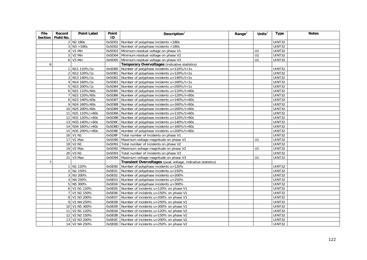| <b>File</b><br><b>Section</b> | Record<br>Field No. | <b>Point Label</b> | Point<br>ID | Description $1$                                              | Range $2$ | Units $^2$ | <b>Type</b>   | <b>Notes</b> |
|-------------------------------|---------------------|--------------------|-------------|--------------------------------------------------------------|-----------|------------|---------------|--------------|
|                               |                     | 2 N2 180s          | 0x5D01      | Number of polyphase incidents <180s                          |           |            | UINT32        |              |
|                               |                     | $3$ N3 > 180s      | 0x5D02      | Number of polyphase incidents >180s                          |           |            | <b>UINT32</b> |              |
|                               |                     | 4 V1 Min           |             | 0x5D03 Minimum residual voltage on phase V1                  |           | U1         | UINT32        |              |
|                               |                     | 5 V2 Min           |             | 0x5D04 Minimum residual voltage on phase V2                  |           | U1         | UINT32        |              |
|                               |                     | 6 V3 Min           | 0x5D05      | Minimum residual voltage on phase V3                         |           | U1         | UINT32        |              |
| 6                             |                     |                    |             | Temporary Overvoltages (indicative statistics)               |           |            |               |              |
|                               |                     | 1 N11 110%/1s      | 0x5D80      | Number of polyphase incidents u>110%/t<1s                    |           |            | UINT32        |              |
|                               |                     | 2 N12 120%/1s      | 0x5D81      | Number of polyphase incidents u>120%/t<1s                    |           |            | UINT32        |              |
|                               |                     | 3 N13 140%/1s      |             | 0x5D82 Number of polyphase incidents u>140%/t<1s             |           |            | <b>UINT32</b> |              |
|                               |                     | 4 N14 160%/1s      |             | 0x5D83 Number of polyphase incidents u>160%/t<1s             |           |            | UINT32        |              |
|                               |                     | 5 N15 200%/1s      | 0x5D84      | Number of polyphase incidents u>200%/t<1s                    |           |            | UINT32        |              |
|                               |                     | 6 N21 110%/60s     | 0x5D85      | Number of polyphase incidents u>110%/t<60s                   |           |            | UINT32        |              |
|                               |                     | 7 N22 120%/60s     |             | 0x5D86 Number of polyphase incidents u>120%/t<60s            |           |            | <b>UINT32</b> |              |
|                               |                     | 8 N23 140%/60s     | 0x5D87      | Number of polyphase incidents u>140%/t<60s                   |           |            | UINT32        |              |
|                               |                     | 9 N24 160%/60s     | 0x5D88      | Number of polyphase incidents u>160%/t<60s                   |           |            | UINT32        |              |
|                               |                     | 10 N25 200%/60s    |             | 0x5D89 Number of polyphase incidents u>200%/t<60s            |           |            | UINT32        |              |
|                               |                     | 11 N31 110%/>60s   |             | 0x5D8A Number of polyphase incidents u>110%/t>60s            |           |            | UINT32        |              |
|                               |                     | 12 N32 120%/>60s   |             | 0x5D8B Number of polyphase incidents u>120%/t>60s            |           |            | UINT32        |              |
|                               |                     | 13 N33 140%/>60s   |             | 0x5D8C Number of polyphase incidents u>140%/t>60s            |           |            | <b>UINT32</b> |              |
|                               |                     | 14 N34 160%/>60s   |             | 0x5D8D Number of polyphase incidents u>160%/t>60s            |           |            | <b>UINT32</b> |              |
|                               |                     | 15 N35 200%/>60s   |             | 0x5D8E Number of polyphase incidents u>200%/t>60s            |           |            | UINT32        |              |
|                               |                     | 16 V1 N1           | 0x5D8F      | Total number of incidents on phase V1                        |           |            | UINT32        |              |
|                               |                     | 17 V1 Max          | 0x5D90      | Maximum voltage magnitude on phase V1                        |           | U1         | UINT32        |              |
|                               |                     | 18 V2 N1           | 0x5D91      | Total number of incidents on phase V2                        |           |            | UINT32        |              |
|                               |                     | 19 V2 Max          | 0x5D92      | Maximum voltage magnitude on phase V2                        |           | U1         | UINT32        |              |
|                               |                     | 20 V3 N1           |             | 0x5D93   Total number of incidents on phase V3               |           |            | <b>UINT32</b> |              |
|                               |                     | 21 V3 Max          | 0x5D94      | Maximum voltage magnitude on phase V3                        |           | U1         | UINT32        |              |
| 7                             |                     |                    |             | Transient Overvoltages (peak voltage, indicative statistics) |           |            |               |              |
|                               |                     | 1 N1 120%          | 0x5E00      | Number of polyphase incidents u>120%                         |           |            | UINT32        |              |
|                               |                     | 2 N2 150%          | 0x5E01      | Number of polyphase incidents u>150%                         |           |            | UINT32        |              |
|                               |                     | 3 N3 200%          | 0x5E02      | Number of polyphase incidents u>200%                         |           |            | UINT32        |              |
|                               |                     | 4 N4 250%          | 0x5E03      | Number of polyphase incidents u>250%                         |           |            | UINT32        |              |
|                               |                     | 5 N5 300%          | 0x5E04      | Number of polyphase incidents u>300%                         |           |            | UINT32        |              |
|                               |                     | 6 V1 N1 120%       | 0x5E05      | Number of incidents u>120% on phase V1                       |           |            | UINT32        |              |
|                               |                     | 7 V1 N2 150%       | 0x5E06      | Number of incidents u>150% on phase V1                       |           |            | UINT32        |              |
|                               |                     | 8 V1 N3 200%       | 0x5E07      | Number of incidents u>200% on phase V1                       |           |            | UINT32        |              |
|                               |                     | 9 V1 N4 250%       | 0x5E08      | Number of incidents u>250% on phase V1                       |           |            | UINT32        |              |
|                               |                     | 10 V1 N5 300%      | 0x5E09      | Number of incidents u>300% on phase V1                       |           |            | UINT32        |              |
|                               |                     | 11 V2 N1 120%      | 0x5E0A      | Number of incidents u>120% on phase V2                       |           |            | <b>UINT32</b> |              |
|                               |                     | 12 V2 N2 150%      | 0x5E0B      | Number of incidents u>150% on phase V2                       |           |            | UINT32        |              |
|                               |                     | 13 V2 N3 200%      | 0x5E0C      | Number of incidents u>200% on phase V2                       |           |            | UINT32        |              |
|                               |                     | 14 V2 N4 250%      |             | 0x5E0D Number of incidents u>250% on phase V2                |           |            | UINT32        |              |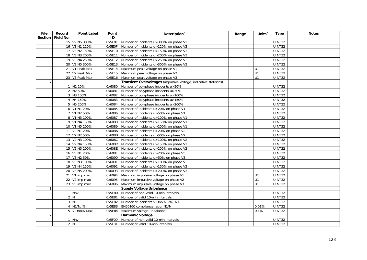| <b>File</b><br>Section | Record<br>Field No. | <b>Point Label</b>       | Point<br>ID | Description $1$                                                   | Range <sup>2</sup> | Units $^2$ | <b>Type</b>   | <b>Notes</b> |
|------------------------|---------------------|--------------------------|-------------|-------------------------------------------------------------------|--------------------|------------|---------------|--------------|
|                        |                     | 15 V2 N5 300%            | 0x5E0E      | Number of incidents u>300% on phase V2                            |                    |            | UINT32        |              |
|                        |                     | 16 V3 N1 120%            | 0x5E0F      | Number of incidents u>120% on phase V3                            |                    |            | UINT32        |              |
|                        |                     | 17 V3 N2 150%            | 0x5E10      | Number of incidents u>150% on phase V3                            |                    |            | <b>UINT32</b> |              |
|                        |                     | 18 V3 N3 200%            | 0x5E11      | Number of incidents u>200% on phase V3                            |                    |            | <b>UINT32</b> |              |
|                        |                     | 19 V3 N4 250%            | 0x5E12      | Number of incidents u>250% on phase V3                            |                    |            | UINT32        |              |
|                        |                     | 20 V3 N5 300%            |             | 0x5E13 Number of incidents u>300% on phase V3                     |                    |            | <b>UINT32</b> |              |
|                        |                     | 21 V1 Peak Max           | 0x5E14      | Maximum peak voltage on phase V1                                  |                    | U1         | UINT32        |              |
|                        |                     | 22 V2 Peak Max           | 0x5E15      | Maximum peak voltage on phase V2                                  |                    | U1         | UINT32        |              |
|                        |                     | 23 V3 Peak Max           |             | 0x5E16   Maximum peak voltage on phase V3                         |                    | U1         | UINT32        |              |
| $\overline{7}$         |                     |                          |             | Transient Overvoltages (impulsive voltage, indicative statistics) |                    |            |               |              |
|                        |                     | 1 N1 20%                 | 0x6080      | Number of polyphase incidents u>20%                               |                    |            | <b>UINT32</b> |              |
|                        |                     | 2 N2 50%                 | 0x6081      | Number of polyphase incidents u>50%                               |                    |            | UINT32        |              |
|                        |                     | 3 N3 100%                | 0x6082      | Number of polyphase incidents u>100%                              |                    |            | UINT32        |              |
|                        |                     | 4 N4 150%                | 0x6083      | Number of polyphase incidents u>150%                              |                    |            | UINT32        |              |
|                        |                     | 5 N5 200%                | 0x6084      | Number of polyphase incidents u>200%                              |                    |            | UINT32        |              |
|                        |                     | 6 V1 N1 20%              | 0x6085      | Number of incidents u>20% on phase V1                             |                    |            | <b>UINT32</b> |              |
|                        |                     | 7 V1 N2 50%              | 0x6086      | Number of incidents u>50% on phase V1                             |                    |            | <b>UINT32</b> |              |
|                        |                     | 8 V1 N3 100%             | 0x6087      | Number of incidents u>100% on phase V1                            |                    |            | UINT32        |              |
|                        |                     | 9 V1 N4 150%             | 0x6088      | Number of incidents u>150% on phase V1                            |                    |            | <b>UINT32</b> |              |
|                        |                     | 10 V1 N5 200%            | 0x6089      | Number of incidents u>200% on phase V1                            |                    |            | <b>UINT32</b> |              |
|                        |                     | 11 V2 N1 20%             | 0x608A      | Number of incidents u>20% on phase V2                             |                    |            | UINT32        |              |
|                        |                     | 12 V2 N2 50%             | 0x608B      | Number of incidents u>50% on phase V2                             |                    |            | <b>UINT32</b> |              |
|                        |                     | 13 V2 N3 100%            | 0x608C      | Number of incidents u>100% on phase V2                            |                    |            | <b>UINT32</b> |              |
|                        |                     | 14 V2 N4 150%            | 0x608D      | Number of incidents u>150% on phase V2                            |                    |            | <b>UINT32</b> |              |
|                        |                     | 15 V2 N5 200%            | 0x608E      | Number of incidents u>200% on phase V2                            |                    |            | UINT32        |              |
|                        |                     | 16 V3 N1 20%             | 0x608F      | Number of incidents u>20% on phase V3                             |                    |            | UINT32        |              |
|                        |                     | 17 V3 N2 50%             | 0x6090      | Number of incidents u>50% on phase V3                             |                    |            | UINT32        |              |
|                        |                     | 18 V3 N3 100%            | 0x6091      | Number of incidents u>100% on phase V3                            |                    |            | UINT32        |              |
|                        |                     | 19 V3 N4 150%            | 0x6092      | Number of incidents u>150% on phase V3                            |                    |            | UINT32        |              |
|                        |                     | 20 V3 N5 200%            | 0x6093      | Number of incidents u>200% on phase V3                            |                    |            | <b>UINT32</b> |              |
|                        |                     | 21 V1 imp max            | 0x6094      | Maximum impulsive voltage on phase V1                             |                    | U1         | UINT32        |              |
|                        |                     | 22 V2 imp max            | 0x6095      | Maximum impulsive voltage on phase V2                             |                    | U1         | <b>UINT32</b> |              |
|                        |                     | $23$ V3 imp max          | 0x6096      | Maximum impulsive voltage on phase V3                             |                    | U1         | UINT32        |              |
| 8                      |                     |                          |             | <b>Supply Voltage Unbalance</b>                                   |                    |            |               |              |
|                        |                     | 1 Nnv                    | 0x5E80      | Number of non-valid 10-min intervals                              |                    |            | <b>UINT32</b> |              |
|                        |                     | 2 N                      | 0x5E81      | Number of valid 10-min intervals                                  |                    |            | <b>UINT32</b> |              |
|                        |                     | $3$ N <sub>1</sub>       | 0x5E82      | Number of incidents V Unb > 2%, N1                                |                    |            | <b>UINT32</b> |              |
|                        |                     | $4$ N <sub>1</sub> /N, % | 0x5E83      | EN50160 compliance ratio, N1/N                                    |                    | 0.01%      | <b>UINT32</b> |              |
|                        |                     | 5 V Unb% Max             | 0x5E84      | Maximum voltage unbalance                                         |                    | 0.1%       | UINT32        |              |
| 9                      |                     |                          |             | <b>Harmonic Voltage</b>                                           |                    |            |               |              |
|                        |                     | 1 Nnv                    | 0x5F00      | Number of non-valid 10-min intervals                              |                    |            | UINT32        |              |
|                        |                     | 2 N                      | 0x5F01      | Number of valid 10-min intervals                                  |                    |            | UINT32        |              |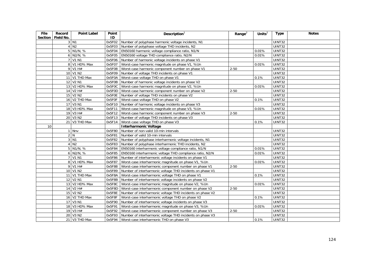| <b>File</b><br><b>Section</b> | Record<br>Field No. | <b>Point Label</b> | Point<br>ID | Description $1$                                           | Range $^2$ | Units $2$ | <b>Type</b>   | <b>Notes</b> |
|-------------------------------|---------------------|--------------------|-------------|-----------------------------------------------------------|------------|-----------|---------------|--------------|
|                               |                     | 3 N1               | 0x5F02      | Number of polyphase harmonic voltage incidents, N1        |            |           | UINT32        |              |
|                               |                     | 4 N2               | 0x5F03      | Number of polyphase voltage THD incidents, N2             |            |           | UINT32        |              |
|                               |                     | $5$ N1/N, %        | 0x5F04      | EN50160 harmonic voltage compliance ratio, N1/N           |            | 0.01%     | <b>UINT32</b> |              |
|                               |                     | $6$ N2/N, %        | 0x5F05      | EN50160 voltage THD compliance ratio, N2/N                |            | 0.01%     | UINT32        |              |
|                               |                     | 7 V1 N1            | 0x5F06      | Number of harmonic voltage incidents on phase V1          |            |           | UINT32        |              |
|                               |                     | 8 V1 HD% Max       | 0x5F07      | Worst-case harmonic magnitude on phase V1, %Un            |            | 0.01%     | UINT32        |              |
|                               |                     | $9$ V1 H#          | 0x5F08      | Worst-case harmonic component number on phase V1          | $2 - 50$   |           | UINT32        |              |
|                               |                     | 10 V1 N2           | 0x5F09      | Number of voltage THD incidents on phase V1               |            |           | UINT32        |              |
|                               |                     | 11 V1 THD Max      | 0x5F0A      | Worst-case voltage THD on phase V1                        |            | 0.1%      | <b>UINT32</b> |              |
|                               |                     | 12 V2 N1           | 0x5F0B      | Number of harmonic voltage incidents on phase V2          |            |           | UINT32        |              |
|                               |                     | 13 V2 HD% Max      | 0x5F0C      | Worst-case harmonic magnitude on phase V2, %Un            |            | 0.01%     | UINT32        |              |
|                               |                     | 14 V2 H#           | 0x5F0D      | Worst-case harmonic component number on phase V2          | $2 - 50$   |           | UINT32        |              |
|                               |                     | 15 V2 N2           | 0x5F0E      | Number of voltage THD incidents on phase V2               |            |           | <b>UINT32</b> |              |
|                               |                     | 16 V2 THD Max      | 0x5F0F      | Worst-case voltage THD on phase V2                        |            | 0.1%      | UINT32        |              |
|                               |                     | 17 V3 N1           | 0x5F10      | Number of harmonic voltage incidents on phase V3          |            |           | <b>UINT32</b> |              |
|                               |                     | 18 V3 HD% Max      | 0x5F11      | Worst-case harmonic magnitude on phase V3, %Un            |            | 0.01%     | UINT32        |              |
|                               |                     | 19 V3 H#           | 0x5F12      | Worst-case harmonic component number on phase V3          | $2 - 50$   |           | UINT32        |              |
|                               |                     | 20 V3 N2           | 0x5F13      | Number of voltage THD incidents on phase V3               |            |           | UINT32        |              |
|                               |                     | 21 V3 THD Max      | 0x5F14      | Worst-case voltage THD on phase V3                        |            | 0.1%      | <b>UINT32</b> |              |
| 10                            |                     |                    |             | <b>Interharmonic Voltage</b>                              |            |           |               |              |
|                               |                     | 1 Nnv              | 0x5F80      | Number of non-valid 10-min intervals                      |            |           | <b>UINT32</b> |              |
|                               |                     | 2 N                | 0x5F81      | Number of valid 10-min intervals                          |            |           | UINT32        |              |
|                               |                     | 3 N1               | 0x5F82      | Number of polyphase interharmonic voltage incidents, N1   |            |           | UINT32        |              |
|                               |                     | 4 N2               | 0x5F83      | Number of polyphase interharmonic THD incidents, N2       |            |           | <b>UINT32</b> |              |
|                               |                     | $5$ N1/N, %        | 0x5F84      | EN50160 interharmonic voltage compliance ratio, N1/N      |            | 0.01%     | UINT32        |              |
|                               |                     | $6$ N2/N, %        | 0x5F85      | EN50160 interharmonic voltage THD compliance ratio, N2/N  |            | 0.01%     | UINT32        |              |
|                               |                     | 7 V1 N1            | 0x5F86      | Number of interharmonic voltage incidents on phase V1     |            |           | UINT32        |              |
|                               |                     | 8 V1 HD% Max       | 0x5F87      | Worst-case interharmonic magnitude on phase V1, %Un       |            | 0.01%     | UINT32        |              |
|                               |                     | 9 V1 H#            | 0x5F88      | Worst-case interharmonic component number on phase V1     | $2 - 50$   |           | UINT32        |              |
|                               |                     | 10 V1 N2           | 0x5F89      | Number of interharmonic voltage THD incidents on phase V1 |            |           | <b>UINT32</b> |              |
|                               |                     | 11 V1 THD Max      | 0x5F8A      | Worst-case interharmonic voltage THD on phase V1          |            | 0.1%      | UINT32        |              |
|                               |                     | 12 V2 N1           | 0x5F8B      | Number of interharmonic voltage incidents on phase V2     |            |           | <b>UINT32</b> |              |
|                               |                     | 13 V2 HD% Max      | 0x5F8C      | Worst-case interharmonic magnitude on phase V2, %Un       |            | 0.01%     | <b>UINT32</b> |              |
|                               |                     | 14 V2 H#           | 0x5F8D      | Worst-case interharmonic component number on phase V2     | $2 - 50$   |           | <b>UINT32</b> |              |
|                               |                     | 15 V2 N2           | 0x5F8E      | Number of interharmonic voltage THD incidents on phase V2 |            |           | UINT32        |              |
|                               |                     | 16 V2 THD Max      | 0x5F8F      | Worst-case interharmonic voltage THD on phase V2          |            | 0.1%      | UINT32        |              |
|                               |                     | 17 V3 N1           | 0x5F90      | Number of interharmonic voltage incidents on phase V3     |            |           | UINT32        |              |
|                               |                     | 18 V3 HD% Max      | 0x5F91      | Worst-case interharmonic magnitude on phase V3, %Un       |            | 0.01%     | <b>UINT32</b> |              |
|                               |                     | 19 V3 H#           | 0x5F92      | Worst-case interharmonic component number on phase V3     | $2 - 50$   |           | <b>UINT32</b> |              |
|                               |                     | 20 V3 N2           | 0x5F93      | Number of interharmonic voltage THD incidents on phase V3 |            |           | <b>UINT32</b> |              |
|                               |                     | 21 V3 THD Max      | 0x5F94      | Worst-case interharmonic THD on phase V3                  |            | 0.1%      | UINT32        |              |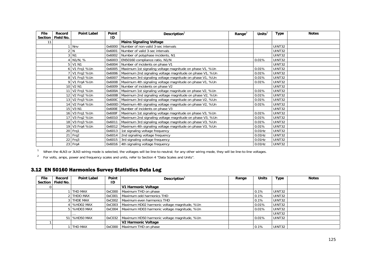| File                 | Record    | <b>Point Label</b> | Point<br>ID | Description $1$                                          | Range <sup><math>\angle</math></sup> | Units $^2$ | <b>Type</b>   | <b>Notes</b> |
|----------------------|-----------|--------------------|-------------|----------------------------------------------------------|--------------------------------------|------------|---------------|--------------|
| <b>Section</b><br>11 | Field No. |                    |             | <b>Mains Signaling Voltage</b>                           |                                      |            |               |              |
|                      |           |                    |             |                                                          |                                      |            | UINT32        |              |
|                      |           | Nnv                | 0x6000      | Number of non-valid 3-sec intervals                      |                                      |            |               |              |
|                      |           | N                  | 0x6001      | Number of valid 3-sec intervals                          |                                      |            | UINT32        |              |
|                      |           | $3$ N <sub>1</sub> | 0x6002      | Number of polyphase incidents, N1                        |                                      |            | <b>UINT32</b> |              |
|                      |           | N1/N, %            | 0x6003      | EN50160 compliance ratio, N1/N                           |                                      | 0.01%      | UINT32        |              |
|                      |           | 5 V1 N1            | 0x6004      | Number of incidents on phase V1                          |                                      |            | UINT32        |              |
|                      |           | 6 V1 Frq1 %Un      | 0x6005      | Maximum 1st signaling voltage magnitude on phase V1, %Un |                                      | 0.01%      | UINT32        |              |
|                      |           | 7 V1 Frq2 %Un      | 0x6006      | Maximum 2nd signaling voltage magnitude on phase V1, %Un |                                      | 0.01%      | UINT32        |              |
|                      |           | 8 V1 Frg3 %Un      | 0x6007      | Maximum 3rd signaling voltage magnitude on phase V1, %Un |                                      | 0.01%      | UINT32        |              |
|                      |           | 9 V1 Frq4 %Un      | 0x6008      | Maximum 4th signaling voltage magnitude on phase V1, %Un |                                      | 0.01%      | UINT32        |              |
|                      |           | 10 V2 N1           | 0x6009      | Number of incidents on phase V2                          |                                      |            | <b>UINT32</b> |              |
|                      |           | 11 V2 Frq1 %Un     | 0x600A      | Maximum 1st signaling voltage magnitude on phase V2, %Un |                                      | 0.01%      | UINT32        |              |
|                      |           | 12 V2 Frq2 %Un     | 0x600B      | Maximum 2nd signaling voltage magnitude on phase V2, %Un |                                      | 0.01%      | <b>UINT32</b> |              |
|                      |           | 13 V2 Frg3 %Un     | 0x600C      | Maximum 3rd signaling voltage magnitude on phase V2, %Un |                                      | 0.01%      | UINT32        |              |
|                      |           | 14 V2 Frq4 %Un     | 0x600D      | Maximum 4th signaling voltage magnitude on phase V2, %Un |                                      | 0.01%      | UINT32        |              |
|                      |           | 15 V3 N1           | 0x600E      | Number of incidents on phase V3                          |                                      |            | UINT32        |              |
|                      |           | 16 V3 Frq1 %Un     | 0x600F      | Maximum 1st signaling voltage magnitude on phase V3, %Un |                                      | 0.01%      | UINT32        |              |
|                      |           | 17 V3 Frq2 %Un     | 0x6010      | Maximum 2nd signaling voltage magnitude on phase V3, %Un |                                      | 0.01%      | UINT32        |              |
|                      |           | 18 V3 Frq3 %Un     | 0x6011      | Maximum 3rd signaling voltage magnitude on phase V3, %Un |                                      | 0.01%      | UINT32        |              |
|                      |           | 19 V3 Frq4 %Un     | 0x6012      | Maximum 4th signaling voltage magnitude on phase V3, %Un |                                      | 0.01%      | UINT32        |              |
|                      |           | 20 Frq1            | 0x6013      | 1st signaling voltage frequency                          |                                      | $0.01$ Hz  | UINT32        |              |
|                      |           | $21$ Frq2          | 0x6014      | 2nd signaling voltage frequency                          |                                      | $0.01$ Hz  | <b>UINT32</b> |              |
|                      |           | 22 Frq3            | 0x6015      | 3rd signaling voltage frequency                          |                                      | $0.01$ Hz  | UINT32        |              |
|                      |           | $23$ Frq4          | 0x6016      | 4th signaling voltage frequency                          |                                      | $0.01$ Hz  | UINT32        |              |

When the 4LN3 or 3LN3 wiring mode is selected, the voltages will be line-to-neutral; for any other wiring mode, they will be line-to-line voltages.

<sup>2</sup> For volts, amps, power and frequency scales and units, refer to Section 4 "Data Scales and Units".

# 3.12 EN 50160 Harmonics Survey Statistics Data Log

| <b>File</b> | Record    | <b>Point Label</b> | Point  | Description                                  | Range | Units | <b>Type</b>   | <b>Notes</b> |
|-------------|-----------|--------------------|--------|----------------------------------------------|-------|-------|---------------|--------------|
| Section     | Field No. |                    | ID     |                                              |       |       |               |              |
|             |           |                    |        | V1 Harmonic Voltage                          |       |       |               |              |
|             |           | THD MAX            | 0xC000 | Maximum THD on phase                         |       | 0.1%  | <b>UINT32</b> |              |
|             |           | <b>THDO MAX</b>    | 0xC001 | Maximum odd harmonics THD                    |       | 0.1%  | <b>UINT32</b> |              |
|             |           | 3 THDE MAX         | 0xC002 | Maximum even harmonics THD                   |       | 0.1%  | <b>UINT32</b> |              |
|             |           | 4   %HD02 MAX      | 0xC003 | Maximum HD02 harmonic voltage magnitude, %Un |       | 0.01% | UINT32        |              |
|             |           | $5$ %HD03 MAX      | 0xC004 | Maximum HD03 harmonic voltage magnitude, %Un |       | 0.01% | <b>UINT32</b> |              |
|             |           | $\cdots$           |        |                                              |       |       | UINT32        |              |
|             |           | 51 %HD50 MAX       | 0xC032 | Maximum HD50 harmonic voltage magnitude, %Un |       | 0.01% | UINT32        |              |
|             |           |                    |        | V2 Harmonic Voltage                          |       |       |               |              |
|             |           | THD MAX            | 0xC000 | Maximum THD on phase                         |       | 0.1%  | <b>UINT32</b> |              |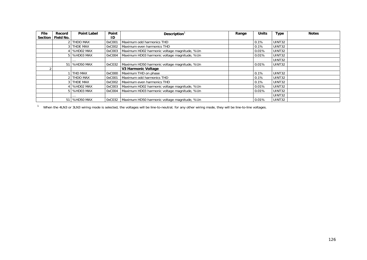| <b>File</b>    | Record    | <b>Point Label</b> | Point  | Description                                           | Range | <b>Units</b> | <b>Type</b>   | <b>Notes</b> |
|----------------|-----------|--------------------|--------|-------------------------------------------------------|-------|--------------|---------------|--------------|
| <b>Section</b> | Field No. |                    | ID     |                                                       |       |              |               |              |
|                |           | 2 THDO MAX         | 0xC001 | Maximum odd harmonics THD                             |       | 0.1%         | <b>UINT32</b> |              |
|                |           | 3 THDE MAX         | 0xC002 | Maximum even harmonics THD                            |       | 0.1%         | <b>UINT32</b> |              |
|                |           | 4 %HD02 MAX        | 0xC003 | Maximum HD02 harmonic voltage magnitude, %Un          |       | 0.01%        | UINT32        |              |
|                |           | 5 %HD03 MAX        | 0xC004 | Maximum HD03 harmonic voltage magnitude, %Un          |       | 0.01%        | UINT32        |              |
|                |           |                    |        |                                                       |       |              | <b>UINT32</b> |              |
|                |           | 51 %HD50 MAX       | 0xC032 | Maximum HD50 harmonic voltage magnitude, %Un          |       | 0.01%        | UINT32        |              |
|                |           |                    |        | V3 Harmonic Voltage                                   |       |              |               |              |
|                |           | THD MAX            | 0xC000 | Maximum THD on phase                                  |       | 0.1%         | UINT32        |              |
|                |           | 2 THDO MAX         | 0xC001 | Maximum odd harmonics THD                             |       | 0.1%         | <b>UINT32</b> |              |
|                |           | 3 THDE MAX         | 0xC002 | Maximum even harmonics THD                            |       | 0.1%         | UINT32        |              |
|                |           | 4 %HD02 MAX        | 0xC003 | Maximum HD02 harmonic voltage magnitude, %Un          |       | 0.01%        | UINT32        |              |
|                |           | 5 %HD03 MAX        | 0xC004 | Maximum HD03 harmonic voltage magnitude, %Un          |       | 0.01%        | <b>UINT32</b> |              |
|                |           |                    |        |                                                       |       |              | <b>UINT32</b> |              |
|                |           | 51 %HD50 MAX       |        | 0xC032   Maximum HD50 harmonic voltage magnitude, %Un |       | 0.01%        | UINT32        |              |

<sup>1</sup> When the 4LN3 or 3LN3 wiring mode is selected, the voltages will be line-to-neutral; for any other wiring mode, they will be line-to-line voltages.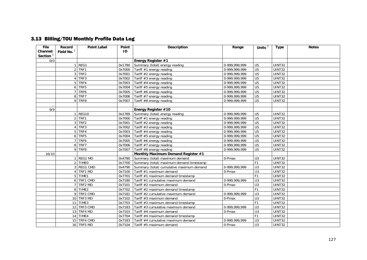# 3.13 Billing/TOU Monthly Profile Data Log

| <b>File</b> | Record         | <b>Point Label</b> | Point  | <b>Description</b>                        | Range                      | Units $3$       | <b>Type</b>         | <b>Notes</b> |
|-------------|----------------|--------------------|--------|-------------------------------------------|----------------------------|-----------------|---------------------|--------------|
| Channel/    | Field No. $2$  |                    | ID     |                                           |                            |                 |                     |              |
| Section $1$ |                |                    |        |                                           |                            |                 |                     |              |
| 0/0         |                |                    |        | Energy Register #1                        |                            |                 |                     |              |
|             |                | $1$ REG1           | 0x1780 | Summary (total) energy reading            | 0-999,999,999              | U <sub>5</sub>  | <b>UINT32</b>       |              |
|             |                | $2$ TRF1           | 0x7000 | Tariff #1 energy reading                  | 0-999,999,999              | U <sub>5</sub>  | <b>UINT32</b>       |              |
|             | 3              | TRF2               | 0x7001 | Tariff #2 energy reading                  | 0-999,999,999              | U <sub>5</sub>  | <b>UINT32</b>       |              |
|             |                | $4$ TRF3           | 0x7002 | Tariff #3 energy reading                  | 0-999, 999, 999            | U <sub>5</sub>  | UINT32              |              |
|             |                | 5 TRF4             | 0x7003 | Tariff #4 energy reading                  | 0-999,999,999              | U <sub>5</sub>  | <b>UINT32</b>       |              |
|             | 6              | TRF5               | 0x7004 | Tariff #5 energy reading                  | 0-999,999,999              | $\overline{U5}$ | <b>UINT32</b>       |              |
|             |                | TRF6               | 0x7005 | Tariff #6 energy reading                  | 0-999,999,999              | U <sub>5</sub>  | <b>UINT32</b>       |              |
|             |                | 8 TRF7             | 0x7006 | Tariff #7 energy reading                  | $\overline{0.999,999,999}$ | U <sub>5</sub>  | <b>UINT32</b>       |              |
|             |                | 9 TRF8             | 0x7007 | Tariff #8 energy reading                  | 0-999.999.999              | U <sub>5</sub>  | UINT32              |              |
|             |                |                    |        |                                           |                            |                 |                     |              |
| 9/9         |                |                    |        | Energy Register #10                       |                            |                 |                     |              |
|             |                | REG10              | 0x1789 | Summary (total) energy reading            | 0-999,999,999              | U <sub>5</sub>  | <b>UINT32</b>       |              |
|             | $\overline{2}$ | TRF1               | 0x7000 | Tariff #1 energy reading                  | 0-999,999,999              | U <sub>5</sub>  | UINT32              |              |
|             | 3              | TRF <sub>2</sub>   | 0x7001 | Tariff #2 energy reading                  | 0-999,999,999              | U <sub>5</sub>  | <b>UINT32</b>       |              |
|             |                | 4 TRF3             | 0x7002 | Tariff #3 energy reading                  | 0-999,999,999              | U <sub>5</sub>  | UINT32              |              |
|             | 5              | TRF4               | 0x7003 | Tariff #4 energy reading                  | 0-999.999.999              | U <sub>5</sub>  | UINT32              |              |
|             |                | 6 TRF5             | 0x7004 | Tariff #5 energy reading                  | 0-999,999,999              | U <sub>5</sub>  | <b>UINT32</b>       |              |
|             | $\overline{7}$ | TRF6               | 0x7005 | Tariff #6 energy reading                  | 0-999, 999, 999            | U <sub>5</sub>  | <b>UINT32</b>       |              |
|             |                | 8 TRF7             | 0x7006 | Tariff #7 energy reading                  | 0-999,999,999              | U <sub>5</sub>  | UINT32              |              |
|             |                | 9 TRF8             | 0x7007 | Tariff #8 energy reading                  | 0-999,999,999              | U <sub>5</sub>  | UINT32              |              |
| 16/10       |                |                    |        | Monthly Maximum Demand Register #1        |                            |                 |                     |              |
|             |                | REG1 MD            | 0x4780 | Summary (total) maximum demand            | 0-Pmax                     | U3              | <b>UINT32</b>       |              |
|             |                | 2 TIMEO            | 0x7700 | Summary (total) maximum demand timestamp  |                            | F1              | <b>UINT32</b>       |              |
|             | 3              | REG1 CMD           | 0x4790 | Summary (total) cumulative maximum demand | 0-999.999.999              | U <sub>3</sub>  | <b>UINT32</b>       |              |
|             |                | 4 TRF1 MD          | 0x7100 | Tariff #1 maximum demand                  | 0-Pmax                     | U <sub>3</sub>  | <b>UINT32</b>       |              |
|             |                | 5 TIME1            | 0x7701 | Tariff #1 maximum demand timestamp        |                            | F <sub>1</sub>  | <b>UINT32</b>       |              |
|             |                | 6 TRF1 CMD         | 0x7180 | Tariff #1 cumulative maximum demand       | 0-999,999,999              | U <sub>3</sub>  | UINT32              |              |
|             |                | TRF2 MD            | 0x7101 | Tariff #2 maximum demand                  | 0-Pmax                     | U <sub>3</sub>  | $\overline{UINT32}$ |              |
|             |                | 8 TIME2            | 0x7702 | Tariff #2 maximum demand timestamp        |                            | F <sub>1</sub>  | <b>UINT32</b>       |              |
|             |                | 9 TRF2 CMD         | 0x7181 | Tariff #2 cumulative maximum demand       | 0-999,999,999              | U3              | $\overline{UINT32}$ |              |
|             |                | 10 TRF3 MD         | 0x7102 | Tariff #3 maximum demand                  | 0-Pmax                     | $\overline{U}$  | UINT32              |              |
|             |                | 11 TIME3           | 0x7703 | Tariff #3 maximum demand timestamp        |                            | F <sub>1</sub>  | <b>UINT32</b>       |              |
|             |                | 12 TRF3 CMD        | 0x7183 | Tariff #3 cumulative maximum demand       | 0-999,999,999              | U <sub>3</sub>  | UINT32              |              |
|             |                | 13 TRF4 MD         | 0x7103 | Tariff #4 maximum demand                  | 0-Pmax                     | U <sub>3</sub>  | UINT32              |              |
|             |                | 14 TIME4           | 0x7704 | Tariff #4 maximum demand timestamp        |                            | F <sub>1</sub>  | UINT32              |              |
|             |                | 15 TRF4 CMD        | 0x7183 | Tariff #4 cumulative maximum demand       | 0-999,999,999              | U <sub>3</sub>  | UINT32              |              |
|             |                | 16 TRF5 MD         | 0x7104 | Tariff #5 maximum demand                  | $0$ -Pmax                  | U3              | UINT32              |              |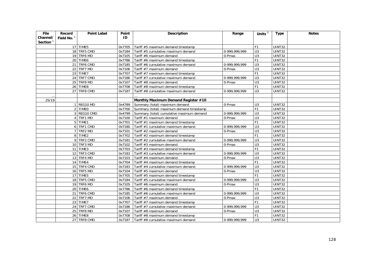| File        | Record                 | <b>Point Label</b> | Point  | <b>Description</b>                        | Range                      | Units $3$        | <b>Type</b>   | <b>Notes</b> |
|-------------|------------------------|--------------------|--------|-------------------------------------------|----------------------------|------------------|---------------|--------------|
| Channel/    | Field No. <sup>2</sup> |                    | ID     |                                           |                            |                  |               |              |
| Section $1$ |                        |                    |        |                                           |                            |                  |               |              |
|             |                        | 17 TIME5           | 0x7705 | Tariff #5 maximum demand timestamp        |                            | F <sub>1</sub>   | UINT32        |              |
|             |                        | 18 TRF5 CMD        | 0x7184 | Tariff #5 cumulative maximum demand       | 0-999,999,999              | U <sub>3</sub>   | UINT32        |              |
|             |                        | 19 TRF6 MD         | 0x7105 | Tariff #6 maximum demand                  | 0-Pmax                     | U <sub>3</sub>   | UINT32        |              |
|             |                        | 20 TIME6           | 0x7786 | Tariff #6 maximum demand timestamp        |                            | F <sub>1</sub>   | <b>UINT32</b> |              |
|             |                        | 21 TRF6 CMD        | 0x7185 | Tariff #6 cumulative maximum demand       | 0-999,999,999              | U <sub>3</sub>   | UINT32        |              |
|             | 22                     | TRF7 MD            | 0x7106 | Tariff #7 maximum demand                  | 0-Pmax                     | U <sub>3</sub>   | UINT32        |              |
|             |                        | 23 TIME7           | 0x7707 | Tariff #7 maximum demand timestamp        |                            | F <sub>1</sub>   | UINT32        |              |
|             |                        | 24 TRF7 CMD        | 0x7186 | Tariff #7 cumulative maximum demand       | $\overline{0.999,999,999}$ | U <sub>3</sub>   | UINT32        |              |
|             |                        | 25 TRF8 MD         | 0x7107 | Tariff #8 maximum demand                  | 0-Pmax                     | U <sub>3</sub>   | UINT32        |              |
|             |                        | 26 TIME8           | 0x7708 | Tariff #8 maximum demand timestamp        |                            | F <sub>1</sub>   | UINT32        |              |
|             |                        | 27 TRF8 CMD        | 0x7187 | Tariff #8 cumulative maximum demand       | 0-999.999.999              | U <sub>3</sub>   | <b>UINT32</b> |              |
|             |                        |                    |        |                                           |                            |                  |               |              |
| 25/19       |                        |                    |        | Monthly Maximum Demand Register #10       |                            |                  |               |              |
|             |                        | 1 REG10 MD         | 0x4789 | Summary (total) maximum demand            | 0-Pmax                     | U <sub>3</sub>   | UINT32        |              |
|             |                        | 2 TIMEO            | 0x7700 | Summary (total) maximum demand timestamp  |                            | F1               | UINT32        |              |
|             |                        | 3 REG10 CMD        | 0x4799 | Summary (total) cumulative maximum demand | 0-999,999,999              | U <sub>3</sub>   | UINT32        |              |
|             |                        | 4 TRF1 MD          | 0x7100 | Tariff #1 maximum demand                  | 0-Pmax                     | U <sub>3</sub>   | UINT32        |              |
|             |                        | 5 TIME1            | 0x7701 | Tariff #1 maximum demand timestamp        |                            | F <sub>1</sub>   | <b>UINT32</b> |              |
|             |                        | 6 TRF1 CMD         | 0x7180 | Tariff #1 cumulative maximum demand       | 0-999.999.999              | U <sub>3</sub>   | UINT32        |              |
|             |                        | 7 TRF2 MD          | 0x7101 | Tariff #2 maximum demand                  | 0-Pmax                     | U <sub>3</sub>   | UINT32        |              |
|             |                        | 8 TIME2            | 0x7702 | Tariff #2 maximum demand timestamp        |                            | F1               | <b>UINT32</b> |              |
|             |                        | 9 TRF2 CMD         | 0x7181 | Tariff #2 cumulative maximum demand       | 0-999,999,999              | $\overline{U}$ 3 | UINT32        |              |
|             |                        | 10 TRF3 MD         | 0x7102 | Tariff #3 maximum demand                  | 0-Pmax                     | $\overline{U}$   | UINT32        |              |
|             |                        | 11 TIME3           | 0x7703 | Tariff #3 maximum demand timestamp        |                            | F1               | UINT32        |              |
|             |                        | 12 TRF3 CMD        | 0x7183 | Tariff #3 cumulative maximum demand       | 0-999,999,999              | U3               | UINT32        |              |
|             |                        | 13 TRF4 MD         | 0x7103 | Tariff #4 maximum demand                  | 0-Pmax                     | U <sub>3</sub>   | UINT32        |              |
|             |                        | 14 TIME4           | 0x7704 | Tariff #4 maximum demand timestamp        |                            | F <sub>1</sub>   | UINT32        |              |
|             |                        | 15 TRF4 CMD        | 0x7183 | Tariff #4 cumulative maximum demand       | 0-999.999.999              | U <sub>3</sub>   | UINT32        |              |
|             |                        | 16 TRF5 MD         | 0x7104 | Tariff #5 maximum demand                  | 0-Pmax                     | $\overline{U}$ 3 | <b>UINT32</b> |              |
|             |                        | 17 TIME5           | 0x7705 | Tariff #5 maximum demand timestamp        |                            | F <sub>1</sub>   | UINT32        |              |
|             |                        | 18 TRF5 CMD        | 0x7184 | Tariff #5 cumulative maximum demand       | 0-999.999.999              | U <sub>3</sub>   | UINT32        |              |
|             |                        | 19 TRF6 MD         | 0x7105 | Tariff #6 maximum demand                  | 0-Pmax                     | $\overline{U}$ 3 | UINT32        |              |
|             |                        | 20 TIME6           | 0x7786 | Tariff #6 maximum demand timestamp        |                            | F <sub>1</sub>   | <b>UINT32</b> |              |
|             |                        | 21 TRF6 CMD        | 0x7185 | Tariff #6 cumulative maximum demand       | 0-999,999,999              | $\overline{U}$   | UINT32        |              |
|             |                        | 22 TRF7 MD         | 0x7106 | Tariff #7 maximum demand                  | 0-Pmax                     | U3               | UINT32        |              |
|             |                        | 23 TIME7           | 0x7707 | Tariff #7 maximum demand timestamp        |                            | F <sub>1</sub>   | UINT32        |              |
|             |                        | 24 TRF7 CMD        | 0x7186 | Tariff #7 cumulative maximum demand       | 0-999,999,999              | U3               | <b>UINT32</b> |              |
|             |                        | 25 TRF8 MD         | 0x7107 | Tariff #8 maximum demand                  | 0-Pmax                     | U <sub>3</sub>   | UINT32        |              |
|             |                        | 26 TIME8           | 0x7708 | Tariff #8 maximum demand timestamp        |                            | F <sub>1</sub>   | UINT32        |              |
|             |                        | 27 TRF8 CMD        | 0x7187 | Tariff #8 cumulative maximum demand       | 0-999,999,999              | U <sub>3</sub>   | UINT32        |              |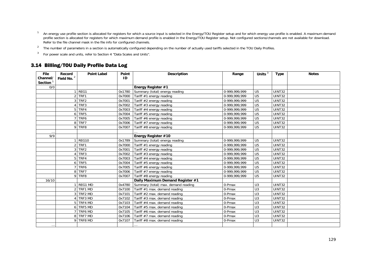- <sup>1</sup> An energy use profile section is allocated for registers for which a source input is selected in the Energy/TOU Register setup and for which energy use profile is enabled. A maximum demand profile section is allocated for registers for which maximum demand profile is enabled in the Energy/TOU Register setup. Not configured sections/channels are not available for download. Refer to the file channel mask in the file info for configured channels.
- <sup>2</sup> The number of parameters in a section is automatically configured depending on the number of actually used tariffs selected in the TOU Daily Profiles.
- For power scale and units, refer to Section 4 "Data Scales and Units".

## 3.14 Billing/TOU Daily Profile Data Log

| <b>File</b> | Record                      | <b>Point Label</b> | Point  | <b>Description</b>                  | Range           | Units $3$       | <b>Type</b>          | <b>Notes</b> |
|-------------|-----------------------------|--------------------|--------|-------------------------------------|-----------------|-----------------|----------------------|--------------|
| Channel/    | Field No. $^2$              |                    | ID     |                                     |                 |                 |                      |              |
| Section $1$ |                             |                    |        |                                     |                 |                 |                      |              |
| 0/0         |                             |                    |        | Energy Register #1                  |                 |                 |                      |              |
|             |                             | $1$ REG1           | 0x1780 | Summary (total) energy reading      | 0-999,999,999   | U <sub>5</sub>  | UINT32               |              |
|             |                             | 2 TRF1             | 0x7000 | Tariff #1 energy reading            | 0-999,999,999   | U <sub>5</sub>  | $\overline{U}$ INT32 |              |
|             |                             | 3 TRF2             | 0x7001 | Tariff #2 energy reading            | 0-999,999,999   | U <sub>5</sub>  | <b>UINT32</b>        |              |
|             | $\boldsymbol{\vartriangle}$ | TRF3               | 0x7002 | Tariff $#3$ energy reading          | 0-999,999,999   | U <sub>5</sub>  | UINT32               |              |
|             |                             | 5 TRF4             | 0x7003 | Tariff #4 energy reading            | 0-999,999,999   | U <sub>5</sub>  | <b>UINT32</b>        |              |
|             | 6                           | TRF5               | 0x7004 | Tariff #5 energy reading            | $0-999,999,999$ | U <sub>5</sub>  | UINT32               |              |
|             | 7 <sup>1</sup>              | TRF6               | 0x7005 | Tariff #6 energy reading            | 0-999,999,999   | U <sub>5</sub>  | <b>UINT32</b>        |              |
|             |                             | 8 TRF7             | 0x7006 | Tariff #7 energy reading            | 0-999,999,999   | U <sub>5</sub>  | <b>UINT32</b>        |              |
|             |                             | 9 TRF8             | 0x7007 | Tariff #8 energy reading            | 0-999,999,999   | U <sub>5</sub>  | UINT32               |              |
| $\cdots$    |                             |                    |        |                                     |                 |                 |                      |              |
| 9/9         |                             |                    |        | Energy Register #10                 |                 |                 |                      |              |
|             |                             | REG10              | 0x1789 | Summary (total) energy reading      | 0-999,999,999   | U <sub>5</sub>  | <b>UINT32</b>        |              |
|             |                             | $2$ TRF1           | 0x7000 | Tariff #1 energy reading            | 0-999,999,999   | U <sub>5</sub>  | UINT32               |              |
|             |                             | 3 TRF2             | 0x7001 | Tariff #2 energy reading            | 0-999,999,999   | U <sub>5</sub>  | UINT32               |              |
|             |                             | 4 TRF3             | 0x7002 | Tariff #3 energy reading            | 0-999,999,999   | U <sub>5</sub>  | UINT32               |              |
|             |                             | 5 TRF4             | 0x7003 | Tariff #4 energy reading            | 0-999,999,999   | U <sub>5</sub>  | UINT32               |              |
|             |                             | 6 TRF5             | 0x7004 | Tariff #5 energy reading            | 0-999,999,999   | U <sub>5</sub>  | <b>UINT32</b>        |              |
|             | $\overline{7}$              | TRF6               | 0x7005 | Tariff #6 energy reading            | 0-999,999,999   | $\overline{U5}$ | UINT32               |              |
|             |                             | 8 TRF7             | 0x7006 | Tariff #7 energy reading            | 0-999,999,999   | U <sub>5</sub>  | UINT32               |              |
|             |                             | 9 TRF8             | 0x7007 | Tariff #8 energy reading            | 0-999,999,999   | U <sub>5</sub>  | UINT32               |              |
| 16/10       |                             |                    |        | Daily Maximum Demand Register #1    |                 |                 |                      |              |
|             | $\overline{1}$              | REG1 MD            | 0x4780 | Summary (total) max. demand reading | 0-Pmax          | U <sub>3</sub>  | UINT32               |              |
|             |                             | 2 TRF1 MD          | 0x7100 | Tariff #1 max. demand reading       | 0-Pmax          | U3              | <b>UINT32</b>        |              |
|             |                             | 3 TRF2 MD          | 0x7101 | Tariff #2 max. demand reading       | 0-Pmax          | U3              | <b>UINT32</b>        |              |
|             |                             | 4 TRF3 MD          | 0x7102 | Tariff #3 max. demand reading       | 0-Pmax          | $\overline{U}$  | <b>UINT32</b>        |              |
|             |                             | 5 TRF4 MD          | 0x7103 | Tariff #4 max. demand reading       | 0-Pmax          | $\overline{U}$  | <b>UINT32</b>        |              |
|             |                             | 6 TRF5 MD          | 0x7104 | Tariff #5 max. demand reading       | 0-Pmax          | U3              | <b>UINT32</b>        |              |
|             |                             | 7 TRF6 MD          | 0x7105 | Tariff #6 max. demand reading       | 0-Pmax          | U <sub>3</sub>  | UINT32               |              |
|             |                             | 8 TRF7 MD          | 0x7106 | Tariff #7 max. demand reading       | 0-Pmax          | U3              | <b>UINT32</b>        |              |
|             |                             | 9 TRF8 MD          | 0x7107 | Tariff #8 max. demand reading       | 0-Pmax          | U <sub>3</sub>  | <b>UINT32</b>        |              |
| $\cdots$    |                             |                    |        | $\cdots$                            |                 |                 |                      |              |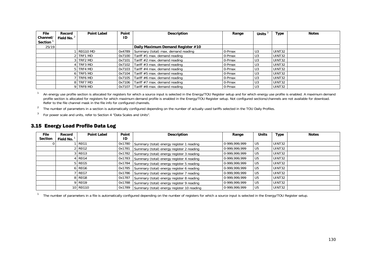| File     | Record        | <b>Point Label</b> | Point  | Description                         | Range  | Units $3$      | <b>Type</b> | <b>Notes</b> |
|----------|---------------|--------------------|--------|-------------------------------------|--------|----------------|-------------|--------------|
| Channel/ | Field No. $2$ |                    | ΙD     |                                     |        |                |             |              |
| Section  |               |                    |        |                                     |        |                |             |              |
| 25/19    |               |                    |        | Daily Maximum Demand Register #10   |        |                |             |              |
|          |               | REG10 MD           | 0x4789 | Summary (total) max. demand reading | 0-Pmax | U3             | UINT32      |              |
|          |               | TRF1 MD            | 0x7100 | Tariff #1 max. demand reading       | 0-Pmax | U <sub>3</sub> | UINT32      |              |
|          |               | 3 TRF2 MD          | 0x7101 | Tariff #2 max. demand reading       | 0-Pmax | U <sub>3</sub> | UINT32      |              |
|          |               | TRF3 MD            | 0x7102 | Tariff #3 max. demand reading       | 0-Pmax | U3             | UINT32      |              |
|          |               | TRF4 MD            | 0x7103 | Tariff #4 max. demand reading       | 0-Pmax | U <sub>3</sub> | UINT32      |              |
|          |               | TRF5 MD            | 0x7104 | Tariff #5 max. demand reading       | 0-Pmax | U3             | UINT32      |              |
|          |               | TRF6 MD            | 0x7105 | Tariff #6 max. demand reading       | 0-Pmax | U3             | UINT32      |              |
|          |               | 8 TRF7 MD          | 0x7106 | Tariff #7 max. demand reading       | 0-Pmax | U <sub>3</sub> | UINT32      |              |
|          |               | TRF8 MD            | 0x7107 | Tariff #8 max. demand reading       | 0-Pmax | U <sub>3</sub> | UINT32      |              |

<sup>1</sup> An energy use profile section is allocated for registers for which a source input is selected in the Energy/TOU Register setup and for which energy use profile is enabled. A maximum demand profile section is allocated for registers for which maximum demand profile is enabled in the Energy/TOU Register setup. Not configured sections/channels are not available for download. Refer to the file channel mask in the file info for configured channels.

<sup>2</sup> The number of parameters in a section is automatically configured depending on the number of actually used tariffs selected in the TOU Daily Profiles.

3 For power scale and units, refer to Section 4 "Data Scales and Units".

### 3.15 Energy Load Profile Data Log

| <b>File</b> | Record    | <b>Point Label</b> | Point  | <b>Description</b>                                | Range         | <b>Units</b>   | <b>Type</b>   | <b>Notes</b> |
|-------------|-----------|--------------------|--------|---------------------------------------------------|---------------|----------------|---------------|--------------|
| Section     | Field No. |                    | ID     |                                                   |               |                |               |              |
|             |           | REG1               |        | 0x1780 Summary (total) energy register 1 reading  | 0-999,999,999 | U5             | <b>UINT32</b> |              |
|             |           | REG2               | 0x1781 | Summary (total) energy register 2 reading         | 0-999,999,999 | U <sub>5</sub> | UINT32        |              |
|             |           | REG3               | 0x1782 | Summary (total) energy register 3 reading         | 0-999,999,999 | U <sub>5</sub> | UINT32        |              |
|             |           | REG4               | 0x1783 | Summary (total) energy register 4 reading         | 0-999,999,999 | U <sub>5</sub> | <b>UINT32</b> |              |
|             |           | $5$ REG5           | 0x1784 | Summary (total) energy register 5 reading         | 0-999,999,999 | U <sub>5</sub> | UINT32        |              |
|             |           | 5 REG6             | 0x1785 | Summary (total) energy register 6 reading         | 0-999,999,999 | U <sub>5</sub> | UINT32        |              |
|             |           | REG7               |        | 0x1786 Summary (total) energy register 7 reading  | 0-999,999,999 | U5             | UINT32        |              |
|             |           | 8 REG8             | 0x1787 | Summary (total) energy register 8 reading         | 0-999,999,999 | U <sub>5</sub> | UINT32        |              |
|             |           | 9 REG9             |        | 0x1788 Summary (total) energy register 9 reading  | 0-999,999,999 | U <sub>5</sub> | <b>UINT32</b> |              |
|             |           | 10 REG10           |        | 0x1789 Summary (total) energy register 10 reading | 0-999,999,999 | U <sub>5</sub> | UINT32        |              |

<sup>1</sup> The number of parameters in a file is automatically configured depending on the number of registers for which a source input is selected in the Energy/TOU Register setup.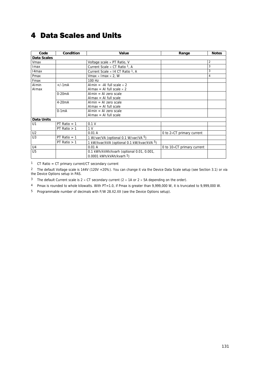# 4 Data Scales and Units

| Code              | Condition           | Value                                               | Range                             | <b>Notes</b>   |
|-------------------|---------------------|-----------------------------------------------------|-----------------------------------|----------------|
| Data Scales       |                     |                                                     |                                   |                |
| Vmax              |                     | Voltage scale $\times$ PT Ratio, V                  |                                   | 2              |
| Imax              |                     | Current Scale $\times$ CT Ratio <sup>1</sup> , A    |                                   | 3              |
| 14 <sub>max</sub> |                     | Current Scale $\times$ 14 CT Ratio <sup>1</sup> , A |                                   | 3              |
| Pmax              |                     | Vmax $\times$ Imax $\times$ 2, W                    |                                   | $\overline{4}$ |
| Fmax              |                     | 100 Hz                                              |                                   |                |
| Almin             | $+/-1mA$            | Almin = -Al full scale $\times$ 2                   |                                   |                |
| Almax             |                     | Almax = Al full scale $\times$ 2                    |                                   |                |
|                   | $0-20mA$            | $Almin = Al$ zero scale                             |                                   |                |
|                   |                     | $Almax = Al full scale$                             |                                   |                |
|                   | 4-20 <sub>m</sub> A | Almin = Al zero scale                               |                                   |                |
|                   |                     | $Almax = Al full scale$                             |                                   |                |
|                   | $0-1mA$             | Almin = Al zero scale                               |                                   |                |
|                   |                     | $Almax = Al full scale$                             |                                   |                |
| <b>Data Units</b> |                     |                                                     |                                   |                |
| U <sub>1</sub>    | PT Ratio $= 1$      | 0.1V                                                |                                   |                |
|                   | PT Ratio $> 1$      | 1 <sub>V</sub>                                      |                                   |                |
| U <sub>2</sub>    |                     | 0.01A                                               | 0 to $2\times$ CT primary current |                |
| U3                | $PT$ Ratio = 1      | 1 W/var/VA (optional 0.1 W/var/VA 5)                |                                   |                |
|                   | PT Ratio $> 1$      | 1 kW/kvar/kVA (optional 0.1 kW/kvar/kVA 5)          |                                   |                |
| U <sub>4</sub>    |                     | 0.01A                                               | 0 to 10xCT primary current        |                |
| U <sub>5</sub>    |                     | 0.1 kWh/kVAh/kvarh (optional 0.01, 0.001,           |                                   |                |
|                   |                     | 0.0001 kWh/kVAh/kvarh 5)                            |                                   |                |

1 CT Ratio = CT primary current/CT secondary current

2 The default Voltage scale is 144V (120V +20%). You can change it via the Device Data Scale setup (see Section 3.1) or via the Device Options setup in PAS.

3 The default Current scale is  $2 \times CT$  secondary current ( $2 \times 1$ A or  $2 \times 5$ A depending on the order).

4 Pmax is rounded to whole kilowatts. With PT=1.0, if Pmax is greater than 9,999,000 W, it is truncated to 9,999,000 W.

5 Programmable number of decimals with F/W 28.X2.XX (see the Device Options setup).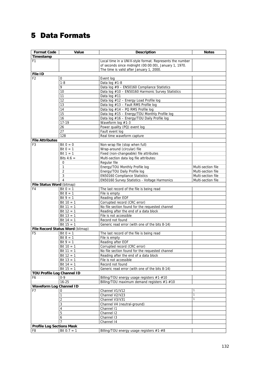# 5 Data Formats

| <b>Format Code</b>                | Value                            | <b>Description</b>                                       | <b>Notes</b>       |
|-----------------------------------|----------------------------------|----------------------------------------------------------|--------------------|
| Timestamp                         |                                  |                                                          |                    |
| F <sub>1</sub>                    |                                  | Local time in a UNIX-style format. Represents the number |                    |
|                                   |                                  | of seconds since midnight (00:00:00), January 1, 1970.   |                    |
|                                   |                                  | The time is valid after January 1, 2000.                 |                    |
| File ID                           |                                  |                                                          |                    |
| F <sub>2</sub>                    | 0                                | Event log                                                |                    |
|                                   | $1 - 8$                          | Data $log$ #1-8                                          |                    |
|                                   | 9                                | Data $log$ #9 - EN50160 Compliance Statistics            |                    |
|                                   | 10                               | Data log #10 - EN50160 Harmonic Survey Statistics        |                    |
|                                   | 11                               | Data log $#11$                                           |                    |
|                                   | 12                               | Data log #12 - Energy Load Profile log                   |                    |
|                                   | 13                               | Data log #13 - Fault RMS Profile log                     |                    |
|                                   | 14                               | Data log #14 - PQ RMS Profile log                        |                    |
|                                   | 15                               | Data log #15 - Energy/TOU Monthly Profile log            |                    |
|                                   | 16                               | Data log #16 - Energy/TOU Daily Profile log              |                    |
|                                   | 17-19                            | Waveform log #1-3                                        |                    |
|                                   | 26                               | Power quality (PQ) event log                             |                    |
|                                   | 27                               | Fault event log                                          |                    |
|                                   | 128                              | Real time waveform capture                               |                    |
| <b>File Attributes</b>            |                                  |                                                          |                    |
| F <sub>3</sub>                    | Bit $0 = 0$                      | Non-wrap file (stop when full)                           |                    |
|                                   | Bit $0 = 1$                      | Wrap-around (circular) file                              |                    |
|                                   | Bit $1 = 1$                      | Fixed (non-changeable) file attributes                   |                    |
|                                   | Bits $4:6 =$                     | Multi-section data log file attributes:                  |                    |
|                                   | 0                                | Regular file                                             |                    |
|                                   | 1                                | Energy/TOU Monthly Profile log                           | Multi-section file |
|                                   | $\overline{2}$                   | Energy/TOU Daily Profile log                             | Multi-section file |
|                                   | 3                                | EN50160 Compliance Statistics                            | Multi-section file |
|                                   | 4                                | EN50160 Survey Statistics - Voltage Harmonics            | Multi-section file |
| File Status Word (bitmap)         |                                  |                                                          |                    |
| F <sub>4</sub>                    | Bit $0 = 1$                      | The last record of the file is being read                |                    |
|                                   | Bit $8 = 1$                      | File is empty                                            |                    |
|                                   | $Bit 9 = 1$                      | Reading after EOF                                        |                    |
|                                   | Bit $10 = 1$                     | Corrupted record (CRC error)                             |                    |
|                                   | Bit $11 = 1$                     | No file section found for the requested channel          |                    |
|                                   | Bit $12 = 1$                     | Reading after the end of a data block                    |                    |
|                                   | Bit $13 = 1$                     | File is not accessible                                   |                    |
|                                   | Bit $14 = 1$                     | Record not found                                         |                    |
|                                   | Bit $15 = 1$                     | Generic read error (with one of the bits 8-14)           |                    |
|                                   | File Record Status Word (bitmap) |                                                          |                    |
| F <sub>5</sub>                    | Bit $0 = 1$                      | The last record of the file is being read                |                    |
|                                   | Bit $8 = 1$                      | File is empty                                            |                    |
|                                   | Bit $9 = 1$                      | Reading after EOF                                        |                    |
|                                   | Bit $10 = 1$                     | Corrupted record (CRC error)                             |                    |
|                                   | Bit $11 = 1$                     | No file section found for the requested channel          |                    |
|                                   | Bit $12 = 1$                     | Reading after the end of a data block                    |                    |
|                                   | Bit $13 = 1$                     | File is not accessible                                   |                    |
|                                   | Bit $14 = 1$                     | Record not found                                         |                    |
|                                   | Bit $15 = 1$                     | Generic read error (with one of the bits 8-14)           |                    |
| <b>TOU Profile Log Channel ID</b> |                                  |                                                          |                    |
| F6                                | $0 - 9$                          | Billing/TOU energy usage registers #1-#10                |                    |
|                                   | $16 - 25$                        | Billing/TOU maximum demand registers #1-#10              |                    |
| <b>Waveform Log Channel ID</b>    |                                  |                                                          |                    |
| F7                                | 0                                | Channel V1/V12                                           | 1                  |
|                                   | 1                                | Channel V2/V23                                           | 1                  |
|                                   | 2                                | Channel V3/V31                                           | $\mathbf{1}$       |
|                                   | 3                                | Channel V4 (neutral-ground)                              |                    |
|                                   | 4                                | Channel 11                                               |                    |
|                                   | 5                                | Channel 12                                               |                    |
|                                   | 6                                | Channel 13                                               |                    |
|                                   |                                  | Channel 14                                               |                    |
| <b>Profile Log Sections Mask</b>  |                                  |                                                          |                    |
| F8                                | Bit $0:7 = 1$                    | Billing/TOU energy usage registers #1-#8                 |                    |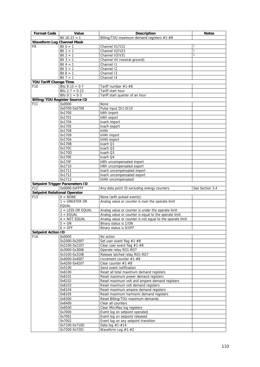| <b>Format Code</b>                  | Value                                 | Description                                                                      | <b>Notes</b>    |
|-------------------------------------|---------------------------------------|----------------------------------------------------------------------------------|-----------------|
|                                     | Bit $16:23 = 1$                       | Billing/TOU maximum demand registers #1-#8                                       |                 |
| <b>Waveform Log Channel Mask</b>    |                                       |                                                                                  |                 |
| F9                                  | Bit $0 = 1$                           | Channel V1/V12                                                                   | 1               |
|                                     | Bit $1 = 1$                           | Channel V2/V23                                                                   | $\mathbf{1}$    |
|                                     | $\overline{Bit}$ 2 = 1                | Channel V3/V31                                                                   | $\mathbf{1}$    |
|                                     | Bit $3 = 1$                           | Channel V4 (neutral-ground)                                                      |                 |
|                                     | Bit $4 = 1$                           | Channel 11                                                                       |                 |
|                                     | Bit $5 = 1$                           | Channel 12                                                                       |                 |
|                                     | Bit $6 = 1$<br>Bit $7 = 1$            | Channel 13                                                                       |                 |
| <b>TOU Tariff Change Time</b>       |                                       | Channel 14                                                                       |                 |
| F <sub>10</sub>                     | Bits $8:15 = 0-7$                     | Tariff number #1-#8                                                              |                 |
|                                     | Bits $2:7 = 0-23$                     | Tariff start hour                                                                |                 |
|                                     | Bits $0:1 = 0-3$                      | Tariff start quarter of an hour                                                  |                 |
|                                     | <b>Billing/TOU Register Source ID</b> |                                                                                  |                 |
| F11                                 | 0x0000                                | None                                                                             |                 |
|                                     | 0x0700-0x0709                         | Pulse input DI1-DI10                                                             |                 |
|                                     | 0x1700                                | kWh import                                                                       |                 |
|                                     | 0x1701                                | kWh export                                                                       |                 |
|                                     | 0x1704                                | kvarh import                                                                     |                 |
|                                     | 0x1705                                | kvarh export                                                                     |                 |
|                                     | 0x1708                                | kVAh                                                                             |                 |
|                                     | 0x1709                                | kVAh import                                                                      |                 |
|                                     | 0x170A                                | kVAh export                                                                      |                 |
|                                     | 0x170B<br>0x170C                      | kvarh Q1                                                                         |                 |
|                                     | 0x170D                                | kvarh Q2<br>kvarh Q3                                                             |                 |
|                                     | 0x170E                                | kvarh Q4                                                                         |                 |
|                                     | 0x170F                                | kWh uncompensated import                                                         |                 |
|                                     | 0x1710                                | kWh uncompensated export                                                         |                 |
|                                     | 0x1711                                | kvarh uncompensated import                                                       |                 |
|                                     | 0x1712                                | kvarh uncompensated export                                                       |                 |
|                                     | 0x1713                                | kVAh uncompensated                                                               |                 |
|                                     | <b>Setpoint Trigger Parameters ID</b> |                                                                                  |                 |
| F <sub>12</sub>                     | 0x0000-0xFFFF                         | Any data point ID excluding energy counters                                      | See Section 3.4 |
| <b>Setpoint Relational Operator</b> |                                       |                                                                                  |                 |
| F13                                 | $0 = \text{NONE}$                     | None (with pulsed events)                                                        |                 |
|                                     | $1 = GREATER OR$                      | Analog value or counter is over the operate limit                                |                 |
|                                     | EQUAL<br>2 = LESS OR EQUAL            | Analog value or counter is under the operate limit                               |                 |
|                                     | $3 = EQUAL$                           | Analog value or counter is equal to the operate limit                            |                 |
|                                     | $4 = NOT EQUAL$                       | Analog value or counter is not equal to the operate limit                        |                 |
|                                     | $5 = ON$                              | Binary status is 1/ON                                                            |                 |
|                                     | $6 = OFF$                             | Binary status is 0/OFF                                                           |                 |
| <b>Setpoint Action ID</b>           |                                       |                                                                                  |                 |
| F14                                 | 0x0000                                | No action                                                                        |                 |
|                                     | 0x2000-0x2007                         | Set user event flag #1-#8                                                        |                 |
|                                     | 0x2100-0x2107                         | Clear user event flag #1-#8                                                      |                 |
|                                     | 0x3000-0x3006                         | Operate relay RO1-RO7                                                            |                 |
|                                     | 0x3100-0x3106                         | Release latched relay RO1-RO7                                                    |                 |
|                                     | 0x4000-0x4007                         | Increment counter #1-#8                                                          |                 |
|                                     | 0x4200-0x4207                         | Clear counter #1-#8                                                              |                 |
|                                     | 0x5100                                | Send event notification                                                          |                 |
|                                     | 0x6100<br>0x6101                      | Reset all total maximum demand registers<br>Reset maximum power demand registers |                 |
|                                     | 0x6102                                | Reset maximum volt and ampere demand registers                                   |                 |
|                                     | 0x6103                                | Reset maximum volt demand registers                                              |                 |
|                                     | 0x6104                                | Reset maximum ampere demand registers                                            |                 |
|                                     | 0x6105                                | Reset maximum harmonic demand registers                                          |                 |
|                                     | 0x6300                                | Reset Billing/TOU maximum demands                                                |                 |
|                                     | 0x6400                                | Clear all counters                                                               |                 |
|                                     | 0x6500                                | Clear Min/Max log registers                                                      |                 |
|                                     | 0x7000                                | Event log on setpoint operated                                                   |                 |
|                                     | 0x7001                                | Event log on setpoint released                                                   |                 |
|                                     | 0x7002                                | Event log on any setpoint transition                                             |                 |
|                                     | 0x7100-0x710D                         | Data $log #1.+14$                                                                |                 |
|                                     | 0x7200-0x7201                         | Waveform Log #1-#2                                                               |                 |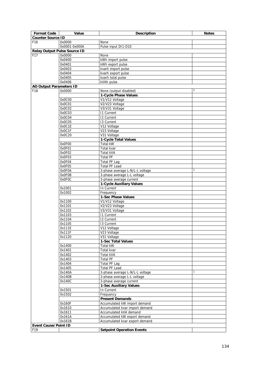| <b>Format Code</b>                  | Value            | <b>Description</b>                                             | <b>Notes</b> |
|-------------------------------------|------------------|----------------------------------------------------------------|--------------|
| <b>Counter Source ID</b>            |                  |                                                                |              |
| F <sub>16</sub>                     | 0x0000           | None                                                           |              |
|                                     | 0x0001-0x000A    | Pulse input DI1-D10                                            |              |
| <b>Relay Output Pulse Source ID</b> |                  |                                                                |              |
| F <sub>17</sub>                     | 0x0000           | None                                                           |              |
|                                     | 0x0400           | kWh import pulse                                               |              |
|                                     | 0x0401           | kWh export pulse                                               |              |
|                                     | 0x0403           | kvarh import pulse                                             |              |
|                                     | 0x0404           | kvarh export pulse                                             |              |
|                                     | 0x0405           | kvarh total pulse                                              |              |
|                                     | 0x0406           | kVAh pulse                                                     |              |
| <b>AO Output Parameters ID</b>      |                  |                                                                |              |
| F <sub>18</sub>                     | 0x0000           | None (output disabled)                                         | 2            |
|                                     |                  | 1-Cycle Phase Values                                           |              |
|                                     | 0x0C00           | V1/V12 Voltage                                                 |              |
|                                     | 0x0C01           | V2/V23 Voltage                                                 |              |
|                                     | 0x0C02           | V3/V31 Voltage                                                 |              |
|                                     | 0x0C03           | <b>11 Current</b>                                              |              |
|                                     | 0x0C04           | <b>I2 Current</b>                                              |              |
|                                     | 0x0C05           | 13 Current                                                     |              |
|                                     | 0x0C1E           | V12 Voltage                                                    |              |
|                                     | 0x0C1F           | V23 Voltage                                                    |              |
|                                     | 0x0C20           | V31 Voltage                                                    |              |
|                                     |                  | 1-Cycle Total Values                                           |              |
|                                     | 0x0F00<br>0x0F01 | Total kW<br>Total kvar                                         |              |
|                                     | 0x0F02           | Total kVA                                                      |              |
|                                     | 0x0F03           | <b>Total PF</b>                                                |              |
|                                     | 0x0F04           | <b>Total PF Lag</b>                                            |              |
|                                     | 0x0F05           | <b>Total PF Lead</b>                                           |              |
|                                     | 0x0F0A           |                                                                | $\mathbf{1}$ |
|                                     | 0x0F0B           | 3-phase average L-N/L-L voltage<br>3-phase average L-L voltage |              |
|                                     | 0x0F0C           | 3-phase average current                                        |              |
|                                     |                  | 1-Cycle Auxiliary Values                                       |              |
|                                     | 0x1001           | In Current                                                     |              |
|                                     | 0x1002           | Frequency                                                      |              |
|                                     |                  | 1-Sec Phase Values                                             |              |
|                                     | 0x1100           | V1/V12 Voltage                                                 |              |
|                                     | 0x1101           | V2/V23 Voltage                                                 |              |
|                                     | 0x1102           | V3/V31 Voltage                                                 |              |
|                                     | 0x1103           | <b>11 Current</b>                                              |              |
|                                     | 0x1104           | 12 Current                                                     |              |
|                                     | 0x1105           | 13 Current                                                     |              |
|                                     | 0x111E           | V12 Voltage                                                    |              |
|                                     | 0x111F           | V23 Voltage                                                    |              |
|                                     | 0x1120           | V31 Voltage                                                    |              |
|                                     |                  | 1-Sec Total Values                                             |              |
|                                     | 0x1400           | Total kW                                                       |              |
|                                     | 0x1401           | Total kvar                                                     |              |
|                                     | 0x1402           | Total kVA                                                      |              |
|                                     | 0x1403           | <b>Total PF</b>                                                |              |
|                                     | 0x1404           | <b>Total PF Lag</b>                                            |              |
|                                     | 0x1405           | <b>Total PF Lead</b>                                           |              |
|                                     | 0x140A           | 3-phase average L-N/L-L voltage                                | 1            |
|                                     | 0x140B           | 3-phase average L-L voltage                                    |              |
|                                     | 0x140C           | 3-phase average current                                        |              |
|                                     |                  | <b>1-Sec Auxiliary Values</b>                                  |              |
|                                     | 0x1501           | In Current                                                     |              |
|                                     | 0x1502           | Frequency                                                      |              |
|                                     |                  | <b>Present Demands</b>                                         |              |
|                                     | 0x160F           | Accumulated kW import demand                                   |              |
|                                     | 0x1610           | Accumulated kvar import demand                                 |              |
|                                     | 0x1611           | Accumulated kVA demand                                         |              |
|                                     | 0x161A           | Accumulated kW export demand                                   |              |
|                                     | 0x161B           | Accumulated kvar export demand                                 |              |
| <b>Event Cause/Point ID</b>         |                  |                                                                |              |
| F19                                 |                  | <b>Setpoint Operation Events</b>                               |              |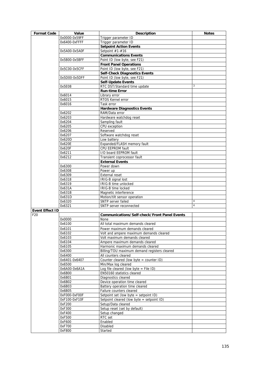| <b>Format Code</b>     | Value         | <b>Description</b>                                  | <b>Notes</b>   |
|------------------------|---------------|-----------------------------------------------------|----------------|
|                        | 0x0000-0x59FF | Trigger parameter ID                                |                |
|                        | 0x6400-0xFFFF | Trigger parameter ID                                |                |
|                        |               | <b>Setpoint Action Events</b>                       |                |
|                        | 0x5A00-0x5A0F | Setpoint #1-#16                                     |                |
|                        |               | <b>Communications Events</b>                        |                |
|                        | 0x5B00-0x5BFF | Point ID (low byte, see F21)                        |                |
|                        |               | <b>Front Panel Operations</b>                       |                |
|                        | 0x5C00-0x5CFF | Point ID (low byte, see F21)                        |                |
|                        |               | <b>Self-Check Diagnostics Events</b>                |                |
|                        | 0x5D00-0x5DFF | Point ID (low byte, see F21)                        |                |
|                        |               | <b>Self-Update Events</b>                           |                |
|                        | 0x5E08        | RTC DST/Standard time update                        | 3              |
|                        |               | <b>Run-time Error</b>                               |                |
|                        |               |                                                     |                |
|                        | 0x6014        | Library error                                       |                |
|                        | 0x6015        | RTOS Kernel error                                   |                |
|                        | 0x6016        | Task error                                          |                |
|                        |               | <b>Hardware Diagnostics Events</b>                  |                |
|                        | 0x6202        | RAM/Data error                                      |                |
|                        | 0x6203        | Hardware watchdog reset                             |                |
|                        | 0x6204        | Sampling fault                                      |                |
|                        | 0x6205        | CPU exception                                       |                |
|                        | 0x6206        | Reserved                                            |                |
|                        | 0x6207        | Software watchdog reset                             |                |
|                        | 0x620D        | Low battery                                         |                |
|                        | 0x620E        | Expanded/FLASH memory fault                         |                |
|                        | 0x620F        | CPU EEPROM fault                                    |                |
|                        | 0x6211        | I/O board EEPROM fault                              |                |
|                        | 0x6212        | Transient coprocessor fault                         |                |
|                        |               | <b>External Events</b>                              |                |
|                        | 0x6300        | Power down                                          |                |
|                        | 0x6308        | Power up                                            |                |
|                        | 0x6309        | <b>External reset</b>                               |                |
|                        | 0x6318        | IRIG-B signal lost                                  |                |
|                        | 0x6319        | IRIG-B time unlocked                                |                |
|                        | 0x631A        | IRIG-B time locked                                  |                |
|                        | 0x631B        | Magnetic interference                               |                |
|                        | 0x631D        | Motion/tilt sensor operation                        |                |
|                        | 0x6320        | SNTP server failed                                  | 4              |
|                        | 0x6321        | SNTP server reconnected                             | $\overline{4}$ |
| <b>Event Effect ID</b> |               |                                                     |                |
| F <sub>20</sub>        |               | <b>Communications/Self-check/Front Panel Events</b> |                |
|                        |               |                                                     |                |
|                        | 0x0000        | None                                                |                |
|                        | 0x6100        | All total maximum demands cleared                   |                |
|                        | 0x6101        | Power maximum demands cleared                       |                |
|                        | 0x6102        | Volt and ampere maximum demands cleared             |                |
|                        | 0x6103        | Volt maximum demands cleared                        |                |
|                        | 0x6104        | Ampere maximum demands cleared                      |                |
|                        | 0x6105        | Harmonic maximum demands cleared                    |                |
|                        | 0x6300        | Billing/TOU maximum demand registers cleared        |                |
|                        | 0x6400        | All counters cleared                                |                |
|                        | 0x6401-0x6407 | Counter cleared (low byte = counter $ID$ )          |                |
|                        | 0x6500        | Min/Max log cleared                                 |                |
|                        | 0x6A00-0x6A1A | Log file cleared (low byte = File ID)               |                |
|                        | 0x6B00        | EN50160 statistics cleared                          |                |
|                        | 0x6B01        | Diagnostics cleared                                 |                |
|                        | 0x6B02        | Device operation time cleared                       |                |
|                        | 0x6B03        | Battery operation time cleared                      |                |
|                        | 0x6B05        | Failure counters cleared                            |                |
|                        | 0xF000-0xF00F | Setpoint set (low byte = setpoint ID)               |                |
|                        | 0xF100-0xF10F | Setpoint cleared (low byte = setpoint ID)           |                |
|                        | 0xF200        | Setup/Data cleared                                  |                |
|                        | 0xF300        | Setup reset (set by default)                        |                |
|                        | 0xF400        | Setup changed                                       |                |
|                        | 0xF500        | RTC set                                             |                |
|                        | 0xF600        | Enabled                                             |                |
|                        | 0xF700        | Disabled                                            |                |
|                        | 0xF800        | Started                                             |                |
|                        |               |                                                     |                |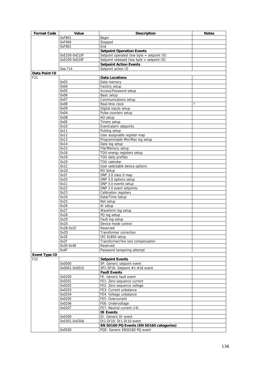| <b>Format Code</b>   | Value         | <b>Description</b>                         | <b>Notes</b> |
|----------------------|---------------|--------------------------------------------|--------------|
|                      | 0xF801        | Begin                                      |              |
|                      | 0xF900        | Stopped                                    |              |
|                      | 0xF901        | End                                        |              |
|                      |               | <b>Setpoint Operation Events</b>           |              |
|                      | 0xE100-0xE10F | Setpoint operated (low byte = setpoint ID) |              |
|                      | 0xE200-0xE20F | Setpoint released (low byte = setpoint ID) |              |
|                      |               | <b>Setpoint Action Events</b>              |              |
|                      | See F14       | Setpoint action ID                         |              |
| Data Point ID        |               |                                            |              |
| F21                  |               | <b>Data Locations</b>                      |              |
|                      | 0x03          | Data memory                                |              |
|                      | 0x04          | Factory setup                              |              |
|                      | 0x05          | Access/Password setup                      |              |
|                      | 0x06          | Basic setup                                |              |
|                      | 0x07          | Communications setup                       |              |
|                      | 0x08          | Real-time clock                            | 3            |
|                      | 0x09          | Digital inputs setup                       |              |
|                      | 0x0A          | Pulse counters setup                       |              |
|                      | 0x0B          | AO setup                                   |              |
|                      | 0x0E          | Timers setup                               |              |
|                      | 0x10          | Event/alarm setpoints                      |              |
|                      |               |                                            |              |
|                      | 0x11          | Pulsing setup                              |              |
|                      | 0x12          | User assignable register map               |              |
|                      | 0x13          | Programmable Min/Max log setup             |              |
|                      | 0x14          | Data log setup                             |              |
|                      | 0x15          | File/Memory setup                          |              |
|                      | 0x16          | TOU energy registers setup                 |              |
|                      | 0x18          | TOU daily profiles                         |              |
|                      | 0x19          | TOU calendar                               |              |
|                      | 0x1C          | User selectable device options             |              |
|                      | 0x1D          | RO Setup                                   |              |
|                      | 0x1F          | DNP 3.0 class 0 map                        |              |
|                      | 0x20          | DNP 3.0 options setup                      |              |
|                      | 0x21          | DNP 3.0 events setup                       |              |
|                      | 0x22          | DNP 3.0 event setpoints                    |              |
|                      | 0x23          | Calibration registers                      |              |
|                      | 0x24          | Date/Time Setup                            |              |
|                      | 0x25          | Net setup                                  |              |
|                      | 0x26          | AI setup                                   |              |
|                      | 0x27          | Waveform log setup                         |              |
|                      | 0x28          | PQ log setup                               |              |
|                      | 0x29          | Fault log setup                            |              |
|                      | 0x2A          | Device mode control                        |              |
|                      | 0x2B-0x2C     | Reserved                                   |              |
|                      | 0x2D          | Transformer correction                     |              |
|                      | 0x2E          | IEC 61850 setup                            |              |
|                      | 0x2F          | Transformer/line loss compensation         |              |
|                      | 0x30-0x4E     | Reserved                                   |              |
|                      | 0x4F          | Password tampering attempt                 |              |
| <b>Event Type ID</b> |               |                                            |              |
| F <sub>22</sub>      |               | <b>Setpoint Events</b>                     |              |
|                      | 0x0000        | SP: Generic setpoint event                 |              |
|                      | 0x0001-0x0010 | SP1-SP16: Setpoint #1-#16 event            |              |
|                      |               | <b>Fault Events</b>                        |              |
|                      | 0x0200        | FE: Generic fault event                    |              |
|                      | 0x0201        | FE1: Zero-sequence current                 |              |
|                      | 0x0202        | FE2: Zero-sequence voltage                 |              |
|                      | 0x0203        | FE3: Current unbalance                     |              |
|                      | 0x0204        | FE4: Voltage unbalance                     |              |
|                      | 0x0205        | FE5: Overcurrent                           |              |
|                      | 0x0206        | FE6: Undervoltage                          |              |
|                      | 0x0207        | FE7: Neutral current (14)                  |              |
|                      |               | <b>DI Events</b>                           |              |
|                      |               |                                            |              |
|                      | 0x0300        | DI: Generic DI event                       |              |
|                      | 0x0301-0x030A | DI1-DI10: DI1-DI10 event                   |              |
|                      |               | EN 50160 PQ Events (EN 50160 categories)   |              |
|                      | 0x0500        | PQE: Generic EN50160 PQ event              |              |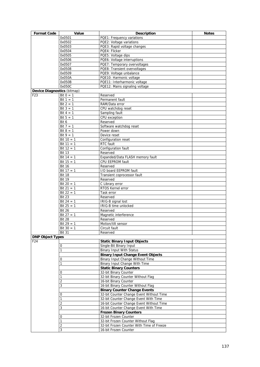| <b>Format Code</b>          | Value                | <b>Description</b>                        | <b>Notes</b> |
|-----------------------------|----------------------|-------------------------------------------|--------------|
|                             | 0x0501               | PQE1: Frequency variations                |              |
|                             | 0x0502               | PQE2: Voltage variations                  |              |
|                             | 0x0503               | PQE3: Rapid voltage changes               |              |
|                             | 0x0504               | PQE4: Flicker                             |              |
|                             | 0x0505               | PQE5: Voltage dips                        |              |
|                             | 0x0506               | PQE6: Voltage interruptions               |              |
|                             | 0x0507               | PQE7: Temporary overvoltages              |              |
|                             | 0x0508               | PQE8: Transient overvoltages              |              |
|                             | 0x0509               | PQE9: Voltage unbalance                   |              |
|                             | 0x050A               | PQE10: Harmonic voltage                   |              |
|                             | 0x050B               | PQE11: Interharmonic voltage              |              |
|                             | 0x050C               | PQE12: Mains signaling voltage            |              |
| Device Diagnostics (bitmap) |                      |                                           |              |
| F <sub>23</sub>             | Bit $0 = 1$          | Reserved                                  |              |
|                             | Bit $1 = 1$          | Permanent fault                           |              |
|                             | Bit $2 = 1$          | RAM/Data error                            |              |
|                             | Bit $3 = 1$          | CPU watchdog reset                        |              |
|                             | Bit $4 = 1$          | Sampling fault                            |              |
|                             | Bit $5 = 1$          | CPU exception                             |              |
|                             | Bit 6                | Reserved                                  |              |
|                             | Bit $7 = 1$          | Software watchdog reset                   |              |
|                             | Bit $8 = 1$          | Power down                                |              |
|                             | Bit $9 = 1$          | Device reset                              |              |
|                             | Bit $10 = 1$         | Configuration reset                       |              |
|                             | Bit $11 = 1$         | RTC fault                                 |              |
|                             | Bit $12 = 1$         | Configuration fault                       |              |
|                             | <b>Bit 13</b>        | Reserved                                  |              |
|                             | Bit $14 = 1$         | Expanded/Data FLASH memory fault          |              |
|                             | Bit $15 = 1$         | CPU EEPROM fault                          |              |
|                             | <b>Bit 16</b>        | Reserved                                  |              |
|                             | Bit $17 = 1$         | I/O board EEPROM fault                    |              |
|                             | <b>Bit 18</b>        | Transient coprocessor fault               |              |
|                             | <b>Bit 19</b>        | Reserved                                  |              |
|                             | Bit $20 = 1$         | C Library error                           |              |
|                             |                      |                                           |              |
|                             | Bit $21 = 1$         | RTOS Kernel error                         |              |
|                             | Bit $22 = 1$         | Task error                                |              |
|                             | <b>Bit 23</b>        | Reserved                                  |              |
|                             | Bit $24 = 1$         | IRIG-B signal lost                        |              |
|                             | Bit $25 = 1$         | IRIG-B time unlocked                      |              |
|                             | <b>Bit 26</b>        | Reserved                                  |              |
|                             | Bit $27 = 1$         | Magnetic interference                     |              |
|                             | <b>Bit 28</b>        | Reserved                                  |              |
|                             | Bit $29 = 1$         | Motion/tilt sensor                        |              |
|                             | Bit $30 = 1$         | Circuit fault                             |              |
|                             | $\overline{B}$ it 31 | Reserved                                  |              |
| <b>DNP Object Types</b>     |                      |                                           |              |
| F <sub>24</sub>             |                      | <b>Static Binary Input Objects</b>        |              |
|                             | 0                    | Single-Bit Binary Input                   |              |
|                             | 1                    | <b>Binary Input With Status</b>           |              |
|                             |                      | <b>Binary Input Change Event Objects</b>  |              |
|                             | 0                    | Binary Input Change Without Time          |              |
|                             |                      | Binary Input Change With Time             |              |
|                             |                      | <b>Static Binary Counters</b>             |              |
|                             | 0                    | 32-bit Binary Counter                     |              |
|                             |                      | 32-bit Binary Counter Without Flag        |              |
|                             | 2                    | 16-bit Binary Counter                     |              |
|                             | 3                    | 16-bit Binary Counter Without Flag        |              |
|                             |                      | <b>Binary Counter Change Events</b>       |              |
|                             | 0                    | 32-bit Counter Change Event Without Time  |              |
|                             | 1                    | 32-bit Counter Change Event With Time     |              |
|                             | 2                    | 16-bit Counter Change Event Without Time  |              |
|                             | 3                    | 16-bit Counter Change Event With Time     |              |
|                             |                      | <b>Frozen Binary Counters</b>             |              |
|                             | 0                    | 32-bit Frozen Counter                     |              |
|                             |                      | 32-bit Frozen Counter Without Flag        |              |
|                             | 2                    | 32-bit Frozen Counter With Time of Freeze |              |
|                             | 3                    | 16-bit Frozen Counter                     |              |
|                             |                      |                                           |              |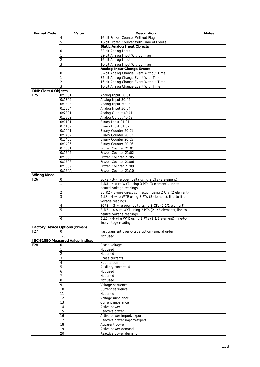| <b>Format Code</b>                    | Value                                   | <b>Description</b>                                                                                      | <b>Notes</b> |
|---------------------------------------|-----------------------------------------|---------------------------------------------------------------------------------------------------------|--------------|
|                                       | 4                                       | 16-bit Frozen Counter Without Flag                                                                      |              |
|                                       | 5                                       | 16-bit Frozen Counter With Time of Freeze                                                               |              |
|                                       |                                         | <b>Static Analog Input Objects</b>                                                                      |              |
|                                       | 0                                       | 32-bit Analog Input                                                                                     |              |
|                                       | $\mathbf{1}$                            | 32-bit Analog Input Without Flag                                                                        |              |
|                                       | 2                                       | 16-bit Analog Input                                                                                     |              |
|                                       | 3                                       | 16-bit Analog Input Without Flag                                                                        |              |
|                                       |                                         | <b>Analog Input Change Events</b>                                                                       |              |
|                                       | 0                                       | 32-bit Analog Change Event Without Time                                                                 |              |
|                                       |                                         | 32-bit Analog Change Event With Time                                                                    |              |
|                                       | $\overline{2}$                          | 16-bit Analog Change Event Without Time                                                                 |              |
|                                       | 3                                       | 16-bit Analog Change Event With Time                                                                    |              |
| <b>DNP Class 0 Objects</b>            |                                         |                                                                                                         |              |
| F <sub>25</sub>                       | 0x1E01                                  | Analog Input 30:01                                                                                      |              |
|                                       | 0x1E02                                  | Analog Input 30:02                                                                                      |              |
|                                       | 0x1E03                                  | Analog Input 30:03                                                                                      |              |
|                                       | 0x1E04                                  | Analog Input 30:04                                                                                      |              |
|                                       | 0x2801                                  | Analog Output 40:01                                                                                     |              |
|                                       | 0x2802                                  | Analog Output 40:02                                                                                     |              |
|                                       | 0x0101                                  | Binary Input 01:01                                                                                      |              |
|                                       | 0x0102                                  | Binary Input 01:02                                                                                      |              |
|                                       | 0x1401                                  | Binary Counter 20:01                                                                                    |              |
|                                       | 0x1402                                  | Binary Counter 20:02                                                                                    |              |
|                                       | 0x1405                                  | Binary Counter 20:05                                                                                    |              |
|                                       | 0x1406                                  | Binary Counter 20:06                                                                                    |              |
|                                       | 0x1501                                  | Frozen Counter 21:01                                                                                    |              |
|                                       | 0x1502                                  | Frozen Counter 21:02                                                                                    |              |
|                                       | 0x1505                                  | Frozen Counter 21:05                                                                                    |              |
|                                       | 0x1506<br>0x1509                        | Frozen Counter 21:06                                                                                    |              |
|                                       |                                         | Frozen Counter 21:09                                                                                    |              |
|                                       | 0x150A                                  | Frozen Counter 21:10                                                                                    |              |
| <b>Wiring Mode</b><br>F <sub>26</sub> | $\pmb{0}$                               |                                                                                                         |              |
|                                       | $\mathbf{1}$                            | 3OP2 - 3-wire open delta using 2 CTs (2 element)<br>4LN3 - 4-wire WYE using 3 PTs (3 element), line-to- |              |
|                                       |                                         | neutral voltage readings                                                                                |              |
|                                       | 2                                       | 3DIR2 - 3-wire direct connection using 2 CTs (2 element)                                                |              |
|                                       | 3                                       | 4LL3 - 4-wire WYE using 3 PTs (3 element), line-to-line                                                 |              |
|                                       |                                         | voltage readings                                                                                        |              |
|                                       | 4                                       | 3OP3 - 3-wire open delta using 3 CTs (2 1/2 element)                                                    |              |
|                                       | 5                                       | 3LN3 - 4-wire WYE using 2 PTs (2 1/2 element), line-to-                                                 |              |
|                                       |                                         | neutral voltage readings                                                                                |              |
|                                       | 6                                       | 3LL3 - 4-wire WYE using 2 PTs (2 1/2 element), line-to-                                                 |              |
|                                       |                                         | line voltage readings                                                                                   |              |
|                                       | <b>Factory Device Options (bitmap)</b>  |                                                                                                         |              |
| F <sub>2</sub> 7                      | 0                                       | Fast transient overvoltage option (special order)                                                       |              |
|                                       | $1 - 31$                                | Not used                                                                                                |              |
|                                       | <b>IEC 61850 Measured Value Indices</b> |                                                                                                         |              |
| F <sub>28</sub>                       | 0                                       | Phase voltage                                                                                           |              |
|                                       | $\mathbf{1}$                            | Not used                                                                                                |              |
|                                       | 2                                       | Not used                                                                                                |              |
|                                       | 3                                       | Phase currents                                                                                          |              |
|                                       | 4                                       | Neutral current                                                                                         |              |
|                                       | 5                                       | Auxiliary current 14                                                                                    |              |
|                                       | 6                                       | Not used                                                                                                |              |
|                                       | $\overline{7}$                          | Not used                                                                                                |              |
|                                       | 8                                       | Not used                                                                                                |              |
|                                       | 9                                       | Voltage sequence                                                                                        |              |
|                                       | 10                                      | Current sequence                                                                                        |              |
|                                       | 11                                      | Not used                                                                                                |              |
|                                       | 12                                      | Voltage unbalance                                                                                       |              |
|                                       | 13                                      | Current unbalance                                                                                       |              |
|                                       | 14                                      | Active power                                                                                            |              |
|                                       | 15                                      | Reactive power                                                                                          |              |
|                                       | 16                                      | Active power import/export                                                                              |              |
|                                       | 17                                      | Reactive power import/export                                                                            |              |
|                                       | 18                                      | Apparent power                                                                                          |              |
|                                       | 19                                      | Active power demand                                                                                     |              |
|                                       | 20                                      | Reactive power demand                                                                                   |              |